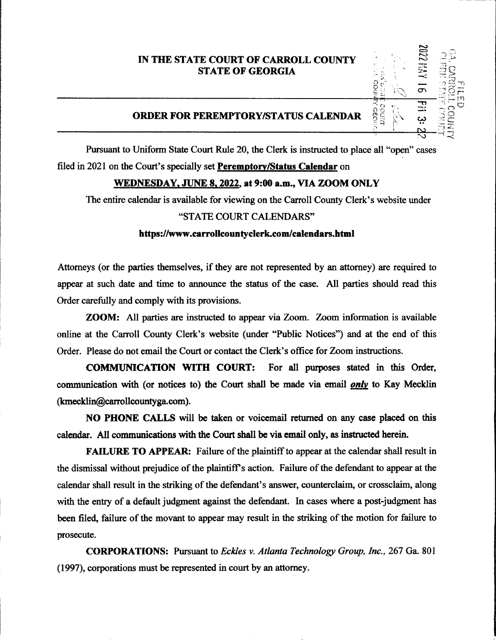# IN THE STATE COURT OF CARROLL COUNTY **STATE OF GEORGIA**

## **ORDER FOR PEREMPTORY/STATUS CALENDAR**

Pursuant to Uniform State Court Rule 20, the Clerk is instructed to place all "open" cases filed in 2021 on the Court's specially set **Peremptory/Status Calendar** on

# WEDNESDAY, JUNE 8, 2022, at 9:00 a.m., VIA ZOOM ONLY

The entire calendar is available for viewing on the Carroll County Clerk's website under

# "STATE COURT CALENDARS"

## https://www.carrollcountyclerk.com/calendars.html

Attorneys (or the parties themselves, if they are not represented by an attorney) are required to appear at such date and time to announce the status of the case. All parties should read this Order carefully and comply with its provisions.

**ZOOM:** All parties are instructed to appear via Zoom. Zoom information is available online at the Carroll County Clerk's website (under "Public Notices") and at the end of this Order. Please do not email the Court or contact the Clerk's office for Zoom instructions.

**COMMUNICATION WITH COURT:** For all purposes stated in this Order, communication with (or notices to) the Court shall be made via email *only* to Kay Mecklin (kmecklin@carrollcountyga.com).

NO PHONE CALLS will be taken or voicemail returned on any case placed on this calendar. All communications with the Court shall be via email only, as instructed herein.

**FAILURE TO APPEAR:** Failure of the plaintiff to appear at the calendar shall result in the dismissal without prejudice of the plaintiff's action. Failure of the defendant to appear at the calendar shall result in the striking of the defendant's answer, counterclaim, or crossclaim, along with the entry of a default judgment against the defendant. In cases where a post-judgment has been filed, failure of the movant to appear may result in the striking of the motion for failure to prosecute.

**CORPORATIONS:** Pursuant to Eckles v. Atlanta Technology Group, Inc., 267 Ga. 801 (1997), corporations must be represented in court by an attorney.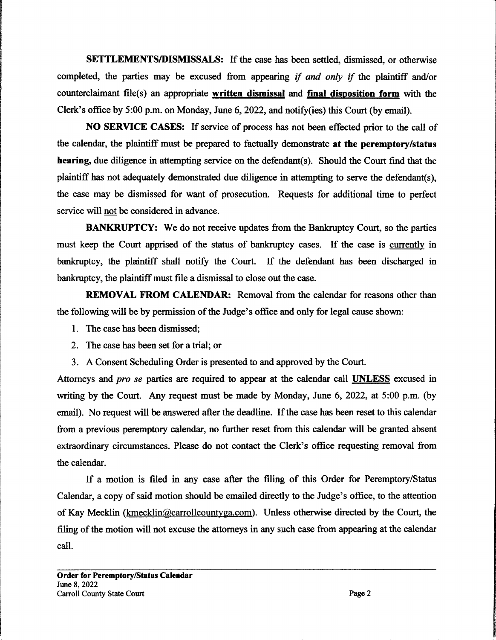**SETTLEMENTS/DISMISSALS:** If the case has been settled, dismissed, or otherwise completed, the parties may be excused from appearing if and only if the plaintiff and/or counterclaimant file(s) an appropriate written dismissal and final disposition form with the Clerk's office by 5:00 p.m. on Monday, June 6, 2022, and notify(ies) this Court (by email).

NO SERVICE CASES: If service of process has not been effected prior to the call of the calendar, the plaintiff must be prepared to factually demonstrate at the peremptory/status hearing, due diligence in attempting service on the defendant(s). Should the Court find that the plaintiff has not adequately demonstrated due diligence in attempting to serve the defendant(s), the case may be dismissed for want of prosecution. Requests for additional time to perfect service will not be considered in advance.

BANKRUPTCY: We do not receive updates from the Bankruptcy Court, so the parties must keep the Court apprised of the status of bankruptcy cases. If the case is currently in bankruptcy, the plaintiff shall notify the Court. If the defendant has been discharged in bankruptcy, the plaintiff must file a dismissal to close out the case.

**REMOVAL FROM CALENDAR:** Removal from the calendar for reasons other than the following will be by permission of the Judge's office and only for legal cause shown:

- 1. The case has been dismissed:
- 2. The case has been set for a trial; or
- 3. A Consent Scheduling Order is presented to and approved by the Court.

Attorneys and *pro se* parties are required to appear at the calendar call **UNLESS** excused in writing by the Court. Any request must be made by Monday, June 6, 2022, at 5:00 p.m. (by email). No request will be answered after the deadline. If the case has been reset to this calendar from a previous peremptory calendar, no further reset from this calendar will be granted absent extraordinary circumstances. Please do not contact the Clerk's office requesting removal from the calendar.

If a motion is filed in any case after the filing of this Order for Peremptory/Status Calendar, a copy of said motion should be emailed directly to the Judge's office, to the attention of Kay Mecklin (kmecklin@carrollcountyga.com). Unless otherwise directed by the Court, the filing of the motion will not excuse the attorneys in any such case from appearing at the calendar call.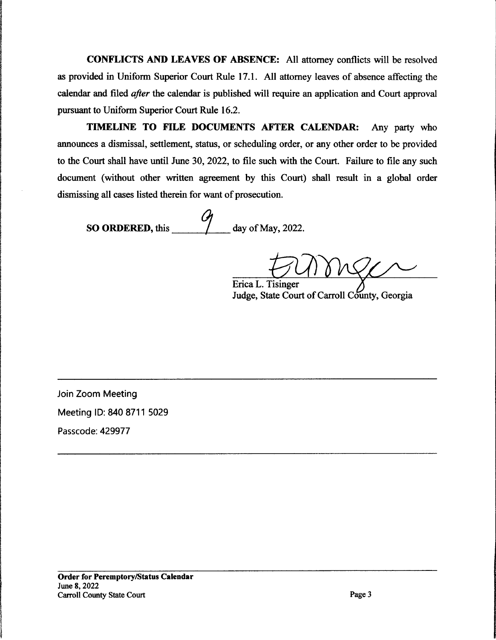**CONFLICTS AND LEAVES OF ABSENCE:** All attorney conflicts will be resolved as provided in Uniform Superior Court Rule 17.1. All attorney leaves of absence affecting the calendar and filed *after* the calendar is published will require an application and Court approval pursuant to Uniform Superior Court Rule 16.2.

TIMELINE TO FILE DOCUMENTS AFTER CALENDAR: Any party who announces a dismissal, settlement, status, or scheduling order, or any other order to be provided to the Court shall have until June 30, 2022, to file such with the Court. Failure to file any such document (without other written agreement by this Court) shall result in a global order dismissing all cases listed therein for want of prosecution.

day of May, 2022. **SO ORDERED, this** 

Erica L. Tisinger Judge, State Court of Carroll County, Georgia

**Join Zoom Meeting** Meeting ID: 840 8711 5029

Passcode: 429977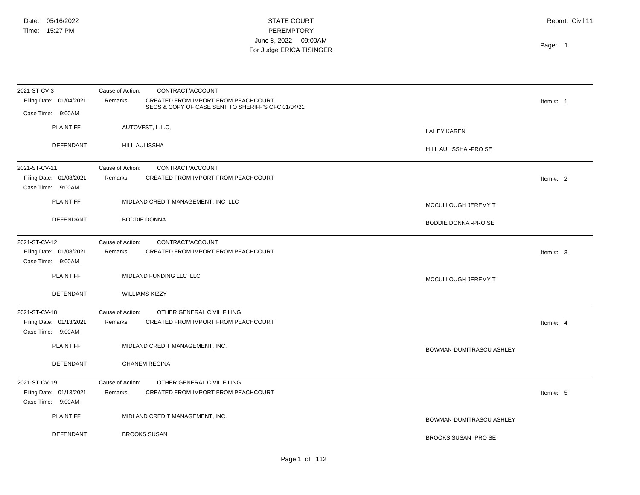| 2021-ST-CV-3                                                  | CONTRACT/ACCOUNT<br>Cause of Action:                                                                  |                             |
|---------------------------------------------------------------|-------------------------------------------------------------------------------------------------------|-----------------------------|
| Filing Date: 01/04/2021                                       | CREATED FROM IMPORT FROM PEACHCOURT<br>Remarks:<br>SEOS & COPY OF CASE SENT TO SHERIFF'S OFC 01/04/21 | Item #: $1$                 |
| Case Time: 9:00AM                                             |                                                                                                       |                             |
| <b>PLAINTIFF</b>                                              | AUTOVEST, L.L.C,                                                                                      | <b>LAHEY KAREN</b>          |
| DEFENDANT                                                     | HILL AULISSHA                                                                                         | HILL AULISSHA - PRO SE      |
| 2021-ST-CV-11                                                 | CONTRACT/ACCOUNT<br>Cause of Action:                                                                  |                             |
| Filing Date: 01/08/2021<br>Case Time: 9:00AM                  | CREATED FROM IMPORT FROM PEACHCOURT<br>Remarks:                                                       | Item #: $2$                 |
| <b>PLAINTIFF</b>                                              | MIDLAND CREDIT MANAGEMENT, INC LLC                                                                    | MCCULLOUGH JEREMY T         |
| <b>DEFENDANT</b>                                              | <b>BODDIE DONNA</b>                                                                                   | BODDIE DONNA - PRO SE       |
| 2021-ST-CV-12<br>Filing Date: 01/08/2021<br>Case Time: 9:00AM | Cause of Action:<br>CONTRACT/ACCOUNT<br>CREATED FROM IMPORT FROM PEACHCOURT<br>Remarks:               | Item #: $3$                 |
| <b>PLAINTIFF</b>                                              | MIDLAND FUNDING LLC LLC                                                                               | MCCULLOUGH JEREMY T         |
| <b>DEFENDANT</b>                                              | <b>WILLIAMS KIZZY</b>                                                                                 |                             |
| 2021-ST-CV-18                                                 | OTHER GENERAL CIVIL FILING<br>Cause of Action:                                                        |                             |
| Filing Date: 01/13/2021<br>Case Time: 9:00AM                  | CREATED FROM IMPORT FROM PEACHCOURT<br>Remarks:                                                       | Item #: $4$                 |
| <b>PLAINTIFF</b>                                              | MIDLAND CREDIT MANAGEMENT, INC.                                                                       | BOWMAN-DUMITRASCU ASHLEY    |
| <b>DEFENDANT</b>                                              | <b>GHANEM REGINA</b>                                                                                  |                             |
| 2021-ST-CV-19                                                 | Cause of Action:<br>OTHER GENERAL CIVIL FILING                                                        |                             |
| Filing Date: 01/13/2021<br>Case Time: 9:00AM                  | CREATED FROM IMPORT FROM PEACHCOURT<br>Remarks:                                                       | Item #: $5$                 |
| <b>PLAINTIFF</b>                                              | MIDLAND CREDIT MANAGEMENT, INC.                                                                       | BOWMAN-DUMITRASCU ASHLEY    |
| <b>DEFENDANT</b>                                              | <b>BROOKS SUSAN</b>                                                                                   | <b>BROOKS SUSAN -PRO SE</b> |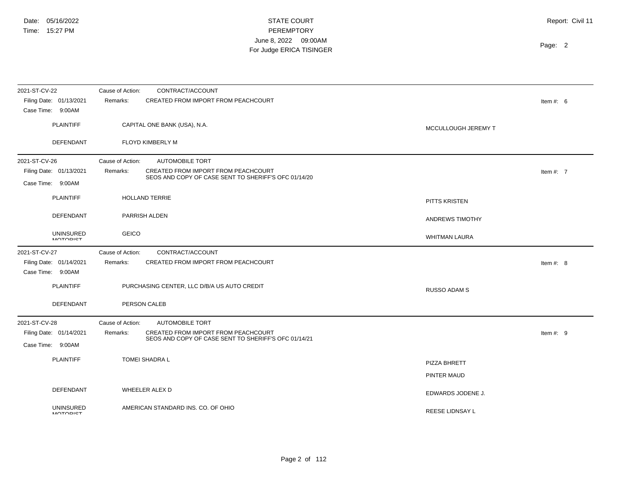| 2021-ST-CV-22                                | CONTRACT/ACCOUNT<br>Cause of Action:                                                                    |                                           |             |
|----------------------------------------------|---------------------------------------------------------------------------------------------------------|-------------------------------------------|-------------|
| Filing Date: 01/13/2021<br>Case Time: 9:00AM | CREATED FROM IMPORT FROM PEACHCOURT<br>Remarks:                                                         |                                           | Item #: $6$ |
| <b>PLAINTIFF</b>                             | CAPITAL ONE BANK (USA), N.A.                                                                            | MCCULLOUGH JEREMY T                       |             |
| <b>DEFENDANT</b>                             | FLOYD KIMBERLY M                                                                                        |                                           |             |
| 2021-ST-CV-26                                | Cause of Action:<br><b>AUTOMOBILE TORT</b>                                                              |                                           |             |
| Filing Date: 01/13/2021<br>Case Time: 9:00AM | CREATED FROM IMPORT FROM PEACHCOURT<br>Remarks:<br>SEOS AND COPY OF CASE SENT TO SHERIFF'S OFC 01/14/20 |                                           | Item #: $7$ |
| <b>PLAINTIFF</b>                             | <b>HOLLAND TERRIE</b>                                                                                   | PITTS KRISTEN                             |             |
| <b>DEFENDANT</b>                             | PARRISH ALDEN                                                                                           | ANDREWS TIMOTHY                           |             |
| <b>UNINSURED</b><br><b>MOTOPICT</b>          | <b>GEICO</b>                                                                                            | <b>WHITMAN LAURA</b>                      |             |
| 2021-ST-CV-27                                | Cause of Action:<br>CONTRACT/ACCOUNT                                                                    |                                           |             |
| Filing Date: 01/14/2021<br>Case Time: 9:00AM | CREATED FROM IMPORT FROM PEACHCOURT<br>Remarks:                                                         |                                           | Item #: $8$ |
| <b>PLAINTIFF</b>                             | PURCHASING CENTER, LLC D/B/A US AUTO CREDIT                                                             | RUSSO ADAM S                              |             |
| <b>DEFENDANT</b>                             | PERSON CALEB                                                                                            |                                           |             |
| 2021-ST-CV-28                                | <b>AUTOMOBILE TORT</b><br>Cause of Action:                                                              |                                           |             |
| Filing Date: 01/14/2021                      | CREATED FROM IMPORT FROM PEACHCOURT<br>Remarks:<br>SEOS AND COPY OF CASE SENT TO SHERIFF'S OFC 01/14/21 |                                           | Item #: $9$ |
| Case Time: 9:00AM                            |                                                                                                         |                                           |             |
| <b>PLAINTIFF</b>                             | <b>TOMEI SHADRA L</b>                                                                                   | <b>PIZZA BHRETT</b><br><b>PINTER MAUD</b> |             |
| <b>DEFENDANT</b>                             | WHEELER ALEX D                                                                                          | EDWARDS JODENE J.                         |             |
| <b>UNINSURED</b><br><b>MOTODICT</b>          | AMERICAN STANDARD INS. CO. OF OHIO                                                                      | REESE LIDNSAY L                           |             |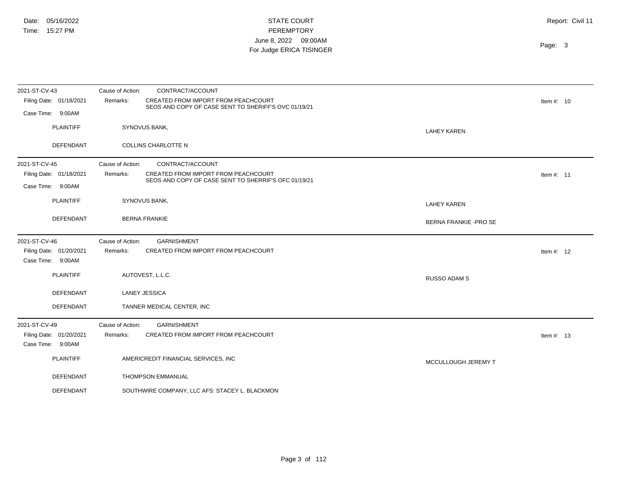| 2021-ST-CV-43                                | CONTRACT/ACCOUNT<br>Cause of Action:                                                                    |                       |              |
|----------------------------------------------|---------------------------------------------------------------------------------------------------------|-----------------------|--------------|
| Filing Date: 01/18/2021                      | CREATED FROM IMPORT FROM PEACHCOURT<br>Remarks:<br>SEOS AND COPY OF CASE SENT TO SHERIFF'S OVC 01/19/21 |                       | Item #: $10$ |
| Case Time: 9:00AM                            |                                                                                                         |                       |              |
| PLAINTIFF                                    | SYNOVUS BANK,                                                                                           | <b>LAHEY KAREN</b>    |              |
| DEFENDANT                                    | <b>COLLINS CHARLOTTE N</b>                                                                              |                       |              |
| 2021-ST-CV-45                                | CONTRACT/ACCOUNT<br>Cause of Action:                                                                    |                       |              |
| Filing Date: 01/18/2021                      | CREATED FROM IMPORT FROM PEACHCOURT<br>Remarks:<br>SEOS AND COPY OF CASE SENT TO SHERRIF'S OFC 01/19/21 |                       | Item #: $11$ |
| Case Time: 9:00AM                            |                                                                                                         |                       |              |
| <b>PLAINTIFF</b>                             | SYNOVUS BANK,                                                                                           | <b>LAHEY KAREN</b>    |              |
| <b>DEFENDANT</b>                             | <b>BERNA FRANKIE</b>                                                                                    | BERNA FRANKIE -PRO SE |              |
| 2021-ST-CV-46                                | <b>GARNISHMENT</b><br>Cause of Action:                                                                  |                       |              |
| Filing Date: 01/20/2021<br>Case Time: 9:00AM | CREATED FROM IMPORT FROM PEACHCOURT<br>Remarks:                                                         |                       | Item #: $12$ |
| <b>PLAINTIFF</b>                             | AUTOVEST, L.L.C.                                                                                        | <b>RUSSO ADAM S</b>   |              |
| DEFENDANT                                    | <b>LANEY JESSICA</b>                                                                                    |                       |              |
| DEFENDANT                                    | TANNER MEDICAL CENTER, INC                                                                              |                       |              |
| 2021-ST-CV-49                                | <b>GARNISHMENT</b><br>Cause of Action:                                                                  |                       |              |
| Filing Date: 01/20/2021<br>Case Time: 9:00AM | Remarks:<br>CREATED FROM IMPORT FROM PEACHCOURT                                                         |                       | Item #: $13$ |
| <b>PLAINTIFF</b>                             | AMERICREDIT FINANCIAL SERVICES, INC                                                                     | MCCULLOUGH JEREMY T   |              |
| DEFENDANT                                    | <b>THOMPSON EMMANUAL</b>                                                                                |                       |              |
| DEFENDANT                                    | SOUTHWIRE COMPANY, LLC AFS: STACEY L. BLACKMON                                                          |                       |              |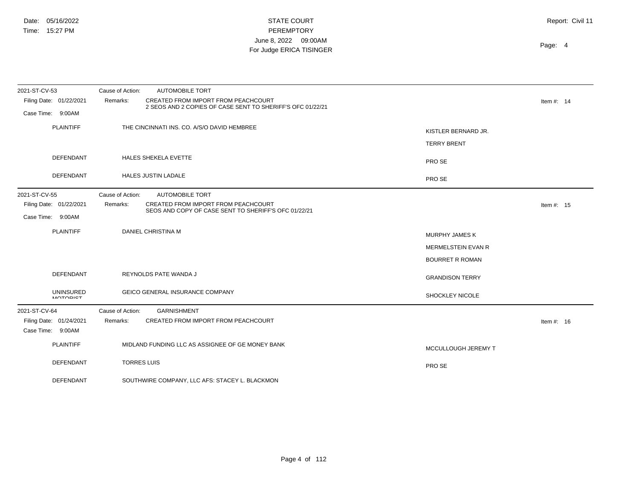| 2021-ST-CV-53                                | Cause of Action:<br><b>AUTOMOBILE TORT</b>                                                                           |                        |              |
|----------------------------------------------|----------------------------------------------------------------------------------------------------------------------|------------------------|--------------|
| Filing Date: 01/22/2021                      | <b>CREATED FROM IMPORT FROM PEACHCOURT</b><br>Remarks:<br>2 SEOS AND 2 COPIES OF CASE SENT TO SHERIFF'S OFC 01/22/21 |                        | Item #: $14$ |
| Case Time: 9:00AM                            |                                                                                                                      |                        |              |
| <b>PLAINTIFF</b>                             | THE CINCINNATI INS. CO. A/S/O DAVID HEMBREE                                                                          | KISTLER BERNARD JR.    |              |
|                                              |                                                                                                                      | <b>TERRY BRENT</b>     |              |
|                                              |                                                                                                                      |                        |              |
| <b>DEFENDANT</b>                             | <b>HALES SHEKELA EVETTE</b>                                                                                          | PRO SE                 |              |
| <b>DEFENDANT</b>                             | <b>HALES JUSTIN LADALE</b>                                                                                           | PRO SE                 |              |
| 2021-ST-CV-55                                | <b>AUTOMOBILE TORT</b><br>Cause of Action:                                                                           |                        |              |
| Filing Date: 01/22/2021                      | CREATED FROM IMPORT FROM PEACHCOURT<br>Remarks:<br>SEOS AND COPY OF CASE SENT TO SHERIFF'S OFC 01/22/21              |                        | Item #: $15$ |
| Case Time: 9:00AM                            |                                                                                                                      |                        |              |
| <b>PLAINTIFF</b>                             | DANIEL CHRISTINA M                                                                                                   | MURPHY JAMES K         |              |
|                                              |                                                                                                                      | MERMELSTEIN EVAN R     |              |
|                                              |                                                                                                                      |                        |              |
|                                              |                                                                                                                      | <b>BOURRET R ROMAN</b> |              |
| <b>DEFENDANT</b>                             | REYNOLDS PATE WANDA J                                                                                                | <b>GRANDISON TERRY</b> |              |
| <b>UNINSURED</b><br><b>MOTORIST</b>          | <b>GEICO GENERAL INSURANCE COMPANY</b>                                                                               | SHOCKLEY NICOLE        |              |
| 2021-ST-CV-64                                | <b>GARNISHMENT</b><br>Cause of Action:                                                                               |                        |              |
| Filing Date: 01/24/2021<br>Case Time: 9:00AM | CREATED FROM IMPORT FROM PEACHCOURT<br>Remarks:                                                                      |                        | Item #: $16$ |
| <b>PLAINTIFF</b>                             | MIDLAND FUNDING LLC AS ASSIGNEE OF GE MONEY BANK                                                                     | MCCULLOUGH JEREMY T    |              |
| <b>DEFENDANT</b>                             | <b>TORRES LUIS</b>                                                                                                   | PRO SE                 |              |
| DEFENDANT                                    | SOUTHWIRE COMPANY, LLC AFS: STACEY L. BLACKMON                                                                       |                        |              |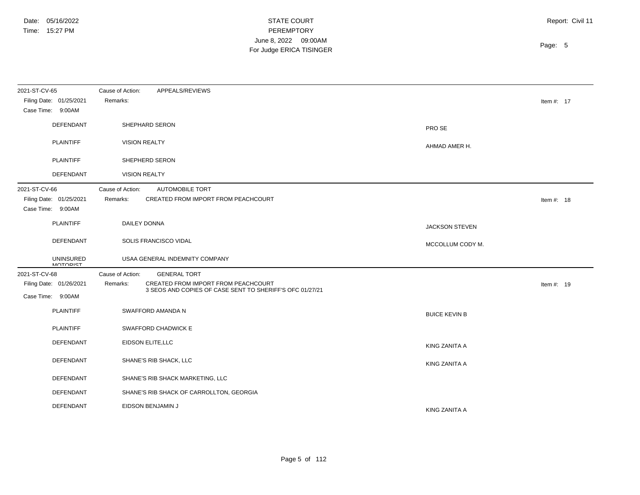| 2021-ST-CV-65                                                 | Cause of Action:<br>APPEALS/REVIEWS                                                                         |                       |              |
|---------------------------------------------------------------|-------------------------------------------------------------------------------------------------------------|-----------------------|--------------|
| Filing Date: 01/25/2021<br>Case Time: 9:00AM                  | Remarks:                                                                                                    |                       | Item #: $17$ |
| DEFENDANT                                                     | SHEPHARD SERON                                                                                              | PRO SE                |              |
| PLAINTIFF                                                     | <b>VISION REALTY</b>                                                                                        | AHMAD AMER H.         |              |
| <b>PLAINTIFF</b>                                              | SHEPHERD SERON                                                                                              |                       |              |
| DEFENDANT                                                     | <b>VISION REALTY</b>                                                                                        |                       |              |
| 2021-ST-CV-66<br>Filing Date: 01/25/2021<br>Case Time: 9:00AM | Cause of Action:<br><b>AUTOMOBILE TORT</b><br>CREATED FROM IMPORT FROM PEACHCOURT<br>Remarks:               |                       | Item #: $18$ |
| <b>PLAINTIFF</b>                                              | <b>DAILEY DONNA</b>                                                                                         | <b>JACKSON STEVEN</b> |              |
| <b>DEFENDANT</b>                                              | SOLIS FRANCISCO VIDAL                                                                                       | MCCOLLUM CODY M.      |              |
| <b>UNINSURED</b><br><b>MOTOPIST</b>                           | USAA GENERAL INDEMNITY COMPANY                                                                              |                       |              |
| 2021-ST-CV-68                                                 | Cause of Action:<br><b>GENERAL TORT</b>                                                                     |                       |              |
| Filing Date: 01/26/2021<br>Case Time: 9:00AM                  | CREATED FROM IMPORT FROM PEACHCOURT<br>Remarks:<br>3 SEOS AND COPIES OF CASE SENT TO SHERIFF'S OFC 01/27/21 |                       | Item #: $19$ |
| <b>PLAINTIFF</b>                                              | SWAFFORD AMANDA N                                                                                           | <b>BUICE KEVIN B</b>  |              |
| <b>PLAINTIFF</b>                                              | SWAFFORD CHADWICK E                                                                                         |                       |              |
| DEFENDANT                                                     | EIDSON ELITE, LLC                                                                                           | KING ZANITA A         |              |
| DEFENDANT                                                     | SHANE'S RIB SHACK, LLC                                                                                      | KING ZANITA A         |              |
| DEFENDANT                                                     | SHANE'S RIB SHACK MARKETING, LLC                                                                            |                       |              |
| DEFENDANT                                                     | SHANE'S RIB SHACK OF CARROLLTON, GEORGIA                                                                    |                       |              |
| DEFENDANT                                                     | EIDSON BENJAMIN J                                                                                           | KING ZANITA A         |              |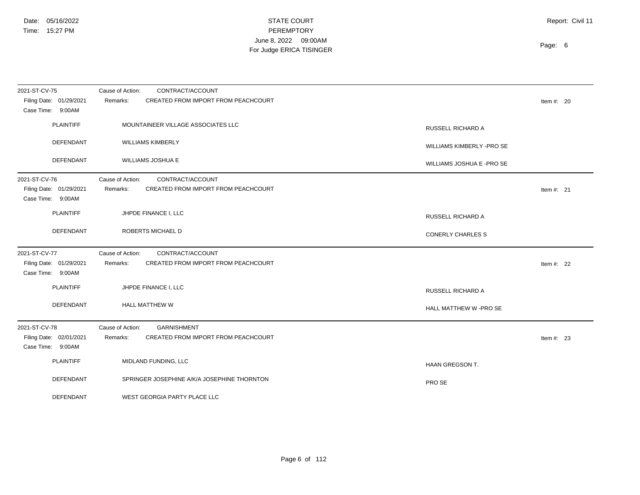| 2021-ST-CV-75<br>Filing Date: 01/29/2021<br>Case Time: 9:00AM | CONTRACT/ACCOUNT<br>Cause of Action:<br>CREATED FROM IMPORT FROM PEACHCOURT<br>Remarks:   | Item #: $20$              |
|---------------------------------------------------------------|-------------------------------------------------------------------------------------------|---------------------------|
| <b>PLAINTIFF</b>                                              | MOUNTAINEER VILLAGE ASSOCIATES LLC                                                        | RUSSELL RICHARD A         |
| <b>DEFENDANT</b>                                              | <b>WILLIAMS KIMBERLY</b>                                                                  | WILLIAMS KIMBERLY -PRO SE |
| DEFENDANT                                                     | <b>WILLIAMS JOSHUA E</b>                                                                  | WILLIAMS JOSHUA E -PRO SE |
| 2021-ST-CV-76<br>Filing Date: 01/29/2021<br>Case Time: 9:00AM | CONTRACT/ACCOUNT<br>Cause of Action:<br>CREATED FROM IMPORT FROM PEACHCOURT<br>Remarks:   | Item #: $21$              |
| <b>PLAINTIFF</b>                                              | JHPDE FINANCE I, LLC                                                                      | <b>RUSSELL RICHARD A</b>  |
| <b>DEFENDANT</b>                                              | ROBERTS MICHAEL D                                                                         | <b>CONERLY CHARLES S</b>  |
| 2021-ST-CV-77<br>Filing Date: 01/29/2021<br>Case Time: 9:00AM | CONTRACT/ACCOUNT<br>Cause of Action:<br>CREATED FROM IMPORT FROM PEACHCOURT<br>Remarks:   | Item #: $22$              |
| PLAINTIFF                                                     | JHPDE FINANCE I, LLC                                                                      | RUSSELL RICHARD A         |
| DEFENDANT                                                     | <b>HALL MATTHEW W</b>                                                                     | HALL MATTHEW W -PRO SE    |
| 2021-ST-CV-78<br>Filing Date: 02/01/2021<br>Case Time: 9:00AM | Cause of Action:<br><b>GARNISHMENT</b><br>CREATED FROM IMPORT FROM PEACHCOURT<br>Remarks: | Item #: $23$              |
| <b>PLAINTIFF</b>                                              | MIDLAND FUNDING, LLC                                                                      | HAAN GREGSON T.           |
| <b>DEFENDANT</b>                                              | SPRINGER JOSEPHINE A/K/A JOSEPHINE THORNTON                                               | PRO SE                    |
| DEFENDANT                                                     | WEST GEORGIA PARTY PLACE LLC                                                              |                           |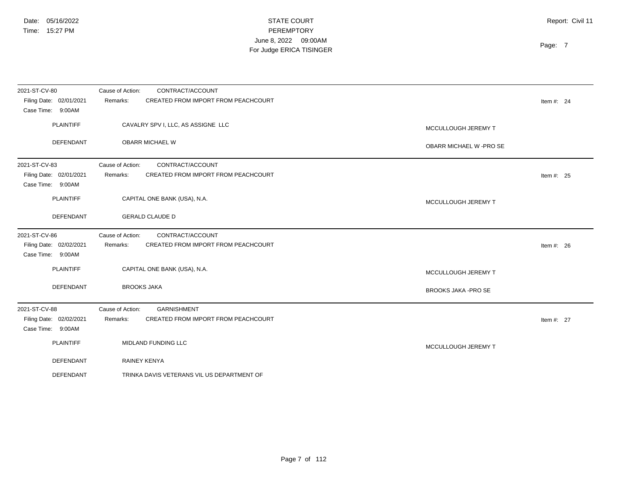| 2021-ST-CV-80                                | Cause of Action:<br>CONTRACT/ACCOUNT            |                         |  |
|----------------------------------------------|-------------------------------------------------|-------------------------|--|
| Filing Date: 02/01/2021<br>Case Time: 9:00AM | CREATED FROM IMPORT FROM PEACHCOURT<br>Remarks: | Item #: $24$            |  |
| <b>PLAINTIFF</b>                             | CAVALRY SPV I, LLC, AS ASSIGNE LLC              | MCCULLOUGH JEREMY T     |  |
| <b>DEFENDANT</b>                             | OBARR MICHAEL W                                 | OBARR MICHAEL W -PRO SE |  |
| 2021-ST-CV-83                                | CONTRACT/ACCOUNT<br>Cause of Action:            |                         |  |
| Filing Date: 02/01/2021<br>Case Time: 9:00AM | CREATED FROM IMPORT FROM PEACHCOURT<br>Remarks: | Item #: $25$            |  |
| <b>PLAINTIFF</b>                             | CAPITAL ONE BANK (USA), N.A.                    | MCCULLOUGH JEREMY T     |  |
| DEFENDANT                                    | <b>GERALD CLAUDE D</b>                          |                         |  |
| 2021-ST-CV-86                                | Cause of Action:<br>CONTRACT/ACCOUNT            |                         |  |
| Filing Date: 02/02/2021<br>Case Time: 9:00AM | Remarks:<br>CREATED FROM IMPORT FROM PEACHCOURT | Item #: $26$            |  |
| <b>PLAINTIFF</b>                             | CAPITAL ONE BANK (USA), N.A.                    | MCCULLOUGH JEREMY T     |  |
| <b>DEFENDANT</b>                             | <b>BROOKS JAKA</b>                              | BROOKS JAKA -PRO SE     |  |
| 2021-ST-CV-88                                | Cause of Action:<br><b>GARNISHMENT</b>          |                         |  |
| Filing Date: 02/02/2021<br>Case Time: 9:00AM | CREATED FROM IMPORT FROM PEACHCOURT<br>Remarks: | Item #: $27$            |  |
| <b>PLAINTIFF</b>                             | MIDLAND FUNDING LLC                             | MCCULLOUGH JEREMY T     |  |
| DEFENDANT                                    | <b>RAINEY KENYA</b>                             |                         |  |
| <b>DEFENDANT</b>                             | TRINKA DAVIS VETERANS VIL US DEPARTMENT OF      |                         |  |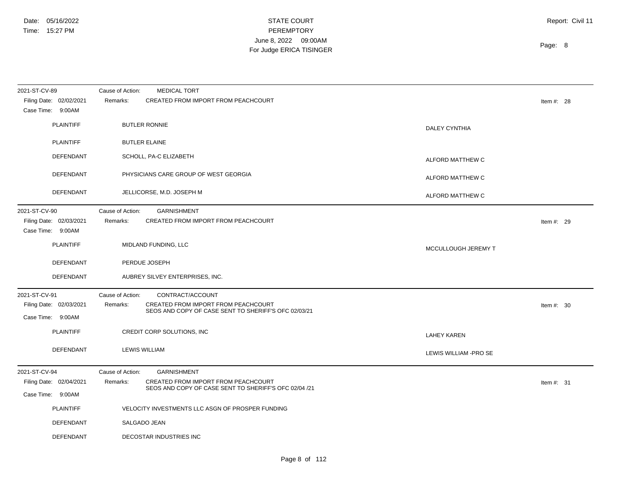| 2021-ST-CV-89                                | <b>MEDICAL TORT</b><br>Cause of Action:                                                                  |                        |              |
|----------------------------------------------|----------------------------------------------------------------------------------------------------------|------------------------|--------------|
| Filing Date: 02/02/2021<br>Case Time: 9:00AM | CREATED FROM IMPORT FROM PEACHCOURT<br>Remarks:                                                          |                        | Item #: $28$ |
| <b>PLAINTIFF</b>                             | <b>BUTLER RONNIE</b>                                                                                     | DALEY CYNTHIA          |              |
| <b>PLAINTIFF</b>                             | <b>BUTLER ELAINE</b>                                                                                     |                        |              |
| DEFENDANT                                    | SCHOLL, PA-C ELIZABETH                                                                                   | ALFORD MATTHEW C       |              |
| DEFENDANT                                    | PHYSICIANS CARE GROUP OF WEST GEORGIA                                                                    | ALFORD MATTHEW C       |              |
| <b>DEFENDANT</b>                             | JELLICORSE, M.D. JOSEPH M                                                                                | ALFORD MATTHEW C       |              |
| 2021-ST-CV-90                                | Cause of Action:<br><b>GARNISHMENT</b>                                                                   |                        |              |
| Filing Date: 02/03/2021<br>Case Time: 9:00AM | CREATED FROM IMPORT FROM PEACHCOURT<br>Remarks:                                                          |                        | Item #: $29$ |
| <b>PLAINTIFF</b>                             | MIDLAND FUNDING, LLC                                                                                     | MCCULLOUGH JEREMY T    |              |
| <b>DEFENDANT</b>                             | PERDUE JOSEPH                                                                                            |                        |              |
| <b>DEFENDANT</b>                             | AUBREY SILVEY ENTERPRISES, INC.                                                                          |                        |              |
| 2021-ST-CV-91                                | CONTRACT/ACCOUNT<br>Cause of Action:                                                                     |                        |              |
| Filing Date: 02/03/2021<br>Case Time: 9:00AM | CREATED FROM IMPORT FROM PEACHCOURT<br>Remarks:<br>SEOS AND COPY OF CASE SENT TO SHERIFF'S OFC 02/03/21  |                        | Item #: $30$ |
| <b>PLAINTIFF</b>                             | CREDIT CORP SOLUTIONS, INC                                                                               | <b>LAHEY KAREN</b>     |              |
| <b>DEFENDANT</b>                             | <b>LEWIS WILLIAM</b>                                                                                     | LEWIS WILLIAM - PRO SE |              |
| 2021-ST-CV-94                                | <b>GARNISHMENT</b><br>Cause of Action:                                                                   |                        |              |
| Filing Date: 02/04/2021                      | CREATED FROM IMPORT FROM PEACHCOURT<br>Remarks:<br>SEOS AND COPY OF CASE SENT TO SHERIFF'S OFC 02/04 /21 |                        | Item #: $31$ |
| Case Time: 9:00AM                            |                                                                                                          |                        |              |
| <b>PLAINTIFF</b>                             | VELOCITY INVESTMENTS LLC ASGN OF PROSPER FUNDING                                                         |                        |              |
| <b>DEFENDANT</b>                             | SALGADO JEAN                                                                                             |                        |              |
| DEFENDANT                                    | DECOSTAR INDUSTRIES INC                                                                                  |                        |              |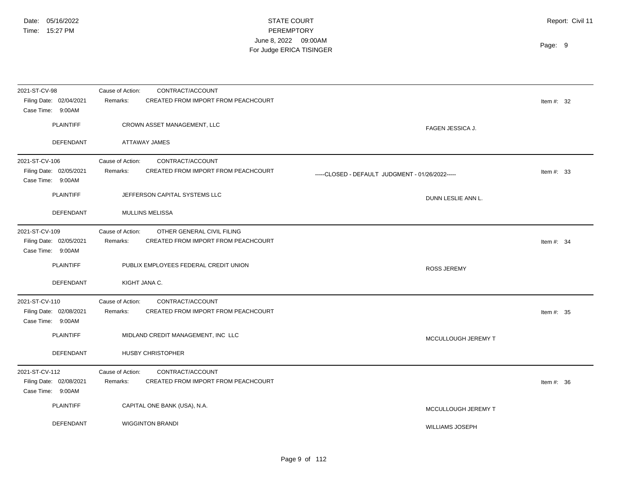| 2021-ST-CV-98                                | CONTRACT/ACCOUNT<br>Cause of Action:            |                                                  |              |
|----------------------------------------------|-------------------------------------------------|--------------------------------------------------|--------------|
| Filing Date: 02/04/2021                      | CREATED FROM IMPORT FROM PEACHCOURT<br>Remarks: |                                                  |              |
| Case Time: 9:00AM                            |                                                 |                                                  | Item #: $32$ |
| <b>PLAINTIFF</b>                             | CROWN ASSET MANAGEMENT, LLC                     | FAGEN JESSICA J.                                 |              |
| <b>DEFENDANT</b>                             | <b>ATTAWAY JAMES</b>                            |                                                  |              |
| 2021-ST-CV-106                               | CONTRACT/ACCOUNT<br>Cause of Action:            |                                                  |              |
| Filing Date: 02/05/2021<br>Case Time: 9:00AM | CREATED FROM IMPORT FROM PEACHCOURT<br>Remarks: | -----CLOSED - DEFAULT JUDGMENT - 01/26/2022----- | Item #: $33$ |
| <b>PLAINTIFF</b>                             | JEFFERSON CAPITAL SYSTEMS LLC                   | DUNN LESLIE ANN L.                               |              |
| <b>DEFENDANT</b>                             | <b>MULLINS MELISSA</b>                          |                                                  |              |
| 2021-ST-CV-109                               | OTHER GENERAL CIVIL FILING<br>Cause of Action:  |                                                  |              |
| Filing Date: 02/05/2021<br>Case Time: 9:00AM | CREATED FROM IMPORT FROM PEACHCOURT<br>Remarks: |                                                  | Item #: $34$ |
| <b>PLAINTIFF</b>                             | PUBLIX EMPLOYEES FEDERAL CREDIT UNION           | <b>ROSS JEREMY</b>                               |              |
| DEFENDANT                                    | KIGHT JANA C.                                   |                                                  |              |
| 2021-ST-CV-110                               | CONTRACT/ACCOUNT<br>Cause of Action:            |                                                  |              |
| Filing Date: 02/08/2021<br>Case Time: 9:00AM | CREATED FROM IMPORT FROM PEACHCOURT<br>Remarks: |                                                  | Item #: $35$ |
| PLAINTIFF                                    | MIDLAND CREDIT MANAGEMENT, INC LLC              | MCCULLOUGH JEREMY T                              |              |
| <b>DEFENDANT</b>                             | HUSBY CHRISTOPHER                               |                                                  |              |
| 2021-ST-CV-112                               | Cause of Action:<br>CONTRACT/ACCOUNT            |                                                  |              |
| Filing Date: 02/08/2021<br>Case Time: 9:00AM | CREATED FROM IMPORT FROM PEACHCOURT<br>Remarks: |                                                  | Item #: $36$ |
| <b>PLAINTIFF</b>                             | CAPITAL ONE BANK (USA), N.A.                    | MCCULLOUGH JEREMY T                              |              |
| <b>DEFENDANT</b>                             | <b>WIGGINTON BRANDI</b>                         | <b>WILLIAMS JOSEPH</b>                           |              |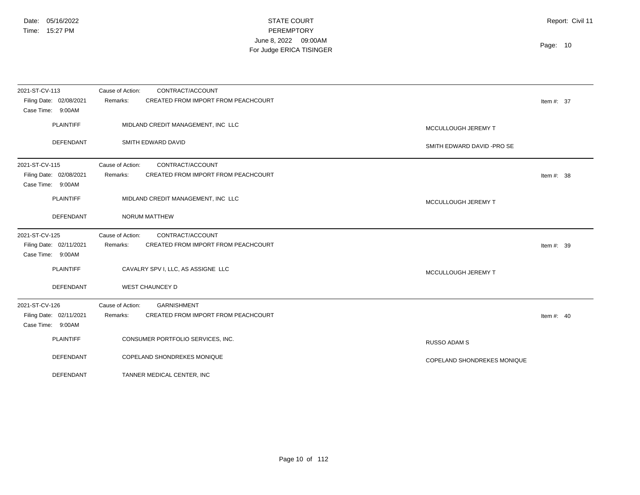| 2021-ST-CV-113<br>Filing Date: 02/08/2021<br>Case Time: 9:00AM | CONTRACT/ACCOUNT<br>Cause of Action:<br>CREATED FROM IMPORT FROM PEACHCOURT<br>Remarks:   | Item #: $37$                       |
|----------------------------------------------------------------|-------------------------------------------------------------------------------------------|------------------------------------|
| <b>PLAINTIFF</b>                                               | MIDLAND CREDIT MANAGEMENT, INC LLC                                                        | MCCULLOUGH JEREMY T                |
| DEFENDANT                                                      | SMITH EDWARD DAVID                                                                        | SMITH EDWARD DAVID -PRO SE         |
| 2021-ST-CV-115<br>Filing Date: 02/08/2021<br>Case Time: 9:00AM | CONTRACT/ACCOUNT<br>Cause of Action:<br>CREATED FROM IMPORT FROM PEACHCOURT<br>Remarks:   | Item #: $38$                       |
| <b>PLAINTIFF</b>                                               | MIDLAND CREDIT MANAGEMENT, INC LLC                                                        | MCCULLOUGH JEREMY T                |
| DEFENDANT                                                      | <b>NORUM MATTHEW</b>                                                                      |                                    |
| 2021-ST-CV-125<br>Filing Date: 02/11/2021<br>Case Time: 9:00AM | Cause of Action:<br>CONTRACT/ACCOUNT<br>CREATED FROM IMPORT FROM PEACHCOURT<br>Remarks:   | Item #: $39$                       |
| PLAINTIFF                                                      | CAVALRY SPV I, LLC, AS ASSIGNE LLC                                                        | MCCULLOUGH JEREMY T                |
| <b>DEFENDANT</b>                                               | <b>WEST CHAUNCEY D</b>                                                                    |                                    |
| 2021-ST-CV-126<br>Filing Date: 02/11/2021<br>Case Time: 9:00AM | <b>GARNISHMENT</b><br>Cause of Action:<br>CREATED FROM IMPORT FROM PEACHCOURT<br>Remarks: | Item #: $40$                       |
| <b>PLAINTIFF</b>                                               | CONSUMER PORTFOLIO SERVICES, INC.                                                         | <b>RUSSO ADAM S</b>                |
| <b>DEFENDANT</b>                                               | COPELAND SHONDREKES MONIQUE                                                               | <b>COPELAND SHONDREKES MONIQUE</b> |
| <b>DEFENDANT</b>                                               | TANNER MEDICAL CENTER, INC                                                                |                                    |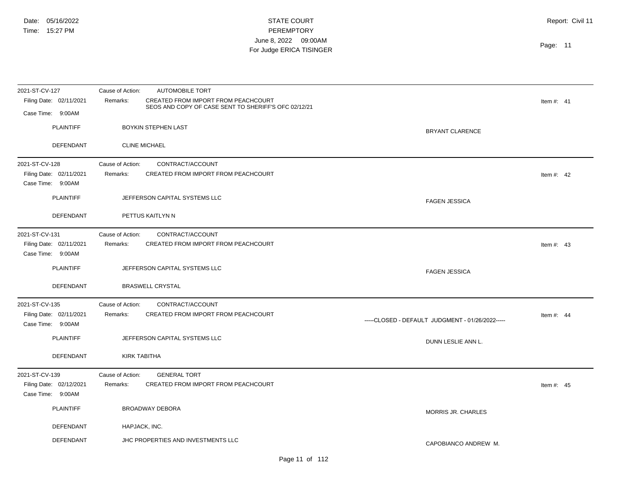| 2021-ST-CV-127                               | Cause of Action:    | <b>AUTOMOBILE TORT</b>                                                                      |                                                  |              |
|----------------------------------------------|---------------------|---------------------------------------------------------------------------------------------|--------------------------------------------------|--------------|
| Filing Date: 02/11/2021                      | Remarks:            | CREATED FROM IMPORT FROM PEACHCOURT<br>SEOS AND COPY OF CASE SENT TO SHERIFF'S OFC 02/12/21 |                                                  | Item #: $41$ |
| Case Time: 9:00AM                            |                     |                                                                                             |                                                  |              |
| <b>PLAINTIFF</b>                             |                     | BOYKIN STEPHEN LAST                                                                         | BRYANT CLARENCE                                  |              |
| <b>DEFENDANT</b>                             |                     | <b>CLINE MICHAEL</b>                                                                        |                                                  |              |
| 2021-ST-CV-128                               | Cause of Action:    | CONTRACT/ACCOUNT                                                                            |                                                  |              |
| Filing Date: 02/11/2021<br>Case Time: 9:00AM | Remarks:            | CREATED FROM IMPORT FROM PEACHCOURT                                                         |                                                  | Item #: $42$ |
| <b>PLAINTIFF</b>                             |                     | JEFFERSON CAPITAL SYSTEMS LLC                                                               | <b>FAGEN JESSICA</b>                             |              |
| <b>DEFENDANT</b>                             |                     | PETTUS KAITLYN N                                                                            |                                                  |              |
| 2021-ST-CV-131                               | Cause of Action:    | CONTRACT/ACCOUNT                                                                            |                                                  |              |
| Filing Date: 02/11/2021<br>Case Time: 9:00AM | Remarks:            | CREATED FROM IMPORT FROM PEACHCOURT                                                         |                                                  | Item #: $43$ |
| <b>PLAINTIFF</b>                             |                     | JEFFERSON CAPITAL SYSTEMS LLC                                                               | <b>FAGEN JESSICA</b>                             |              |
| DEFENDANT                                    |                     | <b>BRASWELL CRYSTAL</b>                                                                     |                                                  |              |
| 2021-ST-CV-135                               | Cause of Action:    | CONTRACT/ACCOUNT                                                                            |                                                  |              |
| Filing Date: 02/11/2021<br>Case Time: 9:00AM | Remarks:            | CREATED FROM IMPORT FROM PEACHCOURT                                                         | -----CLOSED - DEFAULT JUDGMENT - 01/26/2022----- | Item #: $44$ |
| <b>PLAINTIFF</b>                             |                     | JEFFERSON CAPITAL SYSTEMS LLC                                                               | DUNN LESLIE ANN L.                               |              |
| <b>DEFENDANT</b>                             | <b>KIRK TABITHA</b> |                                                                                             |                                                  |              |
| 2021-ST-CV-139                               | Cause of Action:    | <b>GENERAL TORT</b>                                                                         |                                                  |              |
| Filing Date: 02/12/2021<br>Case Time: 9:00AM | Remarks:            | CREATED FROM IMPORT FROM PEACHCOURT                                                         |                                                  | Item #: $45$ |
| <b>PLAINTIFF</b>                             |                     | <b>BROADWAY DEBORA</b>                                                                      | MORRIS JR. CHARLES                               |              |
| DEFENDANT                                    | HAPJACK, INC.       |                                                                                             |                                                  |              |
| <b>DEFENDANT</b>                             |                     | JHC PROPERTIES AND INVESTMENTS LLC                                                          | CAPOBIANCO ANDREW M.                             |              |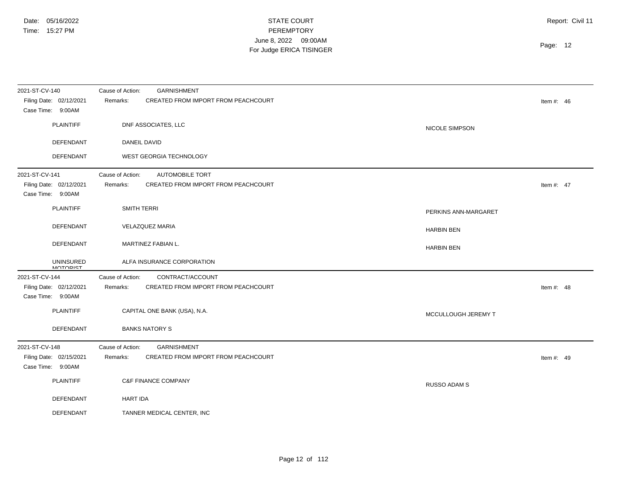| 2021-ST-CV-140                                                 | GARNISHMENT<br>Cause of Action:                                                           |                       |
|----------------------------------------------------------------|-------------------------------------------------------------------------------------------|-----------------------|
| Filing Date: 02/12/2021<br>Case Time: 9:00AM                   | CREATED FROM IMPORT FROM PEACHCOURT<br>Remarks:                                           | Item #: $46$          |
| <b>PLAINTIFF</b>                                               | DNF ASSOCIATES, LLC                                                                       | <b>NICOLE SIMPSON</b> |
| DEFENDANT                                                      | DANEIL DAVID                                                                              |                       |
| DEFENDANT                                                      | <b>WEST GEORGIA TECHNOLOGY</b>                                                            |                       |
| 2021-ST-CV-141                                                 | Cause of Action:<br><b>AUTOMOBILE TORT</b>                                                |                       |
| Filing Date: 02/12/2021<br>Case Time: 9:00AM                   | CREATED FROM IMPORT FROM PEACHCOURT<br>Remarks:                                           | Item #: $47$          |
| <b>PLAINTIFF</b>                                               | SMITH TERRI                                                                               | PERKINS ANN-MARGARET  |
| DEFENDANT                                                      | VELAZQUEZ MARIA                                                                           | <b>HARBIN BEN</b>     |
| DEFENDANT                                                      | MARTINEZ FABIAN L.                                                                        | <b>HARBIN BEN</b>     |
| <b>UNINSURED</b><br><b>MOTORIST</b>                            | ALFA INSURANCE CORPORATION                                                                |                       |
| 2021-ST-CV-144                                                 | Cause of Action:<br>CONTRACT/ACCOUNT                                                      |                       |
| Filing Date: 02/12/2021<br>Case Time: 9:00AM                   | CREATED FROM IMPORT FROM PEACHCOURT<br>Remarks:                                           | Item #: $48$          |
| <b>PLAINTIFF</b>                                               | CAPITAL ONE BANK (USA), N.A.                                                              | MCCULLOUGH JEREMY T   |
| DEFENDANT                                                      | <b>BANKS NATORY S</b>                                                                     |                       |
| 2021-ST-CV-148<br>Filing Date: 02/15/2021<br>Case Time: 9:00AM | <b>GARNISHMENT</b><br>Cause of Action:<br>CREATED FROM IMPORT FROM PEACHCOURT<br>Remarks: | Item #: $49$          |
| <b>PLAINTIFF</b>                                               | <b>C&amp;F FINANCE COMPANY</b>                                                            | RUSSO ADAM S          |
| DEFENDANT                                                      | <b>HART IDA</b>                                                                           |                       |
| <b>DEFENDANT</b>                                               | TANNER MEDICAL CENTER, INC                                                                |                       |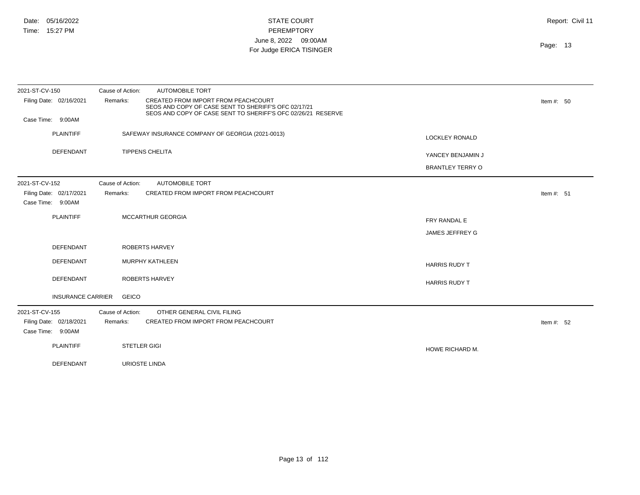| 2021-ST-CV-150                                                 | <b>AUTOMOBILE TORT</b><br>Cause of Action:                                                                                                                              |                         |              |
|----------------------------------------------------------------|-------------------------------------------------------------------------------------------------------------------------------------------------------------------------|-------------------------|--------------|
| Filing Date: 02/16/2021                                        | CREATED FROM IMPORT FROM PEACHCOURT<br>Remarks:<br>SEOS AND COPY OF CASE SENT TO SHERIFF'S OFC 02/17/21<br>SEOS AND COPY OF CASE SENT TO SHERIFF'S OFC 02/26/21 RESERVE |                         | Item #: $50$ |
| Case Time: 9:00AM                                              |                                                                                                                                                                         |                         |              |
| <b>PLAINTIFF</b>                                               | SAFEWAY INSURANCE COMPANY OF GEORGIA (2021-0013)                                                                                                                        | <b>LOCKLEY RONALD</b>   |              |
| <b>DEFENDANT</b>                                               | <b>TIPPENS CHELITA</b>                                                                                                                                                  | YANCEY BENJAMIN J       |              |
|                                                                |                                                                                                                                                                         | <b>BRANTLEY TERRY O</b> |              |
| 2021-ST-CV-152                                                 | Cause of Action:<br><b>AUTOMOBILE TORT</b>                                                                                                                              |                         |              |
| Filing Date: 02/17/2021<br>Case Time: 9:00AM                   | CREATED FROM IMPORT FROM PEACHCOURT<br>Remarks:                                                                                                                         |                         | Item #: $51$ |
| <b>PLAINTIFF</b>                                               | <b>MCCARTHUR GEORGIA</b>                                                                                                                                                | FRY RANDAL E            |              |
|                                                                |                                                                                                                                                                         | JAMES JEFFREY G         |              |
| <b>DEFENDANT</b>                                               | <b>ROBERTS HARVEY</b>                                                                                                                                                   |                         |              |
| DEFENDANT                                                      | MURPHY KATHLEEN                                                                                                                                                         | <b>HARRIS RUDY T</b>    |              |
| <b>DEFENDANT</b>                                               | <b>ROBERTS HARVEY</b>                                                                                                                                                   | <b>HARRIS RUDY T</b>    |              |
| <b>INSURANCE CARRIER</b>                                       | <b>GEICO</b>                                                                                                                                                            |                         |              |
| 2021-ST-CV-155<br>Filing Date: 02/18/2021<br>Case Time: 9:00AM | Cause of Action:<br>OTHER GENERAL CIVIL FILING<br>CREATED FROM IMPORT FROM PEACHCOURT<br>Remarks:                                                                       |                         | Item #: $52$ |
| <b>PLAINTIFF</b>                                               | <b>STETLER GIGI</b>                                                                                                                                                     | HOWE RICHARD M.         |              |
| DEFENDANT                                                      | URIOSTE LINDA                                                                                                                                                           |                         |              |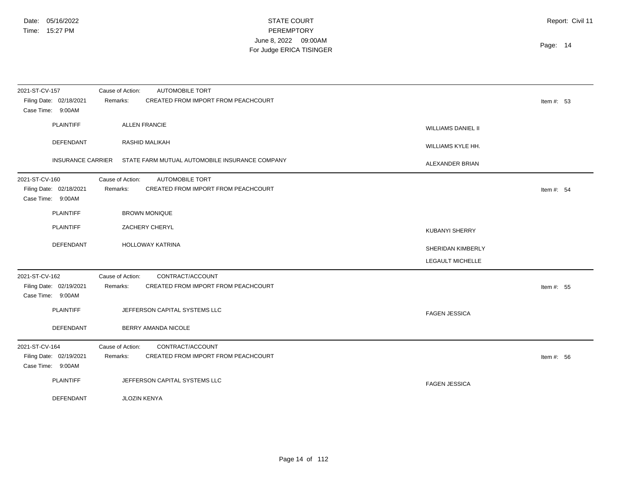| 2021-ST-CV-157<br>Filing Date: 02/18/2021<br>Case Time: 9:00AM | Cause of Action:<br><b>AUTOMOBILE TORT</b><br>Remarks:<br>CREATED FROM IMPORT FROM PEACHCOURT |                                              | Item #: $53$ |
|----------------------------------------------------------------|-----------------------------------------------------------------------------------------------|----------------------------------------------|--------------|
| <b>PLAINTIFF</b>                                               | <b>ALLEN FRANCIE</b>                                                                          | <b>WILLIAMS DANIEL II</b>                    |              |
| DEFENDANT                                                      | RASHID MALIKAH                                                                                | WILLIAMS KYLE HH.                            |              |
| <b>INSURANCE CARRIER</b>                                       | STATE FARM MUTUAL AUTOMOBILE INSURANCE COMPANY                                                | ALEXANDER BRIAN                              |              |
| 2021-ST-CV-160<br>Filing Date: 02/18/2021<br>Case Time: 9:00AM | Cause of Action:<br><b>AUTOMOBILE TORT</b><br>CREATED FROM IMPORT FROM PEACHCOURT<br>Remarks: |                                              | Item #: $54$ |
| <b>PLAINTIFF</b>                                               | <b>BROWN MONIQUE</b>                                                                          |                                              |              |
| <b>PLAINTIFF</b>                                               | ZACHERY CHERYL                                                                                | <b>KUBANYI SHERRY</b>                        |              |
| <b>DEFENDANT</b>                                               | <b>HOLLOWAY KATRINA</b>                                                                       | SHERIDAN KIMBERLY<br><b>LEGAULT MICHELLE</b> |              |
| 2021-ST-CV-162<br>Filing Date: 02/19/2021<br>Case Time: 9:00AM | Cause of Action:<br>CONTRACT/ACCOUNT<br>CREATED FROM IMPORT FROM PEACHCOURT<br>Remarks:       |                                              | Item #: $55$ |
| <b>PLAINTIFF</b>                                               | JEFFERSON CAPITAL SYSTEMS LLC                                                                 | <b>FAGEN JESSICA</b>                         |              |
| <b>DEFENDANT</b>                                               | BERRY AMANDA NICOLE                                                                           |                                              |              |
| 2021-ST-CV-164<br>Filing Date: 02/19/2021<br>Case Time: 9:00AM | Cause of Action:<br>CONTRACT/ACCOUNT<br>CREATED FROM IMPORT FROM PEACHCOURT<br>Remarks:       |                                              | Item #: $56$ |
| <b>PLAINTIFF</b>                                               | JEFFERSON CAPITAL SYSTEMS LLC                                                                 | <b>FAGEN JESSICA</b>                         |              |
| <b>DEFENDANT</b>                                               | <b>JLOZIN KENYA</b>                                                                           |                                              |              |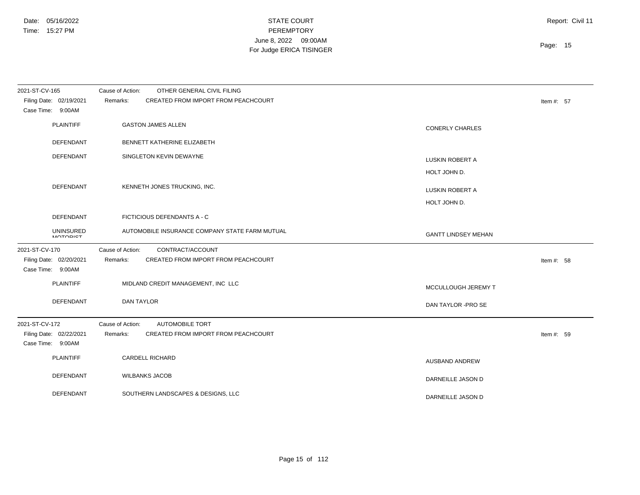| 2021-ST-CV-165                                                 | Cause of Action:<br>OTHER GENERAL CIVIL FILING                                                |                                                 |              |
|----------------------------------------------------------------|-----------------------------------------------------------------------------------------------|-------------------------------------------------|--------------|
| Filing Date: 02/19/2021<br>Case Time: 9:00AM                   | CREATED FROM IMPORT FROM PEACHCOURT<br>Remarks:                                               |                                                 | Item #: $57$ |
| <b>PLAINTIFF</b>                                               | <b>GASTON JAMES ALLEN</b>                                                                     | <b>CONERLY CHARLES</b>                          |              |
| <b>DEFENDANT</b>                                               | BENNETT KATHERINE ELIZABETH                                                                   |                                                 |              |
| DEFENDANT                                                      | SINGLETON KEVIN DEWAYNE                                                                       | <b>LUSKIN ROBERT A</b>                          |              |
| <b>DEFENDANT</b>                                               | KENNETH JONES TRUCKING, INC.                                                                  | HOLT JOHN D.<br>LUSKIN ROBERT A<br>HOLT JOHN D. |              |
| DEFENDANT                                                      | FICTICIOUS DEFENDANTS A - C                                                                   |                                                 |              |
| <b>UNINSURED</b><br>MOTORIST                                   | AUTOMOBILE INSURANCE COMPANY STATE FARM MUTUAL                                                | <b>GANTT LINDSEY MEHAN</b>                      |              |
| 2021-ST-CV-170                                                 | Cause of Action:<br>CONTRACT/ACCOUNT                                                          |                                                 |              |
| Filing Date: 02/20/2021<br>Case Time: 9:00AM                   | CREATED FROM IMPORT FROM PEACHCOURT<br>Remarks:                                               |                                                 | Item #: $58$ |
| <b>PLAINTIFF</b>                                               | MIDLAND CREDIT MANAGEMENT, INC LLC                                                            | MCCULLOUGH JEREMY T                             |              |
| DEFENDANT                                                      | <b>DAN TAYLOR</b>                                                                             | DAN TAYLOR - PRO SE                             |              |
| 2021-ST-CV-172<br>Filing Date: 02/22/2021<br>Case Time: 9:00AM | <b>AUTOMOBILE TORT</b><br>Cause of Action:<br>CREATED FROM IMPORT FROM PEACHCOURT<br>Remarks: |                                                 | Item #: $59$ |
|                                                                |                                                                                               |                                                 |              |
| <b>PLAINTIFF</b>                                               | <b>CARDELL RICHARD</b>                                                                        | AUSBAND ANDREW                                  |              |
| <b>DEFENDANT</b>                                               | <b>WILBANKS JACOB</b>                                                                         | DARNEILLE JASON D                               |              |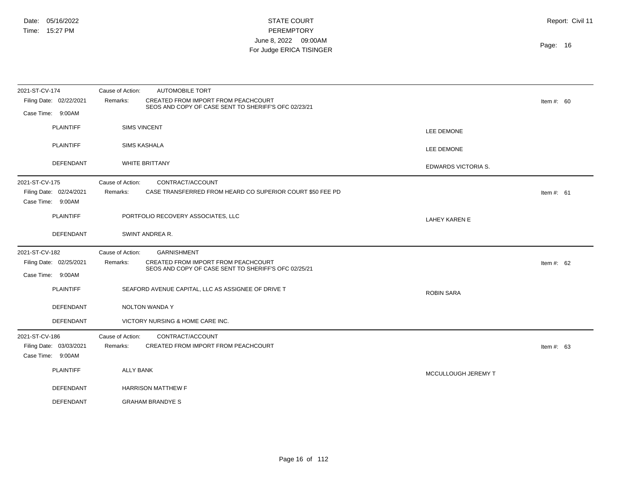| 2021-ST-CV-174                                                 | <b>AUTOMOBILE TORT</b><br>Cause of Action:                                                              |                      |              |
|----------------------------------------------------------------|---------------------------------------------------------------------------------------------------------|----------------------|--------------|
| Filing Date: 02/22/2021                                        | CREATED FROM IMPORT FROM PEACHCOURT<br>Remarks:<br>SEOS AND COPY OF CASE SENT TO SHERIFF'S OFC 02/23/21 |                      | Item #: $60$ |
| Case Time: 9:00AM                                              |                                                                                                         |                      |              |
| <b>PLAINTIFF</b>                                               | <b>SIMS VINCENT</b>                                                                                     | <b>LEE DEMONE</b>    |              |
| <b>PLAINTIFF</b>                                               | <b>SIMS KASHALA</b>                                                                                     | LEE DEMONE           |              |
| DEFENDANT                                                      | <b>WHITE BRITTANY</b>                                                                                   | EDWARDS VICTORIA S.  |              |
| 2021-ST-CV-175                                                 | Cause of Action:<br>CONTRACT/ACCOUNT                                                                    |                      |              |
| Filing Date: 02/24/2021<br>Case Time: 9:00AM                   | Remarks:<br>CASE TRANSFERRED FROM HEARD CO SUPERIOR COURT \$50 FEE PD                                   |                      | Item #: $61$ |
| <b>PLAINTIFF</b>                                               | PORTFOLIO RECOVERY ASSOCIATES, LLC                                                                      | <b>LAHEY KAREN E</b> |              |
| DEFENDANT                                                      | SWINT ANDREA R.                                                                                         |                      |              |
| 2021-ST-CV-182                                                 | Cause of Action:<br><b>GARNISHMENT</b>                                                                  |                      |              |
| Filing Date: 02/25/2021                                        | CREATED FROM IMPORT FROM PEACHCOURT<br>Remarks:<br>SEOS AND COPY OF CASE SENT TO SHERIFF'S OFC 02/25/21 |                      | Item #: $62$ |
| Case Time: 9:00AM                                              |                                                                                                         |                      |              |
| <b>PLAINTIFF</b>                                               | SEAFORD AVENUE CAPITAL, LLC AS ASSIGNEE OF DRIVE T                                                      | <b>ROBIN SARA</b>    |              |
| <b>DEFENDANT</b>                                               | NOLTON WANDA Y                                                                                          |                      |              |
| DEFENDANT                                                      | VICTORY NURSING & HOME CARE INC.                                                                        |                      |              |
| 2021-ST-CV-186<br>Filing Date: 03/03/2021<br>Case Time: 9:00AM | Cause of Action:<br>CONTRACT/ACCOUNT<br>CREATED FROM IMPORT FROM PEACHCOURT<br>Remarks:                 |                      | Item #: $63$ |
| <b>PLAINTIFF</b>                                               | <b>ALLY BANK</b>                                                                                        | MCCULLOUGH JEREMY T  |              |
| <b>DEFENDANT</b>                                               | <b>HARRISON MATTHEW F</b>                                                                               |                      |              |
| <b>DEFENDANT</b>                                               | <b>GRAHAM BRANDYE S</b>                                                                                 |                      |              |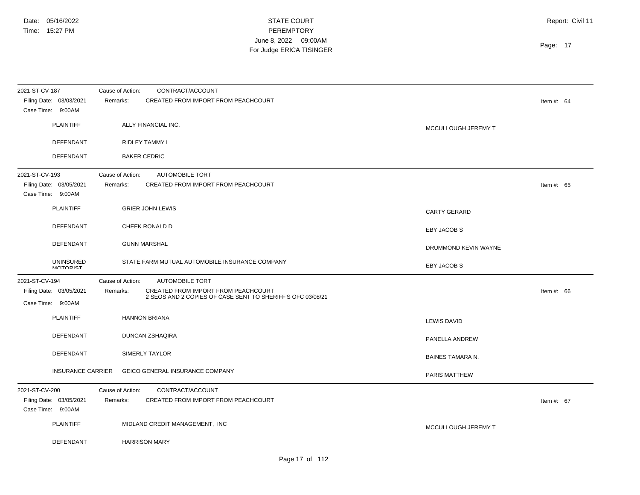| 2021-ST-CV-187                                                 | Cause of Action:<br>CONTRACT/ACCOUNT                                                                          |                         |              |
|----------------------------------------------------------------|---------------------------------------------------------------------------------------------------------------|-------------------------|--------------|
| Filing Date: 03/03/2021<br>Case Time: 9:00AM                   | CREATED FROM IMPORT FROM PEACHCOURT<br>Remarks:                                                               |                         | Item #: $64$ |
| <b>PLAINTIFF</b>                                               | ALLY FINANCIAL INC.                                                                                           | MCCULLOUGH JEREMY T     |              |
| DEFENDANT                                                      | RIDLEY TAMMY L                                                                                                |                         |              |
| DEFENDANT                                                      | <b>BAKER CEDRIC</b>                                                                                           |                         |              |
| 2021-ST-CV-193                                                 | <b>AUTOMOBILE TORT</b><br>Cause of Action:                                                                    |                         |              |
| Filing Date: 03/05/2021<br>Case Time: 9:00AM                   | CREATED FROM IMPORT FROM PEACHCOURT<br>Remarks:                                                               |                         | Item #: $65$ |
| PLAINTIFF                                                      | <b>GRIER JOHN LEWIS</b>                                                                                       | <b>CARTY GERARD</b>     |              |
| DEFENDANT                                                      | CHEEK RONALD D                                                                                                | EBY JACOB S             |              |
| <b>DEFENDANT</b>                                               | <b>GUNN MARSHAL</b>                                                                                           | DRUMMOND KEVIN WAYNE    |              |
| <b>UNINSURED</b><br><b>MOTORIST</b>                            | STATE FARM MUTUAL AUTOMOBILE INSURANCE COMPANY                                                                | EBY JACOB S             |              |
| 2021-ST-CV-194                                                 | AUTOMOBILE TORT<br>Cause of Action:                                                                           |                         |              |
| Filing Date: 03/05/2021<br>Case Time: 9:00AM                   | CREATED FROM IMPORT FROM PEACHCOURT<br>Remarks:<br>2 SEOS AND 2 COPIES OF CASE SENT TO SHERIFF'S OFC 03/08/21 |                         | Item #: $66$ |
| <b>PLAINTIFF</b>                                               | <b>HANNON BRIANA</b>                                                                                          | <b>LEWIS DAVID</b>      |              |
| DEFENDANT                                                      | DUNCAN ZSHAQIRA                                                                                               | PANELLA ANDREW          |              |
| DEFENDANT                                                      | <b>SIMERLY TAYLOR</b>                                                                                         | <b>BAINES TAMARA N.</b> |              |
| <b>INSURANCE CARRIER</b>                                       | <b>GEICO GENERAL INSURANCE COMPANY</b>                                                                        | PARIS MATTHEW           |              |
| 2021-ST-CV-200<br>Filing Date: 03/05/2021<br>Case Time: 9:00AM | Cause of Action:<br>CONTRACT/ACCOUNT<br>Remarks:<br>CREATED FROM IMPORT FROM PEACHCOURT                       |                         | Item #: $67$ |
| <b>PLAINTIFF</b>                                               | MIDLAND CREDIT MANAGEMENT, INC                                                                                | MCCULLOUGH JEREMY T     |              |
| DEFENDANT                                                      | <b>HARRISON MARY</b>                                                                                          |                         |              |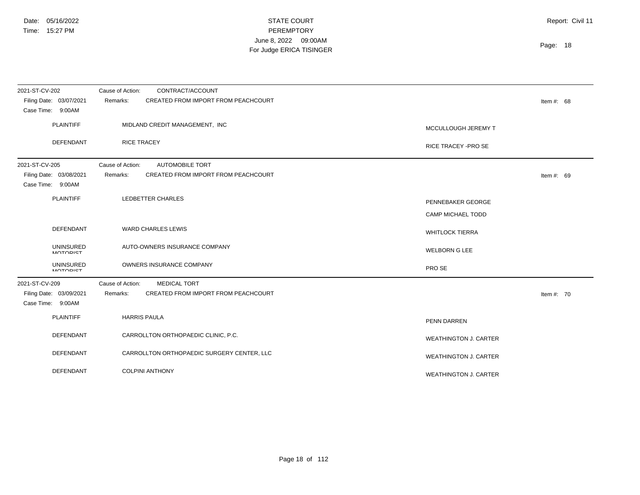| 2021-ST-CV-202<br>Filing Date: 03/07/2021<br>Case Time: 9:00AM | Cause of Action:<br>CONTRACT/ACCOUNT<br>CREATED FROM IMPORT FROM PEACHCOURT<br>Remarks:       |                                               | Item #: $68$ |
|----------------------------------------------------------------|-----------------------------------------------------------------------------------------------|-----------------------------------------------|--------------|
| <b>PLAINTIFF</b>                                               | MIDLAND CREDIT MANAGEMENT, INC                                                                | MCCULLOUGH JEREMY T                           |              |
| DEFENDANT                                                      | <b>RICE TRACEY</b>                                                                            | RICE TRACEY - PRO SE                          |              |
| 2021-ST-CV-205<br>Filing Date: 03/08/2021<br>Case Time: 9:00AM | Cause of Action:<br><b>AUTOMOBILE TORT</b><br>CREATED FROM IMPORT FROM PEACHCOURT<br>Remarks: |                                               | Item #: $69$ |
| <b>PLAINTIFF</b>                                               | LEDBETTER CHARLES                                                                             | PENNEBAKER GEORGE<br><b>CAMP MICHAEL TODD</b> |              |
| DEFENDANT                                                      | WARD CHARLES LEWIS                                                                            | <b>WHITLOCK TIERRA</b>                        |              |
| <b>UNINSURED</b><br>MOTORIST                                   | AUTO-OWNERS INSURANCE COMPANY                                                                 | <b>WELBORN G LEE</b>                          |              |
| <b>UNINSURED</b><br><b>MOTORIST</b>                            | OWNERS INSURANCE COMPANY                                                                      | PRO SE                                        |              |
| 2021-ST-CV-209<br>Filing Date: 03/09/2021<br>Case Time: 9:00AM | Cause of Action:<br><b>MEDICAL TORT</b><br>CREATED FROM IMPORT FROM PEACHCOURT<br>Remarks:    |                                               | Item #: $70$ |
| <b>PLAINTIFF</b>                                               | <b>HARRIS PAULA</b>                                                                           | PENN DARREN                                   |              |
| <b>DEFENDANT</b>                                               | CARROLLTON ORTHOPAEDIC CLINIC, P.C.                                                           | <b>WEATHINGTON J. CARTER</b>                  |              |
| DEFENDANT                                                      | CARROLLTON ORTHOPAEDIC SURGERY CENTER, LLC                                                    | <b>WEATHINGTON J. CARTER</b>                  |              |
| <b>DEFENDANT</b>                                               | <b>COLPINI ANTHONY</b>                                                                        | <b>WEATHINGTON J. CARTER</b>                  |              |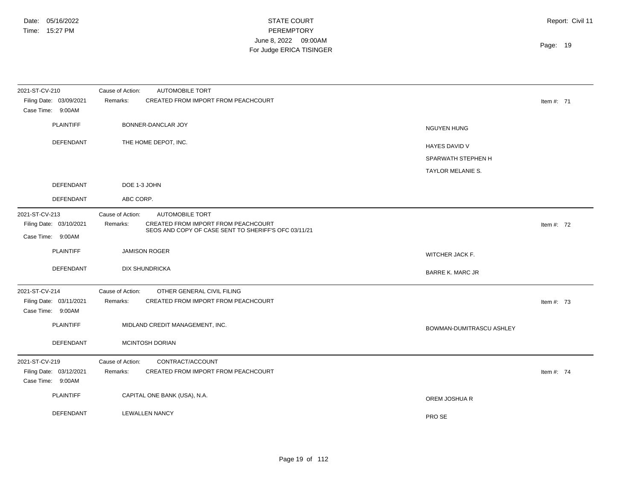| 2021-ST-CV-210                                                 | Cause of Action:<br><b>AUTOMOBILE TORT</b>                                                                                                     |                                                          |
|----------------------------------------------------------------|------------------------------------------------------------------------------------------------------------------------------------------------|----------------------------------------------------------|
| Filing Date: 03/09/2021<br>Case Time: 9:00AM                   | CREATED FROM IMPORT FROM PEACHCOURT<br>Remarks:                                                                                                | Item #: $71$                                             |
| <b>PLAINTIFF</b>                                               | BONNER-DANCLAR JOY                                                                                                                             | <b>NGUYEN HUNG</b>                                       |
| <b>DEFENDANT</b>                                               | THE HOME DEPOT, INC.                                                                                                                           | HAYES DAVID V<br>SPARWATH STEPHEN H<br>TAYLOR MELANIE S. |
| <b>DEFENDANT</b>                                               | DOE 1-3 JOHN                                                                                                                                   |                                                          |
| DEFENDANT                                                      | ABC CORP.                                                                                                                                      |                                                          |
| 2021-ST-CV-213<br>Filing Date: 03/10/2021<br>Case Time: 9:00AM | AUTOMOBILE TORT<br>Cause of Action:<br>CREATED FROM IMPORT FROM PEACHCOURT<br>Remarks:<br>SEOS AND COPY OF CASE SENT TO SHERIFF'S OFC 03/11/21 | Item #: $72$                                             |
| <b>PLAINTIFF</b>                                               | <b>JAMISON ROGER</b>                                                                                                                           | WITCHER JACK F.                                          |
| DEFENDANT                                                      | <b>DIX SHUNDRICKA</b>                                                                                                                          | <b>BARRE K. MARC JR</b>                                  |
| 2021-ST-CV-214<br>Filing Date: 03/11/2021<br>Case Time: 9:00AM | OTHER GENERAL CIVIL FILING<br>Cause of Action:<br>CREATED FROM IMPORT FROM PEACHCOURT<br>Remarks:                                              | Item #: $73$                                             |
| <b>PLAINTIFF</b>                                               | MIDLAND CREDIT MANAGEMENT, INC.                                                                                                                | BOWMAN-DUMITRASCU ASHLEY                                 |
| <b>DEFENDANT</b>                                               | <b>MCINTOSH DORIAN</b>                                                                                                                         |                                                          |
| 2021-ST-CV-219                                                 | Cause of Action:<br>CONTRACT/ACCOUNT                                                                                                           |                                                          |
| Filing Date: 03/12/2021<br>Case Time: 9:00AM                   | Remarks:<br>CREATED FROM IMPORT FROM PEACHCOURT                                                                                                | Item #: $74$                                             |
| <b>PLAINTIFF</b>                                               | CAPITAL ONE BANK (USA), N.A.                                                                                                                   | OREM JOSHUA R                                            |
| DEFENDANT                                                      | <b>LEWALLEN NANCY</b>                                                                                                                          | PRO SE                                                   |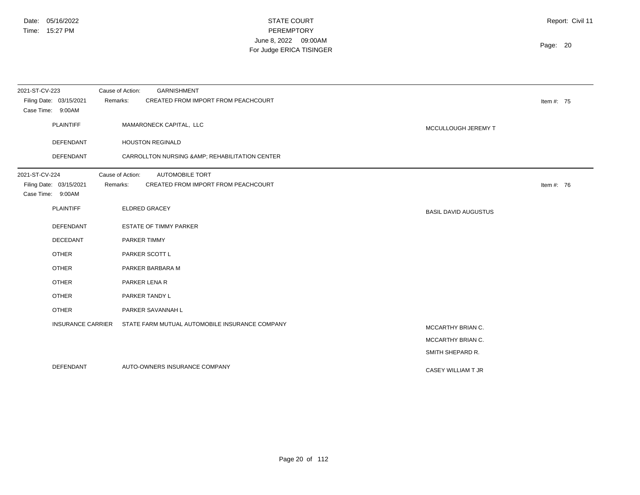| 2021-ST-CV-223<br>Filing Date: 03/15/2021<br>Case Time: 9:00AM | <b>GARNISHMENT</b><br>Cause of Action:<br>CREATED FROM IMPORT FROM PEACHCOURT<br>Remarks:     |                             | Item #: $75$ |
|----------------------------------------------------------------|-----------------------------------------------------------------------------------------------|-----------------------------|--------------|
| <b>PLAINTIFF</b>                                               | MAMARONECK CAPITAL, LLC                                                                       | MCCULLOUGH JEREMY T         |              |
| <b>DEFENDANT</b>                                               | <b>HOUSTON REGINALD</b>                                                                       |                             |              |
| DEFENDANT                                                      | CARROLLTON NURSING & AMP; REHABILITATION CENTER                                               |                             |              |
| 2021-ST-CV-224<br>Filing Date: 03/15/2021<br>Case Time: 9:00AM | Cause of Action:<br><b>AUTOMOBILE TORT</b><br>CREATED FROM IMPORT FROM PEACHCOURT<br>Remarks: |                             | Item #: 76   |
| <b>PLAINTIFF</b>                                               | <b>ELDRED GRACEY</b>                                                                          | <b>BASIL DAVID AUGUSTUS</b> |              |
| DEFENDANT                                                      | <b>ESTATE OF TIMMY PARKER</b>                                                                 |                             |              |
| DECEDANT                                                       | PARKER TIMMY                                                                                  |                             |              |
| <b>OTHER</b>                                                   | PARKER SCOTT L                                                                                |                             |              |
| <b>OTHER</b>                                                   | PARKER BARBARA M                                                                              |                             |              |
| <b>OTHER</b>                                                   | PARKER LENA R                                                                                 |                             |              |
| <b>OTHER</b>                                                   | PARKER TANDY L                                                                                |                             |              |
| <b>OTHER</b>                                                   | PARKER SAVANNAH L                                                                             |                             |              |
| <b>INSURANCE CARRIER</b>                                       | STATE FARM MUTUAL AUTOMOBILE INSURANCE COMPANY                                                | MCCARTHY BRIAN C.           |              |
|                                                                |                                                                                               | MCCARTHY BRIAN C.           |              |
|                                                                |                                                                                               | SMITH SHEPARD R.            |              |
| <b>DEFENDANT</b>                                               | AUTO-OWNERS INSURANCE COMPANY                                                                 | CASEY WILLIAM T JR          |              |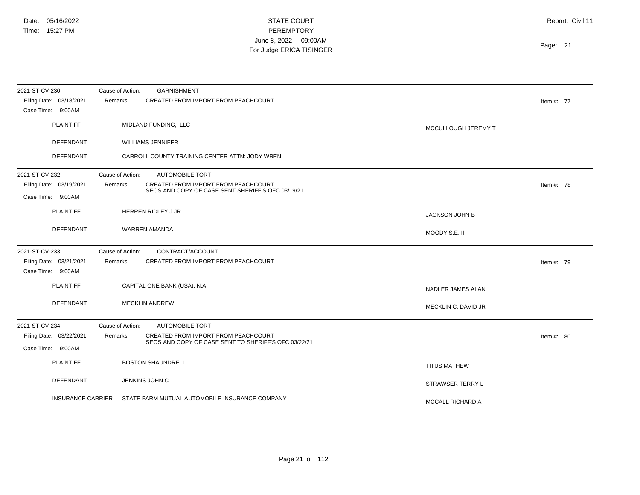| 2021-ST-CV-230                               | Cause of Action: | <b>GARNISHMENT</b>                                                                                 |                       |              |  |
|----------------------------------------------|------------------|----------------------------------------------------------------------------------------------------|-----------------------|--------------|--|
| Filing Date: 03/18/2021<br>Case Time: 9:00AM | Remarks:         | CREATED FROM IMPORT FROM PEACHCOURT                                                                |                       | Item #: $77$ |  |
| <b>PLAINTIFF</b>                             |                  | MIDLAND FUNDING, LLC                                                                               | MCCULLOUGH JEREMY T   |              |  |
| <b>DEFENDANT</b>                             |                  | <b>WILLIAMS JENNIFER</b>                                                                           |                       |              |  |
| <b>DEFENDANT</b>                             |                  | CARROLL COUNTY TRAINING CENTER ATTN: JODY WREN                                                     |                       |              |  |
| 2021-ST-CV-232                               | Cause of Action: | <b>AUTOMOBILE TORT</b>                                                                             |                       |              |  |
| Filing Date: 03/19/2021<br>Case Time: 9:00AM | Remarks:         | CREATED FROM IMPORT FROM PEACHCOURT<br>SEOS AND COPY OF CASE SENT SHERIFF'S OFC 03/19/21           |                       | Item #: $78$ |  |
| <b>PLAINTIFF</b>                             |                  | HERREN RIDLEY J JR.                                                                                | <b>JACKSON JOHN B</b> |              |  |
| <b>DEFENDANT</b>                             |                  | <b>WARREN AMANDA</b>                                                                               | MOODY S.E. III        |              |  |
| 2021-ST-CV-233                               | Cause of Action: | CONTRACT/ACCOUNT                                                                                   |                       |              |  |
| Filing Date: 03/21/2021<br>Case Time: 9:00AM | Remarks:         | CREATED FROM IMPORT FROM PEACHCOURT                                                                |                       | Item #: $79$ |  |
| <b>PLAINTIFF</b>                             |                  | CAPITAL ONE BANK (USA), N.A.                                                                       | NADLER JAMES ALAN     |              |  |
| <b>DEFENDANT</b>                             |                  | <b>MECKLIN ANDREW</b>                                                                              | MECKLIN C. DAVID JR   |              |  |
| 2021-ST-CV-234                               | Cause of Action: | <b>AUTOMOBILE TORT</b>                                                                             |                       |              |  |
| Filing Date: 03/22/2021                      | Remarks:         | <b>CREATED FROM IMPORT FROM PEACHCOURT</b><br>SEOS AND COPY OF CASE SENT TO SHERIFF'S OFC 03/22/21 |                       | Item #: $80$ |  |
| Case Time: 9:00AM                            |                  |                                                                                                    |                       |              |  |
| <b>PLAINTIFF</b>                             |                  | <b>BOSTON SHAUNDRELL</b>                                                                           | <b>TITUS MATHEW</b>   |              |  |
| <b>DEFENDANT</b>                             |                  | JENKINS JOHN C                                                                                     | STRAWSER TERRY L      |              |  |
| <b>INSURANCE CARRIER</b>                     |                  | STATE FARM MUTUAL AUTOMOBILE INSURANCE COMPANY                                                     | MCCALL RICHARD A      |              |  |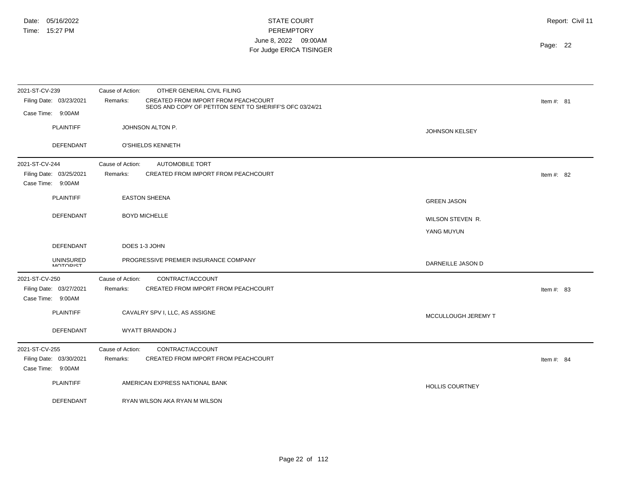| 2021-ST-CV-239                               | Cause of Action:<br>OTHER GENERAL CIVIL FILING                                                             |                        |              |
|----------------------------------------------|------------------------------------------------------------------------------------------------------------|------------------------|--------------|
| Filing Date: 03/23/2021                      | CREATED FROM IMPORT FROM PEACHCOURT<br>Remarks:<br>SEOS AND COPY OF PETITON SENT TO SHERIFF'S OFC 03/24/21 |                        | Item #: $81$ |
| Case Time: 9:00AM                            |                                                                                                            |                        |              |
| <b>PLAINTIFF</b>                             | JOHNSON ALTON P.                                                                                           | <b>JOHNSON KELSEY</b>  |              |
| DEFENDANT                                    | O'SHIELDS KENNETH                                                                                          |                        |              |
| 2021-ST-CV-244                               | <b>AUTOMOBILE TORT</b><br>Cause of Action:                                                                 |                        |              |
| Filing Date: 03/25/2021<br>Case Time: 9:00AM | CREATED FROM IMPORT FROM PEACHCOURT<br>Remarks:                                                            |                        | Item #: $82$ |
| <b>PLAINTIFF</b>                             | <b>EASTON SHEENA</b>                                                                                       | <b>GREEN JASON</b>     |              |
| DEFENDANT                                    | <b>BOYD MICHELLE</b>                                                                                       | WILSON STEVEN R.       |              |
|                                              |                                                                                                            | YANG MUYUN             |              |
| DEFENDANT                                    | DOES 1-3 JOHN                                                                                              |                        |              |
| <b>UNINSURED</b><br><b>MOTODICT</b>          | PROGRESSIVE PREMIER INSURANCE COMPANY                                                                      | DARNEILLE JASON D      |              |
| 2021-ST-CV-250                               | CONTRACT/ACCOUNT<br>Cause of Action:                                                                       |                        |              |
| Filing Date: 03/27/2021<br>Case Time: 9:00AM | CREATED FROM IMPORT FROM PEACHCOURT<br>Remarks:                                                            |                        | Item #: $83$ |
| <b>PLAINTIFF</b>                             | CAVALRY SPV I, LLC, AS ASSIGNE                                                                             | MCCULLOUGH JEREMY T    |              |
| DEFENDANT                                    | WYATT BRANDON J                                                                                            |                        |              |
| 2021-ST-CV-255                               | Cause of Action:<br>CONTRACT/ACCOUNT                                                                       |                        |              |
| Filing Date: 03/30/2021<br>Case Time: 9:00AM | CREATED FROM IMPORT FROM PEACHCOURT<br>Remarks:                                                            |                        | Item #: $84$ |
| <b>PLAINTIFF</b>                             | AMERICAN EXPRESS NATIONAL BANK                                                                             | <b>HOLLIS COURTNEY</b> |              |
| DEFENDANT                                    | RYAN WILSON AKA RYAN M WILSON                                                                              |                        |              |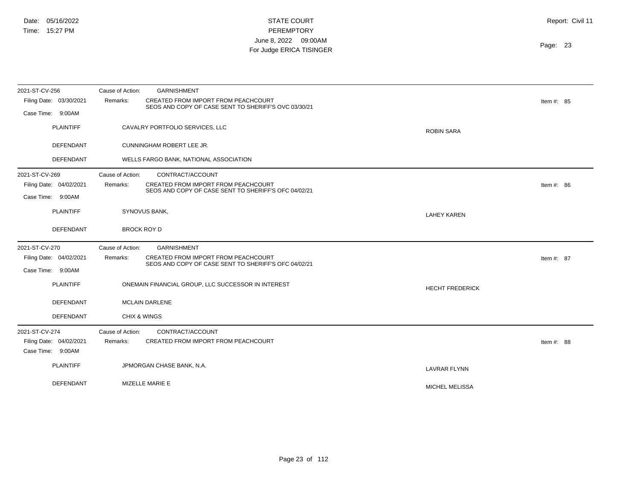| 2021-ST-CV-256                               | <b>GARNISHMENT</b><br>Cause of Action:                                                                  |                        |              |
|----------------------------------------------|---------------------------------------------------------------------------------------------------------|------------------------|--------------|
| Filing Date: 03/30/2021                      | CREATED FROM IMPORT FROM PEACHCOURT<br>Remarks:<br>SEOS AND COPY OF CASE SENT TO SHERIFF'S OVC 03/30/21 |                        | Item #: $85$ |
| Case Time:<br>9:00AM                         |                                                                                                         |                        |              |
| <b>PLAINTIFF</b>                             | CAVALRY PORTFOLIO SERVICES, LLC                                                                         | <b>ROBIN SARA</b>      |              |
| DEFENDANT                                    | CUNNINGHAM ROBERT LEE JR.                                                                               |                        |              |
| DEFENDANT                                    | WELLS FARGO BANK, NATIONAL ASSOCIATION                                                                  |                        |              |
| 2021-ST-CV-269                               | CONTRACT/ACCOUNT<br>Cause of Action:                                                                    |                        |              |
| Filing Date: 04/02/2021                      | CREATED FROM IMPORT FROM PEACHCOURT<br>Remarks:<br>SEOS AND COPY OF CASE SENT TO SHERIFF'S OFC 04/02/21 |                        | Item #: $86$ |
| Case Time: 9:00AM                            |                                                                                                         |                        |              |
| <b>PLAINTIFF</b>                             | SYNOVUS BANK,                                                                                           | <b>LAHEY KAREN</b>     |              |
|                                              |                                                                                                         |                        |              |
| <b>DEFENDANT</b>                             | <b>BROCK ROY D</b>                                                                                      |                        |              |
| 2021-ST-CV-270                               | <b>GARNISHMENT</b><br>Cause of Action:                                                                  |                        |              |
| Filing Date: 04/02/2021                      | CREATED FROM IMPORT FROM PEACHCOURT<br>Remarks:<br>SEOS AND COPY OF CASE SENT TO SHERIFF'S OFC 04/02/21 |                        | Item #: $87$ |
| Case Time: 9:00AM                            |                                                                                                         |                        |              |
| <b>PLAINTIFF</b>                             | ONEMAIN FINANCIAL GROUP, LLC SUCCESSOR IN INTEREST                                                      | <b>HECHT FREDERICK</b> |              |
|                                              |                                                                                                         |                        |              |
| <b>DEFENDANT</b>                             | <b>MCLAIN DARLENE</b>                                                                                   |                        |              |
| DEFENDANT                                    | <b>CHIX &amp; WINGS</b>                                                                                 |                        |              |
| 2021-ST-CV-274                               | Cause of Action:<br>CONTRACT/ACCOUNT                                                                    |                        |              |
| Filing Date: 04/02/2021<br>Case Time: 9:00AM | CREATED FROM IMPORT FROM PEACHCOURT<br>Remarks:                                                         |                        | Item #: $88$ |
| <b>PLAINTIFF</b>                             | JPMORGAN CHASE BANK, N.A.                                                                               | <b>LAVRAR FLYNN</b>    |              |
| <b>DEFENDANT</b>                             | MIZELLE MARIE E                                                                                         | <b>MICHEL MELISSA</b>  |              |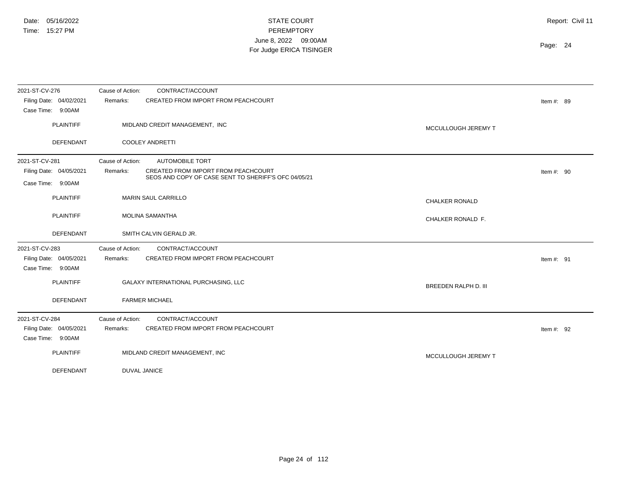| 2021-ST-CV-276<br>Filing Date: 04/02/2021<br>Case Time: 9:00AM | CONTRACT/ACCOUNT<br>Cause of Action:<br>CREATED FROM IMPORT FROM PEACHCOURT<br>Remarks:                 |                       | Item #: $89$ |
|----------------------------------------------------------------|---------------------------------------------------------------------------------------------------------|-----------------------|--------------|
| <b>PLAINTIFF</b>                                               | MIDLAND CREDIT MANAGEMENT, INC                                                                          | MCCULLOUGH JEREMY T   |              |
| DEFENDANT                                                      | <b>COOLEY ANDRETTI</b>                                                                                  |                       |              |
| 2021-ST-CV-281                                                 | Cause of Action:<br><b>AUTOMOBILE TORT</b>                                                              |                       |              |
| Filing Date: 04/05/2021<br>Case Time: 9:00AM                   | CREATED FROM IMPORT FROM PEACHCOURT<br>Remarks:<br>SEOS AND COPY OF CASE SENT TO SHERIFF'S OFC 04/05/21 |                       | Item #: $90$ |
| <b>PLAINTIFF</b>                                               | <b>MARIN SAUL CARRILLO</b>                                                                              | <b>CHALKER RONALD</b> |              |
| <b>PLAINTIFF</b>                                               | <b>MOLINA SAMANTHA</b>                                                                                  | CHALKER RONALD F.     |              |
| <b>DEFENDANT</b>                                               | SMITH CALVIN GERALD JR.                                                                                 |                       |              |
| 2021-ST-CV-283                                                 | CONTRACT/ACCOUNT<br>Cause of Action:                                                                    |                       |              |
| Filing Date: 04/05/2021<br>Case Time: 9:00AM                   | CREATED FROM IMPORT FROM PEACHCOURT<br>Remarks:                                                         |                       | Item #: $91$ |
| <b>PLAINTIFF</b>                                               | GALAXY INTERNATIONAL PURCHASING, LLC                                                                    | BREEDEN RALPH D. III  |              |
| <b>DEFENDANT</b>                                               | <b>FARMER MICHAEL</b>                                                                                   |                       |              |
| 2021-ST-CV-284                                                 | Cause of Action:<br>CONTRACT/ACCOUNT                                                                    |                       |              |
| Filing Date: 04/05/2021<br>Case Time: 9:00AM                   | CREATED FROM IMPORT FROM PEACHCOURT<br>Remarks:                                                         |                       | Item #: $92$ |
| <b>PLAINTIFF</b>                                               | MIDLAND CREDIT MANAGEMENT, INC                                                                          | MCCULLOUGH JEREMY T   |              |
| DEFENDANT                                                      | <b>DUVAL JANICE</b>                                                                                     |                       |              |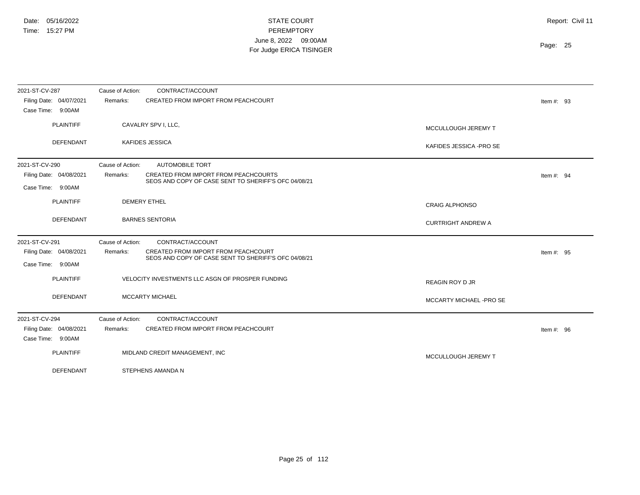| 2021-ST-CV-287<br>Filing Date: 04/07/2021<br>Case Time: 9:00AM | CONTRACT/ACCOUNT<br>Cause of Action:<br>CREATED FROM IMPORT FROM PEACHCOURT<br>Remarks:                         |                                | Item #: $93$ |
|----------------------------------------------------------------|-----------------------------------------------------------------------------------------------------------------|--------------------------------|--------------|
| <b>PLAINTIFF</b>                                               | CAVALRY SPV I, LLC,                                                                                             | MCCULLOUGH JEREMY T            |              |
| DEFENDANT                                                      | <b>KAFIDES JESSICA</b>                                                                                          | KAFIDES JESSICA - PRO SE       |              |
| 2021-ST-CV-290                                                 | Cause of Action:<br><b>AUTOMOBILE TORT</b>                                                                      |                                |              |
| Filing Date: 04/08/2021                                        | <b>CREATED FROM IMPORT FROM PEACHCOURTS</b><br>Remarks:<br>SEOS AND COPY OF CASE SENT TO SHERIFF'S OFC 04/08/21 |                                | Item #: $94$ |
| Case Time: 9:00AM                                              |                                                                                                                 |                                |              |
| <b>PLAINTIFF</b>                                               | <b>DEMERY ETHEL</b>                                                                                             | <b>CRAIG ALPHONSO</b>          |              |
| DEFENDANT                                                      | <b>BARNES SENTORIA</b>                                                                                          | <b>CURTRIGHT ANDREW A</b>      |              |
| 2021-ST-CV-291                                                 | Cause of Action:<br>CONTRACT/ACCOUNT                                                                            |                                |              |
| Filing Date: 04/08/2021                                        | CREATED FROM IMPORT FROM PEACHCOURT<br>Remarks:<br>SEOS AND COPY OF CASE SENT TO SHERIFF'S OFC 04/08/21         |                                | Item #: $95$ |
| Case Time: 9:00AM                                              |                                                                                                                 |                                |              |
| <b>PLAINTIFF</b>                                               | VELOCITY INVESTMENTS LLC ASGN OF PROSPER FUNDING                                                                | REAGIN ROY D JR                |              |
| DEFENDANT                                                      | <b>MCCARTY MICHAEL</b>                                                                                          | <b>MCCARTY MICHAEL -PRO SE</b> |              |
| 2021-ST-CV-294                                                 | CONTRACT/ACCOUNT<br>Cause of Action:                                                                            |                                |              |
| Filing Date: 04/08/2021<br>Case Time: 9:00AM                   | CREATED FROM IMPORT FROM PEACHCOURT<br>Remarks:                                                                 |                                | Item #: $96$ |
| <b>PLAINTIFF</b>                                               | MIDLAND CREDIT MANAGEMENT, INC                                                                                  | MCCULLOUGH JEREMY T            |              |
| <b>DEFENDANT</b>                                               | STEPHENS AMANDA N                                                                                               |                                |              |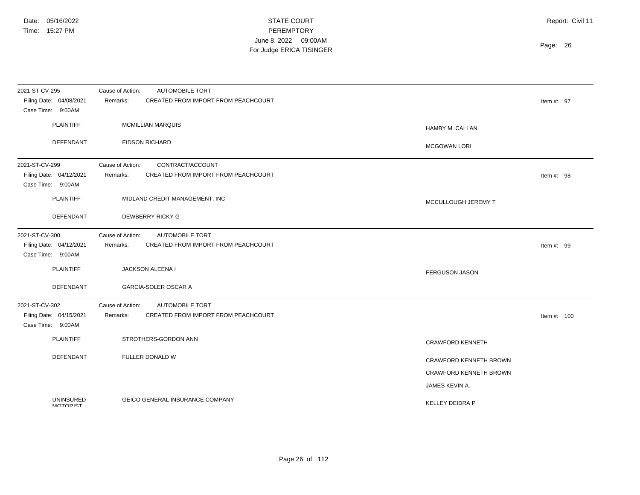| 2021-ST-CV-295<br>Filing Date: 04/08/2021    | Cause of Action:<br><b>AUTOMOBILE TORT</b><br><b>CREATED FROM IMPORT FROM PEACHCOURT</b><br>Remarks: | Item #: $97$                  |
|----------------------------------------------|------------------------------------------------------------------------------------------------------|-------------------------------|
| Case Time: 9:00AM                            |                                                                                                      |                               |
| <b>PLAINTIFF</b>                             | <b>MCMILLIAN MARQUIS</b>                                                                             | HAMBY M. CALLAN               |
| DEFENDANT                                    | <b>EIDSON RICHARD</b>                                                                                | <b>MCGOWAN LORI</b>           |
| 2021-ST-CV-299                               | Cause of Action:<br>CONTRACT/ACCOUNT                                                                 |                               |
| Filing Date: 04/12/2021<br>Case Time: 9:00AM | CREATED FROM IMPORT FROM PEACHCOURT<br>Remarks:                                                      | Item #: $98$                  |
| <b>PLAINTIFF</b>                             | MIDLAND CREDIT MANAGEMENT, INC                                                                       | MCCULLOUGH JEREMY T           |
| DEFENDANT                                    | <b>DEWBERRY RICKY G</b>                                                                              |                               |
| 2021-ST-CV-300                               | Cause of Action:<br><b>AUTOMOBILE TORT</b>                                                           |                               |
| Filing Date: 04/12/2021<br>Case Time: 9:00AM | CREATED FROM IMPORT FROM PEACHCOURT<br>Remarks:                                                      | Item #: $99$                  |
| <b>PLAINTIFF</b>                             | <b>JACKSON ALEENA I</b>                                                                              | <b>FERGUSON JASON</b>         |
| DEFENDANT                                    | GARCIA-SOLER OSCAR A                                                                                 |                               |
| 2021-ST-CV-302                               | Cause of Action:<br><b>AUTOMOBILE TORT</b>                                                           |                               |
| Filing Date: 04/15/2021<br>Case Time: 9:00AM | CREATED FROM IMPORT FROM PEACHCOURT<br>Remarks:                                                      | Item #: $100$                 |
| <b>PLAINTIFF</b>                             | STROTHERS-GORDON ANN                                                                                 | <b>CRAWFORD KENNETH</b>       |
| <b>DEFENDANT</b>                             | FULLER DONALD W                                                                                      | <b>CRAWFORD KENNETH BROWN</b> |
|                                              |                                                                                                      | <b>CRAWFORD KENNETH BROWN</b> |
|                                              |                                                                                                      | JAMES KEVIN A.                |
| <b>UNINSURED</b><br><b>MOTODICT</b>          | GEICO GENERAL INSURANCE COMPANY                                                                      | <b>KELLEY DEIDRA P</b>        |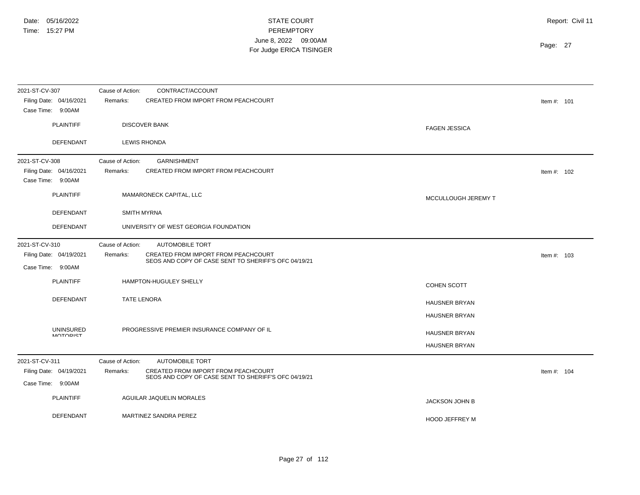| 2021-ST-CV-307                               | Cause of Action:<br>CONTRACT/ACCOUNT                                                                    |                       |               |
|----------------------------------------------|---------------------------------------------------------------------------------------------------------|-----------------------|---------------|
| Filing Date: 04/16/2021<br>Case Time: 9:00AM | CREATED FROM IMPORT FROM PEACHCOURT<br>Remarks:                                                         |                       | Item #: $101$ |
| <b>PLAINTIFF</b>                             | <b>DISCOVER BANK</b>                                                                                    | <b>FAGEN JESSICA</b>  |               |
| DEFENDANT                                    | <b>LEWIS RHONDA</b>                                                                                     |                       |               |
| 2021-ST-CV-308                               | Cause of Action:<br><b>GARNISHMENT</b>                                                                  |                       |               |
| Filing Date: 04/16/2021<br>Case Time: 9:00AM | CREATED FROM IMPORT FROM PEACHCOURT<br>Remarks:                                                         |                       | Item #: $102$ |
| <b>PLAINTIFF</b>                             | MAMARONECK CAPITAL, LLC                                                                                 | MCCULLOUGH JEREMY T   |               |
| DEFENDANT                                    | <b>SMITH MYRNA</b>                                                                                      |                       |               |
| DEFENDANT                                    | UNIVERSITY OF WEST GEORGIA FOUNDATION                                                                   |                       |               |
| 2021-ST-CV-310                               | Cause of Action:<br><b>AUTOMOBILE TORT</b>                                                              |                       |               |
| Filing Date: 04/19/2021<br>Case Time: 9:00AM | CREATED FROM IMPORT FROM PEACHCOURT<br>Remarks:<br>SEOS AND COPY OF CASE SENT TO SHERIFF'S OFC 04/19/21 |                       | Item #: 103   |
| <b>PLAINTIFF</b>                             | HAMPTON-HUGULEY SHELLY                                                                                  | COHEN SCOTT           |               |
| <b>DEFENDANT</b>                             | <b>TATE LENORA</b>                                                                                      | HAUSNER BRYAN         |               |
|                                              |                                                                                                         | <b>HAUSNER BRYAN</b>  |               |
| <b>UNINSURED</b><br><b>MOTORIST</b>          | PROGRESSIVE PREMIER INSURANCE COMPANY OF IL                                                             | <b>HAUSNER BRYAN</b>  |               |
|                                              |                                                                                                         | HAUSNER BRYAN         |               |
| 2021-ST-CV-311                               | <b>AUTOMOBILE TORT</b><br>Cause of Action:                                                              |                       |               |
| Filing Date: 04/19/2021                      | CREATED FROM IMPORT FROM PEACHCOURT<br>Remarks:<br>SEOS AND COPY OF CASE SENT TO SHERIFF'S OFC 04/19/21 |                       | Item #: $104$ |
| Case Time: 9:00AM                            |                                                                                                         |                       |               |
| <b>PLAINTIFF</b>                             | AGUILAR JAQUELIN MORALES                                                                                | JACKSON JOHN B        |               |
| <b>DEFENDANT</b>                             | MARTINEZ SANDRA PEREZ                                                                                   | <b>HOOD JEFFREY M</b> |               |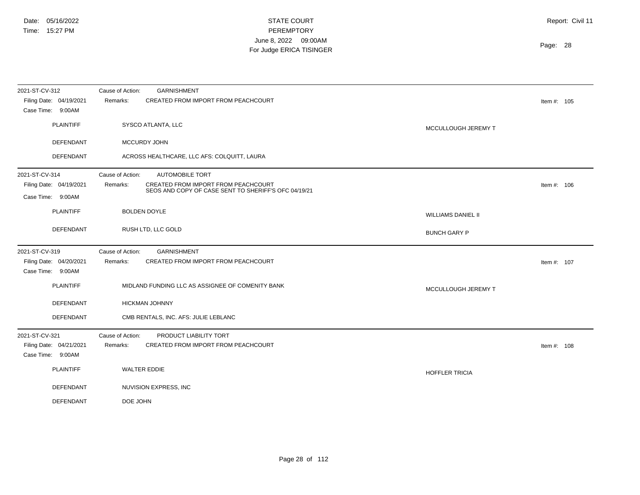| 2021-ST-CV-312                                                 | <b>GARNISHMENT</b><br>Cause of Action:                                                                  |                           |  |
|----------------------------------------------------------------|---------------------------------------------------------------------------------------------------------|---------------------------|--|
| Filing Date: 04/19/2021<br>Case Time: 9:00AM                   | CREATED FROM IMPORT FROM PEACHCOURT<br>Remarks:                                                         | Item #: 105               |  |
| <b>PLAINTIFF</b>                                               | SYSCO ATLANTA, LLC                                                                                      | MCCULLOUGH JEREMY T       |  |
| <b>DEFENDANT</b>                                               | MCCURDY JOHN                                                                                            |                           |  |
| <b>DEFENDANT</b>                                               | ACROSS HEALTHCARE, LLC AFS: COLQUITT, LAURA                                                             |                           |  |
| 2021-ST-CV-314                                                 | Cause of Action:<br><b>AUTOMOBILE TORT</b>                                                              |                           |  |
| Filing Date: 04/19/2021<br>Case Time: 9:00AM                   | CREATED FROM IMPORT FROM PEACHCOURT<br>Remarks:<br>SEOS AND COPY OF CASE SENT TO SHERIFF'S OFC 04/19/21 | Item #: $106$             |  |
| <b>PLAINTIFF</b>                                               | <b>BOLDEN DOYLE</b>                                                                                     | <b>WILLIAMS DANIEL II</b> |  |
| DEFENDANT                                                      | RUSH LTD, LLC GOLD                                                                                      | <b>BUNCH GARY P</b>       |  |
| 2021-ST-CV-319                                                 | <b>GARNISHMENT</b><br>Cause of Action:                                                                  |                           |  |
| Filing Date: 04/20/2021<br>Case Time: 9:00AM                   | Remarks:<br>CREATED FROM IMPORT FROM PEACHCOURT                                                         | Item #: 107               |  |
| <b>PLAINTIFF</b>                                               | MIDLAND FUNDING LLC AS ASSIGNEE OF COMENITY BANK                                                        | MCCULLOUGH JEREMY T       |  |
| DEFENDANT                                                      | <b>HICKMAN JOHNNY</b>                                                                                   |                           |  |
| DEFENDANT                                                      | CMB RENTALS, INC. AFS: JULIE LEBLANC                                                                    |                           |  |
| 2021-ST-CV-321<br>Filing Date: 04/21/2021<br>Case Time: 9:00AM | PRODUCT LIABILITY TORT<br>Cause of Action:<br>CREATED FROM IMPORT FROM PEACHCOURT<br>Remarks:           | Item #: 108               |  |
| <b>PLAINTIFF</b>                                               | <b>WALTER EDDIE</b>                                                                                     | <b>HOFFLER TRICIA</b>     |  |
| <b>DEFENDANT</b>                                               | NUVISION EXPRESS, INC                                                                                   |                           |  |
| <b>DEFENDANT</b>                                               | DOE JOHN                                                                                                |                           |  |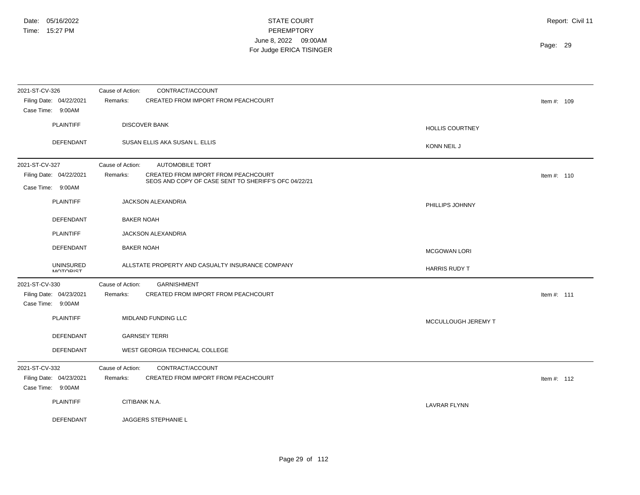| 2021-ST-CV-326                                                 | Cause of Action:<br>CONTRACT/ACCOUNT                                                                    |                        |  |
|----------------------------------------------------------------|---------------------------------------------------------------------------------------------------------|------------------------|--|
| Filing Date: 04/22/2021<br>Case Time: 9:00AM                   | CREATED FROM IMPORT FROM PEACHCOURT<br>Remarks:                                                         | Item #: $109$          |  |
| <b>PLAINTIFF</b>                                               | <b>DISCOVER BANK</b>                                                                                    | <b>HOLLIS COURTNEY</b> |  |
| <b>DEFENDANT</b>                                               | SUSAN ELLIS AKA SUSAN L. ELLIS                                                                          | KONN NEIL J            |  |
| 2021-ST-CV-327                                                 | Cause of Action:<br><b>AUTOMOBILE TORT</b>                                                              |                        |  |
| Filing Date: 04/22/2021<br>Case Time: 9:00AM                   | Remarks:<br>CREATED FROM IMPORT FROM PEACHCOURT<br>SEOS AND COPY OF CASE SENT TO SHERIFF'S OFC 04/22/21 | Item #: $110$          |  |
| <b>PLAINTIFF</b>                                               | JACKSON ALEXANDRIA                                                                                      | PHILLIPS JOHNNY        |  |
| DEFENDANT                                                      | <b>BAKER NOAH</b>                                                                                       |                        |  |
| <b>PLAINTIFF</b>                                               | <b>JACKSON ALEXANDRIA</b>                                                                               |                        |  |
| <b>DEFENDANT</b>                                               | <b>BAKER NOAH</b>                                                                                       | <b>MCGOWAN LORI</b>    |  |
| <b>UNINSURED</b><br><b>MOTORIST</b>                            | ALLSTATE PROPERTY AND CASUALTY INSURANCE COMPANY                                                        | HARRIS RUDY T          |  |
| 2021-ST-CV-330                                                 | <b>GARNISHMENT</b><br>Cause of Action:                                                                  |                        |  |
| Filing Date: 04/23/2021<br>Case Time: 9:00AM                   | CREATED FROM IMPORT FROM PEACHCOURT<br>Remarks:                                                         | Item #: $111$          |  |
| <b>PLAINTIFF</b>                                               | MIDLAND FUNDING LLC                                                                                     | MCCULLOUGH JEREMY T    |  |
| <b>DEFENDANT</b>                                               | <b>GARNSEY TERRI</b>                                                                                    |                        |  |
| DEFENDANT                                                      | WEST GEORGIA TECHNICAL COLLEGE                                                                          |                        |  |
| 2021-ST-CV-332<br>Filing Date: 04/23/2021<br>Case Time: 9:00AM | CONTRACT/ACCOUNT<br>Cause of Action:<br>Remarks:<br>CREATED FROM IMPORT FROM PEACHCOURT                 | Item #: $112$          |  |
| <b>PLAINTIFF</b>                                               | CITIBANK N.A.                                                                                           | <b>LAVRAR FLYNN</b>    |  |
| <b>DEFENDANT</b>                                               | <b>JAGGERS STEPHANIE L</b>                                                                              |                        |  |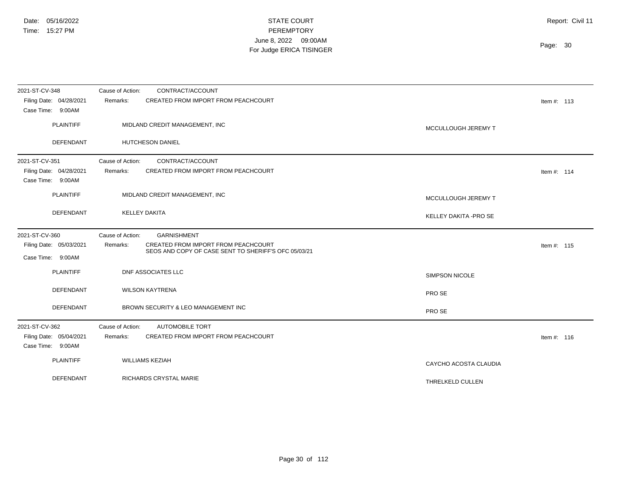| 2021-ST-CV-348                               | CONTRACT/ACCOUNT<br>Cause of Action:                                                                    |                        |
|----------------------------------------------|---------------------------------------------------------------------------------------------------------|------------------------|
| Filing Date: 04/28/2021                      | CREATED FROM IMPORT FROM PEACHCOURT<br>Remarks:                                                         | Item #: $113$          |
| Case Time: 9:00AM                            |                                                                                                         |                        |
| <b>PLAINTIFF</b>                             | MIDLAND CREDIT MANAGEMENT, INC                                                                          | MCCULLOUGH JEREMY T    |
| DEFENDANT                                    | HUTCHESON DANIEL                                                                                        |                        |
| 2021-ST-CV-351                               | Cause of Action:<br>CONTRACT/ACCOUNT                                                                    |                        |
| Filing Date: 04/28/2021<br>Case Time: 9:00AM | CREATED FROM IMPORT FROM PEACHCOURT<br>Remarks:                                                         | Item #: $114$          |
| <b>PLAINTIFF</b>                             | MIDLAND CREDIT MANAGEMENT, INC                                                                          | MCCULLOUGH JEREMY T    |
| DEFENDANT                                    | <b>KELLEY DAKITA</b>                                                                                    | KELLEY DAKITA - PRO SE |
| 2021-ST-CV-360                               | <b>GARNISHMENT</b><br>Cause of Action:                                                                  |                        |
| Filing Date: 05/03/2021                      | CREATED FROM IMPORT FROM PEACHCOURT<br>Remarks:<br>SEOS AND COPY OF CASE SENT TO SHERIFF'S OFC 05/03/21 | Item #: 115            |
| Case Time: 9:00AM                            |                                                                                                         |                        |
| <b>PLAINTIFF</b>                             | DNF ASSOCIATES LLC                                                                                      | SIMPSON NICOLE         |
| DEFENDANT                                    | <b>WILSON KAYTRENA</b>                                                                                  | PRO SE                 |
| <b>DEFENDANT</b>                             | BROWN SECURITY & LEO MANAGEMENT INC                                                                     | PRO SE                 |
| 2021-ST-CV-362                               | Cause of Action:<br><b>AUTOMOBILE TORT</b>                                                              |                        |
| Filing Date: 05/04/2021<br>Case Time: 9:00AM | CREATED FROM IMPORT FROM PEACHCOURT<br>Remarks:                                                         | Item #: 116            |
| <b>PLAINTIFF</b>                             | <b>WILLIAMS KEZIAH</b>                                                                                  | CAYCHO ACOSTA CLAUDIA  |
| DEFENDANT                                    | RICHARDS CRYSTAL MARIE                                                                                  | THRELKELD CULLEN       |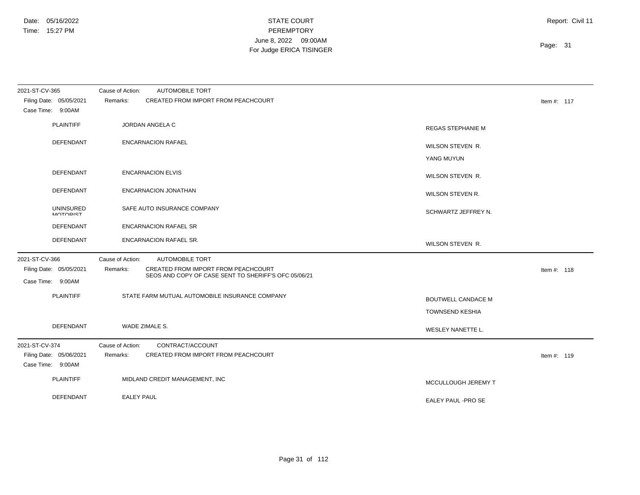| 2021-ST-CV-365                               | Cause of Action:<br><b>AUTOMOBILE TORT</b>                                                              |                           |               |
|----------------------------------------------|---------------------------------------------------------------------------------------------------------|---------------------------|---------------|
| Filing Date: 05/05/2021<br>Case Time: 9:00AM | CREATED FROM IMPORT FROM PEACHCOURT<br>Remarks:                                                         |                           | Item #: $117$ |
| <b>PLAINTIFF</b>                             | JORDAN ANGELA C                                                                                         | <b>REGAS STEPHANIE M</b>  |               |
| <b>DEFENDANT</b>                             | <b>ENCARNACION RAFAEL</b>                                                                               | <b>WILSON STEVEN R.</b>   |               |
|                                              |                                                                                                         | YANG MUYUN                |               |
| DEFENDANT                                    | <b>ENCARNACION ELVIS</b>                                                                                | <b>WILSON STEVEN R.</b>   |               |
| DEFENDANT                                    | ENCARNACION JONATHAN                                                                                    | <b>WILSON STEVEN R.</b>   |               |
| <b>UNINSURED</b><br><b>MOTODICT</b>          | SAFE AUTO INSURANCE COMPANY                                                                             | SCHWARTZ JEFFREY N.       |               |
| DEFENDANT                                    | <b>ENCARNACION RAFAEL SR</b>                                                                            |                           |               |
| <b>DEFENDANT</b>                             | ENCARNACION RAFAEL SR.                                                                                  | WILSON STEVEN R.          |               |
| 2021-ST-CV-366                               | <b>AUTOMOBILE TORT</b><br>Cause of Action:                                                              |                           |               |
| Filing Date: 05/05/2021<br>Case Time: 9:00AM | CREATED FROM IMPORT FROM PEACHCOURT<br>Remarks:<br>SEOS AND COPY OF CASE SENT TO SHERIFF'S OFC 05/06/21 |                           | Item #: 118   |
|                                              |                                                                                                         |                           |               |
| <b>PLAINTIFF</b>                             | STATE FARM MUTUAL AUTOMOBILE INSURANCE COMPANY                                                          | <b>BOUTWELL CANDACE M</b> |               |
|                                              |                                                                                                         | <b>TOWNSEND KESHIA</b>    |               |
|                                              |                                                                                                         |                           |               |
| <b>DEFENDANT</b>                             | WADE ZIMALE S.                                                                                          | WESLEY NANETTE L.         |               |
| 2021-ST-CV-374                               | CONTRACT/ACCOUNT<br>Cause of Action:                                                                    |                           |               |
| Filing Date: 05/06/2021<br>Case Time: 9:00AM | CREATED FROM IMPORT FROM PEACHCOURT<br>Remarks:                                                         |                           | Item #: $119$ |
| <b>PLAINTIFF</b>                             | MIDLAND CREDIT MANAGEMENT, INC                                                                          | MCCULLOUGH JEREMY T       |               |
| <b>DEFENDANT</b>                             | <b>EALEY PAUL</b>                                                                                       | EALEY PAUL -PRO SE        |               |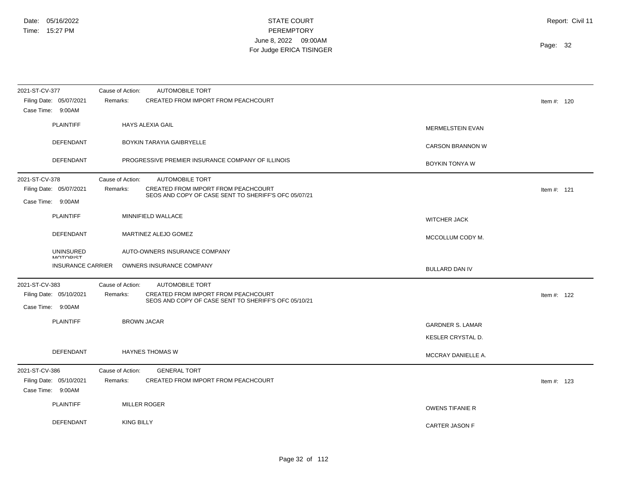| 2021-ST-CV-377                               | Cause of Action:   | <b>AUTOMOBILE TORT</b>                                                                      |                                              |               |  |
|----------------------------------------------|--------------------|---------------------------------------------------------------------------------------------|----------------------------------------------|---------------|--|
| Filing Date: 05/07/2021<br>Case Time: 9:00AM | Remarks:           | CREATED FROM IMPORT FROM PEACHCOURT                                                         |                                              | Item #: $120$ |  |
| <b>PLAINTIFF</b>                             |                    | <b>HAYS ALEXIA GAIL</b>                                                                     | <b>MERMELSTEIN EVAN</b>                      |               |  |
| <b>DEFENDANT</b>                             |                    | <b>BOYKIN TARAYIA GAIBRYELLE</b>                                                            | <b>CARSON BRANNON W</b>                      |               |  |
| <b>DEFENDANT</b>                             |                    | PROGRESSIVE PREMIER INSURANCE COMPANY OF ILLINOIS                                           | BOYKIN TONYA W                               |               |  |
| 2021-ST-CV-378                               | Cause of Action:   | <b>AUTOMOBILE TORT</b>                                                                      |                                              |               |  |
| Filing Date: 05/07/2021<br>Case Time: 9:00AM | Remarks:           | CREATED FROM IMPORT FROM PEACHCOURT<br>SEOS AND COPY OF CASE SENT TO SHERIFF'S OFC 05/07/21 |                                              | Item #: $121$ |  |
| <b>PLAINTIFF</b>                             |                    | MINNIFIELD WALLACE                                                                          | <b>WITCHER JACK</b>                          |               |  |
| <b>DEFENDANT</b>                             |                    | MARTINEZ ALEJO GOMEZ                                                                        | MCCOLLUM CODY M.                             |               |  |
| <b>UNINSURED</b><br><b>MOTODICT</b>          |                    | AUTO-OWNERS INSURANCE COMPANY                                                               |                                              |               |  |
| <b>INSURANCE CARRIER</b>                     |                    | OWNERS INSURANCE COMPANY                                                                    | <b>BULLARD DAN IV</b>                        |               |  |
| 2021-ST-CV-383                               | Cause of Action:   | <b>AUTOMOBILE TORT</b>                                                                      |                                              |               |  |
| Filing Date: 05/10/2021<br>Case Time: 9:00AM | Remarks:           | CREATED FROM IMPORT FROM PEACHCOURT<br>SEOS AND COPY OF CASE SENT TO SHERIFF'S OFC 05/10/21 |                                              | Item #: $122$ |  |
| <b>PLAINTIFF</b>                             | <b>BROWN JACAR</b> |                                                                                             | <b>GARDNER S. LAMAR</b><br>KESLER CRYSTAL D. |               |  |
| DEFENDANT                                    |                    | <b>HAYNES THOMAS W</b>                                                                      | MCCRAY DANIELLE A.                           |               |  |
| 2021-ST-CV-386                               | Cause of Action:   | <b>GENERAL TORT</b>                                                                         |                                              |               |  |
| Filing Date: 05/10/2021<br>Case Time: 9:00AM | Remarks:           | <b>CREATED FROM IMPORT FROM PEACHCOURT</b>                                                  |                                              | Item #: $123$ |  |
| <b>PLAINTIFF</b>                             |                    | <b>MILLER ROGER</b>                                                                         | <b>OWENS TIFANIE R</b>                       |               |  |
| <b>DEFENDANT</b>                             | <b>KING BILLY</b>  |                                                                                             | CARTER JASON F                               |               |  |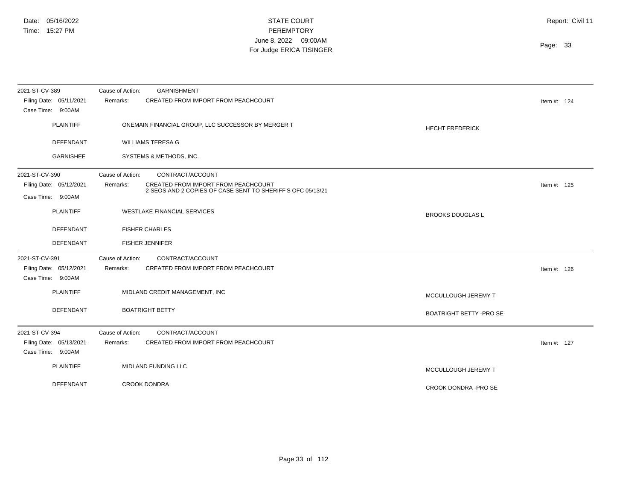| 2021-ST-CV-389<br>Filing Date: 05/11/2021                      | Cause of Action:<br><b>GARNISHMENT</b><br>CREATED FROM IMPORT FROM PEACHCOURT<br>Remarks:                                                             |                                | Item #: $124$ |
|----------------------------------------------------------------|-------------------------------------------------------------------------------------------------------------------------------------------------------|--------------------------------|---------------|
| Case Time: 9:00AM<br><b>PLAINTIFF</b>                          | ONEMAIN FINANCIAL GROUP, LLC SUCCESSOR BY MERGER T                                                                                                    | <b>HECHT FREDERICK</b>         |               |
| <b>DEFENDANT</b>                                               | <b>WILLIAMS TERESA G</b>                                                                                                                              |                                |               |
| <b>GARNISHEE</b>                                               | SYSTEMS & METHODS, INC.                                                                                                                               |                                |               |
| 2021-ST-CV-390<br>Filing Date: 05/12/2021<br>Case Time: 9:00AM | CONTRACT/ACCOUNT<br>Cause of Action:<br>CREATED FROM IMPORT FROM PEACHCOURT<br>Remarks:<br>2 SEOS AND 2 COPIES OF CASE SENT TO SHERIFF'S OFC 05/13/21 |                                | Item #: $125$ |
| <b>PLAINTIFF</b>                                               | <b>WESTLAKE FINANCIAL SERVICES</b>                                                                                                                    | <b>BROOKS DOUGLAS L</b>        |               |
| <b>DEFENDANT</b>                                               | <b>FISHER CHARLES</b>                                                                                                                                 |                                |               |
| <b>DEFENDANT</b>                                               | <b>FISHER JENNIFER</b>                                                                                                                                |                                |               |
| 2021-ST-CV-391<br>Filing Date: 05/12/2021<br>Case Time: 9:00AM | CONTRACT/ACCOUNT<br>Cause of Action:<br>CREATED FROM IMPORT FROM PEACHCOURT<br>Remarks:                                                               |                                | Item #: $126$ |
| <b>PLAINTIFF</b>                                               | MIDLAND CREDIT MANAGEMENT, INC                                                                                                                        | MCCULLOUGH JEREMY T            |               |
| DEFENDANT                                                      | <b>BOATRIGHT BETTY</b>                                                                                                                                | <b>BOATRIGHT BETTY -PRO SE</b> |               |
| 2021-ST-CV-394<br>Filing Date: 05/13/2021<br>Case Time: 9:00AM | CONTRACT/ACCOUNT<br>Cause of Action:<br>CREATED FROM IMPORT FROM PEACHCOURT<br>Remarks:                                                               |                                | Item #: 127   |
| <b>PLAINTIFF</b>                                               | MIDLAND FUNDING LLC                                                                                                                                   | MCCULLOUGH JEREMY T            |               |
| <b>DEFENDANT</b>                                               | <b>CROOK DONDRA</b>                                                                                                                                   | CROOK DONDRA - PRO SE          |               |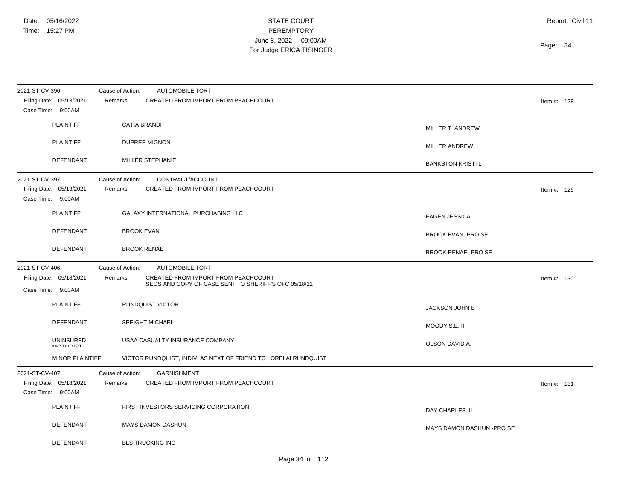| 2021-ST-CV-396                                                 | Cause of Action:<br><b>AUTOMOBILE TORT</b>                                                              |                             |               |
|----------------------------------------------------------------|---------------------------------------------------------------------------------------------------------|-----------------------------|---------------|
| Filing Date: 05/13/2021<br>Case Time: 9:00AM                   | CREATED FROM IMPORT FROM PEACHCOURT<br>Remarks:                                                         |                             | Item #: 128   |
| <b>PLAINTIFF</b>                                               | <b>CATIA BRANDI</b>                                                                                     | MILLER T. ANDREW            |               |
| <b>PLAINTIFF</b>                                               | <b>DUPREE MIGNON</b>                                                                                    | MILLER ANDREW               |               |
| <b>DEFENDANT</b>                                               | <b>MILLER STEPHANIE</b>                                                                                 | <b>BANKSTON KRISTI L</b>    |               |
| 2021-ST-CV-397<br>Filing Date: 05/13/2021<br>Case Time: 9:00AM | Cause of Action:<br>CONTRACT/ACCOUNT<br>Remarks:<br>CREATED FROM IMPORT FROM PEACHCOURT                 |                             | Item #: $129$ |
| <b>PLAINTIFF</b>                                               | <b>GALAXY INTERNATIONAL PURCHASING LLC</b>                                                              | <b>FAGEN JESSICA</b>        |               |
| DEFENDANT                                                      | <b>BROOK EVAN</b>                                                                                       | <b>BROOK EVAN -PRO SE</b>   |               |
| DEFENDANT                                                      | <b>BROOK RENAE</b>                                                                                      | <b>BROOK RENAE - PRO SE</b> |               |
| 2021-ST-CV-406                                                 | AUTOMOBILE TORT<br>Cause of Action:                                                                     |                             |               |
| Filing Date: 05/18/2021<br>Case Time: 9:00AM                   | CREATED FROM IMPORT FROM PEACHCOURT<br>Remarks:<br>SEOS AND COPY OF CASE SENT TO SHERIFF'S OFC 05/18/21 |                             | Item #: $130$ |
| <b>PLAINTIFF</b>                                               | <b>RUNDQUIST VICTOR</b>                                                                                 | <b>JACKSON JOHN B</b>       |               |
| DEFENDANT                                                      | <b>SPEIGHT MICHAEL</b>                                                                                  | MOODY S.E. III              |               |
| <b>UNINSURED</b><br><b>MOTORIST</b>                            | USAA CASUALTY INSURANCE COMPANY                                                                         | OLSON DAVID A.              |               |
| <b>MINOR PLAINTIFF</b>                                         | VICTOR RUNDQUIST, INDIV, AS NEXT OF FRIEND TO LORELAI RUNDQUIST                                         |                             |               |
| 2021-ST-CV-407<br>Filing Date: 05/18/2021<br>Case Time: 9:00AM | Cause of Action:<br><b>GARNISHMENT</b><br>CREATED FROM IMPORT FROM PEACHCOURT<br>Remarks:               |                             | Item #: $131$ |
| <b>PLAINTIFF</b>                                               | FIRST INVESTORS SERVICING CORPORATION                                                                   | DAY CHARLES III             |               |
| DEFENDANT                                                      | <b>MAYS DAMON DASHUN</b>                                                                                | MAYS DAMON DASHUN - PRO SE  |               |
| DEFENDANT                                                      | <b>BLS TRUCKING INC</b>                                                                                 |                             |               |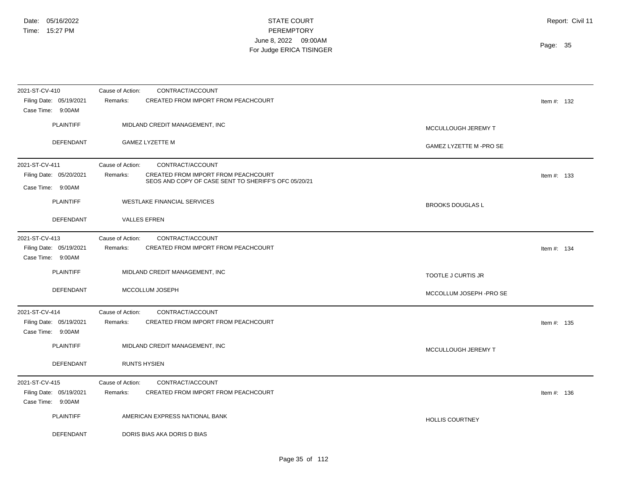| 2021-ST-CV-410                               | Cause of Action:<br>CONTRACT/ACCOUNT                                                                    |                          |
|----------------------------------------------|---------------------------------------------------------------------------------------------------------|--------------------------|
| Filing Date: 05/19/2021<br>Case Time: 9:00AM | CREATED FROM IMPORT FROM PEACHCOURT<br>Remarks:                                                         | Item #: $132$            |
| <b>PLAINTIFF</b>                             | MIDLAND CREDIT MANAGEMENT, INC                                                                          | MCCULLOUGH JEREMY T      |
| <b>DEFENDANT</b>                             | <b>GAMEZ LYZETTE M</b>                                                                                  | GAMEZ LYZETTE M -PRO SE  |
| 2021-ST-CV-411                               | Cause of Action:<br>CONTRACT/ACCOUNT                                                                    |                          |
| Filing Date: 05/20/2021<br>Case Time: 9:00AM | Remarks:<br>CREATED FROM IMPORT FROM PEACHCOURT<br>SEOS AND COPY OF CASE SENT TO SHERIFF'S OFC 05/20/21 | Item #: $133$            |
| <b>PLAINTIFF</b>                             | <b>WESTLAKE FINANCIAL SERVICES</b>                                                                      | <b>BROOKS DOUGLAS L</b>  |
| <b>DEFENDANT</b>                             | <b>VALLES EFREN</b>                                                                                     |                          |
| 2021-ST-CV-413                               | Cause of Action:<br>CONTRACT/ACCOUNT                                                                    |                          |
| Filing Date: 05/19/2021<br>Case Time: 9:00AM | CREATED FROM IMPORT FROM PEACHCOURT<br>Remarks:                                                         | Item #: $134$            |
| <b>PLAINTIFF</b>                             | MIDLAND CREDIT MANAGEMENT, INC                                                                          | TOOTLE J CURTIS JR       |
| DEFENDANT                                    | MCCOLLUM JOSEPH                                                                                         | MCCOLLUM JOSEPH - PRO SE |
| 2021-ST-CV-414                               | Cause of Action:<br>CONTRACT/ACCOUNT                                                                    |                          |
| Filing Date: 05/19/2021<br>Case Time: 9:00AM | CREATED FROM IMPORT FROM PEACHCOURT<br>Remarks:                                                         | Item #: $135$            |
| <b>PLAINTIFF</b>                             | MIDLAND CREDIT MANAGEMENT, INC                                                                          | MCCULLOUGH JEREMY T      |
| <b>DEFENDANT</b>                             | <b>RUNTS HYSIEN</b>                                                                                     |                          |
| 2021-ST-CV-415                               | Cause of Action:<br>CONTRACT/ACCOUNT                                                                    |                          |
| Filing Date: 05/19/2021<br>Case Time: 9:00AM | Remarks:<br>CREATED FROM IMPORT FROM PEACHCOURT                                                         | Item #: $136$            |
| <b>PLAINTIFF</b>                             | AMERICAN EXPRESS NATIONAL BANK                                                                          | <b>HOLLIS COURTNEY</b>   |
| DEFENDANT                                    | DORIS BIAS AKA DORIS D BIAS                                                                             |                          |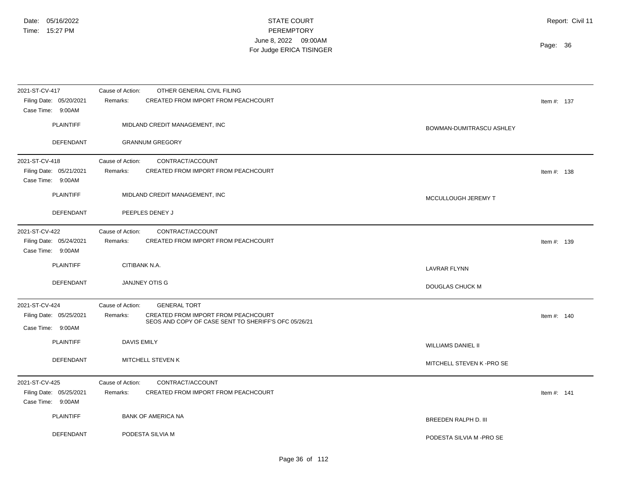| 2021-ST-CV-417                                                 | Cause of Action:<br>OTHER GENERAL CIVIL FILING                                                          |                           |
|----------------------------------------------------------------|---------------------------------------------------------------------------------------------------------|---------------------------|
| Filing Date: 05/20/2021<br>Case Time: 9:00AM                   | Remarks:<br><b>CREATED FROM IMPORT FROM PEACHCOURT</b>                                                  | Item #: $137$             |
| <b>PLAINTIFF</b>                                               | MIDLAND CREDIT MANAGEMENT, INC                                                                          | BOWMAN-DUMITRASCU ASHLEY  |
| <b>DEFENDANT</b>                                               | <b>GRANNUM GREGORY</b>                                                                                  |                           |
| 2021-ST-CV-418<br>Filing Date: 05/21/2021<br>Case Time: 9:00AM | CONTRACT/ACCOUNT<br>Cause of Action:<br>Remarks:<br>CREATED FROM IMPORT FROM PEACHCOURT                 | Item #: $138$             |
| <b>PLAINTIFF</b>                                               | MIDLAND CREDIT MANAGEMENT, INC                                                                          | MCCULLOUGH JEREMY T       |
| <b>DEFENDANT</b>                                               | PEEPLES DENEY J                                                                                         |                           |
| 2021-ST-CV-422<br>Filing Date: 05/24/2021<br>Case Time: 9:00AM | CONTRACT/ACCOUNT<br>Cause of Action:<br>Remarks:<br>CREATED FROM IMPORT FROM PEACHCOURT                 | Item #: $139$             |
| <b>PLAINTIFF</b>                                               | CITIBANK N.A.                                                                                           | <b>LAVRAR FLYNN</b>       |
| DEFENDANT                                                      | <b>JANJNEY OTIS G</b>                                                                                   | DOUGLAS CHUCK M           |
| 2021-ST-CV-424                                                 | <b>GENERAL TORT</b><br>Cause of Action:                                                                 |                           |
| Filing Date: 05/25/2021<br>Case Time: 9:00AM                   | CREATED FROM IMPORT FROM PEACHCOURT<br>Remarks:<br>SEOS AND COPY OF CASE SENT TO SHERIFF'S OFC 05/26/21 | Item #: $140$             |
| <b>PLAINTIFF</b>                                               | <b>DAVIS EMILY</b>                                                                                      | <b>WILLIAMS DANIEL II</b> |
| DEFENDANT                                                      | MITCHELL STEVEN K                                                                                       | MITCHELL STEVEN K -PRO SE |
| 2021-ST-CV-425<br>Filing Date: 05/25/2021<br>Case Time: 9:00AM | CONTRACT/ACCOUNT<br>Cause of Action:<br>CREATED FROM IMPORT FROM PEACHCOURT<br>Remarks:                 | Item #: $141$             |
| <b>PLAINTIFF</b>                                               | <b>BANK OF AMERICA NA</b>                                                                               | BREEDEN RALPH D. III      |
| DEFENDANT                                                      | PODESTA SILVIA M                                                                                        | PODESTA SILVIA M-PRO SE   |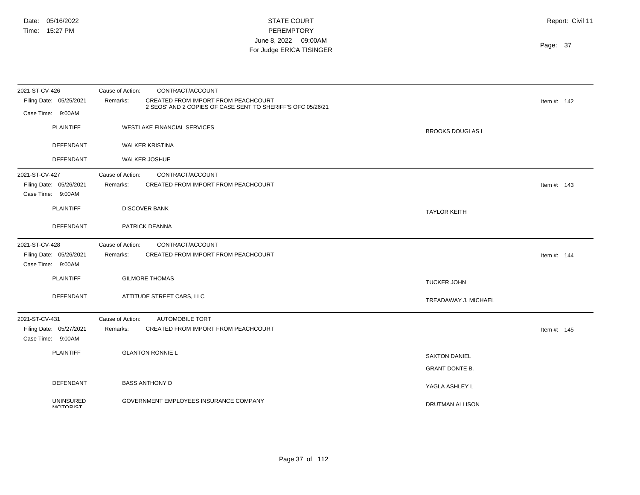| 2021-ST-CV-426                                                 | Cause of Action:<br>CONTRACT/ACCOUNT                                                    |                         |               |
|----------------------------------------------------------------|-----------------------------------------------------------------------------------------|-------------------------|---------------|
| Filing Date: 05/25/2021                                        | CREATED FROM IMPORT FROM PEACHCOURT<br>Remarks:                                         |                         | Item #: $142$ |
| Case Time: 9:00AM                                              | 2 SEOS' AND 2 COPIES OF CASE SENT TO SHERIFF'S OFC 05/26/21                             |                         |               |
| <b>PLAINTIFF</b>                                               | <b>WESTLAKE FINANCIAL SERVICES</b>                                                      | <b>BROOKS DOUGLAS L</b> |               |
| <b>DEFENDANT</b>                                               | <b>WALKER KRISTINA</b>                                                                  |                         |               |
| <b>DEFENDANT</b>                                               | <b>WALKER JOSHUE</b>                                                                    |                         |               |
| 2021-ST-CV-427<br>Filing Date: 05/26/2021<br>Case Time: 9:00AM | Cause of Action:<br>CONTRACT/ACCOUNT<br>Remarks:<br>CREATED FROM IMPORT FROM PEACHCOURT |                         | Item #: $143$ |
| <b>PLAINTIFF</b>                                               | <b>DISCOVER BANK</b>                                                                    | <b>TAYLOR KEITH</b>     |               |
| DEFENDANT                                                      | PATRICK DEANNA                                                                          |                         |               |
| 2021-ST-CV-428                                                 | CONTRACT/ACCOUNT<br>Cause of Action:                                                    |                         |               |
| Filing Date: 05/26/2021<br>Case Time: 9:00AM                   | Remarks:<br>CREATED FROM IMPORT FROM PEACHCOURT                                         |                         | Item #: $144$ |
| <b>PLAINTIFF</b>                                               | <b>GILMORE THOMAS</b>                                                                   | <b>TUCKER JOHN</b>      |               |
| <b>DEFENDANT</b>                                               | ATTITUDE STREET CARS, LLC                                                               | TREADAWAY J. MICHAEL    |               |
| 2021-ST-CV-431                                                 | <b>AUTOMOBILE TORT</b><br>Cause of Action:                                              |                         |               |
| Filing Date: 05/27/2021<br>Case Time: 9:00AM                   | CREATED FROM IMPORT FROM PEACHCOURT<br>Remarks:                                         |                         | Item #: $145$ |
| <b>PLAINTIFF</b>                                               | <b>GLANTON RONNIE L</b>                                                                 | <b>SAXTON DANIEL</b>    |               |
|                                                                |                                                                                         | <b>GRANT DONTE B.</b>   |               |
|                                                                |                                                                                         |                         |               |
| <b>DEFENDANT</b>                                               | <b>BASS ANTHONY D</b>                                                                   | YAGLA ASHLEY L          |               |
| <b>UNINSURED</b><br><b>MOTODICT</b>                            | GOVERNMENT EMPLOYEES INSURANCE COMPANY                                                  | DRUTMAN ALLISON         |               |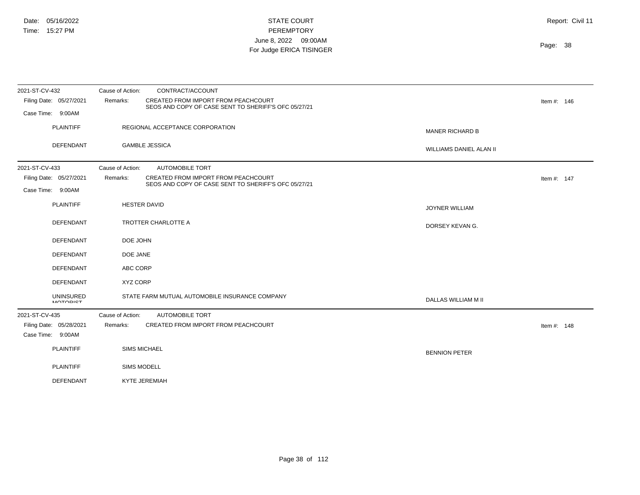| 2021-ST-CV-432                               | Cause of Action:<br>CONTRACT/ACCOUNT                                                                    |                         |               |
|----------------------------------------------|---------------------------------------------------------------------------------------------------------|-------------------------|---------------|
| Filing Date: 05/27/2021                      | CREATED FROM IMPORT FROM PEACHCOURT<br>Remarks:<br>SEOS AND COPY OF CASE SENT TO SHERIFF'S OFC 05/27/21 |                         | Item #: $146$ |
| Case Time: 9:00AM                            |                                                                                                         |                         |               |
| <b>PLAINTIFF</b>                             | REGIONAL ACCEPTANCE CORPORATION                                                                         | <b>MANER RICHARD B</b>  |               |
| DEFENDANT                                    | <b>GAMBLE JESSICA</b>                                                                                   | WILLIAMS DANIEL ALAN II |               |
| 2021-ST-CV-433                               | Cause of Action:<br><b>AUTOMOBILE TORT</b>                                                              |                         |               |
| Filing Date: 05/27/2021                      | CREATED FROM IMPORT FROM PEACHCOURT<br>Remarks:<br>SEOS AND COPY OF CASE SENT TO SHERIFF'S OFC 05/27/21 |                         | Item #: $147$ |
| Case Time: 9:00AM                            |                                                                                                         |                         |               |
| <b>PLAINTIFF</b>                             | <b>HESTER DAVID</b>                                                                                     | <b>JOYNER WILLIAM</b>   |               |
| <b>DEFENDANT</b>                             | TROTTER CHARLOTTE A                                                                                     | DORSEY KEVAN G.         |               |
| DEFENDANT                                    | DOE JOHN                                                                                                |                         |               |
| <b>DEFENDANT</b>                             | DOE JANE                                                                                                |                         |               |
| DEFENDANT                                    | ABC CORP                                                                                                |                         |               |
| <b>DEFENDANT</b>                             | XYZ CORP                                                                                                |                         |               |
| <b>UNINSURED</b><br><b>MOTOPICT</b>          | STATE FARM MUTUAL AUTOMOBILE INSURANCE COMPANY                                                          | DALLAS WILLIAM M II     |               |
| 2021-ST-CV-435                               | Cause of Action:<br><b>AUTOMOBILE TORT</b>                                                              |                         |               |
| Filing Date: 05/28/2021<br>Case Time: 9:00AM | CREATED FROM IMPORT FROM PEACHCOURT<br>Remarks:                                                         |                         | Item #: $148$ |
| <b>PLAINTIFF</b>                             | <b>SIMS MICHAEL</b>                                                                                     | <b>BENNION PETER</b>    |               |
| <b>PLAINTIFF</b>                             | <b>SIMS MODELL</b>                                                                                      |                         |               |
| <b>DEFENDANT</b>                             | <b>KYTE JEREMIAH</b>                                                                                    |                         |               |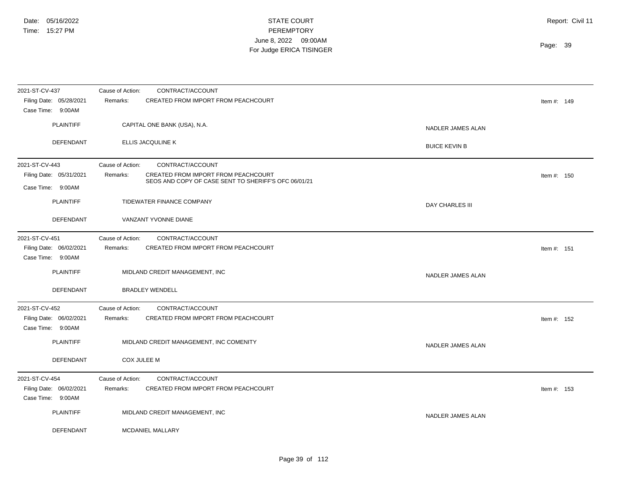| 2021-ST-CV-437<br>Filing Date: 05/28/2021 | Cause of Action:<br>CONTRACT/ACCOUNT<br><b>CREATED FROM IMPORT FROM PEACHCOURT</b><br>Remarks: |                      | Item #: $149$ |
|-------------------------------------------|------------------------------------------------------------------------------------------------|----------------------|---------------|
| Case Time: 9:00AM                         |                                                                                                |                      |               |
| <b>PLAINTIFF</b>                          | CAPITAL ONE BANK (USA), N.A.                                                                   | NADLER JAMES ALAN    |               |
| <b>DEFENDANT</b>                          | ELLIS JACQULINE K                                                                              | <b>BUICE KEVIN B</b> |               |
| 2021-ST-CV-443                            | CONTRACT/ACCOUNT<br>Cause of Action:                                                           |                      |               |
| Filing Date: 05/31/2021                   | <b>CREATED FROM IMPORT FROM PEACHCOURT</b><br>Remarks:                                         |                      | Item #: $150$ |
| Case Time: 9:00AM                         | SEOS AND COPY OF CASE SENT TO SHERIFF'S OFC 06/01/21                                           |                      |               |
| <b>PLAINTIFF</b>                          | TIDEWATER FINANCE COMPANY                                                                      | DAY CHARLES III      |               |
|                                           |                                                                                                |                      |               |
| <b>DEFENDANT</b>                          | VANZANT YVONNE DIANE                                                                           |                      |               |
| 2021-ST-CV-451                            | Cause of Action:<br>CONTRACT/ACCOUNT                                                           |                      |               |
| Filing Date: 06/02/2021                   | Remarks:<br>CREATED FROM IMPORT FROM PEACHCOURT                                                |                      | Item #: $151$ |
| Case Time: 9:00AM                         |                                                                                                |                      |               |
| <b>PLAINTIFF</b>                          | MIDLAND CREDIT MANAGEMENT, INC                                                                 |                      |               |
|                                           |                                                                                                | NADLER JAMES ALAN    |               |
| DEFENDANT                                 | <b>BRADLEY WENDELL</b>                                                                         |                      |               |
| 2021-ST-CV-452                            | CONTRACT/ACCOUNT<br>Cause of Action:                                                           |                      |               |
| Filing Date: 06/02/2021                   | CREATED FROM IMPORT FROM PEACHCOURT<br>Remarks:                                                |                      | Item #: $152$ |
| Case Time: 9:00AM                         |                                                                                                |                      |               |
| <b>PLAINTIFF</b>                          | MIDLAND CREDIT MANAGEMENT, INC COMENITY                                                        | NADLER JAMES ALAN    |               |
| DEFENDANT                                 | COX JULEE M                                                                                    |                      |               |
| 2021-ST-CV-454                            | Cause of Action:<br>CONTRACT/ACCOUNT                                                           |                      |               |
| Filing Date: 06/02/2021                   | CREATED FROM IMPORT FROM PEACHCOURT<br>Remarks:                                                |                      | Item #: $153$ |
| Case Time: 9:00AM                         |                                                                                                |                      |               |
| <b>PLAINTIFF</b>                          | MIDLAND CREDIT MANAGEMENT, INC                                                                 | NADLER JAMES ALAN    |               |
|                                           |                                                                                                |                      |               |
| DEFENDANT                                 | MCDANIEL MALLARY                                                                               |                      |               |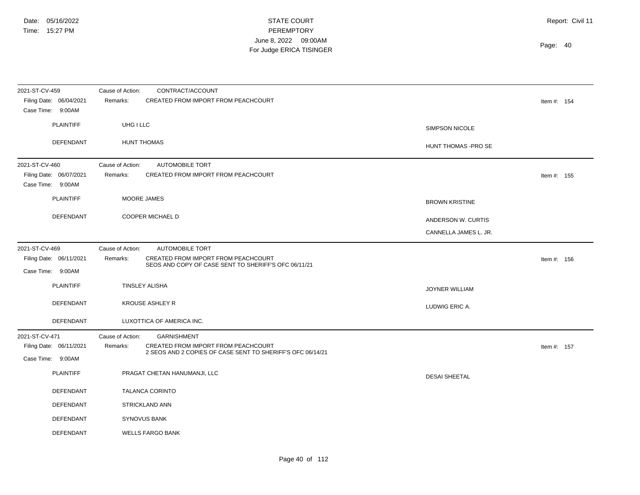| 2021-ST-CV-459                               | Cause of Action: | CONTRACT/ACCOUNT                                                                                  |                       |               |  |
|----------------------------------------------|------------------|---------------------------------------------------------------------------------------------------|-----------------------|---------------|--|
| Filing Date: 06/04/2021<br>Case Time: 9:00AM | Remarks:         | CREATED FROM IMPORT FROM PEACHCOURT                                                               |                       | Item #: 154   |  |
| <b>PLAINTIFF</b>                             | UHG I LLC        |                                                                                                   | SIMPSON NICOLE        |               |  |
| <b>DEFENDANT</b>                             |                  | HUNT THOMAS                                                                                       | HUNT THOMAS - PRO SE  |               |  |
| 2021-ST-CV-460                               | Cause of Action: | <b>AUTOMOBILE TORT</b>                                                                            |                       |               |  |
| Filing Date: 06/07/2021<br>Case Time: 9:00AM | Remarks:         | CREATED FROM IMPORT FROM PEACHCOURT                                                               |                       | Item #: $155$ |  |
| <b>PLAINTIFF</b>                             |                  | MOORE JAMES                                                                                       | <b>BROWN KRISTINE</b> |               |  |
| DEFENDANT                                    |                  | COOPER MICHAEL D                                                                                  | ANDERSON W. CURTIS    |               |  |
|                                              |                  |                                                                                                   | CANNELLA JAMES L. JR. |               |  |
| 2021-ST-CV-469                               | Cause of Action: | <b>AUTOMOBILE TORT</b>                                                                            |                       |               |  |
| Filing Date: 06/11/2021                      | Remarks:         | CREATED FROM IMPORT FROM PEACHCOURT                                                               |                       | Item #: $156$ |  |
| Case Time: 9:00AM                            |                  | SEOS AND COPY OF CASE SENT TO SHERIFF'S OFC 06/11/21                                              |                       |               |  |
| <b>PLAINTIFF</b>                             |                  | TINSLEY ALISHA                                                                                    | JOYNER WILLIAM        |               |  |
| DEFENDANT                                    |                  | <b>KROUSE ASHLEY R</b>                                                                            | LUDWIG ERIC A.        |               |  |
| DEFENDANT                                    |                  | LUXOTTICA OF AMERICA INC.                                                                         |                       |               |  |
| 2021-ST-CV-471                               | Cause of Action: | <b>GARNISHMENT</b>                                                                                |                       |               |  |
| Filing Date: 06/11/2021                      | Remarks:         | CREATED FROM IMPORT FROM PEACHCOURT<br>2 SEOS AND 2 COPIES OF CASE SENT TO SHERIFF'S OFC 06/14/21 |                       | Item #: $157$ |  |
| Case Time: 9:00AM                            |                  |                                                                                                   |                       |               |  |
| <b>PLAINTIFF</b>                             |                  | PRAGAT CHETAN HANUMANJI, LLC                                                                      | <b>DESAI SHEETAL</b>  |               |  |
| DEFENDANT                                    |                  | <b>TALANCA CORINTO</b>                                                                            |                       |               |  |
| DEFENDANT                                    |                  | STRICKLAND ANN                                                                                    |                       |               |  |
| <b>DEFENDANT</b>                             |                  | <b>SYNOVUS BANK</b>                                                                               |                       |               |  |
| DEFENDANT                                    |                  | <b>WELLS FARGO BANK</b>                                                                           |                       |               |  |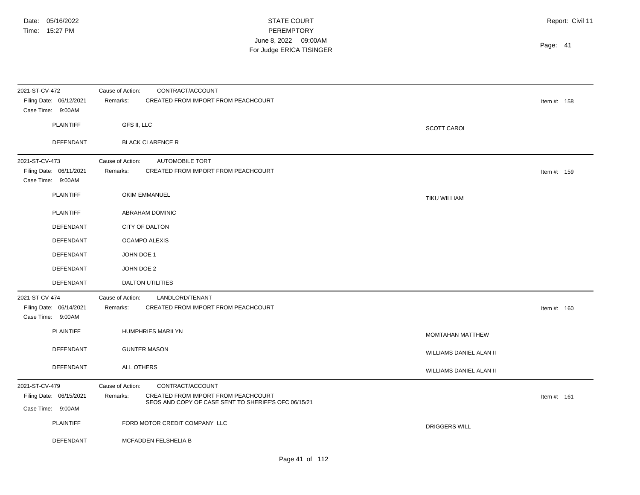| 2021-ST-CV-472                               | CONTRACT/ACCOUNT<br>Cause of Action:                 |                         |               |
|----------------------------------------------|------------------------------------------------------|-------------------------|---------------|
| Filing Date: 06/12/2021                      | Remarks:<br>CREATED FROM IMPORT FROM PEACHCOURT      |                         | Item #: $158$ |
| Case Time: 9:00AM                            |                                                      |                         |               |
|                                              |                                                      |                         |               |
| <b>PLAINTIFF</b>                             | GFS II, LLC                                          | <b>SCOTT CAROL</b>      |               |
| DEFENDANT                                    | <b>BLACK CLARENCE R</b>                              |                         |               |
|                                              |                                                      |                         |               |
| 2021-ST-CV-473                               | AUTOMOBILE TORT<br>Cause of Action:                  |                         |               |
| Filing Date: 06/11/2021<br>Case Time: 9:00AM | CREATED FROM IMPORT FROM PEACHCOURT<br>Remarks:      |                         | Item #: $159$ |
| <b>PLAINTIFF</b>                             | OKIM EMMANUEL                                        | TIKU WILLIAM            |               |
| <b>PLAINTIFF</b>                             | ABRAHAM DOMINIC                                      |                         |               |
| <b>DEFENDANT</b>                             | CITY OF DALTON                                       |                         |               |
| <b>DEFENDANT</b>                             | <b>OCAMPO ALEXIS</b>                                 |                         |               |
| DEFENDANT                                    | JOHN DOE 1                                           |                         |               |
| <b>DEFENDANT</b>                             | JOHN DOE 2                                           |                         |               |
| DEFENDANT                                    | <b>DALTON UTILITIES</b>                              |                         |               |
| 2021-ST-CV-474                               | LANDLORD/TENANT<br>Cause of Action:                  |                         |               |
| Filing Date: 06/14/2021                      | CREATED FROM IMPORT FROM PEACHCOURT<br>Remarks:      |                         | Item #: 160   |
| Case Time: 9:00AM                            |                                                      |                         |               |
| <b>PLAINTIFF</b>                             | <b>HUMPHRIES MARILYN</b>                             | MOMTAHAN MATTHEW        |               |
| DEFENDANT                                    | <b>GUNTER MASON</b>                                  | WILLIAMS DANIEL ALAN II |               |
| DEFENDANT                                    | ALL OTHERS                                           | WILLIAMS DANIEL ALAN II |               |
| 2021-ST-CV-479                               | Cause of Action:<br>CONTRACT/ACCOUNT                 |                         |               |
| Filing Date: 06/15/2021                      | CREATED FROM IMPORT FROM PEACHCOURT<br>Remarks:      |                         | Item #: $161$ |
| Case Time: 9:00AM                            | SEOS AND COPY OF CASE SENT TO SHERIFF'S OFC 06/15/21 |                         |               |
| <b>PLAINTIFF</b>                             | FORD MOTOR CREDIT COMPANY LLC                        | <b>DRIGGERS WILL</b>    |               |
| <b>DEFENDANT</b>                             | MCFADDEN FELSHELIA B                                 |                         |               |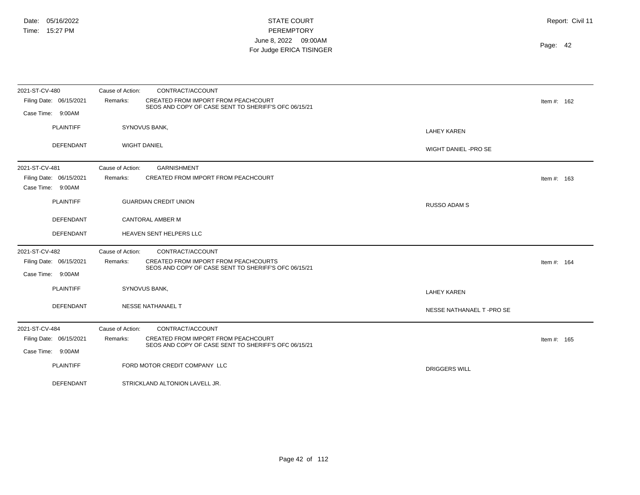| 2021-ST-CV-480                               | CONTRACT/ACCOUNT<br>Cause of Action:                                                                     |                            |
|----------------------------------------------|----------------------------------------------------------------------------------------------------------|----------------------------|
| Filing Date: 06/15/2021                      | CREATED FROM IMPORT FROM PEACHCOURT<br>Remarks:<br>SEOS AND COPY OF CASE SENT TO SHERIFF'S OFC 06/15/21  | Item #: $162$              |
| Case Time: 9:00AM                            |                                                                                                          |                            |
| <b>PLAINTIFF</b>                             | SYNOVUS BANK,                                                                                            | <b>LAHEY KAREN</b>         |
| <b>DEFENDANT</b>                             | <b>WIGHT DANIEL</b>                                                                                      | WIGHT DANIEL -PRO SE       |
| 2021-ST-CV-481                               | Cause of Action:<br><b>GARNISHMENT</b>                                                                   |                            |
| Filing Date: 06/15/2021<br>Case Time: 9:00AM | CREATED FROM IMPORT FROM PEACHCOURT<br>Remarks:                                                          | Item #: $163$              |
| <b>PLAINTIFF</b>                             | <b>GUARDIAN CREDIT UNION</b>                                                                             | <b>RUSSO ADAM S</b>        |
| <b>DEFENDANT</b>                             | <b>CANTORAL AMBER M</b>                                                                                  |                            |
| DEFENDANT                                    | HEAVEN SENT HELPERS LLC                                                                                  |                            |
| 2021-ST-CV-482                               | Cause of Action:<br>CONTRACT/ACCOUNT                                                                     |                            |
| Filing Date: 06/15/2021<br>Case Time: 9:00AM | CREATED FROM IMPORT FROM PEACHCOURTS<br>Remarks:<br>SEOS AND COPY OF CASE SENT TO SHERIFF'S OFC 06/15/21 | Item #: $164$              |
| <b>PLAINTIFF</b>                             | SYNOVUS BANK,                                                                                            |                            |
|                                              |                                                                                                          | <b>LAHEY KAREN</b>         |
| DEFENDANT                                    | NESSE NATHANAEL T                                                                                        | NESSE NATHANAEL T - PRO SE |
| 2021-ST-CV-484                               | CONTRACT/ACCOUNT<br>Cause of Action:                                                                     |                            |
| Filing Date: 06/15/2021                      | CREATED FROM IMPORT FROM PEACHCOURT<br>Remarks:                                                          | Item #: 165                |
| Case Time: 9:00AM                            | SEOS AND COPY OF CASE SENT TO SHERIFF'S OFC 06/15/21                                                     |                            |
| <b>PLAINTIFF</b>                             | FORD MOTOR CREDIT COMPANY LLC                                                                            | <b>DRIGGERS WILL</b>       |
| <b>DEFENDANT</b>                             | STRICKLAND ALTONION LAVELL JR.                                                                           |                            |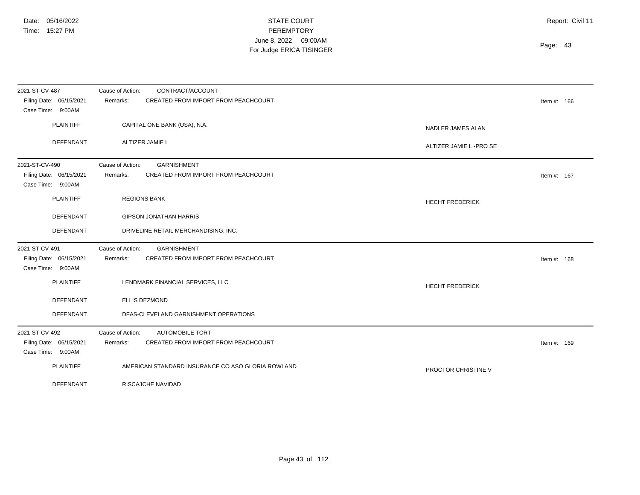| 2021-ST-CV-487<br>Filing Date: 06/15/2021<br>Case Time: 9:00AM | Cause of Action:<br>CONTRACT/ACCOUNT<br>CREATED FROM IMPORT FROM PEACHCOURT<br>Remarks:   |                          | Item #: $166$ |
|----------------------------------------------------------------|-------------------------------------------------------------------------------------------|--------------------------|---------------|
| <b>PLAINTIFF</b>                                               | CAPITAL ONE BANK (USA), N.A.                                                              | <b>NADLER JAMES ALAN</b> |               |
| <b>DEFENDANT</b>                                               | ALTIZER JAMIE L                                                                           | ALTIZER JAMIE L-PRO SE   |               |
| 2021-ST-CV-490<br>Filing Date: 06/15/2021<br>Case Time: 9:00AM | <b>GARNISHMENT</b><br>Cause of Action:<br>CREATED FROM IMPORT FROM PEACHCOURT<br>Remarks: |                          | Item #: 167   |
| <b>PLAINTIFF</b>                                               | <b>REGIONS BANK</b>                                                                       | <b>HECHT FREDERICK</b>   |               |
| <b>DEFENDANT</b>                                               | <b>GIPSON JONATHAN HARRIS</b>                                                             |                          |               |
| DEFENDANT                                                      | DRIVELINE RETAIL MERCHANDISING, INC.                                                      |                          |               |
| 2021-ST-CV-491                                                 | <b>GARNISHMENT</b><br>Cause of Action:                                                    |                          |               |
| Filing Date: 06/15/2021<br>Case Time: 9:00AM                   | CREATED FROM IMPORT FROM PEACHCOURT<br>Remarks:                                           |                          | Item #: $168$ |
| <b>PLAINTIFF</b>                                               | LENDMARK FINANCIAL SERVICES, LLC                                                          | <b>HECHT FREDERICK</b>   |               |
| <b>DEFENDANT</b>                                               | <b>ELLIS DEZMOND</b>                                                                      |                          |               |
| <b>DEFENDANT</b>                                               | DFAS-CLEVELAND GARNISHMENT OPERATIONS                                                     |                          |               |
| 2021-ST-CV-492                                                 | Cause of Action:<br><b>AUTOMOBILE TORT</b>                                                |                          |               |
| Filing Date: 06/15/2021<br>Case Time: 9:00AM                   | CREATED FROM IMPORT FROM PEACHCOURT<br>Remarks:                                           |                          | Item #: 169   |
| <b>PLAINTIFF</b>                                               | AMERICAN STANDARD INSURANCE CO ASO GLORIA ROWLAND                                         | PROCTOR CHRISTINE V      |               |
| <b>DEFENDANT</b>                                               | RISCAJCHE NAVIDAD                                                                         |                          |               |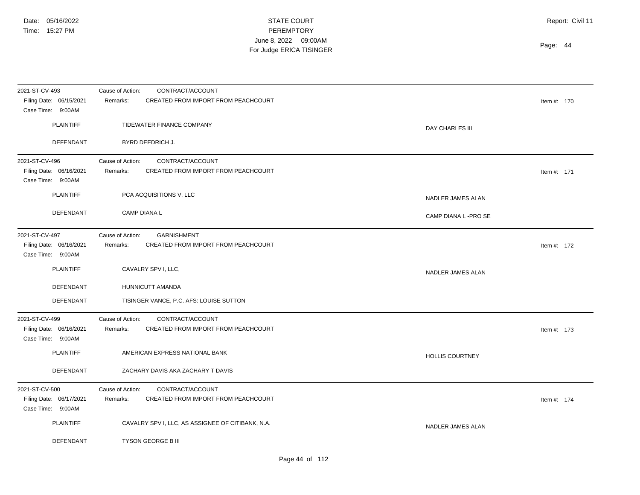| 2021-ST-CV-493                               | CONTRACT/ACCOUNT<br>Cause of Action:              |                        |
|----------------------------------------------|---------------------------------------------------|------------------------|
| Filing Date: 06/15/2021<br>Case Time: 9:00AM | CREATED FROM IMPORT FROM PEACHCOURT<br>Remarks:   | Item #: $170$          |
| <b>PLAINTIFF</b>                             | TIDEWATER FINANCE COMPANY                         | DAY CHARLES III        |
| DEFENDANT                                    | BYRD DEEDRICH J.                                  |                        |
| 2021-ST-CV-496                               | CONTRACT/ACCOUNT<br>Cause of Action:              |                        |
| Filing Date: 06/16/2021<br>Case Time: 9:00AM | Remarks:<br>CREATED FROM IMPORT FROM PEACHCOURT   | Item #: $171$          |
| <b>PLAINTIFF</b>                             | PCA ACQUISITIONS V, LLC                           | NADLER JAMES ALAN      |
| DEFENDANT                                    | <b>CAMP DIANA L</b>                               | CAMP DIANA L-PRO SE    |
| 2021-ST-CV-497                               | Cause of Action:<br><b>GARNISHMENT</b>            |                        |
| Filing Date: 06/16/2021<br>Case Time: 9:00AM | CREATED FROM IMPORT FROM PEACHCOURT<br>Remarks:   | Item #: $172$          |
| <b>PLAINTIFF</b>                             | CAVALRY SPV I, LLC,                               | NADLER JAMES ALAN      |
| <b>DEFENDANT</b>                             | HUNNICUTT AMANDA                                  |                        |
| DEFENDANT                                    | TISINGER VANCE, P.C. AFS: LOUISE SUTTON           |                        |
| 2021-ST-CV-499                               | CONTRACT/ACCOUNT<br>Cause of Action:              |                        |
| Filing Date: 06/16/2021<br>Case Time: 9:00AM | Remarks:<br>CREATED FROM IMPORT FROM PEACHCOURT   | Item #: $173$          |
| <b>PLAINTIFF</b>                             | AMERICAN EXPRESS NATIONAL BANK                    | <b>HOLLIS COURTNEY</b> |
| DEFENDANT                                    | ZACHARY DAVIS AKA ZACHARY T DAVIS                 |                        |
| 2021-ST-CV-500                               | CONTRACT/ACCOUNT<br>Cause of Action:              |                        |
| Filing Date: 06/17/2021<br>Case Time: 9:00AM | CREATED FROM IMPORT FROM PEACHCOURT<br>Remarks:   | Item #: $174$          |
| <b>PLAINTIFF</b>                             | CAVALRY SPV I, LLC, AS ASSIGNEE OF CITIBANK, N.A. | NADLER JAMES ALAN      |
| DEFENDANT                                    | <b>TYSON GEORGE B III</b>                         |                        |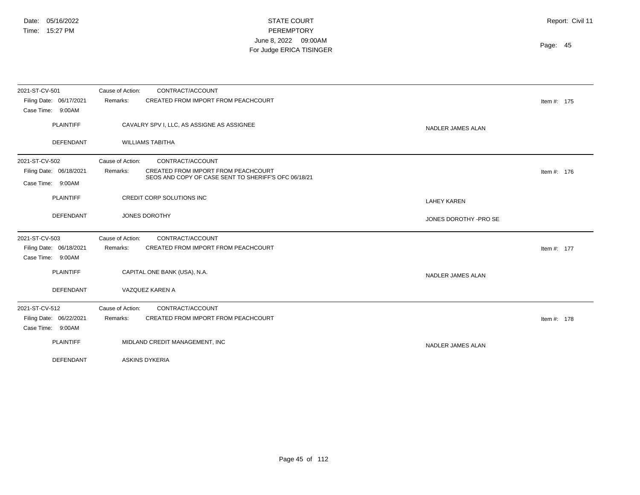| 2021-ST-CV-501<br>Filing Date: 06/17/2021<br>Case Time: 9:00AM | CONTRACT/ACCOUNT<br>Cause of Action:<br>CREATED FROM IMPORT FROM PEACHCOURT<br>Remarks:                                                         |                       | Item #: 175   |
|----------------------------------------------------------------|-------------------------------------------------------------------------------------------------------------------------------------------------|-----------------------|---------------|
| <b>PLAINTIFF</b>                                               | CAVALRY SPV I, LLC, AS ASSIGNE AS ASSIGNEE                                                                                                      | NADLER JAMES ALAN     |               |
| DEFENDANT                                                      | <b>WILLIAMS TABITHA</b>                                                                                                                         |                       |               |
| 2021-ST-CV-502<br>Filing Date: 06/18/2021<br>Case Time: 9:00AM | Cause of Action:<br>CONTRACT/ACCOUNT<br>CREATED FROM IMPORT FROM PEACHCOURT<br>Remarks:<br>SEOS AND COPY OF CASE SENT TO SHERIFF'S OFC 06/18/21 |                       | Item #: 176   |
| <b>PLAINTIFF</b>                                               | CREDIT CORP SOLUTIONS INC                                                                                                                       | <b>LAHEY KAREN</b>    |               |
| DEFENDANT                                                      | JONES DOROTHY                                                                                                                                   | JONES DOROTHY -PRO SE |               |
| 2021-ST-CV-503<br>Filing Date: 06/18/2021<br>Case Time: 9:00AM | Cause of Action:<br>CONTRACT/ACCOUNT<br>CREATED FROM IMPORT FROM PEACHCOURT<br>Remarks:                                                         |                       | Item #: $177$ |
| <b>PLAINTIFF</b>                                               | CAPITAL ONE BANK (USA), N.A.                                                                                                                    | NADLER JAMES ALAN     |               |
| <b>DEFENDANT</b>                                               | VAZQUEZ KAREN A                                                                                                                                 |                       |               |
| 2021-ST-CV-512<br>Filing Date: 06/22/2021<br>Case Time: 9:00AM | Cause of Action:<br>CONTRACT/ACCOUNT<br>CREATED FROM IMPORT FROM PEACHCOURT<br>Remarks:                                                         |                       | Item #: $178$ |
| <b>PLAINTIFF</b>                                               | MIDLAND CREDIT MANAGEMENT, INC                                                                                                                  | NADLER JAMES ALAN     |               |
| <b>DEFENDANT</b>                                               | ASKINS DYKERIA                                                                                                                                  |                       |               |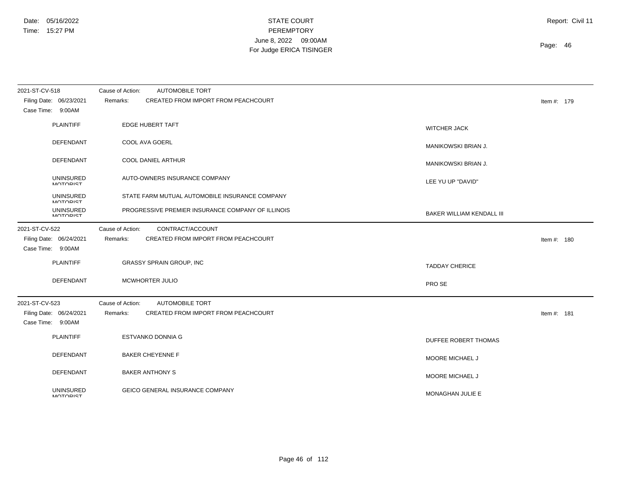| 2021-ST-CV-518                               | Cause of Action:<br><b>AUTOMOBILE TORT</b>        |                                  |
|----------------------------------------------|---------------------------------------------------|----------------------------------|
| Filing Date: 06/23/2021                      | CREATED FROM IMPORT FROM PEACHCOURT<br>Remarks:   | Item #: 179                      |
| Case Time: 9:00AM                            |                                                   |                                  |
| <b>PLAINTIFF</b>                             | <b>EDGE HUBERT TAFT</b>                           | <b>WITCHER JACK</b>              |
| <b>DEFENDANT</b>                             | COOL AVA GOERL                                    | MANIKOWSKI BRIAN J.              |
| <b>DEFENDANT</b>                             | COOL DANIEL ARTHUR                                | MANIKOWSKI BRIAN J.              |
| <b>UNINSURED</b><br><b>MOTODICT</b>          | AUTO-OWNERS INSURANCE COMPANY                     | LEE YU UP "DAVID"                |
| <b>UNINSURED</b><br><b>MOTODICT</b>          | STATE FARM MUTUAL AUTOMOBILE INSURANCE COMPANY    |                                  |
| <b>UNINSURED</b><br><b>MOTODICT</b>          | PROGRESSIVE PREMIER INSURANCE COMPANY OF ILLINOIS | <b>BAKER WILLIAM KENDALL III</b> |
| 2021-ST-CV-522                               | Cause of Action:<br>CONTRACT/ACCOUNT              |                                  |
| Filing Date: 06/24/2021                      | CREATED FROM IMPORT FROM PEACHCOURT<br>Remarks:   | Item #: 180                      |
| Case Time: 9:00AM                            |                                                   |                                  |
| <b>PLAINTIFF</b>                             | <b>GRASSY SPRAIN GROUP, INC</b>                   | <b>TADDAY CHERICE</b>            |
| <b>DEFENDANT</b>                             | MCWHORTER JULIO                                   | PRO SE                           |
| 2021-ST-CV-523                               | Cause of Action:<br><b>AUTOMOBILE TORT</b>        |                                  |
| Filing Date: 06/24/2021<br>Case Time: 9:00AM | CREATED FROM IMPORT FROM PEACHCOURT<br>Remarks:   | Item #: 181                      |
| <b>PLAINTIFF</b>                             | ESTVANKO DONNIA G                                 | DUFFEE ROBERT THOMAS             |
| <b>DEFENDANT</b>                             | <b>BAKER CHEYENNE F</b>                           | MOORE MICHAEL J                  |
| <b>DEFENDANT</b>                             | <b>BAKER ANTHONY S</b>                            | MOORE MICHAEL J                  |
| <b>UNINSURED</b><br><b>MOTORIST</b>          | GEICO GENERAL INSURANCE COMPANY                   | MONAGHAN JULIE E                 |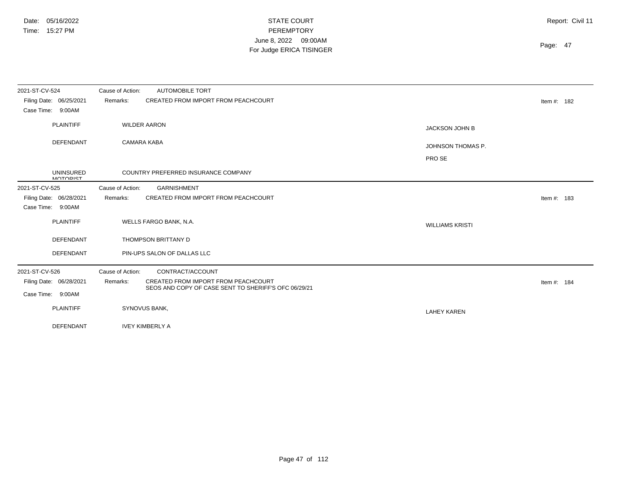| 2021-ST-CV-524                      | Cause of Action:<br><b>AUTOMOBILE TORT</b>           |                        |             |
|-------------------------------------|------------------------------------------------------|------------------------|-------------|
| Filing Date: 06/25/2021             | CREATED FROM IMPORT FROM PEACHCOURT<br>Remarks:      |                        | Item #: 182 |
| Case Time:<br>9:00AM                |                                                      |                        |             |
| <b>PLAINTIFF</b>                    | <b>WILDER AARON</b>                                  | <b>JACKSON JOHN B</b>  |             |
| DEFENDANT                           | <b>CAMARA KABA</b>                                   | JOHNSON THOMAS P.      |             |
|                                     |                                                      |                        |             |
|                                     |                                                      | PRO SE                 |             |
| <b>UNINSURED</b><br><b>MOTORIST</b> | COUNTRY PREFERRED INSURANCE COMPANY                  |                        |             |
| 2021-ST-CV-525                      | <b>GARNISHMENT</b><br>Cause of Action:               |                        |             |
| Filing Date: 06/28/2021             | CREATED FROM IMPORT FROM PEACHCOURT<br>Remarks:      |                        | Item #: 183 |
| Case Time: 9:00AM                   |                                                      |                        |             |
| <b>PLAINTIFF</b>                    | WELLS FARGO BANK, N.A.                               | <b>WILLIAMS KRISTI</b> |             |
|                                     |                                                      |                        |             |
| <b>DEFENDANT</b>                    | THOMPSON BRITTANY D                                  |                        |             |
| DEFENDANT                           | PIN-UPS SALON OF DALLAS LLC                          |                        |             |
| 2021-ST-CV-526                      | Cause of Action:<br>CONTRACT/ACCOUNT                 |                        |             |
| Filing Date: 06/28/2021             | CREATED FROM IMPORT FROM PEACHCOURT<br>Remarks:      |                        | Item #: 184 |
| Case Time: 9:00AM                   | SEOS AND COPY OF CASE SENT TO SHERIFF'S OFC 06/29/21 |                        |             |
| <b>PLAINTIFF</b>                    | SYNOVUS BANK,                                        | <b>LAHEY KAREN</b>     |             |
| DEFENDANT                           | <b>IVEY KIMBERLY A</b>                               |                        |             |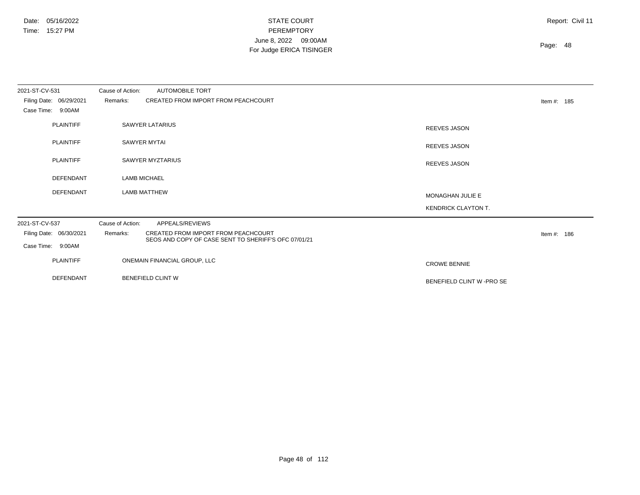| 2021-ST-CV-531<br>Filing Date: 06/29/2021<br>Case Time:<br>9:00AM | Cause of Action:<br><b>AUTOMOBILE TORT</b><br>Remarks:<br>CREATED FROM IMPORT FROM PEACHCOURT | Item #: $185$             |
|-------------------------------------------------------------------|-----------------------------------------------------------------------------------------------|---------------------------|
| <b>PLAINTIFF</b>                                                  | <b>SAWYER LATARIUS</b>                                                                        | <b>REEVES JASON</b>       |
| <b>PLAINTIFF</b>                                                  | SAWYER MYTAI                                                                                  | <b>REEVES JASON</b>       |
| PLAINTIFF                                                         | SAWYER MYZTARIUS                                                                              | <b>REEVES JASON</b>       |
| DEFENDANT                                                         | <b>LAMB MICHAEL</b>                                                                           |                           |
| DEFENDANT                                                         | <b>LAMB MATTHEW</b>                                                                           | <b>MONAGHAN JULIE E</b>   |
|                                                                   |                                                                                               | KENDRICK CLAYTON T.       |
| 2021-ST-CV-537                                                    | APPEALS/REVIEWS<br>Cause of Action:                                                           |                           |
| Filing Date: 06/30/2021                                           | CREATED FROM IMPORT FROM PEACHCOURT<br>Remarks:                                               | Item #: $186$             |
| Case Time:<br>9:00AM                                              | SEOS AND COPY OF CASE SENT TO SHERIFF'S OFC 07/01/21                                          |                           |
| <b>PLAINTIFF</b>                                                  | ONEMAIN FINANCIAL GROUP, LLC                                                                  | <b>CROWE BENNIE</b>       |
| <b>DEFENDANT</b>                                                  | <b>BENEFIELD CLINT W</b>                                                                      | BENEFIELD CLINT W -PRO SE |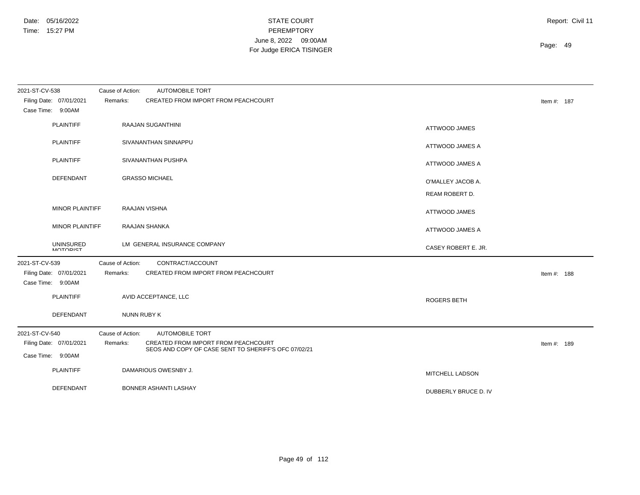| 2021-ST-CV-538                               | Cause of Action: | <b>AUTOMOBILE TORT</b>                                                                      |                      |             |  |
|----------------------------------------------|------------------|---------------------------------------------------------------------------------------------|----------------------|-------------|--|
| Filing Date: 07/01/2021<br>Case Time: 9:00AM | Remarks:         | CREATED FROM IMPORT FROM PEACHCOURT                                                         |                      | Item #: 187 |  |
| <b>PLAINTIFF</b>                             |                  | RAAJAN SUGANTHINI                                                                           | <b>ATTWOOD JAMES</b> |             |  |
| <b>PLAINTIFF</b>                             |                  | SIVANANTHAN SINNAPPU                                                                        | ATTWOOD JAMES A      |             |  |
| <b>PLAINTIFF</b>                             |                  | SIVANANTHAN PUSHPA                                                                          | ATTWOOD JAMES A      |             |  |
| DEFENDANT                                    |                  | <b>GRASSO MICHAEL</b>                                                                       | O'MALLEY JACOB A.    |             |  |
|                                              |                  |                                                                                             | REAM ROBERT D.       |             |  |
| <b>MINOR PLAINTIFF</b>                       |                  | RAAJAN VISHNA                                                                               | <b>ATTWOOD JAMES</b> |             |  |
| <b>MINOR PLAINTIFF</b>                       |                  | RAAJAN SHANKA                                                                               | ATTWOOD JAMES A      |             |  |
| <b>UNINSURED</b><br><b>MOTORIST</b>          |                  | LM GENERAL INSURANCE COMPANY                                                                | CASEY ROBERT E. JR.  |             |  |
| 2021-ST-CV-539                               | Cause of Action: | CONTRACT/ACCOUNT                                                                            |                      |             |  |
| Filing Date: 07/01/2021<br>Case Time: 9:00AM | Remarks:         | CREATED FROM IMPORT FROM PEACHCOURT                                                         |                      | Item #: 188 |  |
| PLAINTIFF                                    |                  | AVID ACCEPTANCE, LLC                                                                        | <b>ROGERS BETH</b>   |             |  |
| <b>DEFENDANT</b>                             |                  | NUNN RUBY K                                                                                 |                      |             |  |
| 2021-ST-CV-540                               | Cause of Action: | <b>AUTOMOBILE TORT</b>                                                                      |                      |             |  |
| Filing Date: 07/01/2021<br>Case Time: 9:00AM | Remarks:         | CREATED FROM IMPORT FROM PEACHCOURT<br>SEOS AND COPY OF CASE SENT TO SHERIFF'S OFC 07/02/21 |                      | Item #: 189 |  |
| <b>PLAINTIFF</b>                             |                  | DAMARIOUS OWESNBY J.                                                                        | MITCHELL LADSON      |             |  |
| DEFENDANT                                    |                  | BONNER ASHANTI LASHAY                                                                       | DUBBERLY BRUCE D. IV |             |  |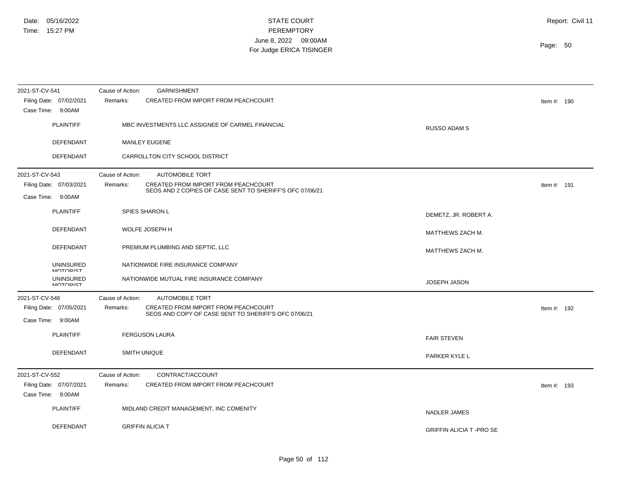| 2021-ST-CV-541                               | <b>GARNISHMENT</b><br>Cause of Action:                                                                      |                               |               |
|----------------------------------------------|-------------------------------------------------------------------------------------------------------------|-------------------------------|---------------|
| Filing Date: 07/02/2021<br>Case Time: 9:00AM | CREATED FROM IMPORT FROM PEACHCOURT<br>Remarks:                                                             |                               | Item #: $190$ |
| <b>PLAINTIFF</b>                             | MBC INVESTMENTS LLC ASSIGNEE OF CARMEL FINANCIAL                                                            | <b>RUSSO ADAM S</b>           |               |
| <b>DEFENDANT</b>                             | <b>MANLEY EUGENE</b>                                                                                        |                               |               |
| DEFENDANT                                    | CARROLLTON CITY SCHOOL DISTRICT                                                                             |                               |               |
| 2021-ST-CV-543                               | Cause of Action:<br><b>AUTOMOBILE TORT</b>                                                                  |                               |               |
| Filing Date: 07/03/2021                      | CREATED FROM IMPORT FROM PEACHCOURT<br>Remarks:<br>SEOS AND 2 COPIES OF CASE SENT TO SHERIFF'S OFC 07/06/21 |                               | Item #: $191$ |
| Case Time: 9:00AM                            |                                                                                                             |                               |               |
| <b>PLAINTIFF</b>                             | SPIES SHARON L                                                                                              | DEMETZ, JR. ROBERT A.         |               |
| DEFENDANT                                    | WOLFE JOSEPH H                                                                                              | MATTHEWS ZACH M.              |               |
| DEFENDANT                                    | PREMIUM PLUMBING AND SEPTIC, LLC                                                                            | MATTHEWS ZACH M.              |               |
| <b>UNINSURED</b><br><b>MOTORIST</b>          | NATIONWIDE FIRE INSURANCE COMPANY                                                                           |                               |               |
| <b>UNINSURED</b><br><b>MOTORIST</b>          | NATIONWIDE MUTUAL FIRE INSURANCE COMPANY                                                                    | JOSEPH JASON                  |               |
| 2021-ST-CV-546                               | Cause of Action:<br><b>AUTOMOBILE TORT</b>                                                                  |                               |               |
| Filing Date: 07/05/2021                      | CREATED FROM IMPORT FROM PEACHCOURT<br>Remarks:<br>SEOS AND COPY OF CASE SENT TO SHERIFF'S OFC 07/06/21     |                               | Item #: $192$ |
| Case Time: 9:00AM                            |                                                                                                             |                               |               |
| <b>PLAINTIFF</b>                             | <b>FERGUSON LAURA</b>                                                                                       | <b>FAIR STEVEN</b>            |               |
| DEFENDANT                                    | <b>SMITH UNIQUE</b>                                                                                         | PARKER KYLE L                 |               |
| 2021-ST-CV-552                               | Cause of Action:<br>CONTRACT/ACCOUNT                                                                        |                               |               |
| Filing Date: 07/07/2021<br>Case Time: 9:00AM | CREATED FROM IMPORT FROM PEACHCOURT<br>Remarks:                                                             |                               | Item #: $193$ |
| <b>PLAINTIFF</b>                             | MIDLAND CREDIT MANAGEMENT, INC COMENITY                                                                     | <b>NADLER JAMES</b>           |               |
| DEFENDANT                                    | <b>GRIFFIN ALICIA T</b>                                                                                     | <b>GRIFFIN ALICIA T-PROSE</b> |               |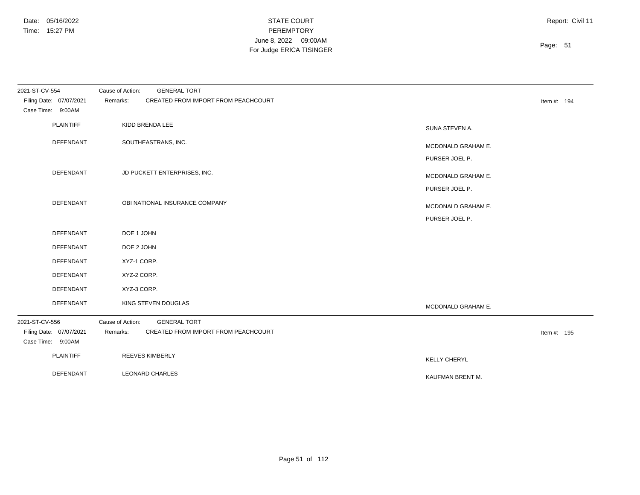| 2021-ST-CV-554                                                 | <b>GENERAL TORT</b><br>Cause of Action:                                                    |                                      |             |
|----------------------------------------------------------------|--------------------------------------------------------------------------------------------|--------------------------------------|-------------|
| Filing Date: 07/07/2021<br>Case Time: 9:00AM                   | CREATED FROM IMPORT FROM PEACHCOURT<br>Remarks:                                            |                                      | Item #: 194 |
| <b>PLAINTIFF</b>                                               | KIDD BRENDA LEE                                                                            | SUNA STEVEN A.                       |             |
| DEFENDANT                                                      | SOUTHEASTRANS, INC.                                                                        | MCDONALD GRAHAM E.<br>PURSER JOEL P. |             |
| DEFENDANT                                                      | JD PUCKETT ENTERPRISES, INC.                                                               | MCDONALD GRAHAM E.<br>PURSER JOEL P. |             |
| <b>DEFENDANT</b>                                               | OBI NATIONAL INSURANCE COMPANY                                                             | MCDONALD GRAHAM E.<br>PURSER JOEL P. |             |
| DEFENDANT                                                      | DOE 1 JOHN                                                                                 |                                      |             |
| DEFENDANT                                                      | DOE 2 JOHN                                                                                 |                                      |             |
| DEFENDANT                                                      | XYZ-1 CORP.                                                                                |                                      |             |
| DEFENDANT                                                      | XYZ-2 CORP.                                                                                |                                      |             |
| DEFENDANT                                                      | XYZ-3 CORP.                                                                                |                                      |             |
| DEFENDANT                                                      | KING STEVEN DOUGLAS                                                                        | MCDONALD GRAHAM E.                   |             |
| 2021-ST-CV-556<br>Filing Date: 07/07/2021<br>Case Time: 9:00AM | <b>GENERAL TORT</b><br>Cause of Action:<br>CREATED FROM IMPORT FROM PEACHCOURT<br>Remarks: |                                      | Item #: 195 |
| <b>PLAINTIFF</b>                                               | <b>REEVES KIMBERLY</b>                                                                     | <b>KELLY CHERYL</b>                  |             |
| <b>DEFENDANT</b>                                               | <b>LEONARD CHARLES</b>                                                                     | KAUFMAN BRENT M.                     |             |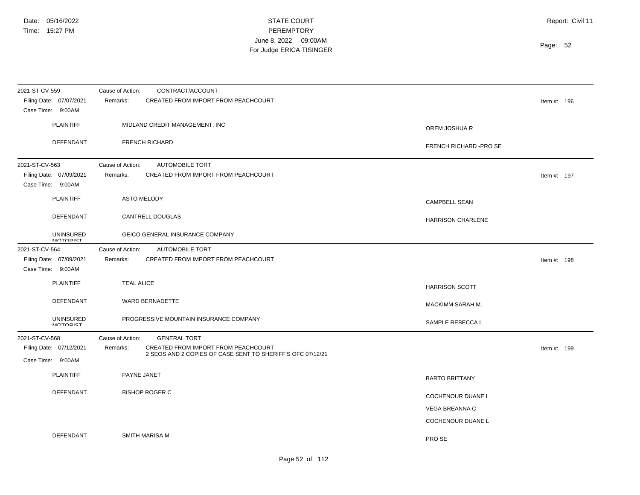| 2021-ST-CV-559                               | CONTRACT/ACCOUNT<br>Cause of Action:                       |                          |
|----------------------------------------------|------------------------------------------------------------|--------------------------|
| Filing Date: 07/07/2021<br>Case Time: 9:00AM | CREATED FROM IMPORT FROM PEACHCOURT<br>Remarks:            | Item #: $196$            |
| <b>PLAINTIFF</b>                             | MIDLAND CREDIT MANAGEMENT, INC                             | OREM JOSHUA R            |
| DEFENDANT                                    | <b>FRENCH RICHARD</b>                                      | FRENCH RICHARD -PRO SE   |
| 2021-ST-CV-563                               | Cause of Action:<br>AUTOMOBILE TORT                        |                          |
| Filing Date: 07/09/2021<br>Case Time: 9:00AM | CREATED FROM IMPORT FROM PEACHCOURT<br>Remarks:            | Item #: $197$            |
| <b>PLAINTIFF</b>                             | <b>ASTO MELODY</b>                                         | <b>CAMPBELL SEAN</b>     |
| <b>DEFENDANT</b>                             | CANTRELL DOUGLAS                                           | <b>HARRISON CHARLENE</b> |
| <b>UNINSURED</b><br><b>MOTORIST</b>          | GEICO GENERAL INSURANCE COMPANY                            |                          |
| 2021-ST-CV-564                               | Cause of Action:<br><b>AUTOMOBILE TORT</b>                 |                          |
| Filing Date: 07/09/2021                      | CREATED FROM IMPORT FROM PEACHCOURT<br>Remarks:            | Item #: 198              |
| Case Time: 9:00AM                            |                                                            |                          |
| <b>PLAINTIFF</b>                             | <b>TEAL ALICE</b>                                          | <b>HARRISON SCOTT</b>    |
| <b>DEFENDANT</b>                             | WARD BERNADETTE                                            | MACKIMM SARAH M.         |
| <b>UNINSURED</b><br><b>MOTORIST</b>          | PROGRESSIVE MOUNTAIN INSURANCE COMPANY                     | SAMPLE REBECCA L         |
| 2021-ST-CV-568                               | <b>GENERAL TORT</b><br>Cause of Action:                    |                          |
| Filing Date: 07/12/2021                      | CREATED FROM IMPORT FROM PEACHCOURT<br>Remarks:            | Item #: 199              |
| Case Time: 9:00AM                            | 2 SEOS AND 2 COPIES OF CASE SENT TO SHERIFF'S OFC 07/12/21 |                          |
| <b>PLAINTIFF</b>                             | PAYNE JANET                                                | <b>BARTO BRITTANY</b>    |
| <b>DEFENDANT</b>                             | <b>BISHOP ROGER C</b>                                      | <b>COCHENOUR DUANE L</b> |
|                                              |                                                            | <b>VEGA BREANNA C</b>    |
|                                              |                                                            | COCHENOUR DUANE L        |
| <b>DEFENDANT</b>                             | SMITH MARISA M                                             | PRO SE                   |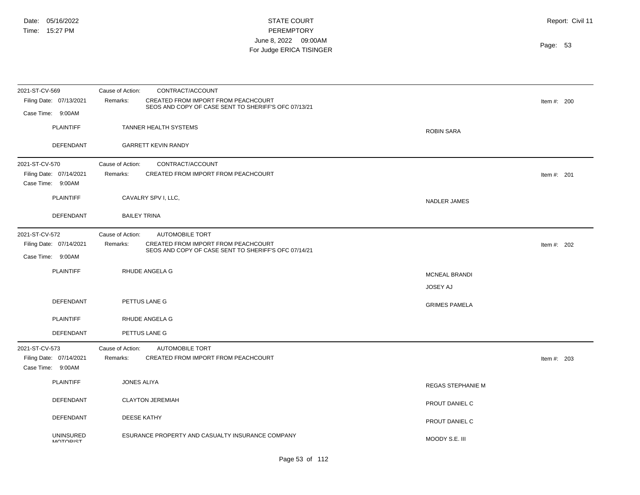| 2021-ST-CV-569                               | Cause of Action:    | CONTRACT/ACCOUNT                                                                            |                          |               |  |
|----------------------------------------------|---------------------|---------------------------------------------------------------------------------------------|--------------------------|---------------|--|
| Filing Date: 07/13/2021                      | Remarks:            | CREATED FROM IMPORT FROM PEACHCOURT<br>SEOS AND COPY OF CASE SENT TO SHERIFF'S OFC 07/13/21 |                          | Item #: $200$ |  |
| Case Time: 9:00AM                            |                     |                                                                                             |                          |               |  |
| <b>PLAINTIFF</b>                             |                     | TANNER HEALTH SYSTEMS                                                                       | <b>ROBIN SARA</b>        |               |  |
| DEFENDANT                                    |                     | <b>GARRETT KEVIN RANDY</b>                                                                  |                          |               |  |
| 2021-ST-CV-570                               | Cause of Action:    | CONTRACT/ACCOUNT                                                                            |                          |               |  |
| Filing Date: 07/14/2021<br>Case Time: 9:00AM | Remarks:            | CREATED FROM IMPORT FROM PEACHCOURT                                                         |                          | Item #: $201$ |  |
| <b>PLAINTIFF</b>                             |                     | CAVALRY SPV I, LLC,                                                                         | NADLER JAMES             |               |  |
| <b>DEFENDANT</b>                             | <b>BAILEY TRINA</b> |                                                                                             |                          |               |  |
| 2021-ST-CV-572                               | Cause of Action:    | <b>AUTOMOBILE TORT</b>                                                                      |                          |               |  |
| Filing Date: 07/14/2021                      | Remarks:            | CREATED FROM IMPORT FROM PEACHCOURT<br>SEOS AND COPY OF CASE SENT TO SHERIFF'S OFC 07/14/21 |                          | Item #: 202   |  |
| Case Time: 9:00AM                            |                     |                                                                                             |                          |               |  |
| <b>PLAINTIFF</b>                             |                     | RHUDE ANGELA G                                                                              | <b>MCNEAL BRANDI</b>     |               |  |
|                                              |                     |                                                                                             | <b>JOSEY AJ</b>          |               |  |
| <b>DEFENDANT</b>                             |                     | PETTUS LANE G                                                                               | <b>GRIMES PAMELA</b>     |               |  |
| <b>PLAINTIFF</b>                             |                     | <b>RHUDE ANGELA G</b>                                                                       |                          |               |  |
| DEFENDANT                                    |                     | PETTUS LANE G                                                                               |                          |               |  |
| 2021-ST-CV-573                               | Cause of Action:    | <b>AUTOMOBILE TORT</b>                                                                      |                          |               |  |
| Filing Date: 07/14/2021<br>Case Time: 9:00AM | Remarks:            | CREATED FROM IMPORT FROM PEACHCOURT                                                         |                          | Item #: $203$ |  |
| <b>PLAINTIFF</b>                             | <b>JONES ALIYA</b>  |                                                                                             | <b>REGAS STEPHANIE M</b> |               |  |
| <b>DEFENDANT</b>                             |                     | <b>CLAYTON JEREMIAH</b>                                                                     | PROUT DANIEL C           |               |  |
| <b>DEFENDANT</b>                             | <b>DEESE KATHY</b>  |                                                                                             | PROUT DANIEL C           |               |  |
| <b>UNINSURED</b><br><b>MOTORIST</b>          |                     | ESURANCE PROPERTY AND CASUALTY INSURANCE COMPANY                                            | MOODY S.E. III           |               |  |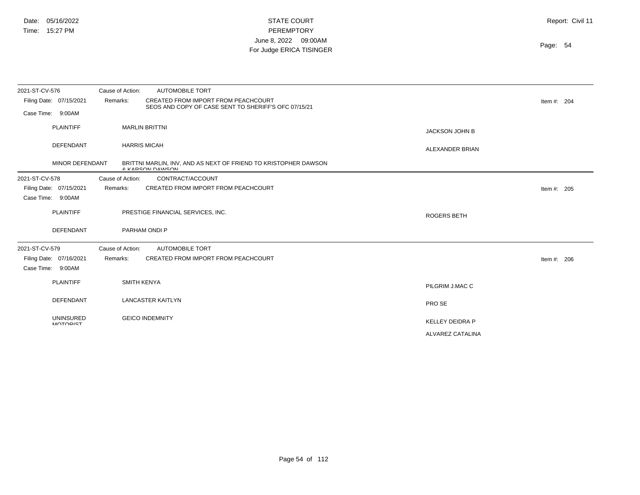| 2021-ST-CV-576                               | Cause of Action:<br><b>AUTOMOBILE TORT</b>                                                              |                        |               |
|----------------------------------------------|---------------------------------------------------------------------------------------------------------|------------------------|---------------|
| Filing Date: 07/15/2021                      | CREATED FROM IMPORT FROM PEACHCOURT<br>Remarks:<br>SEOS AND COPY OF CASE SENT TO SHERIFF'S OFC 07/15/21 |                        | Item #: $204$ |
| Case Time: 9:00AM                            |                                                                                                         |                        |               |
| <b>PLAINTIFF</b>                             | <b>MARLIN BRITTNI</b>                                                                                   | <b>JACKSON JOHN B</b>  |               |
| DEFENDANT                                    | <b>HARRIS MICAH</b>                                                                                     | ALEXANDER BRIAN        |               |
| MINOR DEFENDANT                              | BRITTNI MARLIN, INV, AND AS NEXT OF FRIEND TO KRISTOPHER DAWSON<br><b><i>R. KADSON DAMISON</i></b>      |                        |               |
| 2021-ST-CV-578                               | Cause of Action:<br>CONTRACT/ACCOUNT                                                                    |                        |               |
| Filing Date: 07/15/2021<br>Case Time: 9:00AM | CREATED FROM IMPORT FROM PEACHCOURT<br>Remarks:                                                         |                        | Item #: $205$ |
| <b>PLAINTIFF</b>                             | PRESTIGE FINANCIAL SERVICES, INC.                                                                       | <b>ROGERS BETH</b>     |               |
| DEFENDANT                                    | PARHAM ONDI P                                                                                           |                        |               |
| 2021-ST-CV-579                               | Cause of Action:<br><b>AUTOMOBILE TORT</b>                                                              |                        |               |
| Filing Date: 07/16/2021<br>Case Time: 9:00AM | CREATED FROM IMPORT FROM PEACHCOURT<br>Remarks:                                                         |                        | Item #: $206$ |
| <b>PLAINTIFF</b>                             | <b>SMITH KENYA</b>                                                                                      | PILGRIM J.MAC C        |               |
| DEFENDANT                                    | <b>LANCASTER KAITLYN</b>                                                                                | PRO SE                 |               |
| <b>UNINSURED</b><br><b>MOTODICT</b>          | <b>GEICO INDEMNITY</b>                                                                                  | <b>KELLEY DEIDRA P</b> |               |
|                                              |                                                                                                         | ALVAREZ CATALINA       |               |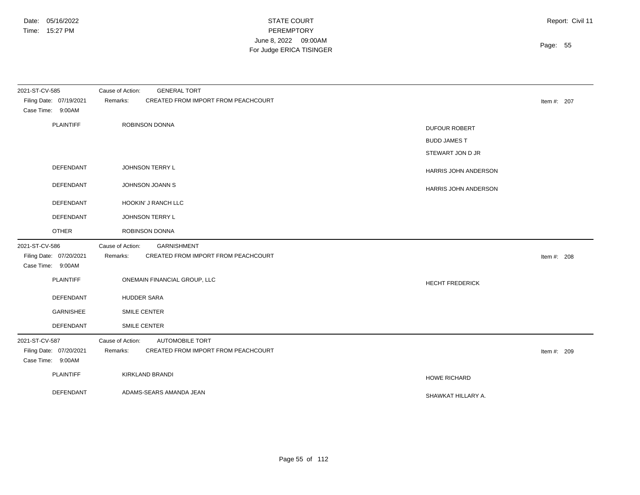| 2021-ST-CV-585                                                 | <b>GENERAL TORT</b><br>Cause of Action:                                                   |                        |
|----------------------------------------------------------------|-------------------------------------------------------------------------------------------|------------------------|
| Filing Date: 07/19/2021<br>Case Time: 9:00AM                   | CREATED FROM IMPORT FROM PEACHCOURT<br>Remarks:                                           | Item #: 207            |
| <b>PLAINTIFF</b>                                               | ROBINSON DONNA                                                                            | <b>DUFOUR ROBERT</b>   |
|                                                                |                                                                                           | <b>BUDD JAMES T</b>    |
|                                                                |                                                                                           | STEWART JON D JR       |
| DEFENDANT                                                      | JOHNSON TERRY L                                                                           | HARRIS JOHN ANDERSON   |
| <b>DEFENDANT</b>                                               | JOHNSON JOANN S                                                                           | HARRIS JOHN ANDERSON   |
| <b>DEFENDANT</b>                                               | HOOKIN' J RANCH LLC                                                                       |                        |
| <b>DEFENDANT</b>                                               | JOHNSON TERRY L                                                                           |                        |
| <b>OTHER</b>                                                   | ROBINSON DONNA                                                                            |                        |
| 2021-ST-CV-586<br>Filing Date: 07/20/2021<br>Case Time: 9:00AM | <b>GARNISHMENT</b><br>Cause of Action:<br>CREATED FROM IMPORT FROM PEACHCOURT<br>Remarks: | Item #: 208            |
| <b>PLAINTIFF</b>                                               | ONEMAIN FINANCIAL GROUP, LLC                                                              | <b>HECHT FREDERICK</b> |
| <b>DEFENDANT</b>                                               | <b>HUDDER SARA</b>                                                                        |                        |
| <b>GARNISHEE</b>                                               | SMILE CENTER                                                                              |                        |
| <b>DEFENDANT</b>                                               | SMILE CENTER                                                                              |                        |
| 2021-ST-CV-587<br>Filing Date: 07/20/2021<br>Case Time: 9:00AM | AUTOMOBILE TORT<br>Cause of Action:<br>CREATED FROM IMPORT FROM PEACHCOURT<br>Remarks:    | Item #: 209            |
| <b>PLAINTIFF</b>                                               | <b>KIRKLAND BRANDI</b>                                                                    | <b>HOWE RICHARD</b>    |
| <b>DEFENDANT</b>                                               | ADAMS-SEARS AMANDA JEAN                                                                   | SHAWKAT HILLARY A.     |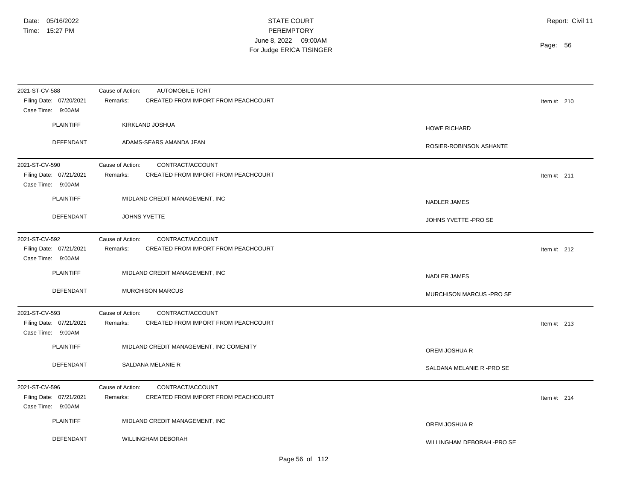| 2021-ST-CV-588                                                 | <b>AUTOMOBILE TORT</b><br>Cause of Action:                                              |                            |
|----------------------------------------------------------------|-----------------------------------------------------------------------------------------|----------------------------|
| Filing Date: 07/20/2021<br>Case Time: 9:00AM                   | Remarks:<br>CREATED FROM IMPORT FROM PEACHCOURT                                         | Item #: $210$              |
| <b>PLAINTIFF</b>                                               | KIRKLAND JOSHUA                                                                         | <b>HOWE RICHARD</b>        |
| DEFENDANT                                                      | ADAMS-SEARS AMANDA JEAN                                                                 | ROSIER-ROBINSON ASHANTE    |
| 2021-ST-CV-590                                                 | Cause of Action:<br>CONTRACT/ACCOUNT                                                    |                            |
| Filing Date: 07/21/2021<br>Case Time: 9:00AM                   | CREATED FROM IMPORT FROM PEACHCOURT<br>Remarks:                                         | Item #: $211$              |
| <b>PLAINTIFF</b>                                               | MIDLAND CREDIT MANAGEMENT, INC                                                          | NADLER JAMES               |
| DEFENDANT                                                      | <b>JOHNS YVETTE</b>                                                                     | JOHNS YVETTE - PRO SE      |
| 2021-ST-CV-592<br>Filing Date: 07/21/2021<br>Case Time: 9:00AM | CONTRACT/ACCOUNT<br>Cause of Action:<br>CREATED FROM IMPORT FROM PEACHCOURT<br>Remarks: | Item #: $212$              |
| <b>PLAINTIFF</b>                                               | MIDLAND CREDIT MANAGEMENT, INC                                                          | NADLER JAMES               |
| <b>DEFENDANT</b>                                               | <b>MURCHISON MARCUS</b>                                                                 | MURCHISON MARCUS - PRO SE  |
| 2021-ST-CV-593                                                 | CONTRACT/ACCOUNT<br>Cause of Action:                                                    |                            |
| Filing Date: 07/21/2021<br>Case Time: 9:00AM                   | CREATED FROM IMPORT FROM PEACHCOURT<br>Remarks:                                         | Item #: $213$              |
| <b>PLAINTIFF</b>                                               | MIDLAND CREDIT MANAGEMENT, INC COMENITY                                                 | OREM JOSHUA R              |
| DEFENDANT                                                      | SALDANA MELANIE R                                                                       | SALDANA MELANIE R -PRO SE  |
| 2021-ST-CV-596                                                 | CONTRACT/ACCOUNT<br>Cause of Action:                                                    |                            |
| Filing Date: 07/21/2021<br>Case Time: 9:00AM                   | Remarks:<br>CREATED FROM IMPORT FROM PEACHCOURT                                         | Item #: $214$              |
| <b>PLAINTIFF</b>                                               | MIDLAND CREDIT MANAGEMENT, INC                                                          | OREM JOSHUA R              |
| DEFENDANT                                                      | WILLINGHAM DEBORAH                                                                      | WILLINGHAM DEBORAH -PRO SE |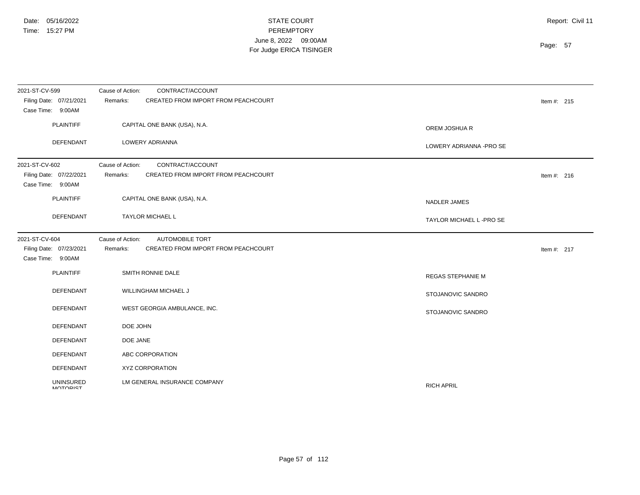| 2021-ST-CV-599<br>Filing Date: 07/21/2021<br>Case Time: 9:00AM | CONTRACT/ACCOUNT<br>Cause of Action:<br>CREATED FROM IMPORT FROM PEACHCOURT<br>Remarks:       | Item #: $215$            |
|----------------------------------------------------------------|-----------------------------------------------------------------------------------------------|--------------------------|
| <b>PLAINTIFF</b>                                               | CAPITAL ONE BANK (USA), N.A.                                                                  | OREM JOSHUA R            |
| DEFENDANT                                                      | LOWERY ADRIANNA                                                                               | LOWERY ADRIANNA - PRO SE |
| 2021-ST-CV-602<br>Filing Date: 07/22/2021<br>Case Time: 9:00AM | CONTRACT/ACCOUNT<br>Cause of Action:<br>CREATED FROM IMPORT FROM PEACHCOURT<br>Remarks:       | Item #: $216$            |
| <b>PLAINTIFF</b>                                               | CAPITAL ONE BANK (USA), N.A.                                                                  | NADLER JAMES             |
| DEFENDANT                                                      | TAYLOR MICHAEL L                                                                              | TAYLOR MICHAEL L-PRO SE  |
| 2021-ST-CV-604<br>Filing Date: 07/23/2021<br>Case Time: 9:00AM | <b>AUTOMOBILE TORT</b><br>Cause of Action:<br>CREATED FROM IMPORT FROM PEACHCOURT<br>Remarks: | Item #: $217$            |
| <b>PLAINTIFF</b>                                               | SMITH RONNIE DALE                                                                             | <b>REGAS STEPHANIE M</b> |
| DEFENDANT                                                      | WILLINGHAM MICHAEL J                                                                          | STOJANOVIC SANDRO        |
| DEFENDANT                                                      | WEST GEORGIA AMBULANCE, INC.                                                                  | STOJANOVIC SANDRO        |
| <b>DEFENDANT</b>                                               | DOE JOHN                                                                                      |                          |
| DEFENDANT                                                      | DOE JANE                                                                                      |                          |
| <b>DEFENDANT</b>                                               | ABC CORPORATION                                                                               |                          |
| <b>DEFENDANT</b>                                               | <b>XYZ CORPORATION</b>                                                                        |                          |
| <b>UNINSURED</b><br><b>MOTORIST</b>                            | LM GENERAL INSURANCE COMPANY                                                                  | <b>RICH APRIL</b>        |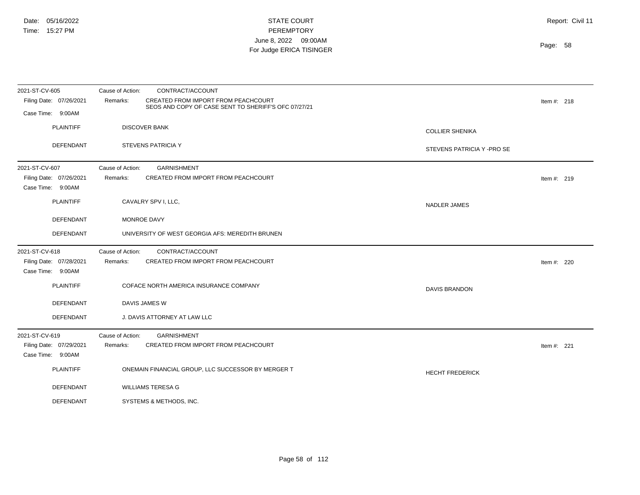| 2021-ST-CV-605                                                 | Cause of Action:<br>CONTRACT/ACCOUNT                                                                           |                            |
|----------------------------------------------------------------|----------------------------------------------------------------------------------------------------------------|----------------------------|
| Filing Date: 07/26/2021                                        | <b>CREATED FROM IMPORT FROM PEACHCOURT</b><br>Remarks:<br>SEOS AND COPY OF CASE SENT TO SHERIFF'S OFC 07/27/21 | Item #: $218$              |
| Case Time: 9:00AM                                              |                                                                                                                |                            |
| <b>PLAINTIFF</b>                                               | <b>DISCOVER BANK</b>                                                                                           | <b>COLLIER SHENIKA</b>     |
| DEFENDANT                                                      | <b>STEVENS PATRICIA Y</b>                                                                                      | STEVENS PATRICIA Y -PRO SE |
| 2021-ST-CV-607                                                 | <b>GARNISHMENT</b><br>Cause of Action:                                                                         |                            |
| Filing Date: 07/26/2021<br>Case Time: 9:00AM                   | Remarks:<br>CREATED FROM IMPORT FROM PEACHCOURT                                                                | Item #: 219                |
| <b>PLAINTIFF</b>                                               | CAVALRY SPV I, LLC,                                                                                            | NADLER JAMES               |
| <b>DEFENDANT</b>                                               | MONROE DAVY                                                                                                    |                            |
| <b>DEFENDANT</b>                                               | UNIVERSITY OF WEST GEORGIA AFS: MEREDITH BRUNEN                                                                |                            |
| 2021-ST-CV-618                                                 | Cause of Action:<br>CONTRACT/ACCOUNT                                                                           |                            |
| Filing Date: 07/28/2021<br>Case Time: 9:00AM                   | CREATED FROM IMPORT FROM PEACHCOURT<br>Remarks:                                                                | Item #: $220$              |
| <b>PLAINTIFF</b>                                               | COFACE NORTH AMERICA INSURANCE COMPANY                                                                         | <b>DAVIS BRANDON</b>       |
| <b>DEFENDANT</b>                                               | DAVIS JAMES W                                                                                                  |                            |
| DEFENDANT                                                      | J. DAVIS ATTORNEY AT LAW LLC                                                                                   |                            |
| 2021-ST-CV-619<br>Filing Date: 07/29/2021<br>Case Time: 9:00AM | <b>GARNISHMENT</b><br>Cause of Action:<br>CREATED FROM IMPORT FROM PEACHCOURT<br>Remarks:                      | Item #: $221$              |
| <b>PLAINTIFF</b>                                               | ONEMAIN FINANCIAL GROUP, LLC SUCCESSOR BY MERGER T                                                             | <b>HECHT FREDERICK</b>     |
| DEFENDANT                                                      | <b>WILLIAMS TERESA G</b>                                                                                       |                            |
| DEFENDANT                                                      | SYSTEMS & METHODS, INC.                                                                                        |                            |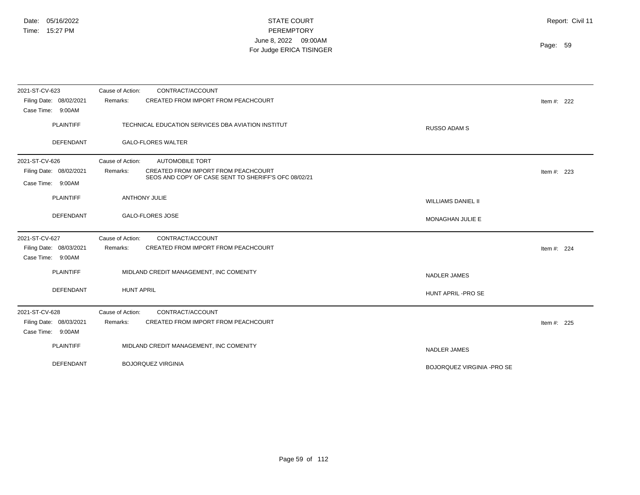| 2021-ST-CV-623          | Cause of Action:<br>CONTRACT/ACCOUNT                                                                    |                             |  |
|-------------------------|---------------------------------------------------------------------------------------------------------|-----------------------------|--|
| Filing Date: 08/02/2021 | CREATED FROM IMPORT FROM PEACHCOURT<br>Remarks:                                                         | Item #: $222$               |  |
| Case Time: 9:00AM       |                                                                                                         |                             |  |
| <b>PLAINTIFF</b>        | TECHNICAL EDUCATION SERVICES DBA AVIATION INSTITUT                                                      | <b>RUSSO ADAM S</b>         |  |
|                         |                                                                                                         |                             |  |
| <b>DEFENDANT</b>        | <b>GALO-FLORES WALTER</b>                                                                               |                             |  |
| 2021-ST-CV-626          | <b>AUTOMOBILE TORT</b><br>Cause of Action:                                                              |                             |  |
| Filing Date: 08/02/2021 | CREATED FROM IMPORT FROM PEACHCOURT<br>Remarks:<br>SEOS AND COPY OF CASE SENT TO SHERIFF'S OFC 08/02/21 | Item #: $223$               |  |
| Case Time: 9:00AM       |                                                                                                         |                             |  |
| <b>PLAINTIFF</b>        | <b>ANTHONY JULIE</b>                                                                                    | <b>WILLIAMS DANIEL II</b>   |  |
|                         |                                                                                                         |                             |  |
| DEFENDANT               | <b>GALO-FLORES JOSE</b>                                                                                 | <b>MONAGHAN JULIE E</b>     |  |
| 2021-ST-CV-627          | CONTRACT/ACCOUNT<br>Cause of Action:                                                                    |                             |  |
| Filing Date: 08/03/2021 | CREATED FROM IMPORT FROM PEACHCOURT<br>Remarks:                                                         | Item #: $224$               |  |
| Case Time: 9:00AM       |                                                                                                         |                             |  |
| <b>PLAINTIFF</b>        | MIDLAND CREDIT MANAGEMENT, INC COMENITY                                                                 | NADLER JAMES                |  |
|                         |                                                                                                         |                             |  |
| <b>DEFENDANT</b>        | <b>HUNT APRIL</b>                                                                                       | HUNT APRIL-PRO SE           |  |
| 2021-ST-CV-628          | Cause of Action:<br>CONTRACT/ACCOUNT                                                                    |                             |  |
| Filing Date: 08/03/2021 | Remarks:<br>CREATED FROM IMPORT FROM PEACHCOURT                                                         | Item #: $225$               |  |
| Case Time: 9:00AM       |                                                                                                         |                             |  |
| <b>PLAINTIFF</b>        | MIDLAND CREDIT MANAGEMENT, INC COMENITY                                                                 | NADLER JAMES                |  |
| DEFENDANT               | <b>BOJORQUEZ VIRGINIA</b>                                                                               | BOJORQUEZ VIRGINIA - PRO SE |  |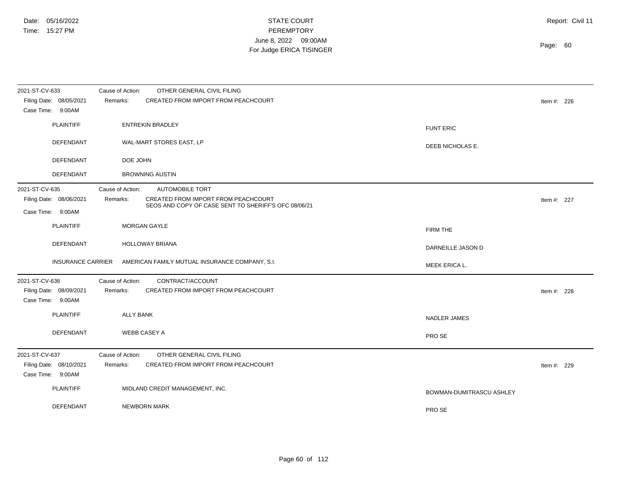| 2021-ST-CV-633                               | Cause of Action:<br>OTHER GENERAL CIVIL FILING                                                          |                          |
|----------------------------------------------|---------------------------------------------------------------------------------------------------------|--------------------------|
| Filing Date: 08/05/2021<br>Case Time: 9:00AM | CREATED FROM IMPORT FROM PEACHCOURT<br>Remarks:                                                         | Item #: $226$            |
|                                              |                                                                                                         |                          |
| <b>PLAINTIFF</b>                             | <b>ENTREKIN BRADLEY</b>                                                                                 | <b>FUNT ERIC</b>         |
| <b>DEFENDANT</b>                             | WAL-MART STORES EAST, LP                                                                                | DEEB NICHOLAS E.         |
| DEFENDANT                                    | DOE JOHN                                                                                                |                          |
| DEFENDANT                                    | <b>BROWNING AUSTIN</b>                                                                                  |                          |
| 2021-ST-CV-635                               | AUTOMOBILE TORT<br>Cause of Action:                                                                     |                          |
| Filing Date: 08/06/2021                      | Remarks:<br>CREATED FROM IMPORT FROM PEACHCOURT<br>SEOS AND COPY OF CASE SENT TO SHERIFF'S OFC 08/06/21 | Item #: $227$            |
| Case Time: 9:00AM                            |                                                                                                         |                          |
| <b>PLAINTIFF</b>                             | <b>MORGAN GAYLE</b>                                                                                     | <b>FIRM THE</b>          |
| DEFENDANT                                    | <b>HOLLOWAY BRIANA</b>                                                                                  | DARNEILLE JASON D        |
| <b>INSURANCE CARRIER</b>                     | AMERICAN FAMILY MUTUAL INSURANCE COMPANY, S.I.                                                          | MEEK ERICA L.            |
| 2021-ST-CV-636                               | CONTRACT/ACCOUNT<br>Cause of Action:                                                                    |                          |
| Filing Date: 08/09/2021<br>Case Time: 9:00AM | <b>CREATED FROM IMPORT FROM PEACHCOURT</b><br>Remarks:                                                  | Item #: $228$            |
| <b>PLAINTIFF</b>                             | <b>ALLY BANK</b>                                                                                        | NADLER JAMES             |
| DEFENDANT                                    | <b>WEBB CASEY A</b>                                                                                     | PRO SE                   |
| 2021-ST-CV-637                               | OTHER GENERAL CIVIL FILING<br>Cause of Action:                                                          |                          |
| Filing Date: 08/10/2021<br>Case Time: 9:00AM | CREATED FROM IMPORT FROM PEACHCOURT<br>Remarks:                                                         | Item #: $229$            |
| <b>PLAINTIFF</b>                             | MIDLAND CREDIT MANAGEMENT, INC.                                                                         | BOWMAN-DUMITRASCU ASHLEY |
| DEFENDANT                                    | <b>NEWBORN MARK</b>                                                                                     | PRO SE                   |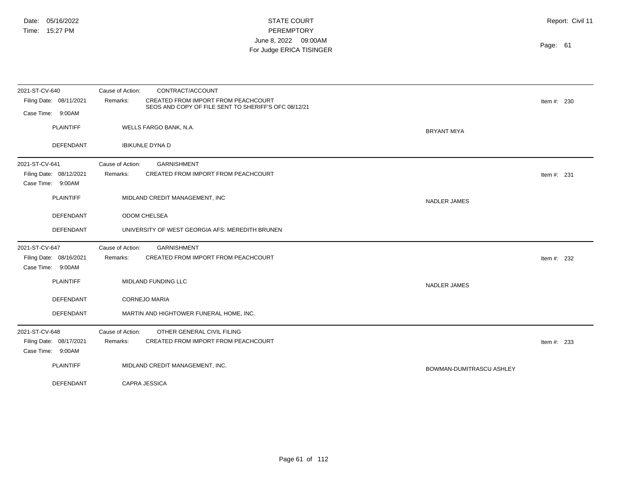| 2021-ST-CV-640                               | CONTRACT/ACCOUNT<br>Cause of Action:                                                                    |                          |  |
|----------------------------------------------|---------------------------------------------------------------------------------------------------------|--------------------------|--|
| Filing Date: 08/11/2021                      | CREATED FROM IMPORT FROM PEACHCOURT<br>Remarks:<br>SEOS AND COPY OF FILE SENT TO SHERIFF'S OFC 08/12/21 | Item #: 230              |  |
| Case Time: 9:00AM                            |                                                                                                         |                          |  |
| <b>PLAINTIFF</b>                             | WELLS FARGO BANK, N.A.                                                                                  | <b>BRYANT MIYA</b>       |  |
| <b>DEFENDANT</b>                             | <b>IBIKUNLE DYNA D</b>                                                                                  |                          |  |
| 2021-ST-CV-641                               | <b>GARNISHMENT</b><br>Cause of Action:                                                                  |                          |  |
| Filing Date: 08/12/2021<br>Case Time: 9:00AM | CREATED FROM IMPORT FROM PEACHCOURT<br>Remarks:                                                         | Item #: 231              |  |
| <b>PLAINTIFF</b>                             | MIDLAND CREDIT MANAGEMENT, INC                                                                          | <b>NADLER JAMES</b>      |  |
| DEFENDANT                                    | <b>ODOM CHELSEA</b>                                                                                     |                          |  |
| DEFENDANT                                    | UNIVERSITY OF WEST GEORGIA AFS: MEREDITH BRUNEN                                                         |                          |  |
| 2021-ST-CV-647                               | Cause of Action:<br><b>GARNISHMENT</b>                                                                  |                          |  |
| Filing Date: 08/16/2021<br>Case Time: 9:00AM | CREATED FROM IMPORT FROM PEACHCOURT<br>Remarks:                                                         | Item #: $232$            |  |
| <b>PLAINTIFF</b>                             | MIDLAND FUNDING LLC                                                                                     | <b>NADLER JAMES</b>      |  |
| DEFENDANT                                    | <b>CORNEJO MARIA</b>                                                                                    |                          |  |
| DEFENDANT                                    | MARTIN AND HIGHTOWER FUNERAL HOME, INC.                                                                 |                          |  |
| 2021-ST-CV-648                               | OTHER GENERAL CIVIL FILING<br>Cause of Action:                                                          |                          |  |
| Filing Date: 08/17/2021<br>Case Time: 9:00AM | CREATED FROM IMPORT FROM PEACHCOURT<br>Remarks:                                                         | Item #: $233$            |  |
| <b>PLAINTIFF</b>                             | MIDLAND CREDIT MANAGEMENT, INC.                                                                         | BOWMAN-DUMITRASCU ASHLEY |  |
| DEFENDANT                                    | CAPRA JESSICA                                                                                           |                          |  |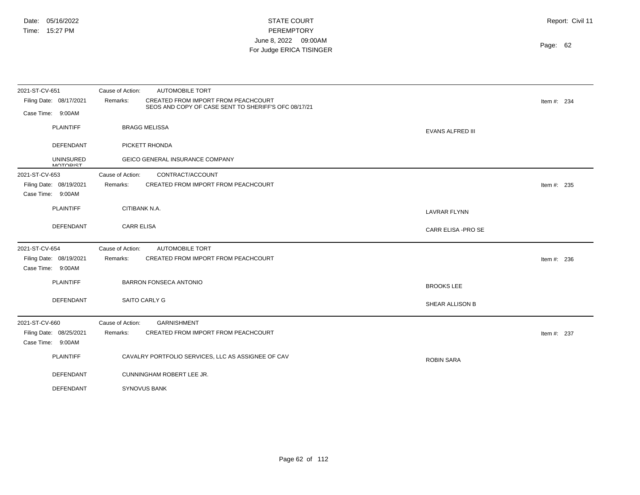| 2021-ST-CV-651                               | <b>AUTOMOBILE TORT</b><br>Cause of Action:                                                              |                         |               |
|----------------------------------------------|---------------------------------------------------------------------------------------------------------|-------------------------|---------------|
| Filing Date: 08/17/2021                      | CREATED FROM IMPORT FROM PEACHCOURT<br>Remarks:<br>SEOS AND COPY OF CASE SENT TO SHERIFF'S OFC 08/17/21 |                         | Item #: $234$ |
| Case Time: 9:00AM                            |                                                                                                         |                         |               |
| <b>PLAINTIFF</b>                             | <b>BRAGG MELISSA</b>                                                                                    | <b>EVANS ALFRED III</b> |               |
| <b>DEFENDANT</b>                             | PICKETT RHONDA                                                                                          |                         |               |
| <b>UNINSURED</b><br><b>MOTORIST</b>          | GEICO GENERAL INSURANCE COMPANY                                                                         |                         |               |
| 2021-ST-CV-653                               | CONTRACT/ACCOUNT<br>Cause of Action:                                                                    |                         |               |
| Filing Date: 08/19/2021                      | CREATED FROM IMPORT FROM PEACHCOURT<br>Remarks:                                                         |                         | Item #: $235$ |
| Case Time: 9:00AM                            |                                                                                                         |                         |               |
| <b>PLAINTIFF</b>                             | CITIBANK N.A.                                                                                           | LAVRAR FLYNN            |               |
| <b>DEFENDANT</b>                             | <b>CARR ELISA</b>                                                                                       | CARR ELISA - PRO SE     |               |
| 2021-ST-CV-654                               | Cause of Action:<br><b>AUTOMOBILE TORT</b>                                                              |                         |               |
| Filing Date: 08/19/2021<br>Case Time: 9:00AM | CREATED FROM IMPORT FROM PEACHCOURT<br>Remarks:                                                         |                         | Item #: $236$ |
| <b>PLAINTIFF</b>                             | <b>BARRON FONSECA ANTONIO</b>                                                                           | <b>BROOKS LEE</b>       |               |
| <b>DEFENDANT</b>                             | SAITO CARLY G                                                                                           | SHEAR ALLISON B         |               |
| 2021-ST-CV-660                               | <b>GARNISHMENT</b><br>Cause of Action:                                                                  |                         |               |
| Filing Date: 08/25/2021<br>Case Time: 9:00AM | CREATED FROM IMPORT FROM PEACHCOURT<br>Remarks:                                                         |                         | Item #: 237   |
| <b>PLAINTIFF</b>                             | CAVALRY PORTFOLIO SERVICES, LLC AS ASSIGNEE OF CAV                                                      | <b>ROBIN SARA</b>       |               |
| <b>DEFENDANT</b>                             | CUNNINGHAM ROBERT LEE JR.                                                                               |                         |               |
| <b>DEFENDANT</b>                             | <b>SYNOVUS BANK</b>                                                                                     |                         |               |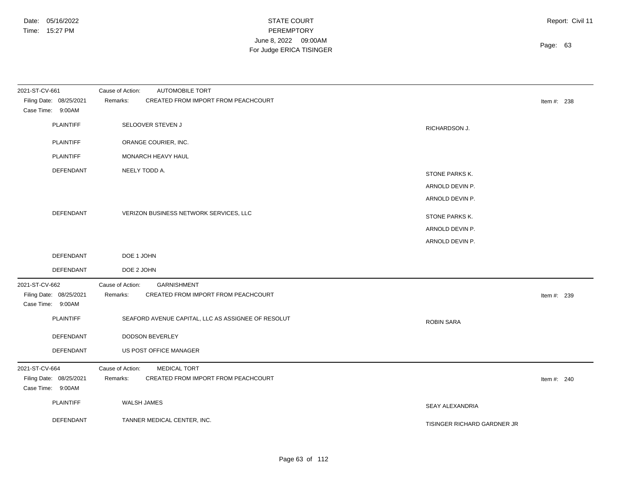| 2021-ST-CV-661                               | Cause of Action:<br><b>AUTOMOBILE TORT</b>         |                             |               |
|----------------------------------------------|----------------------------------------------------|-----------------------------|---------------|
| Filing Date: 08/25/2021<br>Case Time: 9:00AM | Remarks:<br>CREATED FROM IMPORT FROM PEACHCOURT    |                             | Item #: $238$ |
| PLAINTIFF                                    | SELOOVER STEVEN J                                  | RICHARDSON J.               |               |
| <b>PLAINTIFF</b>                             | ORANGE COURIER, INC.                               |                             |               |
| <b>PLAINTIFF</b>                             | MONARCH HEAVY HAUL                                 |                             |               |
| <b>DEFENDANT</b>                             | NEELY TODD A.                                      | STONE PARKS K.              |               |
|                                              |                                                    | ARNOLD DEVIN P.             |               |
|                                              |                                                    | ARNOLD DEVIN P.             |               |
| DEFENDANT                                    | VERIZON BUSINESS NETWORK SERVICES, LLC             | STONE PARKS K.              |               |
|                                              |                                                    | ARNOLD DEVIN P.             |               |
|                                              |                                                    | ARNOLD DEVIN P.             |               |
| DEFENDANT                                    | DOE 1 JOHN                                         |                             |               |
| DEFENDANT                                    | DOE 2 JOHN                                         |                             |               |
| 2021-ST-CV-662                               | GARNISHMENT<br>Cause of Action:                    |                             |               |
| Filing Date: 08/25/2021<br>Case Time: 9:00AM | CREATED FROM IMPORT FROM PEACHCOURT<br>Remarks:    |                             | Item #: $239$ |
| <b>PLAINTIFF</b>                             | SEAFORD AVENUE CAPITAL, LLC AS ASSIGNEE OF RESOLUT | <b>ROBIN SARA</b>           |               |
| DEFENDANT                                    | <b>DODSON BEVERLEY</b>                             |                             |               |
| DEFENDANT                                    | US POST OFFICE MANAGER                             |                             |               |
| 2021-ST-CV-664                               | Cause of Action:<br><b>MEDICAL TORT</b>            |                             |               |
| Filing Date: 08/25/2021<br>Case Time: 9:00AM | Remarks:<br>CREATED FROM IMPORT FROM PEACHCOURT    |                             | Item #: $240$ |
| PLAINTIFF                                    | WALSH JAMES                                        | SEAY ALEXANDRIA             |               |
| DEFENDANT                                    | TANNER MEDICAL CENTER, INC.                        | TISINGER RICHARD GARDNER JR |               |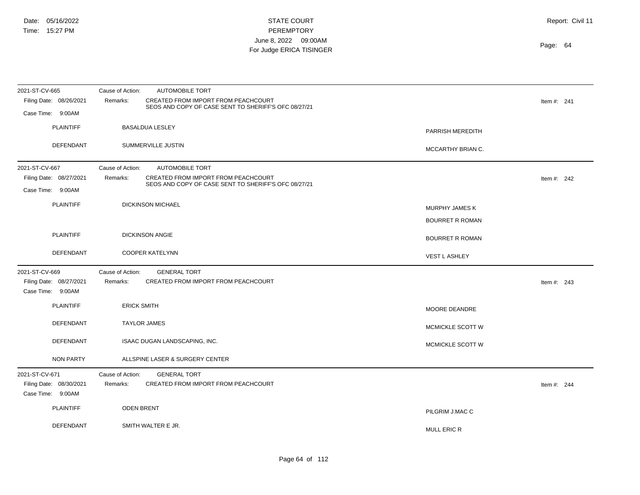| 2021-ST-CV-665                               | <b>AUTOMOBILE TORT</b><br>Cause of Action:                                                              |                        |               |
|----------------------------------------------|---------------------------------------------------------------------------------------------------------|------------------------|---------------|
| Filing Date: 08/26/2021                      | CREATED FROM IMPORT FROM PEACHCOURT<br>Remarks:<br>SEOS AND COPY OF CASE SENT TO SHERIFF'S OFC 08/27/21 |                        | Item #: $241$ |
| Case Time: 9:00AM                            |                                                                                                         |                        |               |
| PLAINTIFF                                    | <b>BASALDUA LESLEY</b>                                                                                  | PARRISH MEREDITH       |               |
|                                              |                                                                                                         |                        |               |
| DEFENDANT                                    | SUMMERVILLE JUSTIN                                                                                      | MCCARTHY BRIAN C.      |               |
| 2021-ST-CV-667                               | Cause of Action:<br><b>AUTOMOBILE TORT</b>                                                              |                        |               |
| Filing Date: 08/27/2021                      | CREATED FROM IMPORT FROM PEACHCOURT<br>Remarks:<br>SEOS AND COPY OF CASE SENT TO SHERIFF'S OFC 08/27/21 |                        | Item #: $242$ |
| Case Time: 9:00AM                            |                                                                                                         |                        |               |
| <b>PLAINTIFF</b>                             | <b>DICKINSON MICHAEL</b>                                                                                |                        |               |
|                                              |                                                                                                         | MURPHY JAMES K         |               |
|                                              |                                                                                                         | <b>BOURRET R ROMAN</b> |               |
| <b>PLAINTIFF</b>                             | <b>DICKINSON ANGIE</b>                                                                                  | <b>BOURRET R ROMAN</b> |               |
| <b>DEFENDANT</b>                             | <b>COOPER KATELYNN</b><br><b>VEST L ASHLEY</b>                                                          |                        |               |
| 2021-ST-CV-669                               | <b>GENERAL TORT</b><br>Cause of Action:                                                                 |                        |               |
| Filing Date: 08/27/2021<br>Case Time: 9:00AM | CREATED FROM IMPORT FROM PEACHCOURT<br>Remarks:                                                         |                        | Item #: $243$ |
| <b>PLAINTIFF</b>                             | <b>ERICK SMITH</b>                                                                                      | MOORE DEANDRE          |               |
| DEFENDANT                                    | <b>TAYLOR JAMES</b>                                                                                     | MCMICKLE SCOTT W       |               |
| DEFENDANT                                    | ISAAC DUGAN LANDSCAPING, INC.                                                                           | MCMICKLE SCOTT W       |               |
| <b>NON PARTY</b>                             | ALLSPINE LASER & SURGERY CENTER                                                                         |                        |               |
| 2021-ST-CV-671                               | <b>GENERAL TORT</b><br>Cause of Action:                                                                 |                        |               |
| Filing Date: 08/30/2021<br>Case Time: 9:00AM | CREATED FROM IMPORT FROM PEACHCOURT<br>Remarks:                                                         |                        | Item #: $244$ |
| <b>PLAINTIFF</b>                             | <b>ODEN BRENT</b>                                                                                       | PILGRIM J.MAC C        |               |
| <b>DEFENDANT</b>                             | SMITH WALTER E JR.                                                                                      | <b>MULL ERIC R</b>     |               |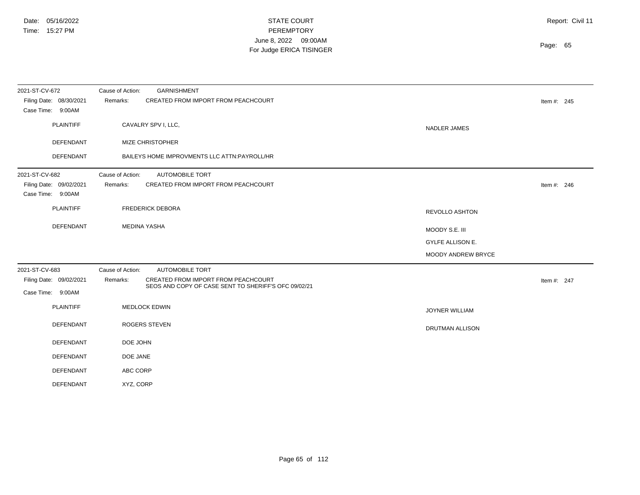| 2021-ST-CV-672                                                 | Cause of Action:<br><b>GARNISHMENT</b>                                                                  |                         |               |
|----------------------------------------------------------------|---------------------------------------------------------------------------------------------------------|-------------------------|---------------|
| Filing Date: 08/30/2021<br>Case Time: 9:00AM                   | CREATED FROM IMPORT FROM PEACHCOURT<br>Remarks:                                                         |                         | Item #: $245$ |
| <b>PLAINTIFF</b>                                               | CAVALRY SPV I, LLC,                                                                                     | NADLER JAMES            |               |
| DEFENDANT                                                      | MIZE CHRISTOPHER                                                                                        |                         |               |
| DEFENDANT                                                      | BAILEYS HOME IMPROVMENTS LLC ATTN:PAYROLL/HR                                                            |                         |               |
| 2021-ST-CV-682<br>Filing Date: 09/02/2021<br>Case Time: 9:00AM | <b>AUTOMOBILE TORT</b><br>Cause of Action:<br>CREATED FROM IMPORT FROM PEACHCOURT<br>Remarks:           |                         | Item #: $246$ |
| <b>PLAINTIFF</b>                                               | <b>FREDERICK DEBORA</b>                                                                                 | <b>REVOLLO ASHTON</b>   |               |
| DEFENDANT                                                      | MEDINA YASHA                                                                                            | MOODY S.E. III          |               |
|                                                                |                                                                                                         | <b>GYLFE ALLISON E.</b> |               |
|                                                                |                                                                                                         | MOODY ANDREW BRYCE      |               |
| 2021-ST-CV-683                                                 | <b>AUTOMOBILE TORT</b><br>Cause of Action:                                                              |                         |               |
| Filing Date: 09/02/2021<br>Case Time: 9:00AM                   | CREATED FROM IMPORT FROM PEACHCOURT<br>Remarks:<br>SEOS AND COPY OF CASE SENT TO SHERIFF'S OFC 09/02/21 |                         | Item #: 247   |
| <b>PLAINTIFF</b>                                               | <b>MEDLOCK EDWIN</b>                                                                                    | <b>JOYNER WILLIAM</b>   |               |
| <b>DEFENDANT</b>                                               | <b>ROGERS STEVEN</b>                                                                                    | DRUTMAN ALLISON         |               |
| <b>DEFENDANT</b>                                               | DOE JOHN                                                                                                |                         |               |
| DEFENDANT                                                      | DOE JANE                                                                                                |                         |               |
| DEFENDANT                                                      | ABC CORP                                                                                                |                         |               |
| <b>DEFENDANT</b>                                               | XYZ, CORP                                                                                               |                         |               |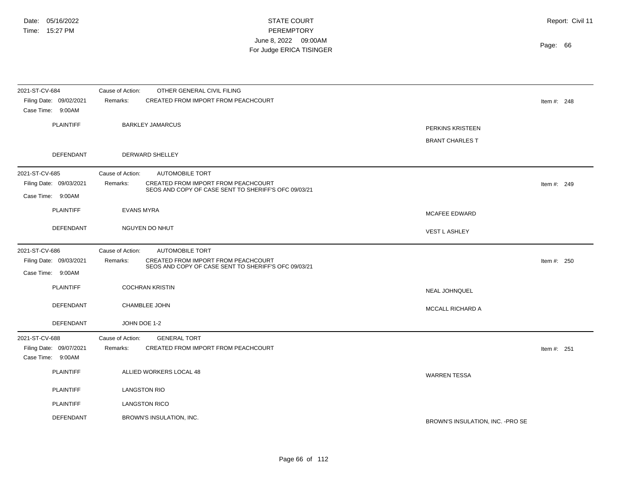| 2021-ST-CV-684                               | Cause of Action:        | OTHER GENERAL CIVIL FILING                                                                  |                                   |               |
|----------------------------------------------|-------------------------|---------------------------------------------------------------------------------------------|-----------------------------------|---------------|
| Filing Date: 09/02/2021<br>Case Time: 9:00AM | Remarks:                | CREATED FROM IMPORT FROM PEACHCOURT                                                         |                                   | Item #: $248$ |
| <b>PLAINTIFF</b>                             | <b>BARKLEY JAMARCUS</b> |                                                                                             | <b>PERKINS KRISTEEN</b>           |               |
|                                              |                         |                                                                                             | <b>BRANT CHARLES T</b>            |               |
|                                              |                         |                                                                                             |                                   |               |
| <b>DEFENDANT</b>                             |                         | DERWARD SHELLEY                                                                             |                                   |               |
| 2021-ST-CV-685                               | Cause of Action:        | <b>AUTOMOBILE TORT</b>                                                                      |                                   |               |
| Filing Date: 09/03/2021                      | Remarks:                | CREATED FROM IMPORT FROM PEACHCOURT<br>SEOS AND COPY OF CASE SENT TO SHERIFF'S OFC 09/03/21 |                                   | Item #: $249$ |
| Case Time: 9:00AM                            |                         |                                                                                             |                                   |               |
| <b>PLAINTIFF</b>                             | <b>EVANS MYRA</b>       |                                                                                             | <b>MCAFEE EDWARD</b>              |               |
| <b>DEFENDANT</b>                             |                         | NGUYEN DO NHUT                                                                              | <b>VEST L ASHLEY</b>              |               |
| 2021-ST-CV-686                               | Cause of Action:        | <b>AUTOMOBILE TORT</b>                                                                      |                                   |               |
| Filing Date: 09/03/2021                      | Remarks:                | CREATED FROM IMPORT FROM PEACHCOURT<br>SEOS AND COPY OF CASE SENT TO SHERIFF'S OFC 09/03/21 |                                   | Item #: $250$ |
| Case Time: 9:00AM                            |                         |                                                                                             |                                   |               |
| <b>PLAINTIFF</b>                             |                         | <b>COCHRAN KRISTIN</b>                                                                      | NEAL JOHNQUEL                     |               |
| DEFENDANT                                    |                         | CHAMBLEE JOHN                                                                               | MCCALL RICHARD A                  |               |
| <b>DEFENDANT</b>                             |                         | JOHN DOE 1-2                                                                                |                                   |               |
| 2021-ST-CV-688                               | Cause of Action:        | <b>GENERAL TORT</b>                                                                         |                                   |               |
| Filing Date: 09/07/2021<br>Case Time: 9:00AM | Remarks:                | CREATED FROM IMPORT FROM PEACHCOURT                                                         |                                   | Item #: $251$ |
| <b>PLAINTIFF</b>                             |                         | ALLIED WORKERS LOCAL 48                                                                     | <b>WARREN TESSA</b>               |               |
| <b>PLAINTIFF</b>                             |                         | <b>LANGSTON RIO</b>                                                                         |                                   |               |
| <b>PLAINTIFF</b>                             |                         | <b>LANGSTON RICO</b>                                                                        |                                   |               |
| <b>DEFENDANT</b>                             |                         | BROWN'S INSULATION, INC.                                                                    | BROWN'S INSULATION, INC. - PRO SE |               |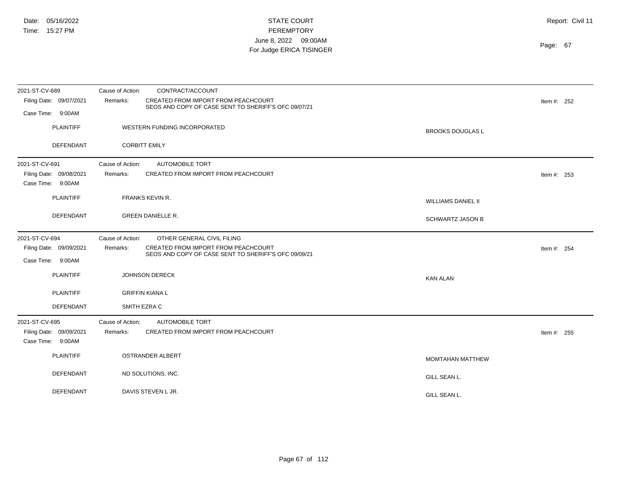| 2021-ST-CV-689                               | Cause of Action: | CONTRACT/ACCOUNT                                                                            |                           |               |  |
|----------------------------------------------|------------------|---------------------------------------------------------------------------------------------|---------------------------|---------------|--|
| Filing Date: 09/07/2021                      | Remarks:         | CREATED FROM IMPORT FROM PEACHCOURT<br>SEOS AND COPY OF CASE SENT TO SHERIFF'S OFC 09/07/21 |                           | Item #: $252$ |  |
| Case Time: 9:00AM                            |                  |                                                                                             |                           |               |  |
| <b>PLAINTIFF</b>                             |                  | WESTERN FUNDING INCORPORATED                                                                | <b>BROOKS DOUGLAS L</b>   |               |  |
| DEFENDANT                                    |                  | <b>CORBITT EMILY</b>                                                                        |                           |               |  |
| 2021-ST-CV-691                               | Cause of Action: | <b>AUTOMOBILE TORT</b>                                                                      |                           |               |  |
| Filing Date: 09/08/2021<br>Case Time: 9:00AM | Remarks:         | <b>CREATED FROM IMPORT FROM PEACHCOURT</b>                                                  |                           | Item #: $253$ |  |
| <b>PLAINTIFF</b>                             |                  | <b>FRANKS KEVIN R.</b>                                                                      | <b>WILLIAMS DANIEL II</b> |               |  |
| DEFENDANT                                    |                  | <b>GREEN DANIELLE R.</b>                                                                    | <b>SCHWARTZ JASON B</b>   |               |  |
| 2021-ST-CV-694                               | Cause of Action: | OTHER GENERAL CIVIL FILING                                                                  |                           |               |  |
| Filing Date: 09/09/2021                      | Remarks:         | CREATED FROM IMPORT FROM PEACHCOURT<br>SEOS AND COPY OF CASE SENT TO SHERIFF'S OFC 09/09/21 |                           | Item #: $254$ |  |
| Case Time: 9:00AM                            |                  |                                                                                             |                           |               |  |
| <b>PLAINTIFF</b>                             |                  | <b>JOHNSON DERECK</b>                                                                       | <b>KAN ALAN</b>           |               |  |
| <b>PLAINTIFF</b>                             |                  | <b>GRIFFIN KIANA L</b>                                                                      |                           |               |  |
| <b>DEFENDANT</b>                             | SMITH EZRA C     |                                                                                             |                           |               |  |
| 2021-ST-CV-695                               | Cause of Action: | <b>AUTOMOBILE TORT</b>                                                                      |                           |               |  |
| Filing Date: 09/09/2021<br>Case Time: 9:00AM | Remarks:         | CREATED FROM IMPORT FROM PEACHCOURT                                                         |                           | Item #: 255   |  |
| <b>PLAINTIFF</b>                             |                  | <b>OSTRANDER ALBERT</b>                                                                     | <b>MOMTAHAN MATTHEW</b>   |               |  |
| <b>DEFENDANT</b>                             |                  | ND SOLUTIONS, INC.                                                                          | GILL SEAN L.              |               |  |
| <b>DEFENDANT</b>                             |                  | DAVIS STEVEN L JR.                                                                          | GILL SEAN L.              |               |  |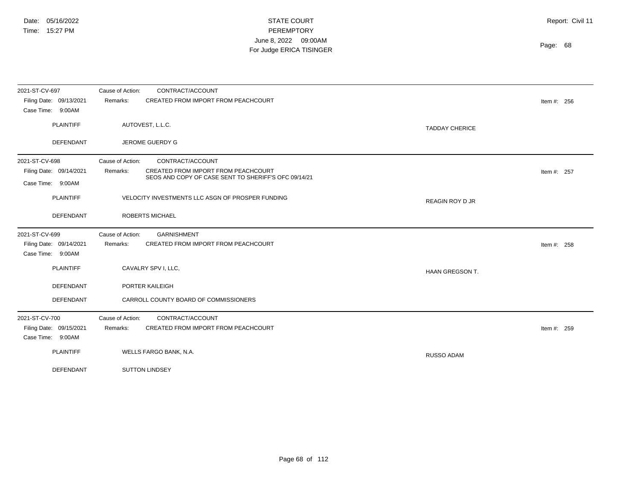| 2021-ST-CV-697          | CONTRACT/ACCOUNT<br>Cause of Action:                                                                    |                        |             |
|-------------------------|---------------------------------------------------------------------------------------------------------|------------------------|-------------|
| Filing Date: 09/13/2021 | CREATED FROM IMPORT FROM PEACHCOURT<br>Remarks:                                                         |                        | Item #: 256 |
| Case Time: 9:00AM       |                                                                                                         |                        |             |
| <b>PLAINTIFF</b>        | AUTOVEST, L.L.C.                                                                                        | <b>TADDAY CHERICE</b>  |             |
|                         |                                                                                                         |                        |             |
| DEFENDANT               | JEROME GUERDY G                                                                                         |                        |             |
| 2021-ST-CV-698          | CONTRACT/ACCOUNT<br>Cause of Action:                                                                    |                        |             |
| Filing Date: 09/14/2021 | CREATED FROM IMPORT FROM PEACHCOURT<br>Remarks:<br>SEOS AND COPY OF CASE SENT TO SHERIFF'S OFC 09/14/21 |                        | Item #: 257 |
| Case Time: 9:00AM       |                                                                                                         |                        |             |
| <b>PLAINTIFF</b>        | VELOCITY INVESTMENTS LLC ASGN OF PROSPER FUNDING                                                        |                        |             |
|                         |                                                                                                         | <b>REAGIN ROY D JR</b> |             |
| DEFENDANT               | <b>ROBERTS MICHAEL</b>                                                                                  |                        |             |
| 2021-ST-CV-699          | Cause of Action:<br><b>GARNISHMENT</b>                                                                  |                        |             |
| Filing Date: 09/14/2021 | CREATED FROM IMPORT FROM PEACHCOURT<br>Remarks:                                                         |                        | Item #: 258 |
| Case Time: 9:00AM       |                                                                                                         |                        |             |
| <b>PLAINTIFF</b>        | CAVALRY SPV I, LLC,                                                                                     | <b>HAAN GREGSON T.</b> |             |
|                         |                                                                                                         |                        |             |
| DEFENDANT               | PORTER KAILEIGH                                                                                         |                        |             |
| DEFENDANT               | CARROLL COUNTY BOARD OF COMMISSIONERS                                                                   |                        |             |
| 2021-ST-CV-700          | Cause of Action:<br>CONTRACT/ACCOUNT                                                                    |                        |             |
| Filing Date: 09/15/2021 | CREATED FROM IMPORT FROM PEACHCOURT<br>Remarks:                                                         |                        | Item #: 259 |
| Case Time: 9:00AM       |                                                                                                         |                        |             |
| <b>PLAINTIFF</b>        | WELLS FARGO BANK, N.A.                                                                                  | <b>RUSSO ADAM</b>      |             |
|                         |                                                                                                         |                        |             |
| <b>DEFENDANT</b>        | <b>SUTTON LINDSEY</b>                                                                                   |                        |             |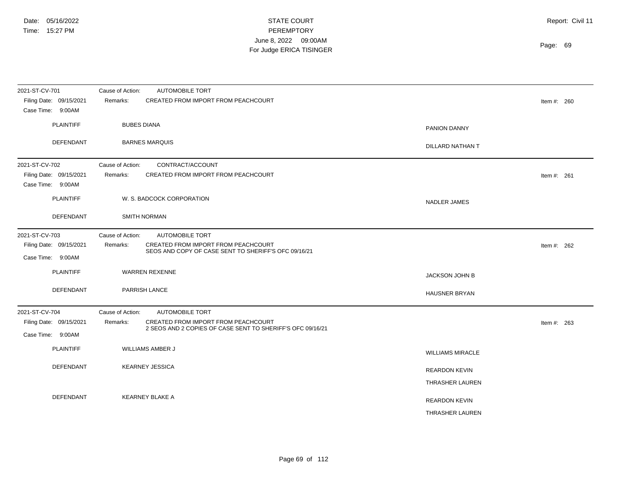| 2021-ST-CV-701                               | Cause of Action:<br><b>AUTOMOBILE TORT</b><br>CREATED FROM IMPORT FROM PEACHCOURT<br>Remarks:                 |                         |               |
|----------------------------------------------|---------------------------------------------------------------------------------------------------------------|-------------------------|---------------|
| Filing Date: 09/15/2021<br>Case Time: 9:00AM |                                                                                                               |                         | Item #: $260$ |
| <b>PLAINTIFF</b>                             | <b>BUBES DIANA</b>                                                                                            | <b>PANION DANNY</b>     |               |
| DEFENDANT                                    | <b>BARNES MARQUIS</b>                                                                                         | DILLARD NATHAN T        |               |
| 2021-ST-CV-702                               | Cause of Action:<br>CONTRACT/ACCOUNT                                                                          |                         |               |
| Filing Date: 09/15/2021<br>Case Time: 9:00AM | CREATED FROM IMPORT FROM PEACHCOURT<br>Remarks:                                                               |                         | Item #: $261$ |
| <b>PLAINTIFF</b>                             | W. S. BADCOCK CORPORATION                                                                                     | NADLER JAMES            |               |
| DEFENDANT                                    | <b>SMITH NORMAN</b>                                                                                           |                         |               |
| 2021-ST-CV-703                               | <b>AUTOMOBILE TORT</b><br>Cause of Action:                                                                    |                         |               |
| Filing Date: 09/15/2021                      | CREATED FROM IMPORT FROM PEACHCOURT<br>Remarks:<br>SEOS AND COPY OF CASE SENT TO SHERIFF'S OFC 09/16/21       |                         | Item #: $262$ |
| Case Time: 9:00AM                            |                                                                                                               |                         |               |
| <b>PLAINTIFF</b>                             | <b>WARREN REXENNE</b>                                                                                         | <b>JACKSON JOHN B</b>   |               |
| <b>DEFENDANT</b>                             | PARRISH LANCE                                                                                                 | <b>HAUSNER BRYAN</b>    |               |
| 2021-ST-CV-704                               | Cause of Action:<br><b>AUTOMOBILE TORT</b>                                                                    |                         |               |
| Filing Date: 09/15/2021                      | CREATED FROM IMPORT FROM PEACHCOURT<br>Remarks:<br>2 SEOS AND 2 COPIES OF CASE SENT TO SHERIFF'S OFC 09/16/21 |                         | Item #: $263$ |
| Case Time: 9:00AM                            |                                                                                                               |                         |               |
| <b>PLAINTIFF</b>                             | <b>WILLIAMS AMBER J</b>                                                                                       | <b>WILLIAMS MIRACLE</b> |               |
| DEFENDANT                                    | <b>KEARNEY JESSICA</b>                                                                                        | <b>REARDON KEVIN</b>    |               |
|                                              |                                                                                                               | <b>THRASHER LAUREN</b>  |               |
| DEFENDANT                                    | <b>KEARNEY BLAKE A</b>                                                                                        | <b>REARDON KEVIN</b>    |               |
|                                              |                                                                                                               | <b>THRASHER LAUREN</b>  |               |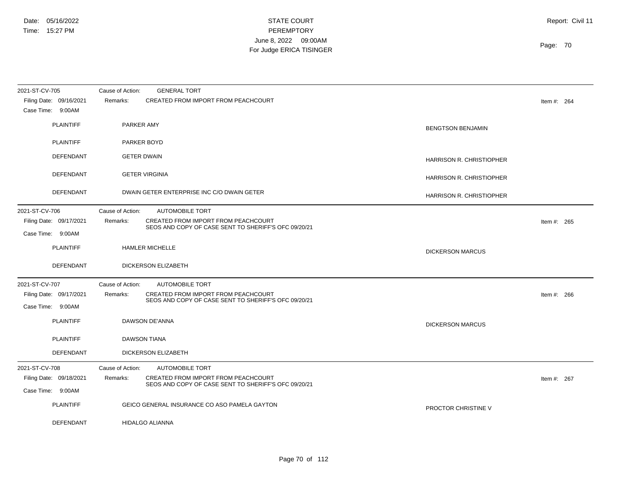| 2021-ST-CV-705                               | <b>GENERAL TORT</b><br>Cause of Action:                                                                 |                                 |               |
|----------------------------------------------|---------------------------------------------------------------------------------------------------------|---------------------------------|---------------|
| Filing Date: 09/16/2021<br>Case Time: 9:00AM | CREATED FROM IMPORT FROM PEACHCOURT<br>Remarks:                                                         |                                 | Item #: $264$ |
| <b>PLAINTIFF</b>                             | PARKER AMY                                                                                              | <b>BENGTSON BENJAMIN</b>        |               |
| <b>PLAINTIFF</b>                             | PARKER BOYD                                                                                             |                                 |               |
| DEFENDANT                                    | <b>GETER DWAIN</b>                                                                                      | <b>HARRISON R. CHRISTIOPHER</b> |               |
| DEFENDANT                                    | <b>GETER VIRGINIA</b>                                                                                   | HARRISON R. CHRISTIOPHER        |               |
| DEFENDANT                                    | DWAIN GETER ENTERPRISE INC C/O DWAIN GETER                                                              | HARRISON R. CHRISTIOPHER        |               |
| 2021-ST-CV-706                               | Cause of Action:<br><b>AUTOMOBILE TORT</b>                                                              |                                 |               |
| Filing Date: 09/17/2021<br>Case Time: 9:00AM | CREATED FROM IMPORT FROM PEACHCOURT<br>Remarks:<br>SEOS AND COPY OF CASE SENT TO SHERIFF'S OFC 09/20/21 |                                 | Item #: $265$ |
|                                              |                                                                                                         |                                 |               |
| <b>PLAINTIFF</b>                             | <b>HAMLER MICHELLE</b>                                                                                  | <b>DICKERSON MARCUS</b>         |               |
| DEFENDANT                                    | <b>DICKERSON ELIZABETH</b>                                                                              |                                 |               |
| 2021-ST-CV-707                               | Cause of Action:<br><b>AUTOMOBILE TORT</b>                                                              |                                 |               |
| Filing Date: 09/17/2021                      | CREATED FROM IMPORT FROM PEACHCOURT<br>Remarks:<br>SEOS AND COPY OF CASE SENT TO SHERIFF'S OFC 09/20/21 |                                 | Item #: $266$ |
| Case Time: 9:00AM                            |                                                                                                         |                                 |               |
| <b>PLAINTIFF</b>                             | DAWSON DE'ANNA                                                                                          | <b>DICKERSON MARCUS</b>         |               |
| <b>PLAINTIFF</b>                             | <b>DAWSON TIANA</b>                                                                                     |                                 |               |
| DEFENDANT                                    | DICKERSON ELIZABETH                                                                                     |                                 |               |
| 2021-ST-CV-708                               | Cause of Action:<br><b>AUTOMOBILE TORT</b>                                                              |                                 |               |
| Filing Date: 09/18/2021                      | CREATED FROM IMPORT FROM PEACHCOURT<br>Remarks:                                                         |                                 | Item #: $267$ |
| Case Time: 9:00AM                            | SEOS AND COPY OF CASE SENT TO SHERIFF'S OFC 09/20/21                                                    |                                 |               |
| <b>PLAINTIFF</b>                             | GEICO GENERAL INSURANCE CO ASO PAMELA GAYTON                                                            | PROCTOR CHRISTINE V             |               |
| DEFENDANT                                    | <b>HIDALGO ALIANNA</b>                                                                                  |                                 |               |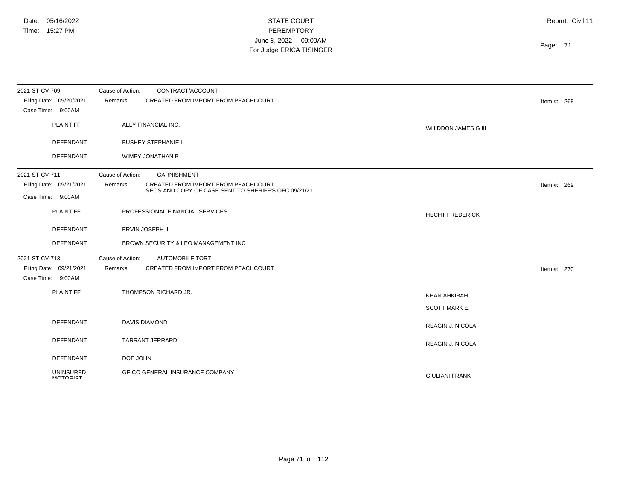| 2021-ST-CV-709                               | Cause of Action:<br>CONTRACT/ACCOUNT                                                                    |                         |               |
|----------------------------------------------|---------------------------------------------------------------------------------------------------------|-------------------------|---------------|
| Filing Date: 09/20/2021<br>Case Time: 9:00AM | CREATED FROM IMPORT FROM PEACHCOURT<br>Remarks:                                                         |                         | Item #: $268$ |
| <b>PLAINTIFF</b>                             | ALLY FINANCIAL INC.                                                                                     | WHIDDON JAMES G III     |               |
| <b>DEFENDANT</b>                             | <b>BUSHEY STEPHANIE L</b>                                                                               |                         |               |
| <b>DEFENDANT</b>                             | WIMPY JONATHAN P                                                                                        |                         |               |
| 2021-ST-CV-711                               | <b>GARNISHMENT</b><br>Cause of Action:                                                                  |                         |               |
| Filing Date: 09/21/2021                      | CREATED FROM IMPORT FROM PEACHCOURT<br>Remarks:<br>SEOS AND COPY OF CASE SENT TO SHERIFF'S OFC 09/21/21 |                         | Item #: 269   |
| Case Time: 9:00AM                            |                                                                                                         |                         |               |
| <b>PLAINTIFF</b>                             | PROFESSIONAL FINANCIAL SERVICES                                                                         | <b>HECHT FREDERICK</b>  |               |
| <b>DEFENDANT</b>                             | ERVIN JOSEPH III                                                                                        |                         |               |
| DEFENDANT                                    | BROWN SECURITY & LEO MANAGEMENT INC                                                                     |                         |               |
| 2021-ST-CV-713                               | Cause of Action:<br><b>AUTOMOBILE TORT</b>                                                              |                         |               |
| Filing Date: 09/21/2021<br>Case Time: 9:00AM | CREATED FROM IMPORT FROM PEACHCOURT<br>Remarks:                                                         |                         | Item #: $270$ |
| <b>PLAINTIFF</b>                             | THOMPSON RICHARD JR.                                                                                    | KHAN AHKIBAH            |               |
|                                              |                                                                                                         | SCOTT MARK E.           |               |
|                                              |                                                                                                         |                         |               |
| <b>DEFENDANT</b>                             | <b>DAVIS DIAMOND</b>                                                                                    | <b>REAGIN J. NICOLA</b> |               |
| <b>DEFENDANT</b>                             | TARRANT JERRARD                                                                                         | <b>REAGIN J. NICOLA</b> |               |
| <b>DEFENDANT</b>                             | DOE JOHN                                                                                                |                         |               |
| <b>UNINSURED</b><br><b>MOTODICT</b>          | GEICO GENERAL INSURANCE COMPANY                                                                         | <b>GIULIANI FRANK</b>   |               |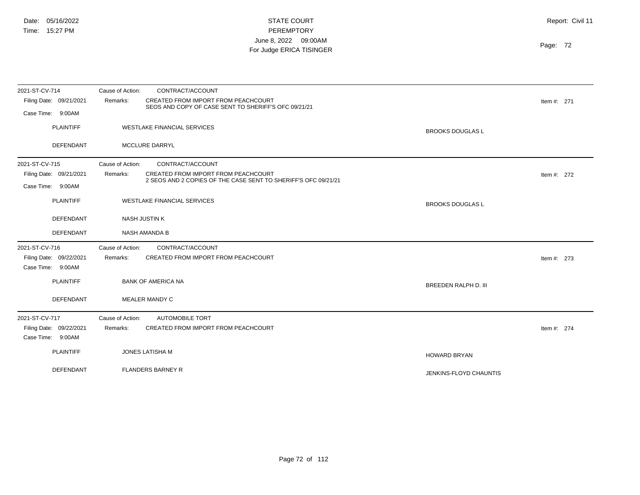| 2021-ST-CV-714                               | CONTRACT/ACCOUNT<br>Cause of Action:                                                                              |                         |               |
|----------------------------------------------|-------------------------------------------------------------------------------------------------------------------|-------------------------|---------------|
| Filing Date: 09/21/2021                      | CREATED FROM IMPORT FROM PEACHCOURT<br>Remarks:<br>SEOS AND COPY OF CASE SENT TO SHERIFF'S OFC 09/21/21           |                         | Item #: $271$ |
| Case Time: 9:00AM                            |                                                                                                                   |                         |               |
| <b>PLAINTIFF</b>                             | <b>WESTLAKE FINANCIAL SERVICES</b>                                                                                | <b>BROOKS DOUGLAS L</b> |               |
| DEFENDANT                                    | MCCLURE DARRYL                                                                                                    |                         |               |
| 2021-ST-CV-715                               | CONTRACT/ACCOUNT<br>Cause of Action:                                                                              |                         |               |
| Filing Date: 09/21/2021<br>Case Time: 9:00AM | CREATED FROM IMPORT FROM PEACHCOURT<br>Remarks:<br>2 SEOS AND 2 COPIES OF THE CASE SENT TO SHERIFF'S OFC 09/21/21 |                         | Item #: $272$ |
| <b>PLAINTIFF</b>                             | <b>WESTLAKE FINANCIAL SERVICES</b>                                                                                | <b>BROOKS DOUGLAS L</b> |               |
| DEFENDANT                                    | <b>NASH JUSTIN K</b>                                                                                              |                         |               |
| DEFENDANT                                    | NASH AMANDA B                                                                                                     |                         |               |
| 2021-ST-CV-716                               | CONTRACT/ACCOUNT<br>Cause of Action:                                                                              |                         |               |
| Filing Date: 09/22/2021<br>Case Time: 9:00AM | CREATED FROM IMPORT FROM PEACHCOURT<br>Remarks:                                                                   |                         | Item #: $273$ |
| <b>PLAINTIFF</b>                             | <b>BANK OF AMERICA NA</b>                                                                                         | BREEDEN RALPH D. III    |               |
| <b>DEFENDANT</b>                             | <b>MEALER MANDY C</b>                                                                                             |                         |               |
| 2021-ST-CV-717                               | <b>AUTOMOBILE TORT</b><br>Cause of Action:                                                                        |                         |               |
| Filing Date: 09/22/2021<br>Case Time: 9:00AM | CREATED FROM IMPORT FROM PEACHCOURT<br>Remarks:                                                                   |                         | Item #: 274   |
| <b>PLAINTIFF</b>                             | JONES LATISHA M                                                                                                   | HOWARD BRYAN            |               |
| <b>DEFENDANT</b>                             | <b>FLANDERS BARNEY R</b>                                                                                          | JENKINS-FLOYD CHAUNTIS  |               |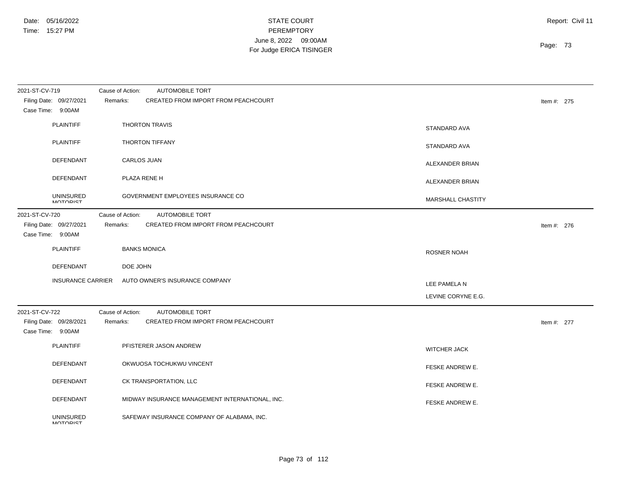| 2021-ST-CV-719                                                 | <b>AUTOMOBILE TORT</b><br>Cause of Action:                                                    |                     |
|----------------------------------------------------------------|-----------------------------------------------------------------------------------------------|---------------------|
| Filing Date: 09/27/2021<br>Case Time: 9:00AM                   | CREATED FROM IMPORT FROM PEACHCOURT<br>Remarks:                                               | Item #: $275$       |
| <b>PLAINTIFF</b>                                               | <b>THORTON TRAVIS</b>                                                                         | STANDARD AVA        |
| <b>PLAINTIFF</b>                                               | <b>THORTON TIFFANY</b>                                                                        | STANDARD AVA        |
| <b>DEFENDANT</b>                                               | CARLOS JUAN                                                                                   | ALEXANDER BRIAN     |
| DEFENDANT                                                      | PLAZA RENE H                                                                                  | ALEXANDER BRIAN     |
| <b>UNINSURED</b><br><b>MOTODICT</b>                            | GOVERNMENT EMPLOYEES INSURANCE CO                                                             | MARSHALL CHASTITY   |
| 2021-ST-CV-720<br>Filing Date: 09/27/2021<br>Case Time: 9:00AM | Cause of Action:<br><b>AUTOMOBILE TORT</b><br>CREATED FROM IMPORT FROM PEACHCOURT<br>Remarks: | Item #: $276$       |
| <b>PLAINTIFF</b>                                               | <b>BANKS MONICA</b>                                                                           | <b>ROSNER NOAH</b>  |
| DEFENDANT                                                      | DOE JOHN                                                                                      |                     |
| <b>INSURANCE CARRIER</b>                                       | AUTO OWNER'S INSURANCE COMPANY                                                                | LEE PAMELA N        |
|                                                                |                                                                                               | LEVINE CORYNE E.G.  |
| 2021-ST-CV-722                                                 | Cause of Action:<br>AUTOMOBILE TORT                                                           |                     |
| Filing Date: 09/28/2021<br>Case Time: 9:00AM                   | CREATED FROM IMPORT FROM PEACHCOURT<br>Remarks:                                               | Item #: $277$       |
| <b>PLAINTIFF</b>                                               | PFISTERER JASON ANDREW                                                                        | <b>WITCHER JACK</b> |
| DEFENDANT                                                      | OKWUOSA TOCHUKWU VINCENT                                                                      | FESKE ANDREW E.     |
| <b>DEFENDANT</b>                                               | CK TRANSPORTATION, LLC                                                                        | FESKE ANDREW E.     |
| DEFENDANT                                                      | MIDWAY INSURANCE MANAGEMENT INTERNATIONAL, INC.                                               | FESKE ANDREW E.     |
| <b>UNINSURED</b><br><b>MOTORIST</b>                            | SAFEWAY INSURANCE COMPANY OF ALABAMA, INC.                                                    |                     |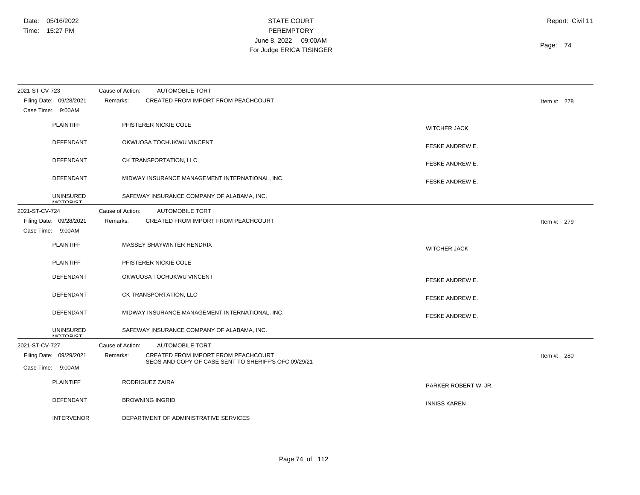| 2021-ST-CV-723                               | <b>AUTOMOBILE TORT</b><br>Cause of Action:                                                              |                        |               |
|----------------------------------------------|---------------------------------------------------------------------------------------------------------|------------------------|---------------|
| Filing Date: 09/28/2021<br>Case Time: 9:00AM | Remarks:<br>CREATED FROM IMPORT FROM PEACHCOURT                                                         |                        | Item #: $278$ |
| <b>PLAINTIFF</b>                             | PFISTERER NICKIE COLE                                                                                   | <b>WITCHER JACK</b>    |               |
| DEFENDANT                                    | OKWUOSA TOCHUKWU VINCENT                                                                                | FESKE ANDREW E.        |               |
| DEFENDANT                                    | CK TRANSPORTATION, LLC                                                                                  | FESKE ANDREW E.        |               |
| DEFENDANT                                    | MIDWAY INSURANCE MANAGEMENT INTERNATIONAL, INC.                                                         | <b>FESKE ANDREW E.</b> |               |
| <b>UNINSURED</b><br><b>MOTODICT</b>          | SAFEWAY INSURANCE COMPANY OF ALABAMA, INC.                                                              |                        |               |
| 2021-ST-CV-724                               | Cause of Action:<br><b>AUTOMOBILE TORT</b>                                                              |                        |               |
| Filing Date: 09/28/2021<br>Case Time: 9:00AM | Remarks:<br>CREATED FROM IMPORT FROM PEACHCOURT                                                         |                        | Item #: $279$ |
| <b>PLAINTIFF</b>                             | MASSEY SHAYWINTER HENDRIX                                                                               | <b>WITCHER JACK</b>    |               |
| <b>PLAINTIFF</b>                             | PFISTERER NICKIE COLE                                                                                   |                        |               |
| DEFENDANT                                    | OKWUOSA TOCHUKWU VINCENT                                                                                | FESKE ANDREW E.        |               |
| DEFENDANT                                    | CK TRANSPORTATION, LLC                                                                                  | FESKE ANDREW E.        |               |
| <b>DEFENDANT</b>                             | MIDWAY INSURANCE MANAGEMENT INTERNATIONAL, INC.                                                         | FESKE ANDREW E.        |               |
| <b>UNINSURED</b><br><b>MOTODICT</b>          | SAFEWAY INSURANCE COMPANY OF ALABAMA, INC.                                                              |                        |               |
| 2021-ST-CV-727                               | Cause of Action:<br><b>AUTOMOBILE TORT</b>                                                              |                        |               |
| Filing Date: 09/29/2021                      | CREATED FROM IMPORT FROM PEACHCOURT<br>Remarks:<br>SEOS AND COPY OF CASE SENT TO SHERIFF'S OFC 09/29/21 |                        | Item #: $280$ |
| Case Time: 9:00AM                            |                                                                                                         |                        |               |
| <b>PLAINTIFF</b>                             | RODRIGUEZ ZAIRA                                                                                         | PARKER ROBERT W. JR.   |               |
| DEFENDANT                                    | <b>BROWNING INGRID</b>                                                                                  | <b>INNISS KAREN</b>    |               |
| <b>INTERVENOR</b>                            | DEPARTMENT OF ADMINISTRATIVE SERVICES                                                                   |                        |               |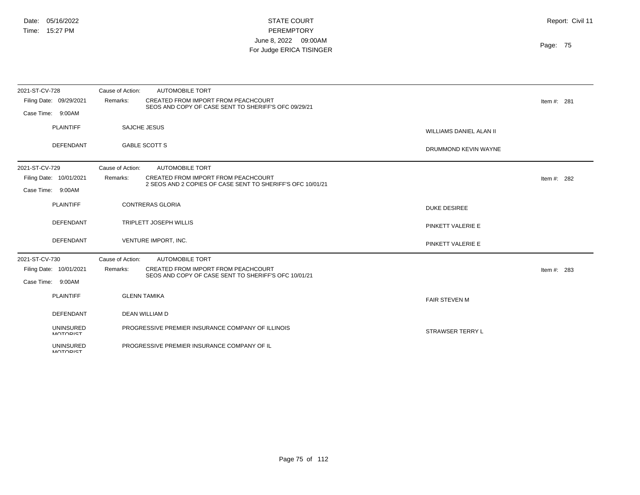| 2021-ST-CV-728                      | Cause of Action:<br><b>AUTOMOBILE TORT</b>                                                                           |                                |
|-------------------------------------|----------------------------------------------------------------------------------------------------------------------|--------------------------------|
| Filing Date: 09/29/2021             | <b>CREATED FROM IMPORT FROM PEACHCOURT</b><br>Remarks:<br>SEOS AND COPY OF CASE SENT TO SHERIFF'S OFC 09/29/21       | Item #: $281$                  |
| Case Time:<br>9:00AM                |                                                                                                                      |                                |
| <b>PLAINTIFF</b>                    | SAJCHE JESUS                                                                                                         | <b>WILLIAMS DANIEL ALAN II</b> |
| DEFENDANT                           | <b>GABLE SCOTT S</b>                                                                                                 | DRUMMOND KEVIN WAYNE           |
| 2021-ST-CV-729                      | Cause of Action:<br><b>AUTOMOBILE TORT</b>                                                                           |                                |
| Filing Date: 10/01/2021             | <b>CREATED FROM IMPORT FROM PEACHCOURT</b><br>Remarks:<br>2 SEOS AND 2 COPIES OF CASE SENT TO SHERIFF'S OFC 10/01/21 | Item #: $282$                  |
| Case Time: 9:00AM                   |                                                                                                                      |                                |
| <b>PLAINTIFF</b>                    | <b>CONTRERAS GLORIA</b>                                                                                              | <b>DUKE DESIREE</b>            |
| <b>DEFENDANT</b>                    | <b>TRIPLETT JOSEPH WILLIS</b>                                                                                        | PINKETT VALERIE E              |
| <b>DEFENDANT</b>                    | VENTURE IMPORT, INC.                                                                                                 | PINKETT VALERIE E              |
| 2021-ST-CV-730                      | <b>AUTOMOBILE TORT</b><br>Cause of Action:                                                                           |                                |
| Filing Date: 10/01/2021             | <b>CREATED FROM IMPORT FROM PEACHCOURT</b><br>Remarks:<br>SEOS AND COPY OF CASE SENT TO SHERIFF'S OFC 10/01/21       | Item #: $283$                  |
| Case Time: 9:00AM                   |                                                                                                                      |                                |
| <b>PLAINTIFF</b>                    | <b>GLENN TAMIKA</b>                                                                                                  | <b>FAIR STEVEN M</b>           |
| DEFENDANT                           | <b>DEAN WILLIAM D</b>                                                                                                |                                |
| <b>UNINSURED</b><br><b>MOTORIST</b> | PROGRESSIVE PREMIER INSURANCE COMPANY OF ILLINOIS                                                                    | STRAWSER TERRY L               |
| <b>UNINSURED</b><br><b>MOTORIST</b> | PROGRESSIVE PREMIER INSURANCE COMPANY OF IL                                                                          |                                |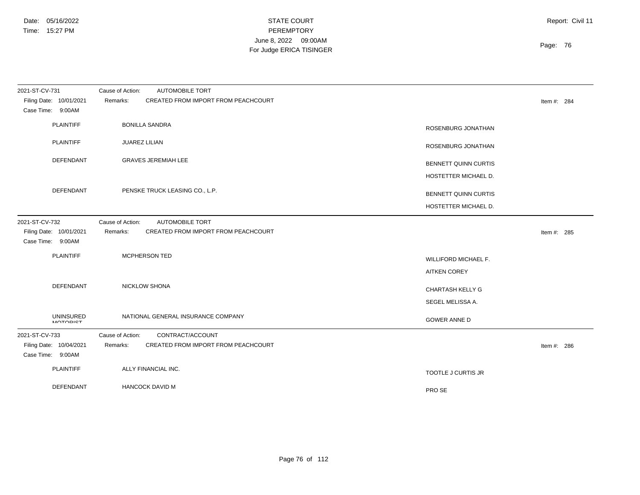| 2021-ST-CV-731                                                 | <b>AUTOMOBILE TORT</b><br>Cause of Action:                                                    |                                                    |               |
|----------------------------------------------------------------|-----------------------------------------------------------------------------------------------|----------------------------------------------------|---------------|
| Filing Date: 10/01/2021<br>Case Time: 9:00AM                   | CREATED FROM IMPORT FROM PEACHCOURT<br>Remarks:                                               |                                                    | Item #: $284$ |
| <b>PLAINTIFF</b>                                               | <b>BONILLA SANDRA</b>                                                                         | ROSENBURG JONATHAN                                 |               |
| <b>PLAINTIFF</b>                                               | JUAREZ LILIAN                                                                                 | ROSENBURG JONATHAN                                 |               |
| DEFENDANT                                                      | <b>GRAVES JEREMIAH LEE</b>                                                                    | BENNETT QUINN CURTIS                               |               |
|                                                                |                                                                                               | HOSTETTER MICHAEL D.                               |               |
| <b>DEFENDANT</b>                                               | PENSKE TRUCK LEASING CO., L.P.                                                                | <b>BENNETT QUINN CURTIS</b>                        |               |
|                                                                |                                                                                               | HOSTETTER MICHAEL D.                               |               |
| 2021-ST-CV-732<br>Filing Date: 10/01/2021<br>Case Time: 9:00AM | Cause of Action:<br><b>AUTOMOBILE TORT</b><br>CREATED FROM IMPORT FROM PEACHCOURT<br>Remarks: |                                                    | Item #: 285   |
| <b>PLAINTIFF</b>                                               | MCPHERSON TED                                                                                 | <b>WILLIFORD MICHAEL F.</b><br><b>AITKEN COREY</b> |               |
| <b>DEFENDANT</b>                                               | <b>NICKLOW SHONA</b>                                                                          | <b>CHARTASH KELLY G</b><br>SEGEL MELISSA A.        |               |
| <b>UNINSURED</b><br><b>MOTODICT</b>                            | NATIONAL GENERAL INSURANCE COMPANY                                                            | <b>GOWER ANNE D</b>                                |               |
| 2021-ST-CV-733<br>Filing Date: 10/04/2021<br>Case Time: 9:00AM | Cause of Action:<br>CONTRACT/ACCOUNT<br>CREATED FROM IMPORT FROM PEACHCOURT<br>Remarks:       |                                                    | Item #: 286   |
| <b>PLAINTIFF</b>                                               | ALLY FINANCIAL INC.                                                                           | TOOTLE J CURTIS JR                                 |               |
| DEFENDANT                                                      | <b>HANCOCK DAVID M</b>                                                                        | PRO SE                                             |               |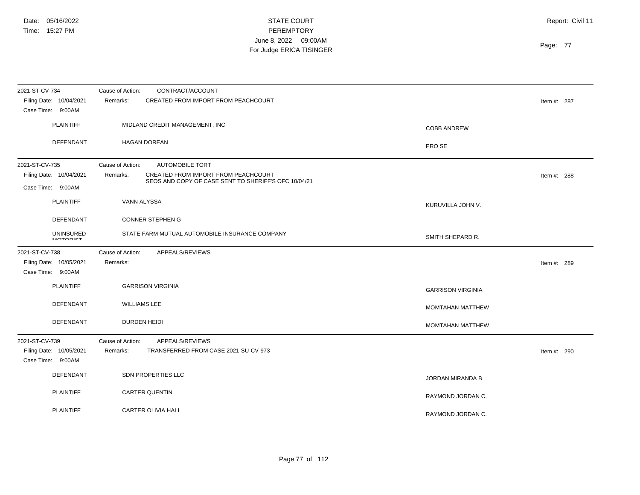| 2021-ST-CV-734<br>Filing Date: 10/04/2021<br>Case Time: 9:00AM | Cause of Action:<br>CONTRACT/ACCOUNT<br>CREATED FROM IMPORT FROM PEACHCOURT<br>Remarks:                 |                          | Item #: 287   |
|----------------------------------------------------------------|---------------------------------------------------------------------------------------------------------|--------------------------|---------------|
| <b>PLAINTIFF</b>                                               | MIDLAND CREDIT MANAGEMENT, INC                                                                          | <b>COBB ANDREW</b>       |               |
| <b>DEFENDANT</b>                                               | <b>HAGAN DOREAN</b>                                                                                     | PRO SE                   |               |
| 2021-ST-CV-735                                                 | <b>AUTOMOBILE TORT</b><br>Cause of Action:                                                              |                          |               |
| Filing Date: 10/04/2021<br>Case Time: 9:00AM                   | CREATED FROM IMPORT FROM PEACHCOURT<br>Remarks:<br>SEOS AND COPY OF CASE SENT TO SHERIFF'S OFC 10/04/21 |                          | Item #: 288   |
| <b>PLAINTIFF</b>                                               | VANN ALYSSA                                                                                             | KURUVILLA JOHN V.        |               |
| <b>DEFENDANT</b>                                               | <b>CONNER STEPHEN G</b>                                                                                 |                          |               |
| <b>UNINSURED</b><br><b>MOTODICT</b>                            | STATE FARM MUTUAL AUTOMOBILE INSURANCE COMPANY                                                          | SMITH SHEPARD R.         |               |
| 2021-ST-CV-738<br>Filing Date: 10/05/2021<br>Case Time: 9:00AM | Cause of Action:<br>APPEALS/REVIEWS<br>Remarks:                                                         |                          | Item #: $289$ |
| <b>PLAINTIFF</b>                                               | <b>GARRISON VIRGINIA</b>                                                                                | <b>GARRISON VIRGINIA</b> |               |
| <b>DEFENDANT</b>                                               | <b>WILLIAMS LEE</b>                                                                                     | <b>MOMTAHAN MATTHEW</b>  |               |
| DEFENDANT                                                      | <b>DURDEN HEIDI</b>                                                                                     | <b>MOMTAHAN MATTHEW</b>  |               |
| 2021-ST-CV-739<br>Filing Date: 10/05/2021<br>Case Time: 9:00AM | Cause of Action:<br>APPEALS/REVIEWS<br>TRANSFERRED FROM CASE 2021-SU-CV-973<br>Remarks:                 |                          | Item #: 290   |
| <b>DEFENDANT</b>                                               | SDN PROPERTIES LLC                                                                                      | JORDAN MIRANDA B         |               |
| <b>PLAINTIFF</b>                                               | <b>CARTER QUENTIN</b>                                                                                   | RAYMOND JORDAN C.        |               |
| <b>PLAINTIFF</b>                                               | CARTER OLIVIA HALL                                                                                      | RAYMOND JORDAN C.        |               |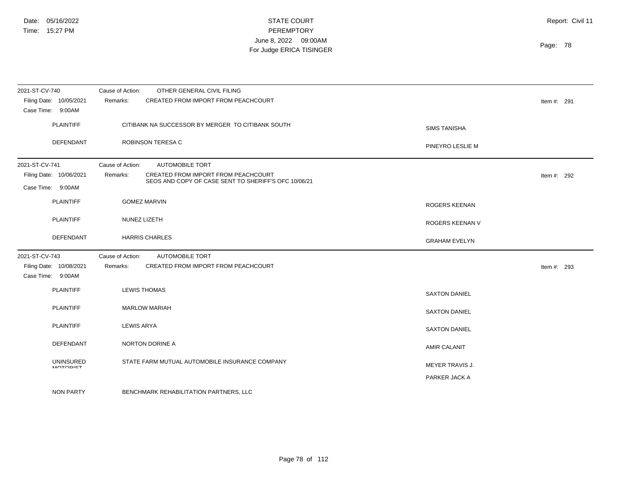| 2021-ST-CV-740<br>Filing Date: 10/05/2021<br>Case Time: 9:00AM | Cause of Action:<br>OTHER GENERAL CIVIL FILING<br>Remarks:<br>CREATED FROM IMPORT FROM PEACHCOURT       |                                         | Item #: 291 |
|----------------------------------------------------------------|---------------------------------------------------------------------------------------------------------|-----------------------------------------|-------------|
| <b>PLAINTIFF</b>                                               | CITIBANK NA SUCCESSOR BY MERGER TO CITIBANK SOUTH                                                       | <b>SIMS TANISHA</b>                     |             |
| DEFENDANT                                                      | ROBINSON TERESA C                                                                                       | PINEYRO LESLIE M                        |             |
| 2021-ST-CV-741                                                 | <b>AUTOMOBILE TORT</b><br>Cause of Action:                                                              |                                         |             |
| Filing Date: 10/06/2021<br>Case Time: 9:00AM                   | CREATED FROM IMPORT FROM PEACHCOURT<br>Remarks:<br>SEOS AND COPY OF CASE SENT TO SHERIFF'S OFC 10/06/21 |                                         | Item #: 292 |
| <b>PLAINTIFF</b>                                               | <b>GOMEZ MARVIN</b>                                                                                     | ROGERS KEENAN                           |             |
| PLAINTIFF                                                      | NUNEZ LIZETH                                                                                            | ROGERS KEENAN V                         |             |
| <b>DEFENDANT</b>                                               | <b>HARRIS CHARLES</b>                                                                                   | <b>GRAHAM EVELYN</b>                    |             |
| 2021-ST-CV-743<br>Filing Date: 10/08/2021<br>Case Time: 9:00AM | <b>AUTOMOBILE TORT</b><br>Cause of Action:<br>CREATED FROM IMPORT FROM PEACHCOURT<br>Remarks:           |                                         | Item #: 293 |
| <b>PLAINTIFF</b>                                               | <b>LEWIS THOMAS</b>                                                                                     | <b>SAXTON DANIEL</b>                    |             |
| <b>PLAINTIFF</b>                                               | <b>MARLOW MARIAH</b>                                                                                    | <b>SAXTON DANIEL</b>                    |             |
| <b>PLAINTIFF</b>                                               | <b>LEWIS ARYA</b>                                                                                       | <b>SAXTON DANIEL</b>                    |             |
| DEFENDANT                                                      | NORTON DORINE A                                                                                         | <b>AMIR CALANIT</b>                     |             |
| <b>UNINSURED</b><br><b>MOTORIST</b>                            | STATE FARM MUTUAL AUTOMOBILE INSURANCE COMPANY                                                          | <b>MEYER TRAVIS J.</b><br>PARKER JACK A |             |
| <b>NON PARTY</b>                                               | BENCHMARK REHABILITATION PARTNERS, LLC                                                                  |                                         |             |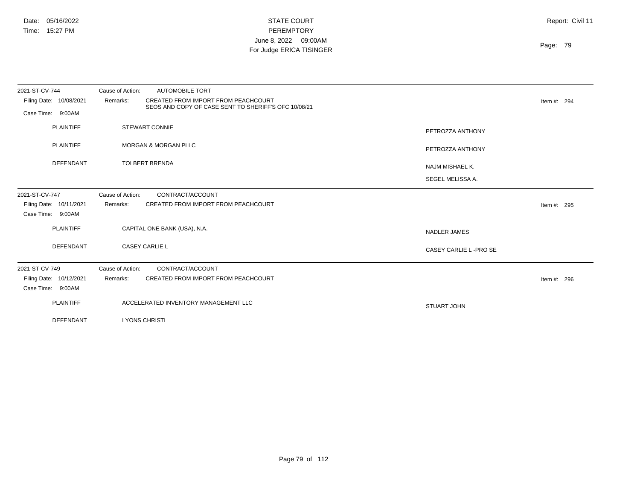| 2021-ST-CV-744                               | <b>AUTOMOBILE TORT</b><br>Cause of Action:                                                              |                       |             |
|----------------------------------------------|---------------------------------------------------------------------------------------------------------|-----------------------|-------------|
| Filing Date: 10/08/2021                      | CREATED FROM IMPORT FROM PEACHCOURT<br>Remarks:<br>SEOS AND COPY OF CASE SENT TO SHERIFF'S OFC 10/08/21 |                       | Item #: 294 |
| Case Time: 9:00AM                            |                                                                                                         |                       |             |
| <b>PLAINTIFF</b>                             | <b>STEWART CONNIE</b>                                                                                   | PETROZZA ANTHONY      |             |
| <b>PLAINTIFF</b>                             | <b>MORGAN &amp; MORGAN PLLC</b>                                                                         | PETROZZA ANTHONY      |             |
| DEFENDANT                                    | <b>TOLBERT BRENDA</b>                                                                                   | NAJM MISHAEL K.       |             |
|                                              |                                                                                                         | SEGEL MELISSA A.      |             |
| 2021-ST-CV-747                               | CONTRACT/ACCOUNT<br>Cause of Action:                                                                    |                       |             |
| Filing Date: 10/11/2021<br>Case Time: 9:00AM | CREATED FROM IMPORT FROM PEACHCOURT<br>Remarks:                                                         |                       | Item #: 295 |
| <b>PLAINTIFF</b>                             | CAPITAL ONE BANK (USA), N.A.                                                                            | NADLER JAMES          |             |
| DEFENDANT                                    | <b>CASEY CARLIE L</b>                                                                                   | CASEY CARLIE L-PRO SE |             |
| 2021-ST-CV-749                               | Cause of Action:<br>CONTRACT/ACCOUNT                                                                    |                       |             |
| Filing Date: 10/12/2021                      | CREATED FROM IMPORT FROM PEACHCOURT<br>Remarks:                                                         |                       | Item #: 296 |
| Case Time: 9:00AM                            |                                                                                                         |                       |             |
| <b>PLAINTIFF</b>                             | ACCELERATED INVENTORY MANAGEMENT LLC                                                                    | STUART JOHN           |             |
| DEFENDANT                                    | <b>LYONS CHRISTI</b>                                                                                    |                       |             |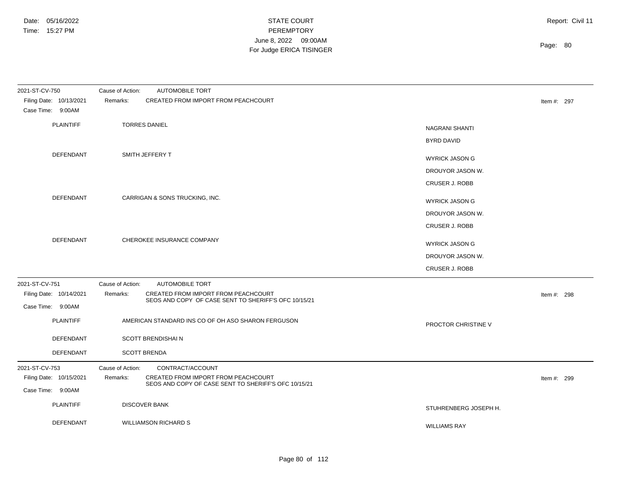| 2021-ST-CV-750<br>Filing Date: 10/13/2021<br>Case Time: 9:00AM | <b>AUTOMOBILE TORT</b><br>Cause of Action:<br>Remarks:<br>CREATED FROM IMPORT FROM PEACHCOURT           | Item #: $297$         |
|----------------------------------------------------------------|---------------------------------------------------------------------------------------------------------|-----------------------|
| <b>PLAINTIFF</b>                                               | <b>TORRES DANIEL</b>                                                                                    | <b>NAGRANI SHANTI</b> |
|                                                                |                                                                                                         | <b>BYRD DAVID</b>     |
| DEFENDANT                                                      | SMITH JEFFERY T                                                                                         |                       |
|                                                                |                                                                                                         | <b>WYRICK JASON G</b> |
|                                                                |                                                                                                         | DROUYOR JASON W.      |
|                                                                |                                                                                                         | <b>CRUSER J. ROBB</b> |
| <b>DEFENDANT</b>                                               | CARRIGAN & SONS TRUCKING, INC.                                                                          | <b>WYRICK JASON G</b> |
|                                                                |                                                                                                         | DROUYOR JASON W.      |
|                                                                |                                                                                                         | <b>CRUSER J. ROBB</b> |
| <b>DEFENDANT</b>                                               | CHEROKEE INSURANCE COMPANY                                                                              |                       |
|                                                                |                                                                                                         | <b>WYRICK JASON G</b> |
|                                                                |                                                                                                         | DROUYOR JASON W.      |
|                                                                |                                                                                                         | <b>CRUSER J. ROBB</b> |
| 2021-ST-CV-751                                                 | <b>AUTOMOBILE TORT</b><br>Cause of Action:                                                              |                       |
| Filing Date: 10/14/2021                                        | CREATED FROM IMPORT FROM PEACHCOURT<br>Remarks:<br>SEOS AND COPY OF CASE SENT TO SHERIFF'S OFC 10/15/21 | Item #: $298$         |
| Case Time: 9:00AM                                              |                                                                                                         |                       |
| <b>PLAINTIFF</b>                                               | AMERICAN STANDARD INS CO OF OH ASO SHARON FERGUSON                                                      | PROCTOR CHRISTINE V   |
| DEFENDANT                                                      | SCOTT BRENDISHAI N                                                                                      |                       |
| DEFENDANT                                                      | <b>SCOTT BRENDA</b>                                                                                     |                       |
| 2021-ST-CV-753                                                 | Cause of Action:<br>CONTRACT/ACCOUNT                                                                    |                       |
| Filing Date: 10/15/2021                                        | CREATED FROM IMPORT FROM PEACHCOURT<br>Remarks:<br>SEOS AND COPY OF CASE SENT TO SHERIFF'S OFC 10/15/21 | Item #: $299$         |
| Case Time: 9:00AM                                              |                                                                                                         |                       |
| <b>PLAINTIFF</b>                                               | <b>DISCOVER BANK</b>                                                                                    | STUHRENBERG JOSEPH H. |
| <b>DEFENDANT</b>                                               | <b>WILLIAMSON RICHARD S</b>                                                                             | <b>WILLIAMS RAY</b>   |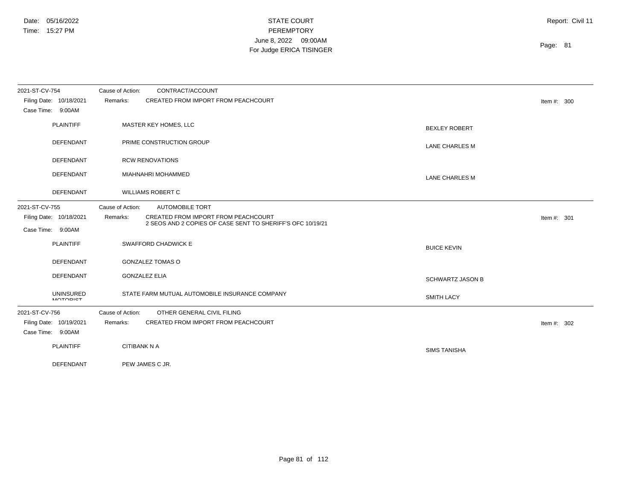| 2021-ST-CV-754                               | Cause of Action:<br>CONTRACT/ACCOUNT                       |                         |               |
|----------------------------------------------|------------------------------------------------------------|-------------------------|---------------|
| Filing Date: 10/18/2021<br>Case Time: 9:00AM | CREATED FROM IMPORT FROM PEACHCOURT<br>Remarks:            |                         | Item #: $300$ |
| <b>PLAINTIFF</b>                             | MASTER KEY HOMES, LLC                                      | <b>BEXLEY ROBERT</b>    |               |
| DEFENDANT                                    | PRIME CONSTRUCTION GROUP                                   | <b>LANE CHARLES M</b>   |               |
| <b>DEFENDANT</b>                             | <b>RCW RENOVATIONS</b>                                     |                         |               |
| DEFENDANT                                    | MIAHNAHRI MOHAMMED                                         | <b>LANE CHARLES M</b>   |               |
| <b>DEFENDANT</b>                             | <b>WILLIAMS ROBERT C</b>                                   |                         |               |
| 2021-ST-CV-755                               | Cause of Action:<br><b>AUTOMOBILE TORT</b>                 |                         |               |
| Filing Date: 10/18/2021                      | CREATED FROM IMPORT FROM PEACHCOURT<br>Remarks:            |                         | Item #: 301   |
| Case Time:<br>9:00AM                         | 2 SEOS AND 2 COPIES OF CASE SENT TO SHERIFF'S OFC 10/19/21 |                         |               |
| <b>PLAINTIFF</b>                             | SWAFFORD CHADWICK E                                        | <b>BUICE KEVIN</b>      |               |
| DEFENDANT                                    | <b>GONZALEZ TOMAS O</b>                                    |                         |               |
| <b>DEFENDANT</b>                             | <b>GONZALEZ ELIA</b>                                       | <b>SCHWARTZ JASON B</b> |               |
| <b>UNINSURED</b><br><b>MOTORIST</b>          | STATE FARM MUTUAL AUTOMOBILE INSURANCE COMPANY             | <b>SMITH LACY</b>       |               |
| 2021-ST-CV-756                               | OTHER GENERAL CIVIL FILING<br>Cause of Action:             |                         |               |
| Filing Date: 10/19/2021<br>Case Time: 9:00AM | CREATED FROM IMPORT FROM PEACHCOURT<br>Remarks:            |                         | Item #: $302$ |
| <b>PLAINTIFF</b>                             | <b>CITIBANK N A</b>                                        | <b>SIMS TANISHA</b>     |               |
| DEFENDANT                                    | PEW JAMES C JR.                                            |                         |               |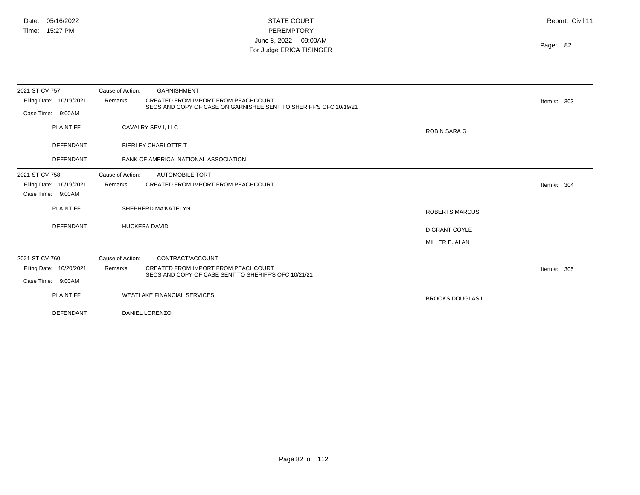| 2021-ST-CV-757          | <b>GARNISHMENT</b><br>Cause of Action:                                                                               |               |
|-------------------------|----------------------------------------------------------------------------------------------------------------------|---------------|
| Filing Date: 10/19/2021 | CREATED FROM IMPORT FROM PEACHCOURT<br>Remarks:<br>SEOS AND COPY OF CASE ON GARNISHEE SENT TO SHERIFF'S OFC 10/19/21 | Item #: $303$ |
| Case Time:<br>9:00AM    |                                                                                                                      |               |
| <b>PLAINTIFF</b>        | CAVALRY SPV I, LLC<br><b>ROBIN SARA G</b>                                                                            |               |
| <b>DEFENDANT</b>        | <b>BIERLEY CHARLOTTE T</b>                                                                                           |               |
| DEFENDANT               | BANK OF AMERICA, NATIONAL ASSOCIATION                                                                                |               |
| 2021-ST-CV-758          | Cause of Action:<br><b>AUTOMOBILE TORT</b>                                                                           |               |
| Filing Date: 10/19/2021 | CREATED FROM IMPORT FROM PEACHCOURT<br>Remarks:                                                                      | Item #: $304$ |
| Case Time: 9:00AM       |                                                                                                                      |               |
| <b>PLAINTIFF</b>        | SHEPHERD MA'KATELYN<br><b>ROBERTS MARCUS</b>                                                                         |               |
| <b>DEFENDANT</b>        | <b>HUCKEBA DAVID</b><br>D GRANT COYLE                                                                                |               |
|                         | MILLER E. ALAN                                                                                                       |               |
| 2021-ST-CV-760          | CONTRACT/ACCOUNT<br>Cause of Action:                                                                                 |               |
| Filing Date: 10/20/2021 | CREATED FROM IMPORT FROM PEACHCOURT<br>Remarks:                                                                      | Item #: $305$ |
| Case Time:<br>9:00AM    | SEOS AND COPY OF CASE SENT TO SHERIFF'S OFC 10/21/21                                                                 |               |
| <b>PLAINTIFF</b>        | <b>WESTLAKE FINANCIAL SERVICES</b><br><b>BROOKS DOUGLAS L</b>                                                        |               |
| <b>DEFENDANT</b>        | DANIEL LORENZO                                                                                                       |               |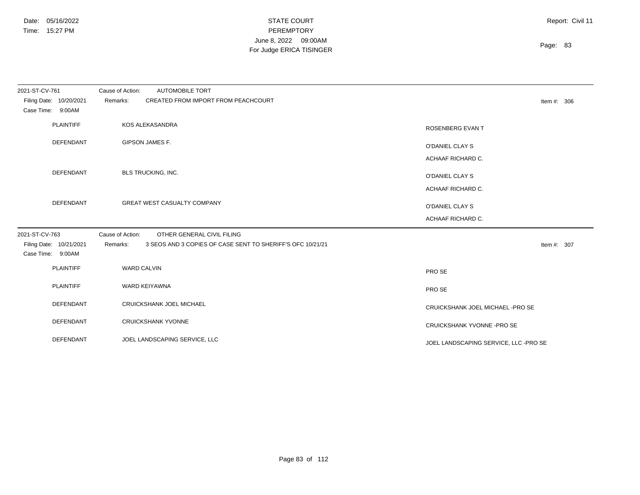| 2021-ST-CV-761                               | Cause of Action:<br><b>AUTOMOBILE TORT</b>                             |                                       |
|----------------------------------------------|------------------------------------------------------------------------|---------------------------------------|
| Filing Date: 10/20/2021<br>Case Time: 9:00AM | CREATED FROM IMPORT FROM PEACHCOURT<br>Remarks:                        | Item #: $306$                         |
| <b>PLAINTIFF</b>                             | KOS ALEKASANDRA                                                        | ROSENBERG EVAN T                      |
| DEFENDANT                                    | GIPSON JAMES F.                                                        | O'DANIEL CLAY S                       |
|                                              |                                                                        | ACHAAF RICHARD C.                     |
| DEFENDANT                                    | BLS TRUCKING, INC.                                                     | O'DANIEL CLAY S                       |
|                                              |                                                                        | ACHAAF RICHARD C.                     |
| DEFENDANT                                    | GREAT WEST CASUALTY COMPANY                                            | O'DANIEL CLAY S                       |
|                                              |                                                                        | ACHAAF RICHARD C.                     |
| 2021-ST-CV-763                               | OTHER GENERAL CIVIL FILING<br>Cause of Action:                         |                                       |
| Filing Date: 10/21/2021<br>Case Time: 9:00AM | 3 SEOS AND 3 COPIES OF CASE SENT TO SHERIFF'S OFC 10/21/21<br>Remarks: | Item #: 307                           |
| <b>PLAINTIFF</b>                             | <b>WARD CALVIN</b>                                                     | PRO SE                                |
| <b>PLAINTIFF</b>                             | WARD KEIYAWNA                                                          | PRO SE                                |
| <b>DEFENDANT</b>                             | CRUICKSHANK JOEL MICHAEL                                               | CRUICKSHANK JOEL MICHAEL - PRO SE     |
| DEFENDANT                                    | <b>CRUICKSHANK YVONNE</b>                                              | CRUICKSHANK YVONNE - PRO SE           |
| DEFENDANT                                    | JOEL LANDSCAPING SERVICE, LLC                                          | JOEL LANDSCAPING SERVICE, LLC -PRO SE |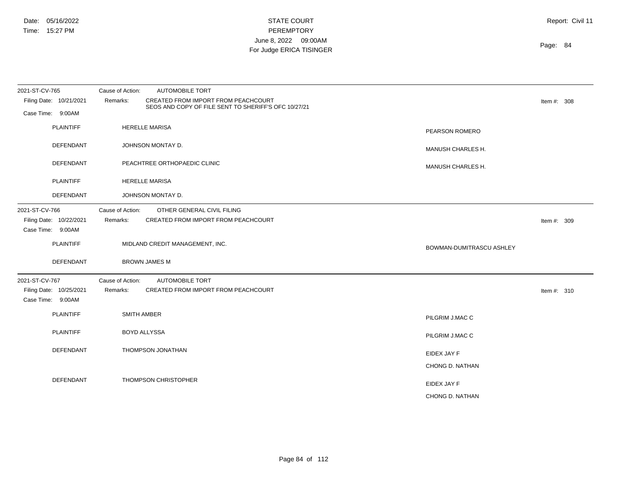| 2021-ST-CV-765                                                 | Cause of Action:<br><b>AUTOMOBILE TORT</b>                                                        |                          |               |
|----------------------------------------------------------------|---------------------------------------------------------------------------------------------------|--------------------------|---------------|
| Filing Date: 10/21/2021                                        | Remarks:<br>CREATED FROM IMPORT FROM PEACHCOURT                                                   |                          | Item #: $308$ |
|                                                                | SEOS AND COPY OF FILE SENT TO SHERIFF'S OFC 10/27/21                                              |                          |               |
| Case Time: 9:00AM                                              |                                                                                                   |                          |               |
| <b>PLAINTIFF</b>                                               | <b>HERELLE MARISA</b>                                                                             | PEARSON ROMERO           |               |
| <b>DEFENDANT</b>                                               | JOHNSON MONTAY D.                                                                                 | MANUSH CHARLES H.        |               |
| <b>DEFENDANT</b>                                               | PEACHTREE ORTHOPAEDIC CLINIC                                                                      | MANUSH CHARLES H.        |               |
| <b>PLAINTIFF</b>                                               | <b>HERELLE MARISA</b>                                                                             |                          |               |
| <b>DEFENDANT</b>                                               | JOHNSON MONTAY D.                                                                                 |                          |               |
| 2021-ST-CV-766<br>Filing Date: 10/22/2021<br>Case Time: 9:00AM | Cause of Action:<br>OTHER GENERAL CIVIL FILING<br>Remarks:<br>CREATED FROM IMPORT FROM PEACHCOURT |                          | Item #: 309   |
| <b>PLAINTIFF</b>                                               | MIDLAND CREDIT MANAGEMENT, INC.                                                                   | BOWMAN-DUMITRASCU ASHLEY |               |
| DEFENDANT                                                      | <b>BROWN JAMES M</b>                                                                              |                          |               |
| 2021-ST-CV-767                                                 | Cause of Action:<br><b>AUTOMOBILE TORT</b>                                                        |                          |               |
| Filing Date: 10/25/2021<br>Case Time: 9:00AM                   | CREATED FROM IMPORT FROM PEACHCOURT<br>Remarks:                                                   |                          | Item #: $310$ |
| <b>PLAINTIFF</b>                                               | <b>SMITH AMBER</b>                                                                                | PILGRIM J.MAC C          |               |
| <b>PLAINTIFF</b>                                               | <b>BOYD ALLYSSA</b>                                                                               | PILGRIM J.MAC C          |               |
| DEFENDANT                                                      | THOMPSON JONATHAN                                                                                 | EIDEX JAY F              |               |
|                                                                |                                                                                                   | CHONG D. NATHAN          |               |
| DEFENDANT                                                      | THOMPSON CHRISTOPHER                                                                              |                          |               |
|                                                                |                                                                                                   | EIDEX JAY F              |               |
|                                                                |                                                                                                   | CHONG D. NATHAN          |               |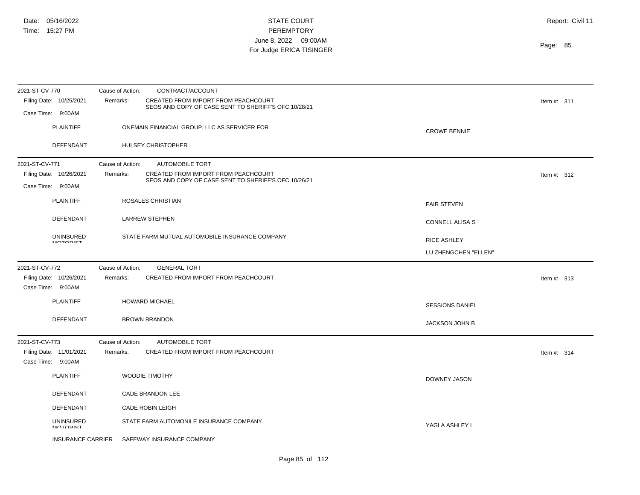| 2021-ST-CV-770                               | Cause of Action:<br>CONTRACT/ACCOUNT                                                                    |                        |               |
|----------------------------------------------|---------------------------------------------------------------------------------------------------------|------------------------|---------------|
| Filing Date: 10/25/2021                      | Remarks:<br>CREATED FROM IMPORT FROM PEACHCOURT<br>SEOS AND COPY OF CASE SENT TO SHERIFF'S OFC 10/28/21 |                        | Item #: $311$ |
| Case Time: 9:00AM                            |                                                                                                         |                        |               |
| <b>PLAINTIFF</b>                             | ONEMAIN FINANCIAL GROUP, LLC AS SERVICER FOR                                                            | <b>CROWE BENNIE</b>    |               |
| DEFENDANT                                    | HULSEY CHRISTOPHER                                                                                      |                        |               |
| 2021-ST-CV-771                               | Cause of Action:<br><b>AUTOMOBILE TORT</b>                                                              |                        |               |
| Filing Date: 10/26/2021                      | Remarks:<br>CREATED FROM IMPORT FROM PEACHCOURT<br>SEOS AND COPY OF CASE SENT TO SHERIFF'S OFC 10/26/21 |                        | Item #: $312$ |
| Case Time: 9:00AM                            |                                                                                                         |                        |               |
| <b>PLAINTIFF</b>                             | <b>ROSALES CHRISTIAN</b>                                                                                | <b>FAIR STEVEN</b>     |               |
| DEFENDANT                                    | <b>LARREW STEPHEN</b>                                                                                   | CONNELL ALISA S        |               |
| <b>UNINSURED</b><br><b>MOTORIST</b>          | STATE FARM MUTUAL AUTOMOBILE INSURANCE COMPANY                                                          | RICE ASHLEY            |               |
|                                              |                                                                                                         | LU ZHENGCHEN "ELLEN"   |               |
| 2021-ST-CV-772                               | Cause of Action:<br><b>GENERAL TORT</b>                                                                 |                        |               |
| Filing Date: 10/26/2021<br>Case Time: 9:00AM | CREATED FROM IMPORT FROM PEACHCOURT<br>Remarks:                                                         |                        | Item #: $313$ |
| <b>PLAINTIFF</b>                             | <b>HOWARD MICHAEL</b>                                                                                   | <b>SESSIONS DANIEL</b> |               |
| DEFENDANT                                    | <b>BROWN BRANDON</b>                                                                                    | JACKSON JOHN B         |               |
| 2021-ST-CV-773                               | Cause of Action:<br><b>AUTOMOBILE TORT</b>                                                              |                        |               |
| Filing Date: 11/01/2021<br>Case Time: 9:00AM | CREATED FROM IMPORT FROM PEACHCOURT<br>Remarks:                                                         |                        | Item #: $314$ |
| <b>PLAINTIFF</b>                             | <b>WOODIE TIMOTHY</b>                                                                                   | DOWNEY JASON           |               |
| DEFENDANT                                    | <b>CADE BRANDON LEE</b>                                                                                 |                        |               |
| DEFENDANT                                    | <b>CADE ROBIN LEIGH</b>                                                                                 |                        |               |
| <b>UNINSURED</b><br><b>MOTORIST</b>          | STATE FARM AUTOMONILE INSURANCE COMPANY                                                                 | YAGLA ASHLEY L         |               |
| <b>INSURANCE CARRIER</b>                     | SAFEWAY INSURANCE COMPANY                                                                               |                        |               |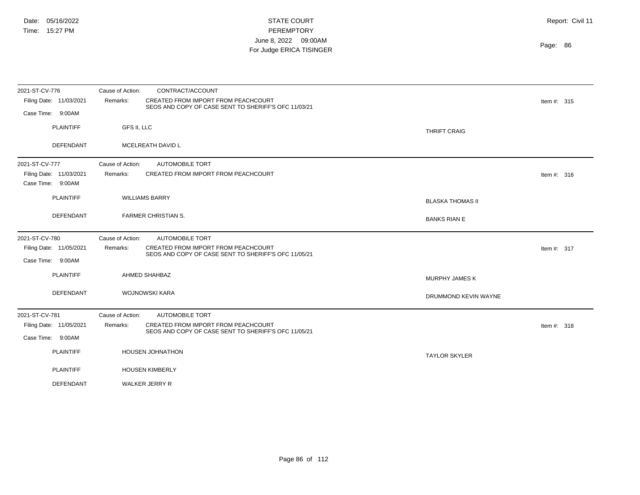| 2021-ST-CV-776          | Cause of Action:      | CONTRACT/ACCOUNT                                                                            |                         |               |  |
|-------------------------|-----------------------|---------------------------------------------------------------------------------------------|-------------------------|---------------|--|
| Filing Date: 11/03/2021 | Remarks:              | CREATED FROM IMPORT FROM PEACHCOURT<br>SEOS AND COPY OF CASE SENT TO SHERIFF'S OFC 11/03/21 |                         | Item #: $315$ |  |
| Case Time: 9:00AM       |                       |                                                                                             |                         |               |  |
| <b>PLAINTIFF</b>        | GFS II, LLC           |                                                                                             | <b>THRIFT CRAIG</b>     |               |  |
|                         |                       |                                                                                             |                         |               |  |
| DEFENDANT               |                       | MCELREATH DAVID L                                                                           |                         |               |  |
| 2021-ST-CV-777          | Cause of Action:      | <b>AUTOMOBILE TORT</b>                                                                      |                         |               |  |
| Filing Date: 11/03/2021 | Remarks:              | CREATED FROM IMPORT FROM PEACHCOURT                                                         |                         | Item #: 316   |  |
| Case Time: 9:00AM       |                       |                                                                                             |                         |               |  |
| <b>PLAINTIFF</b>        | <b>WILLIAMS BARRY</b> |                                                                                             | <b>BLASKA THOMAS II</b> |               |  |
| <b>DEFENDANT</b>        |                       | <b>FARMER CHRISTIAN S.</b>                                                                  |                         |               |  |
|                         |                       |                                                                                             | <b>BANKS RIAN E</b>     |               |  |
| 2021-ST-CV-780          | Cause of Action:      | <b>AUTOMOBILE TORT</b>                                                                      |                         |               |  |
| Filing Date: 11/05/2021 | Remarks:              | CREATED FROM IMPORT FROM PEACHCOURT<br>SEOS AND COPY OF CASE SENT TO SHERIFF'S OFC 11/05/21 |                         | Item #: $317$ |  |
| Case Time: 9:00AM       |                       |                                                                                             |                         |               |  |
| <b>PLAINTIFF</b>        |                       | AHMED SHAHBAZ                                                                               | MURPHY JAMES K          |               |  |
| DEFENDANT               |                       | WOJNOWSKI KARA                                                                              |                         |               |  |
|                         |                       |                                                                                             | DRUMMOND KEVIN WAYNE    |               |  |
| 2021-ST-CV-781          | Cause of Action:      | <b>AUTOMOBILE TORT</b>                                                                      |                         |               |  |
| Filing Date: 11/05/2021 | Remarks:              | CREATED FROM IMPORT FROM PEACHCOURT                                                         |                         | Item #: $318$ |  |
| Case Time: 9:00AM       |                       | SEOS AND COPY OF CASE SENT TO SHERIFF'S OFC 11/05/21                                        |                         |               |  |
| PLAINTIFF               |                       | HOUSEN JOHNATHON                                                                            | <b>TAYLOR SKYLER</b>    |               |  |
|                         |                       |                                                                                             |                         |               |  |
| <b>PLAINTIFF</b>        |                       | <b>HOUSEN KIMBERLY</b>                                                                      |                         |               |  |
| <b>DEFENDANT</b>        |                       | WALKER JERRY R                                                                              |                         |               |  |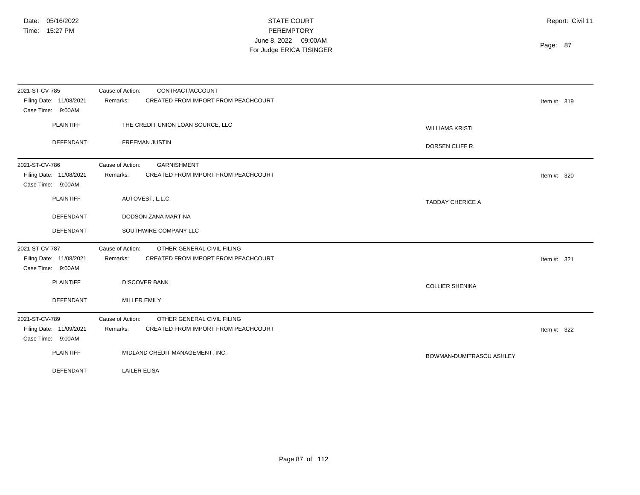| 2021-ST-CV-785<br>Filing Date: 11/08/2021<br>Case Time: 9:00AM | Cause of Action:<br>CONTRACT/ACCOUNT<br>Remarks:<br>CREATED FROM IMPORT FROM PEACHCOURT           | Item #: $319$            |
|----------------------------------------------------------------|---------------------------------------------------------------------------------------------------|--------------------------|
| <b>PLAINTIFF</b>                                               | THE CREDIT UNION LOAN SOURCE, LLC                                                                 | <b>WILLIAMS KRISTI</b>   |
| <b>DEFENDANT</b>                                               | <b>FREEMAN JUSTIN</b>                                                                             | DORSEN CLIFF R.          |
| 2021-ST-CV-786<br>Filing Date: 11/08/2021<br>Case Time: 9:00AM | <b>GARNISHMENT</b><br>Cause of Action:<br>CREATED FROM IMPORT FROM PEACHCOURT<br>Remarks:         | Item #: $320$            |
| <b>PLAINTIFF</b>                                               | AUTOVEST, L.L.C.                                                                                  | <b>TADDAY CHERICE A</b>  |
| <b>DEFENDANT</b>                                               | <b>DODSON ZANA MARTINA</b>                                                                        |                          |
| <b>DEFENDANT</b>                                               | SOUTHWIRE COMPANY LLC                                                                             |                          |
| 2021-ST-CV-787<br>Filing Date: 11/08/2021<br>Case Time: 9:00AM | Cause of Action:<br>OTHER GENERAL CIVIL FILING<br>CREATED FROM IMPORT FROM PEACHCOURT<br>Remarks: | Item #: $321$            |
| <b>PLAINTIFF</b>                                               | <b>DISCOVER BANK</b>                                                                              | <b>COLLIER SHENIKA</b>   |
| <b>DEFENDANT</b>                                               | <b>MILLER EMILY</b>                                                                               |                          |
| 2021-ST-CV-789<br>Filing Date: 11/09/2021<br>Case Time: 9:00AM | OTHER GENERAL CIVIL FILING<br>Cause of Action:<br>CREATED FROM IMPORT FROM PEACHCOURT<br>Remarks: | Item #: $322$            |
| <b>PLAINTIFF</b>                                               | MIDLAND CREDIT MANAGEMENT, INC.                                                                   | BOWMAN-DUMITRASCU ASHLEY |
| <b>DEFENDANT</b>                                               | <b>LAILER ELISA</b>                                                                               |                          |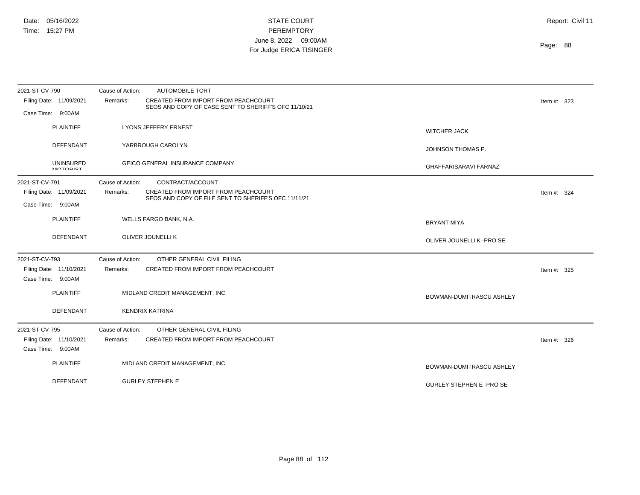| 2021-ST-CV-790                               | AUTOMOBILE TORT<br>Cause of Action:                                                                     |                                 |
|----------------------------------------------|---------------------------------------------------------------------------------------------------------|---------------------------------|
| Filing Date: 11/09/2021                      | CREATED FROM IMPORT FROM PEACHCOURT<br>Remarks:<br>SEOS AND COPY OF CASE SENT TO SHERIFF'S OFC 11/10/21 | Item #: $323$                   |
| Case Time: 9:00AM                            |                                                                                                         |                                 |
| <b>PLAINTIFF</b>                             | LYONS JEFFERY ERNEST                                                                                    | <b>WITCHER JACK</b>             |
| DEFENDANT                                    | YARBROUGH CAROLYN                                                                                       | JOHNSON THOMAS P.               |
| <b>UNINSURED</b><br><b>MOTODICT</b>          | GEICO GENERAL INSURANCE COMPANY                                                                         | GHAFFARISARAVI FARNAZ           |
| 2021-ST-CV-791                               | Cause of Action:<br>CONTRACT/ACCOUNT                                                                    |                                 |
| Filing Date: 11/09/2021                      | CREATED FROM IMPORT FROM PEACHCOURT<br>Remarks:<br>SEOS AND COPY OF FILE SENT TO SHERIFF'S OFC 11/11/21 | Item #: $324$                   |
| Case Time: 9:00AM                            |                                                                                                         |                                 |
| <b>PLAINTIFF</b>                             | WELLS FARGO BANK, N.A.                                                                                  | <b>BRYANT MIYA</b>              |
| DEFENDANT                                    | OLIVER JOUNELLI K                                                                                       | OLIVER JOUNELLI K -PRO SE       |
| 2021-ST-CV-793                               | Cause of Action:<br>OTHER GENERAL CIVIL FILING                                                          |                                 |
| Filing Date: 11/10/2021<br>Case Time: 9:00AM | CREATED FROM IMPORT FROM PEACHCOURT<br>Remarks:                                                         | Item #: $325$                   |
| <b>PLAINTIFF</b>                             | MIDLAND CREDIT MANAGEMENT, INC.                                                                         | BOWMAN-DUMITRASCU ASHLEY        |
| DEFENDANT                                    | KENDRIX KATRINA                                                                                         |                                 |
| 2021-ST-CV-795                               | OTHER GENERAL CIVIL FILING<br>Cause of Action:                                                          |                                 |
| Filing Date: 11/10/2021<br>Case Time: 9:00AM | CREATED FROM IMPORT FROM PEACHCOURT<br>Remarks:                                                         | Item #: $326$                   |
| <b>PLAINTIFF</b>                             | MIDLAND CREDIT MANAGEMENT, INC.                                                                         | BOWMAN-DUMITRASCU ASHLEY        |
| <b>DEFENDANT</b>                             | <b>GURLEY STEPHEN E</b>                                                                                 | <b>GURLEY STEPHEN E -PRO SE</b> |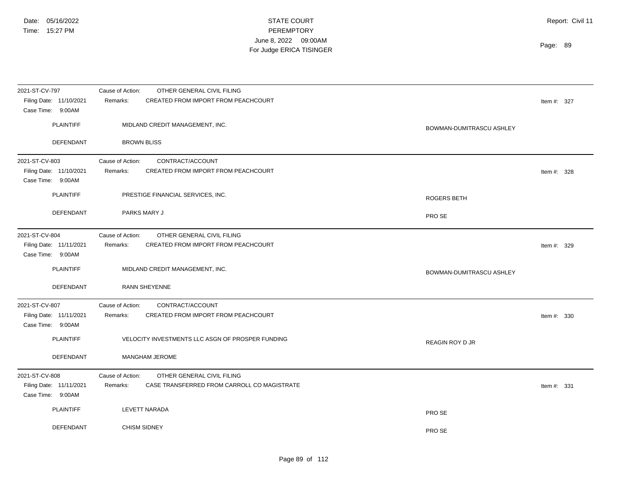| 2021-ST-CV-797                               | Cause of Action:<br>OTHER GENERAL CIVIL FILING          |                          |
|----------------------------------------------|---------------------------------------------------------|--------------------------|
| Filing Date: 11/10/2021<br>Case Time: 9:00AM | CREATED FROM IMPORT FROM PEACHCOURT<br>Remarks:         | Item #: $327$            |
| <b>PLAINTIFF</b>                             | MIDLAND CREDIT MANAGEMENT, INC.                         | BOWMAN-DUMITRASCU ASHLEY |
| <b>DEFENDANT</b>                             | <b>BROWN BLISS</b>                                      |                          |
| 2021-ST-CV-803                               | Cause of Action:<br>CONTRACT/ACCOUNT                    |                          |
| Filing Date: 11/10/2021<br>Case Time: 9:00AM | CREATED FROM IMPORT FROM PEACHCOURT<br>Remarks:         | Item #: $328$            |
| <b>PLAINTIFF</b>                             | PRESTIGE FINANCIAL SERVICES, INC.                       | <b>ROGERS BETH</b>       |
| <b>DEFENDANT</b>                             | PARKS MARY J                                            | PRO SE                   |
| 2021-ST-CV-804                               | Cause of Action:<br>OTHER GENERAL CIVIL FILING          |                          |
| Filing Date: 11/11/2021<br>Case Time: 9:00AM | Remarks:<br>CREATED FROM IMPORT FROM PEACHCOURT         | Item #: $329$            |
| <b>PLAINTIFF</b>                             | MIDLAND CREDIT MANAGEMENT, INC.                         | BOWMAN-DUMITRASCU ASHLEY |
| <b>DEFENDANT</b>                             | <b>RANN SHEYENNE</b>                                    |                          |
| 2021-ST-CV-807                               | CONTRACT/ACCOUNT<br>Cause of Action:                    |                          |
| Filing Date: 11/11/2021<br>Case Time: 9:00AM | CREATED FROM IMPORT FROM PEACHCOURT<br>Remarks:         | Item #: $330$            |
| <b>PLAINTIFF</b>                             | VELOCITY INVESTMENTS LLC ASGN OF PROSPER FUNDING        | <b>REAGIN ROY D JR</b>   |
| <b>DEFENDANT</b>                             | <b>MANGHAM JEROME</b>                                   |                          |
| 2021-ST-CV-808                               | OTHER GENERAL CIVIL FILING<br>Cause of Action:          |                          |
| Filing Date: 11/11/2021<br>Case Time: 9:00AM | CASE TRANSFERRED FROM CARROLL CO MAGISTRATE<br>Remarks: | Item #: 331              |
| <b>PLAINTIFF</b>                             | LEVETT NARADA                                           | PRO SE                   |
| <b>DEFENDANT</b>                             | <b>CHISM SIDNEY</b>                                     | PRO SE                   |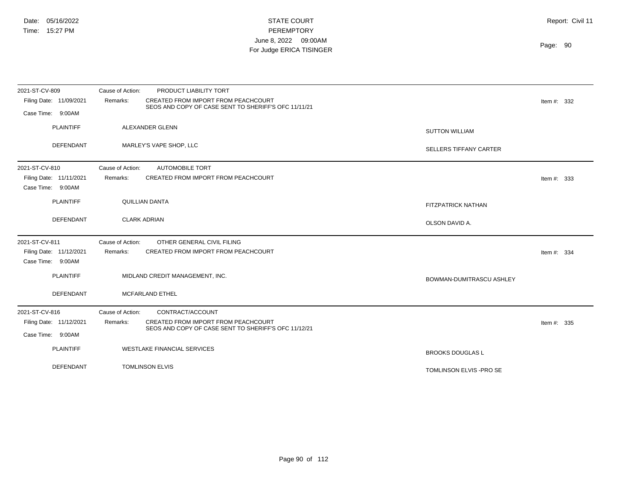| 2021-ST-CV-809                               | Cause of Action:<br>PRODUCT LIABILITY TORT                                                              |                               |
|----------------------------------------------|---------------------------------------------------------------------------------------------------------|-------------------------------|
| Filing Date: 11/09/2021                      | CREATED FROM IMPORT FROM PEACHCOURT<br>Remarks:<br>SEOS AND COPY OF CASE SENT TO SHERIFF'S OFC 11/11/21 | Item #: $332$                 |
| Case Time: 9:00AM                            |                                                                                                         |                               |
| <b>PLAINTIFF</b>                             | ALEXANDER GLENN                                                                                         | <b>SUTTON WILLIAM</b>         |
| <b>DEFENDANT</b>                             | MARLEY'S VAPE SHOP, LLC                                                                                 | <b>SELLERS TIFFANY CARTER</b> |
| 2021-ST-CV-810                               | Cause of Action:<br><b>AUTOMOBILE TORT</b>                                                              |                               |
| Filing Date: 11/11/2021<br>Case Time: 9:00AM | CREATED FROM IMPORT FROM PEACHCOURT<br>Remarks:                                                         | Item #: $333$                 |
| <b>PLAINTIFF</b>                             | <b>QUILLIAN DANTA</b>                                                                                   | <b>FITZPATRICK NATHAN</b>     |
| <b>DEFENDANT</b>                             | <b>CLARK ADRIAN</b>                                                                                     | OLSON DAVID A.                |
| 2021-ST-CV-811                               | Cause of Action:<br>OTHER GENERAL CIVIL FILING                                                          |                               |
| Filing Date: 11/12/2021<br>Case Time: 9:00AM | CREATED FROM IMPORT FROM PEACHCOURT<br>Remarks:                                                         | Item #: $334$                 |
| <b>PLAINTIFF</b>                             | MIDLAND CREDIT MANAGEMENT, INC.                                                                         | BOWMAN-DUMITRASCU ASHLEY      |
| DEFENDANT                                    | MCFARLAND ETHEL                                                                                         |                               |
| 2021-ST-CV-816                               | Cause of Action:<br>CONTRACT/ACCOUNT                                                                    |                               |
| Filing Date: 11/12/2021                      | CREATED FROM IMPORT FROM PEACHCOURT<br>Remarks:<br>SEOS AND COPY OF CASE SENT TO SHERIFF'S OFC 11/12/21 | Item #: $335$                 |
| Case Time: 9:00AM                            |                                                                                                         |                               |
| <b>PLAINTIFF</b>                             | <b>WESTLAKE FINANCIAL SERVICES</b>                                                                      | <b>BROOKS DOUGLAS L</b>       |
| DEFENDANT                                    | <b>TOMLINSON ELVIS</b>                                                                                  | TOMLINSON ELVIS - PRO SE      |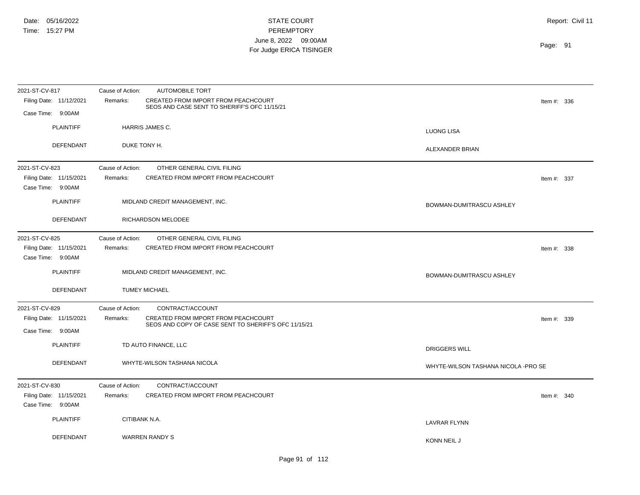| 2021-ST-CV-817                               | <b>AUTOMOBILE TORT</b><br>Cause of Action:                                                              |                                     |
|----------------------------------------------|---------------------------------------------------------------------------------------------------------|-------------------------------------|
| Filing Date: 11/12/2021                      | CREATED FROM IMPORT FROM PEACHCOURT<br>Remarks:<br>SEOS AND CASE SENT TO SHERIFF'S OFC 11/15/21         | Item #: $336$                       |
| Case Time: 9:00AM                            |                                                                                                         |                                     |
| <b>PLAINTIFF</b>                             | HARRIS JAMES C.                                                                                         | LUONG LISA                          |
| DEFENDANT                                    | DUKE TONY H.                                                                                            | ALEXANDER BRIAN                     |
| 2021-ST-CV-823                               | OTHER GENERAL CIVIL FILING<br>Cause of Action:                                                          |                                     |
| Filing Date: 11/15/2021<br>Case Time: 9:00AM | Remarks:<br>CREATED FROM IMPORT FROM PEACHCOURT                                                         | Item #: 337                         |
| <b>PLAINTIFF</b>                             | MIDLAND CREDIT MANAGEMENT, INC.                                                                         | BOWMAN-DUMITRASCU ASHLEY            |
| DEFENDANT                                    | RICHARDSON MELODEE                                                                                      |                                     |
| 2021-ST-CV-825                               | OTHER GENERAL CIVIL FILING<br>Cause of Action:                                                          |                                     |
| Filing Date: 11/15/2021<br>Case Time: 9:00AM | Remarks:<br>CREATED FROM IMPORT FROM PEACHCOURT                                                         | Item #: 338                         |
| <b>PLAINTIFF</b>                             | MIDLAND CREDIT MANAGEMENT, INC.                                                                         | BOWMAN-DUMITRASCU ASHLEY            |
| <b>DEFENDANT</b>                             | <b>TUMEY MICHAEL</b>                                                                                    |                                     |
| 2021-ST-CV-829                               | CONTRACT/ACCOUNT<br>Cause of Action:                                                                    |                                     |
| Filing Date: 11/15/2021<br>Case Time: 9:00AM | CREATED FROM IMPORT FROM PEACHCOURT<br>Remarks:<br>SEOS AND COPY OF CASE SENT TO SHERIFF'S OFC 11/15/21 | Item #: $339$                       |
| <b>PLAINTIFF</b>                             | TD AUTO FINANCE, LLC                                                                                    | <b>DRIGGERS WILL</b>                |
| <b>DEFENDANT</b>                             | WHYTE-WILSON TASHANA NICOLA                                                                             | WHYTE-WILSON TASHANA NICOLA -PRO SE |
| 2021-ST-CV-830                               | Cause of Action:<br>CONTRACT/ACCOUNT                                                                    |                                     |
| Filing Date: 11/15/2021<br>Case Time: 9:00AM | Remarks:<br>CREATED FROM IMPORT FROM PEACHCOURT                                                         | Item #: 340                         |
| <b>PLAINTIFF</b>                             | CITIBANK N.A.                                                                                           | <b>LAVRAR FLYNN</b>                 |
| DEFENDANT                                    | <b>WARREN RANDY S</b>                                                                                   | <b>KONN NEIL J</b>                  |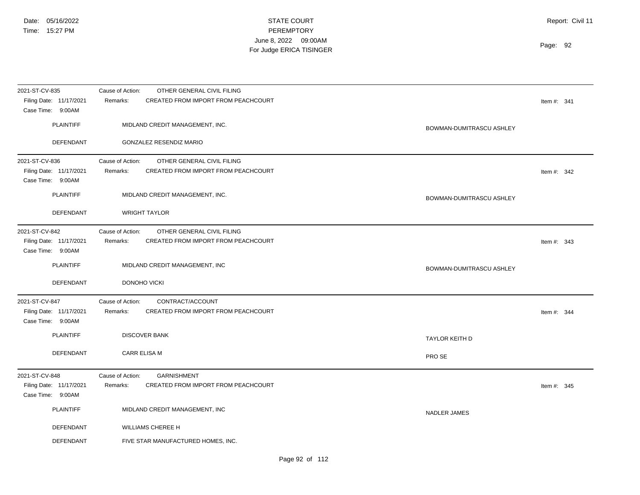| 2021-ST-CV-835                                                 | Cause of Action:<br>OTHER GENERAL CIVIL FILING                                                    |                          |
|----------------------------------------------------------------|---------------------------------------------------------------------------------------------------|--------------------------|
| Filing Date: 11/17/2021<br>Case Time: 9:00AM                   | Remarks:<br>CREATED FROM IMPORT FROM PEACHCOURT                                                   | Item #: $341$            |
| <b>PLAINTIFF</b>                                               | MIDLAND CREDIT MANAGEMENT, INC.                                                                   | BOWMAN-DUMITRASCU ASHLEY |
| <b>DEFENDANT</b>                                               | GONZALEZ RESENDIZ MARIO                                                                           |                          |
| 2021-ST-CV-836<br>Filing Date: 11/17/2021<br>Case Time: 9:00AM | Cause of Action:<br>OTHER GENERAL CIVIL FILING<br>Remarks:<br>CREATED FROM IMPORT FROM PEACHCOURT | Item #: $342$            |
| <b>PLAINTIFF</b>                                               | MIDLAND CREDIT MANAGEMENT, INC.                                                                   | BOWMAN-DUMITRASCU ASHLEY |
| <b>DEFENDANT</b>                                               | <b>WRIGHT TAYLOR</b>                                                                              |                          |
| 2021-ST-CV-842<br>Filing Date: 11/17/2021<br>Case Time: 9:00AM | Cause of Action:<br>OTHER GENERAL CIVIL FILING<br>Remarks:<br>CREATED FROM IMPORT FROM PEACHCOURT | Item #: $343$            |
| <b>PLAINTIFF</b>                                               | MIDLAND CREDIT MANAGEMENT, INC                                                                    | BOWMAN-DUMITRASCU ASHLEY |
| <b>DEFENDANT</b>                                               | <b>DONOHO VICKI</b>                                                                               |                          |
| 2021-ST-CV-847<br>Filing Date: 11/17/2021<br>Case Time: 9:00AM | CONTRACT/ACCOUNT<br>Cause of Action:<br>CREATED FROM IMPORT FROM PEACHCOURT<br>Remarks:           | Item #: $344$            |
| <b>PLAINTIFF</b>                                               | <b>DISCOVER BANK</b>                                                                              | <b>TAYLOR KEITH D</b>    |
| DEFENDANT                                                      | <b>CARR ELISA M</b>                                                                               | PRO SE                   |
| 2021-ST-CV-848<br>Filing Date: 11/17/2021<br>Case Time: 9:00AM | Cause of Action:<br><b>GARNISHMENT</b><br>CREATED FROM IMPORT FROM PEACHCOURT<br>Remarks:         | Item #: $345$            |
| <b>PLAINTIFF</b>                                               | MIDLAND CREDIT MANAGEMENT, INC                                                                    | <b>NADLER JAMES</b>      |
| <b>DEFENDANT</b>                                               | WILLIAMS CHEREE H                                                                                 |                          |
| <b>DEFENDANT</b>                                               | FIVE STAR MANUFACTURED HOMES, INC.                                                                |                          |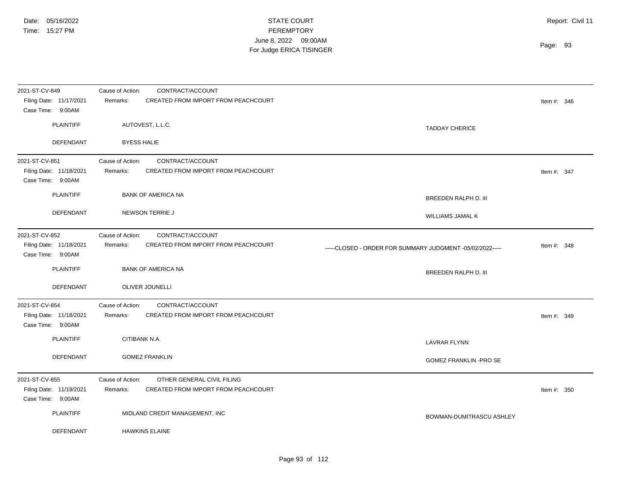| 2021-ST-CV-849                               | CONTRACT/ACCOUNT<br>Cause of Action:            |                                                           |               |  |
|----------------------------------------------|-------------------------------------------------|-----------------------------------------------------------|---------------|--|
| Filing Date: 11/17/2021<br>Case Time: 9:00AM | CREATED FROM IMPORT FROM PEACHCOURT<br>Remarks: |                                                           | Item #: $346$ |  |
| <b>PLAINTIFF</b>                             | AUTOVEST, L.L.C.                                | <b>TADDAY CHERICE</b>                                     |               |  |
| DEFENDANT                                    | <b>BYESS HALIE</b>                              |                                                           |               |  |
| 2021-ST-CV-851                               | Cause of Action:<br>CONTRACT/ACCOUNT            |                                                           |               |  |
| Filing Date: 11/18/2021<br>Case Time: 9:00AM | CREATED FROM IMPORT FROM PEACHCOURT<br>Remarks: |                                                           | Item #: 347   |  |
| <b>PLAINTIFF</b>                             | <b>BANK OF AMERICA NA</b>                       | BREEDEN RALPH D. III                                      |               |  |
| DEFENDANT                                    | NEWSON TERRIE J                                 | WILLIAMS JAMAL K                                          |               |  |
| 2021-ST-CV-852                               | CONTRACT/ACCOUNT<br>Cause of Action:            |                                                           |               |  |
| Filing Date: 11/18/2021<br>Case Time: 9:00AM | CREATED FROM IMPORT FROM PEACHCOURT<br>Remarks: | -----CLOSED - ORDER FOR SUMMARY JUDGMENT -05/02/2022----- | Item #: $348$ |  |
| <b>PLAINTIFF</b>                             | <b>BANK OF AMERICA NA</b>                       | BREEDEN RALPH D. III                                      |               |  |
| DEFENDANT                                    | OLIVER JOUNELLI                                 |                                                           |               |  |
| 2021-ST-CV-854                               | CONTRACT/ACCOUNT<br>Cause of Action:            |                                                           |               |  |
| Filing Date: 11/18/2021<br>Case Time: 9:00AM | CREATED FROM IMPORT FROM PEACHCOURT<br>Remarks: |                                                           | Item #: 349   |  |
| PLAINTIFF                                    | CITIBANK N.A.                                   | <b>LAVRAR FLYNN</b>                                       |               |  |
| DEFENDANT                                    | <b>GOMEZ FRANKLIN</b>                           | GOMEZ FRANKLIN - PRO SE                                   |               |  |
| 2021-ST-CV-855                               | Cause of Action:<br>OTHER GENERAL CIVIL FILING  |                                                           |               |  |
| Filing Date: 11/19/2021<br>Case Time: 9:00AM | Remarks:<br>CREATED FROM IMPORT FROM PEACHCOURT |                                                           | Item #: $350$ |  |
| <b>PLAINTIFF</b>                             | MIDLAND CREDIT MANAGEMENT, INC                  | BOWMAN-DUMITRASCU ASHLEY                                  |               |  |
| DEFENDANT                                    | <b>HAWKINS ELAINE</b>                           |                                                           |               |  |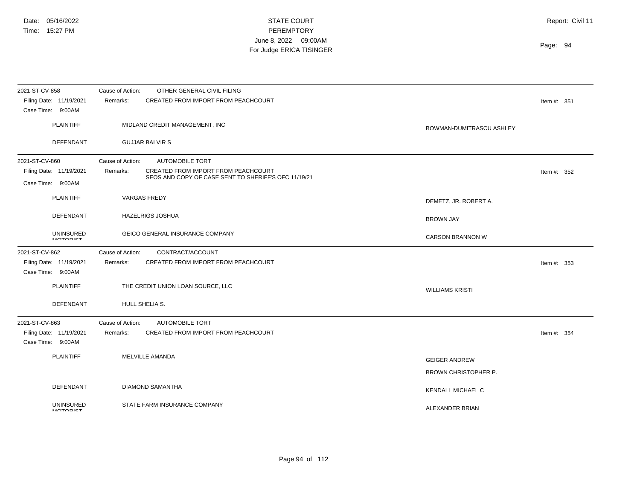| 2021-ST-CV-858<br>Filing Date: 11/19/2021<br>Case Time: 9:00AM | Cause of Action:<br>OTHER GENERAL CIVIL FILING<br>CREATED FROM IMPORT FROM PEACHCOURT<br>Remarks:                                                     | Item #: $351$                                       |
|----------------------------------------------------------------|-------------------------------------------------------------------------------------------------------------------------------------------------------|-----------------------------------------------------|
| <b>PLAINTIFF</b>                                               | MIDLAND CREDIT MANAGEMENT, INC                                                                                                                        | BOWMAN-DUMITRASCU ASHLEY                            |
| DEFENDANT                                                      | <b>GUJJAR BALVIR S</b>                                                                                                                                |                                                     |
| 2021-ST-CV-860<br>Filing Date: 11/19/2021<br>Case Time: 9:00AM | <b>AUTOMOBILE TORT</b><br>Cause of Action:<br>CREATED FROM IMPORT FROM PEACHCOURT<br>Remarks:<br>SEOS AND COPY OF CASE SENT TO SHERIFF'S OFC 11/19/21 | Item #: $352$                                       |
| <b>PLAINTIFF</b>                                               | <b>VARGAS FREDY</b>                                                                                                                                   | DEMETZ, JR. ROBERT A.                               |
| <b>DEFENDANT</b>                                               | <b>HAZELRIGS JOSHUA</b>                                                                                                                               | <b>BROWN JAY</b>                                    |
| <b>UNINSURED</b><br><b>MOTODICT</b>                            | <b>GEICO GENERAL INSURANCE COMPANY</b>                                                                                                                | <b>CARSON BRANNON W</b>                             |
| 2021-ST-CV-862<br>Filing Date: 11/19/2021<br>Case Time: 9:00AM | Cause of Action:<br>CONTRACT/ACCOUNT<br>CREATED FROM IMPORT FROM PEACHCOURT<br>Remarks:                                                               | Item #: $353$                                       |
| <b>PLAINTIFF</b>                                               | THE CREDIT UNION LOAN SOURCE, LLC                                                                                                                     | <b>WILLIAMS KRISTI</b>                              |
| <b>DEFENDANT</b>                                               | HULL SHELIA S.                                                                                                                                        |                                                     |
| 2021-ST-CV-863<br>Filing Date: 11/19/2021<br>Case Time: 9:00AM | <b>AUTOMOBILE TORT</b><br>Cause of Action:<br>CREATED FROM IMPORT FROM PEACHCOURT<br>Remarks:                                                         | Item #: $354$                                       |
| <b>PLAINTIFF</b>                                               | MELVILLE AMANDA                                                                                                                                       | <b>GEIGER ANDREW</b><br><b>BROWN CHRISTOPHER P.</b> |
| DEFENDANT                                                      | <b>DIAMOND SAMANTHA</b>                                                                                                                               | KENDALL MICHAEL C                                   |
| <b>UNINSURED</b><br><b>MOTORIST</b>                            | STATE FARM INSURANCE COMPANY                                                                                                                          | ALEXANDER BRIAN                                     |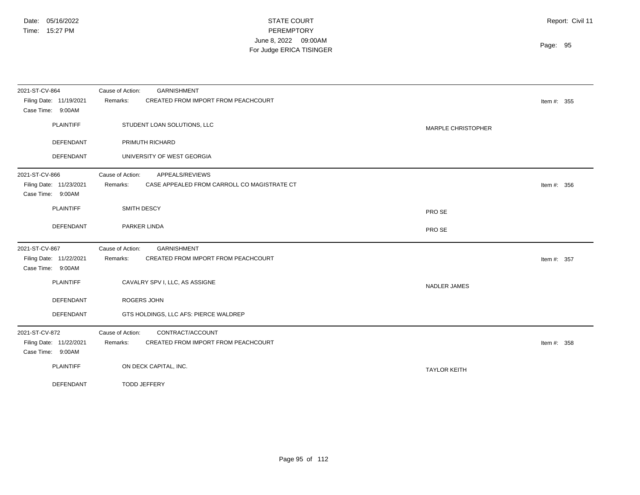| 2021-ST-CV-864          | Cause of Action:<br><b>GARNISHMENT</b>                  |                           |               |
|-------------------------|---------------------------------------------------------|---------------------------|---------------|
| Filing Date: 11/19/2021 | CREATED FROM IMPORT FROM PEACHCOURT<br>Remarks:         |                           | Item #: $355$ |
| Case Time: 9:00AM       |                                                         |                           |               |
| <b>PLAINTIFF</b>        | STUDENT LOAN SOLUTIONS, LLC                             | <b>MARPLE CHRISTOPHER</b> |               |
|                         |                                                         |                           |               |
| <b>DEFENDANT</b>        | PRIMUTH RICHARD                                         |                           |               |
| DEFENDANT               | UNIVERSITY OF WEST GEORGIA                              |                           |               |
| 2021-ST-CV-866          | Cause of Action:<br>APPEALS/REVIEWS                     |                           |               |
| Filing Date: 11/23/2021 | CASE APPEALED FROM CARROLL CO MAGISTRATE CT<br>Remarks: |                           | Item #: 356   |
| Case Time: 9:00AM       |                                                         |                           |               |
| <b>PLAINTIFF</b>        | SMITH DESCY                                             | PRO SE                    |               |
|                         |                                                         |                           |               |
| DEFENDANT               | PARKER LINDA                                            | PRO SE                    |               |
|                         |                                                         |                           |               |
| 2021-ST-CV-867          | <b>GARNISHMENT</b><br>Cause of Action:                  |                           |               |
| Filing Date: 11/22/2021 | CREATED FROM IMPORT FROM PEACHCOURT<br>Remarks:         |                           | Item #: 357   |
| Case Time: 9:00AM       |                                                         |                           |               |
| <b>PLAINTIFF</b>        | CAVALRY SPV I, LLC, AS ASSIGNE                          |                           |               |
|                         |                                                         | <b>NADLER JAMES</b>       |               |
| DEFENDANT               | <b>ROGERS JOHN</b>                                      |                           |               |
| DEFENDANT               | GTS HOLDINGS, LLC AFS: PIERCE WALDREP                   |                           |               |
|                         |                                                         |                           |               |
| 2021-ST-CV-872          | Cause of Action:<br>CONTRACT/ACCOUNT                    |                           |               |
| Filing Date: 11/22/2021 | CREATED FROM IMPORT FROM PEACHCOURT<br>Remarks:         |                           | Item #: 358   |
| Case Time: 9:00AM       |                                                         |                           |               |
| <b>PLAINTIFF</b>        | ON DECK CAPITAL, INC.                                   |                           |               |
|                         |                                                         | <b>TAYLOR KEITH</b>       |               |
| DEFENDANT               | <b>TODD JEFFERY</b>                                     |                           |               |
|                         |                                                         |                           |               |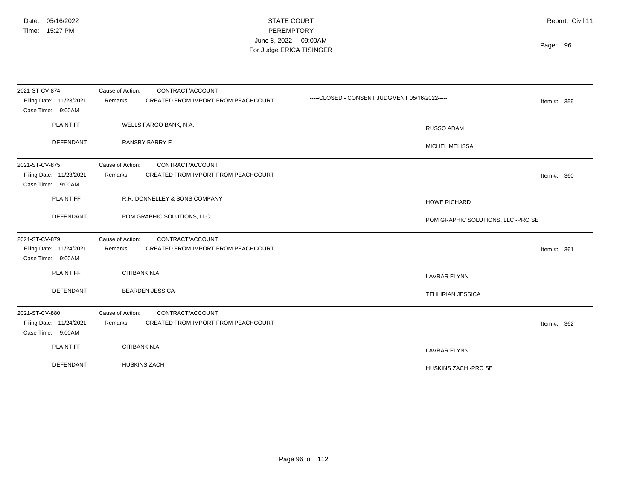| 2021-ST-CV-874                               | Cause of Action:<br>CONTRACT/ACCOUNT            |                                                |               |
|----------------------------------------------|-------------------------------------------------|------------------------------------------------|---------------|
| Filing Date: 11/23/2021<br>Case Time: 9:00AM | CREATED FROM IMPORT FROM PEACHCOURT<br>Remarks: | -----CLOSED - CONSENT JUDGMENT 05/16/2022----- | Item #: 359   |
| <b>PLAINTIFF</b>                             | WELLS FARGO BANK, N.A.                          | <b>RUSSO ADAM</b>                              |               |
| DEFENDANT                                    | <b>RANSBY BARRY E</b>                           | MICHEL MELISSA                                 |               |
| 2021-ST-CV-875                               | Cause of Action:<br>CONTRACT/ACCOUNT            |                                                |               |
| Filing Date: 11/23/2021<br>Case Time: 9:00AM | CREATED FROM IMPORT FROM PEACHCOURT<br>Remarks: |                                                | Item #: $360$ |
| <b>PLAINTIFF</b>                             | R.R. DONNELLEY & SONS COMPANY                   | <b>HOWE RICHARD</b>                            |               |
| <b>DEFENDANT</b>                             | POM GRAPHIC SOLUTIONS, LLC                      | POM GRAPHIC SOLUTIONS, LLC -PRO SE             |               |
| 2021-ST-CV-879                               | CONTRACT/ACCOUNT<br>Cause of Action:            |                                                |               |
| Filing Date: 11/24/2021<br>Case Time: 9:00AM | CREATED FROM IMPORT FROM PEACHCOURT<br>Remarks: |                                                | Item #: $361$ |
| <b>PLAINTIFF</b>                             | CITIBANK N.A.                                   | <b>LAVRAR FLYNN</b>                            |               |
| <b>DEFENDANT</b>                             | <b>BEARDEN JESSICA</b>                          | <b>TEHLIRIAN JESSICA</b>                       |               |
| 2021-ST-CV-880                               | Cause of Action:<br>CONTRACT/ACCOUNT            |                                                |               |
| Filing Date: 11/24/2021<br>Case Time: 9:00AM | CREATED FROM IMPORT FROM PEACHCOURT<br>Remarks: |                                                | Item #: $362$ |
| <b>PLAINTIFF</b>                             | CITIBANK N.A.                                   | <b>LAVRAR FLYNN</b>                            |               |
| <b>DEFENDANT</b>                             | <b>HUSKINS ZACH</b>                             | HUSKINS ZACH - PRO SE                          |               |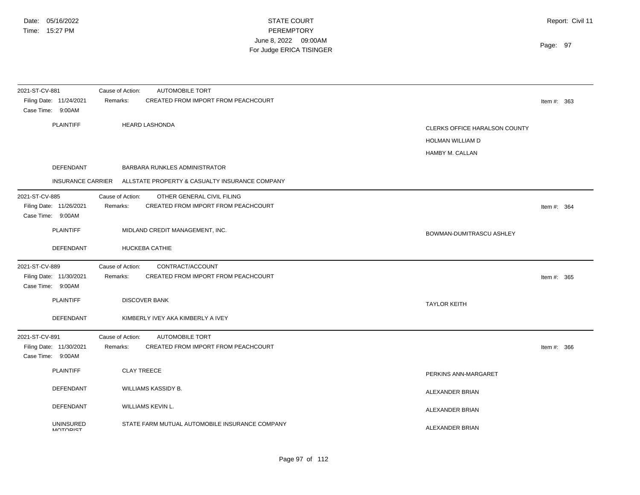| 2021-ST-CV-881                               | <b>AUTOMOBILE TORT</b><br>Cause of Action:      |                               |
|----------------------------------------------|-------------------------------------------------|-------------------------------|
| Filing Date: 11/24/2021<br>Case Time: 9:00AM | CREATED FROM IMPORT FROM PEACHCOURT<br>Remarks: | Item #: $363$                 |
| <b>PLAINTIFF</b>                             | <b>HEARD LASHONDA</b>                           | CLERKS OFFICE HARALSON COUNTY |
|                                              |                                                 | HOLMAN WILLIAM D              |
|                                              |                                                 | HAMBY M. CALLAN               |
| DEFENDANT                                    | BARBARA RUNKLES ADMINISTRATOR                   |                               |
| <b>INSURANCE CARRIER</b>                     | ALLSTATE PROPERTY & CASUALTY INSURANCE COMPANY  |                               |
| 2021-ST-CV-885                               | Cause of Action:<br>OTHER GENERAL CIVIL FILING  |                               |
| Filing Date: 11/26/2021<br>Case Time: 9:00AM | Remarks:<br>CREATED FROM IMPORT FROM PEACHCOURT | Item #: $364$                 |
| <b>PLAINTIFF</b>                             | MIDLAND CREDIT MANAGEMENT, INC.                 | BOWMAN-DUMITRASCU ASHLEY      |
| DEFENDANT                                    | <b>HUCKEBA CATHIE</b>                           |                               |
| 2021-ST-CV-889                               | CONTRACT/ACCOUNT<br>Cause of Action:            |                               |
| Filing Date: 11/30/2021<br>Case Time: 9:00AM | CREATED FROM IMPORT FROM PEACHCOURT<br>Remarks: | Item #: $365$                 |
| <b>PLAINTIFF</b>                             | <b>DISCOVER BANK</b>                            | <b>TAYLOR KEITH</b>           |
| <b>DEFENDANT</b>                             | KIMBERLY IVEY AKA KIMBERLY A IVEY               |                               |
| 2021-ST-CV-891                               | AUTOMOBILE TORT<br>Cause of Action:             |                               |
| Filing Date: 11/30/2021<br>Case Time: 9:00AM | CREATED FROM IMPORT FROM PEACHCOURT<br>Remarks: | Item #: $366$                 |
| <b>PLAINTIFF</b>                             | <b>CLAY TREECE</b>                              | PERKINS ANN-MARGARET          |
| DEFENDANT                                    | WILLIAMS KASSIDY B.                             | ALEXANDER BRIAN               |
| <b>DEFENDANT</b>                             | WILLIAMS KEVIN L.                               | ALEXANDER BRIAN               |
| UNINSURED<br><b>MOTORIST</b>                 | STATE FARM MUTUAL AUTOMOBILE INSURANCE COMPANY  | ALEXANDER BRIAN               |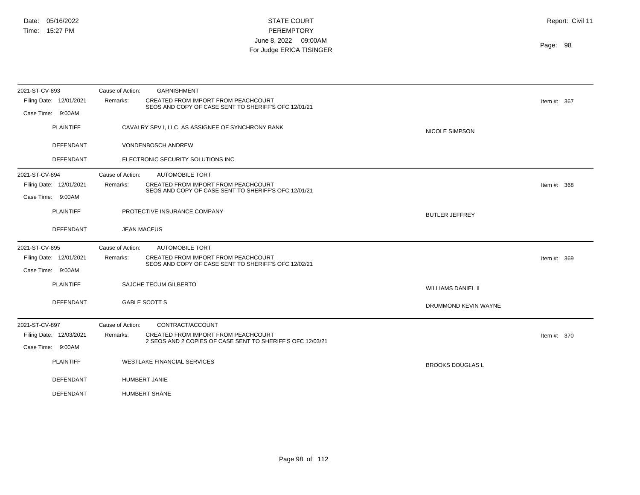| 2021-ST-CV-893          | <b>GARNISHMENT</b><br>Cause of Action:                                                                         |                           |               |
|-------------------------|----------------------------------------------------------------------------------------------------------------|---------------------------|---------------|
| Filing Date: 12/01/2021 | CREATED FROM IMPORT FROM PEACHCOURT<br>Remarks:<br>SEOS AND COPY OF CASE SENT TO SHERIFF'S OFC 12/01/21        |                           | Item #: $367$ |
| Case Time: 9:00AM       |                                                                                                                |                           |               |
| <b>PLAINTIFF</b>        | CAVALRY SPV I, LLC, AS ASSIGNEE OF SYNCHRONY BANK                                                              | <b>NICOLE SIMPSON</b>     |               |
| DEFENDANT               | VONDENBOSCH ANDREW                                                                                             |                           |               |
| DEFENDANT               | ELECTRONIC SECURITY SOLUTIONS INC                                                                              |                           |               |
| 2021-ST-CV-894          | Cause of Action:<br><b>AUTOMOBILE TORT</b>                                                                     |                           |               |
| Filing Date: 12/01/2021 | <b>CREATED FROM IMPORT FROM PEACHCOURT</b><br>Remarks:<br>SEOS AND COPY OF CASE SENT TO SHERIFF'S OFC 12/01/21 |                           | Item #: $368$ |
| Case Time: 9:00AM       |                                                                                                                |                           |               |
| <b>PLAINTIFF</b>        | PROTECTIVE INSURANCE COMPANY                                                                                   | <b>BUTLER JEFFREY</b>     |               |
| <b>DEFENDANT</b>        | <b>JEAN MACEUS</b>                                                                                             |                           |               |
| 2021-ST-CV-895          | Cause of Action:<br><b>AUTOMOBILE TORT</b>                                                                     |                           |               |
| Filing Date: 12/01/2021 | Remarks:<br>CREATED FROM IMPORT FROM PEACHCOURT                                                                |                           | Item #: $369$ |
| Case Time: 9:00AM       | SEOS AND COPY OF CASE SENT TO SHERIFF'S OFC 12/02/21                                                           |                           |               |
| <b>PLAINTIFF</b>        | <b>SAJCHE TECUM GILBERTO</b>                                                                                   | <b>WILLIAMS DANIEL II</b> |               |
| <b>DEFENDANT</b>        | <b>GABLE SCOTT S</b>                                                                                           | DRUMMOND KEVIN WAYNE      |               |
| 2021-ST-CV-897          | Cause of Action:<br>CONTRACT/ACCOUNT                                                                           |                           |               |
| Filing Date: 12/03/2021 | CREATED FROM IMPORT FROM PEACHCOURT<br>Remarks:                                                                |                           | Item #: $370$ |
| Case Time: 9:00AM       | 2 SEOS AND 2 COPIES OF CASE SENT TO SHERIFF'S OFC 12/03/21                                                     |                           |               |
| <b>PLAINTIFF</b>        | <b>WESTLAKE FINANCIAL SERVICES</b>                                                                             | <b>BROOKS DOUGLAS L</b>   |               |
| DEFENDANT               | <b>HUMBERT JANIE</b>                                                                                           |                           |               |
|                         |                                                                                                                |                           |               |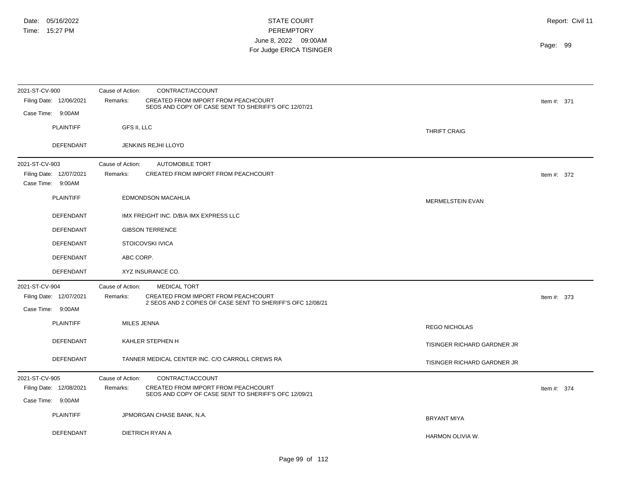| 2021-ST-CV-900                               | Cause of Action:<br>CONTRACT/ACCOUNT                                                                                 |                             |
|----------------------------------------------|----------------------------------------------------------------------------------------------------------------------|-----------------------------|
| Filing Date: 12/06/2021                      | CREATED FROM IMPORT FROM PEACHCOURT<br>Remarks:<br>SEOS AND COPY OF CASE SENT TO SHERIFF'S OFC 12/07/21              | Item #: 371                 |
| Case Time: 9:00AM                            |                                                                                                                      |                             |
| <b>PLAINTIFF</b>                             | GFS II, LLC                                                                                                          | <b>THRIFT CRAIG</b>         |
| DEFENDANT                                    | JENKINS REJHI LLOYD                                                                                                  |                             |
| 2021-ST-CV-903                               | Cause of Action:<br><b>AUTOMOBILE TORT</b>                                                                           |                             |
| Filing Date: 12/07/2021<br>Case Time: 9:00AM | CREATED FROM IMPORT FROM PEACHCOURT<br>Remarks:                                                                      | Item #: $372$               |
| <b>PLAINTIFF</b>                             | <b>EDMONDSON MACAHLIA</b>                                                                                            | <b>MERMELSTEIN EVAN</b>     |
| <b>DEFENDANT</b>                             | IMX FREIGHT INC. D/B/A IMX EXPRESS LLC                                                                               |                             |
| DEFENDANT                                    | <b>GIBSON TERRENCE</b>                                                                                               |                             |
| DEFENDANT                                    | STOICOVSKI IVICA                                                                                                     |                             |
| DEFENDANT                                    | ABC CORP.                                                                                                            |                             |
| DEFENDANT                                    | XYZ INSURANCE CO.                                                                                                    |                             |
| 2021-ST-CV-904                               | Cause of Action:<br><b>MEDICAL TORT</b>                                                                              |                             |
| Filing Date: 12/07/2021                      | <b>CREATED FROM IMPORT FROM PEACHCOURT</b><br>Remarks:<br>2 SEOS AND 2 COPIES OF CASE SENT TO SHERIFF'S OFC 12/08/21 | Item #: $373$               |
| Case Time: 9:00AM                            |                                                                                                                      |                             |
| <b>PLAINTIFF</b>                             | MILES JENNA                                                                                                          | <b>REGO NICHOLAS</b>        |
| <b>DEFENDANT</b>                             | KAHLER STEPHEN H                                                                                                     | TISINGER RICHARD GARDNER JR |
| <b>DEFENDANT</b>                             | TANNER MEDICAL CENTER INC. C/O CARROLL CREWS RA                                                                      | TISINGER RICHARD GARDNER JR |
| 2021-ST-CV-905                               | Cause of Action:<br>CONTRACT/ACCOUNT                                                                                 |                             |
| Filing Date: 12/08/2021                      | CREATED FROM IMPORT FROM PEACHCOURT<br>Remarks:<br>SEOS AND COPY OF CASE SENT TO SHERIFF'S OFC 12/09/21              | Item #: $374$               |
| Case Time: 9:00AM                            |                                                                                                                      |                             |
| <b>PLAINTIFF</b>                             | JPMORGAN CHASE BANK, N.A.                                                                                            | <b>BRYANT MIYA</b>          |
| DEFENDANT                                    | DIETRICH RYAN A                                                                                                      | HARMON OLIVIA W.            |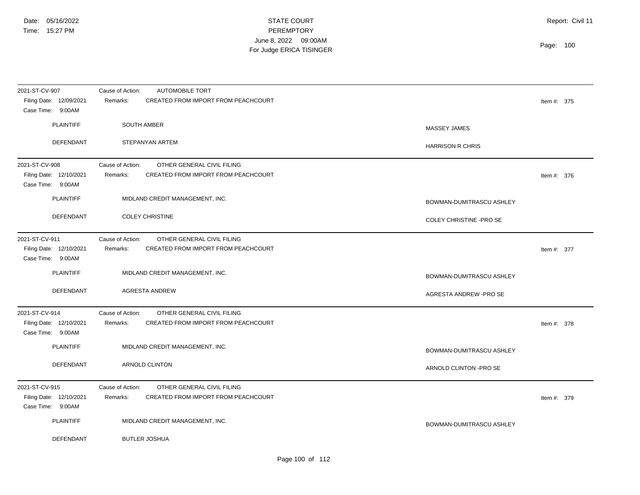| 2021-ST-CV-907<br>Filing Date: 12/09/2021                      | <b>AUTOMOBILE TORT</b><br>Cause of Action:<br>Remarks:<br>CREATED FROM IMPORT FROM PEACHCOURT     | Item #: $375$                  |
|----------------------------------------------------------------|---------------------------------------------------------------------------------------------------|--------------------------------|
| Case Time: 9:00AM                                              |                                                                                                   |                                |
| <b>PLAINTIFF</b>                                               | <b>SOUTH AMBER</b>                                                                                | MASSEY JAMES                   |
| DEFENDANT                                                      | STEPANYAN ARTEM                                                                                   | <b>HARRISON R CHRIS</b>        |
| 2021-ST-CV-908                                                 | OTHER GENERAL CIVIL FILING<br>Cause of Action:                                                    |                                |
| Filing Date: 12/10/2021<br>Case Time: 9:00AM                   | CREATED FROM IMPORT FROM PEACHCOURT<br>Remarks:                                                   | Item #: 376                    |
| <b>PLAINTIFF</b>                                               | MIDLAND CREDIT MANAGEMENT, INC.                                                                   | BOWMAN-DUMITRASCU ASHLEY       |
| DEFENDANT                                                      | <b>COLEY CHRISTINE</b>                                                                            | <b>COLEY CHRISTINE -PRO SE</b> |
| 2021-ST-CV-911<br>Filing Date: 12/10/2021<br>Case Time: 9:00AM | Cause of Action:<br>OTHER GENERAL CIVIL FILING<br>Remarks:<br>CREATED FROM IMPORT FROM PEACHCOURT | Item #: 377                    |
| <b>PLAINTIFF</b>                                               | MIDLAND CREDIT MANAGEMENT, INC.                                                                   | BOWMAN-DUMITRASCU ASHLEY       |
| <b>DEFENDANT</b>                                               | <b>AGRESTA ANDREW</b>                                                                             | <b>AGRESTA ANDREW -PRO SE</b>  |
| 2021-ST-CV-914<br>Filing Date: 12/10/2021<br>Case Time: 9:00AM | Cause of Action:<br>OTHER GENERAL CIVIL FILING<br>CREATED FROM IMPORT FROM PEACHCOURT<br>Remarks: | Item #: 378                    |
| PLAINTIFF                                                      | MIDLAND CREDIT MANAGEMENT, INC.                                                                   | BOWMAN-DUMITRASCU ASHLEY       |
| DEFENDANT                                                      | <b>ARNOLD CLINTON</b>                                                                             | ARNOLD CLINTON - PRO SE        |
| 2021-ST-CV-915<br>Filing Date: 12/10/2021<br>Case Time: 9:00AM | OTHER GENERAL CIVIL FILING<br>Cause of Action:<br>CREATED FROM IMPORT FROM PEACHCOURT<br>Remarks: | Item #: 379                    |
| <b>PLAINTIFF</b>                                               | MIDLAND CREDIT MANAGEMENT, INC.                                                                   | BOWMAN-DUMITRASCU ASHLEY       |
| <b>DEFENDANT</b>                                               | <b>BUTLER JOSHUA</b>                                                                              |                                |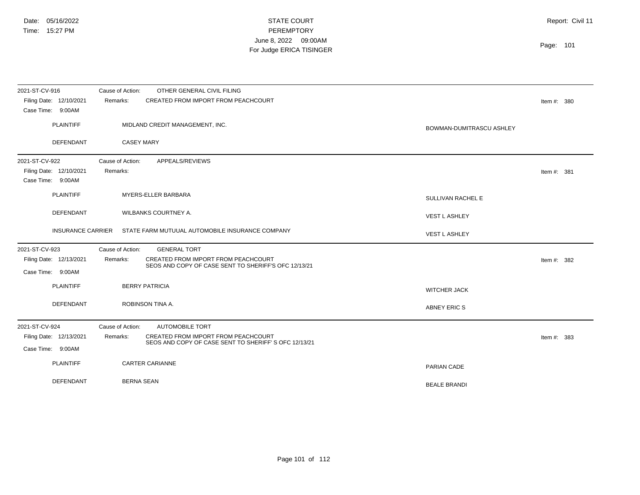| 2021-ST-CV-916<br>Filing Date: 12/10/2021<br>Case Time: 9:00AM | OTHER GENERAL CIVIL FILING<br>Cause of Action:<br>CREATED FROM IMPORT FROM PEACHCOURT<br>Remarks:       | Item #: $380$            |
|----------------------------------------------------------------|---------------------------------------------------------------------------------------------------------|--------------------------|
| <b>PLAINTIFF</b>                                               | MIDLAND CREDIT MANAGEMENT, INC.                                                                         | BOWMAN-DUMITRASCU ASHLEY |
| DEFENDANT                                                      | <b>CASEY MARY</b>                                                                                       |                          |
| 2021-ST-CV-922<br>Filing Date: 12/10/2021<br>Case Time: 9:00AM | Cause of Action:<br>APPEALS/REVIEWS<br>Remarks:                                                         | Item #: $381$            |
| <b>PLAINTIFF</b>                                               | MYERS-ELLER BARBARA                                                                                     | SULLIVAN RACHEL E        |
| <b>DEFENDANT</b>                                               | <b>WILBANKS COURTNEY A.</b>                                                                             | <b>VEST L ASHLEY</b>     |
| <b>INSURANCE CARRIER</b>                                       | STATE FARM MUTUUAL AUTOMOBILE INSURANCE COMPANY                                                         | <b>VEST L ASHLEY</b>     |
| 2021-ST-CV-923                                                 | Cause of Action:<br><b>GENERAL TORT</b>                                                                 |                          |
| Filing Date: 12/13/2021<br>Case Time: 9:00AM                   | CREATED FROM IMPORT FROM PEACHCOURT<br>Remarks:<br>SEOS AND COPY OF CASE SENT TO SHERIFF'S OFC 12/13/21 | Item #: $382$            |
| <b>PLAINTIFF</b>                                               | <b>BERRY PATRICIA</b>                                                                                   | <b>WITCHER JACK</b>      |
| <b>DEFENDANT</b>                                               | ROBINSON TINA A.                                                                                        | ABNEY ERIC S             |
| 2021-ST-CV-924                                                 | <b>AUTOMOBILE TORT</b><br>Cause of Action:                                                              |                          |
| Filing Date: 12/13/2021<br>Case Time: 9:00AM                   | CREATED FROM IMPORT FROM PEACHCOURT<br>Remarks:<br>SEOS AND COPY OF CASE SENT TO SHERIFF'S OFC 12/13/21 | Item #: $383$            |
| <b>PLAINTIFF</b>                                               | <b>CARTER CARIANNE</b>                                                                                  | PARIAN CADE              |
| <b>DEFENDANT</b>                                               | <b>BERNA SEAN</b>                                                                                       | <b>BEALE BRANDI</b>      |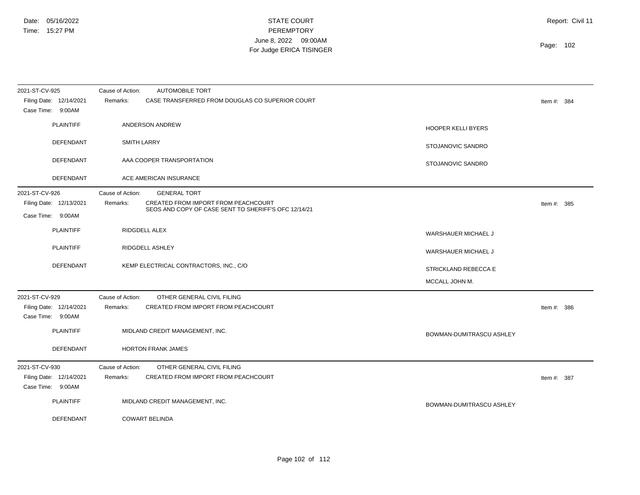| 2021-ST-CV-925                               | Cause of Action:<br><b>AUTOMOBILE TORT</b>                  |                                        |               |
|----------------------------------------------|-------------------------------------------------------------|----------------------------------------|---------------|
| Filing Date: 12/14/2021<br>Case Time: 9:00AM | CASE TRANSFERRED FROM DOUGLAS CO SUPERIOR COURT<br>Remarks: |                                        | Item #: $384$ |
| <b>PLAINTIFF</b>                             | ANDERSON ANDREW                                             | <b>HOOPER KELLI BYERS</b>              |               |
| DEFENDANT                                    | <b>SMITH LARRY</b>                                          | STOJANOVIC SANDRO                      |               |
| DEFENDANT                                    | AAA COOPER TRANSPORTATION                                   | STOJANOVIC SANDRO                      |               |
| DEFENDANT                                    | ACE AMERICAN INSURANCE                                      |                                        |               |
| 2021-ST-CV-926                               | <b>GENERAL TORT</b><br>Cause of Action:                     |                                        |               |
| Filing Date: 12/13/2021                      | CREATED FROM IMPORT FROM PEACHCOURT<br>Remarks:             |                                        | Item #: 385   |
| Case Time: 9:00AM                            | SEOS AND COPY OF CASE SENT TO SHERIFF'S OFC 12/14/21        |                                        |               |
| <b>PLAINTIFF</b>                             | RIDGDELL ALEX                                               | <b>WARSHAUER MICHAEL J</b>             |               |
| <b>PLAINTIFF</b>                             | RIDGDELL ASHLEY                                             | WARSHAUER MICHAEL J                    |               |
| DEFENDANT                                    | KEMP ELECTRICAL CONTRACTORS, INC., C/O                      | STRICKLAND REBECCA E<br>MCCALL JOHN M. |               |
| 2021-ST-CV-929                               | Cause of Action:<br>OTHER GENERAL CIVIL FILING              |                                        |               |
| Filing Date: 12/14/2021<br>Case Time: 9:00AM | CREATED FROM IMPORT FROM PEACHCOURT<br>Remarks:             |                                        | Item #: $386$ |
| <b>PLAINTIFF</b>                             | MIDLAND CREDIT MANAGEMENT, INC.                             | BOWMAN-DUMITRASCU ASHLEY               |               |
| DEFENDANT                                    | HORTON FRANK JAMES                                          |                                        |               |
| 2021-ST-CV-930                               | OTHER GENERAL CIVIL FILING<br>Cause of Action:              |                                        |               |
| Filing Date: 12/14/2021<br>Case Time: 9:00AM | CREATED FROM IMPORT FROM PEACHCOURT<br>Remarks:             |                                        | Item #: $387$ |
| <b>PLAINTIFF</b>                             | MIDLAND CREDIT MANAGEMENT, INC.                             | BOWMAN-DUMITRASCU ASHLEY               |               |
| DEFENDANT                                    | <b>COWART BELINDA</b>                                       |                                        |               |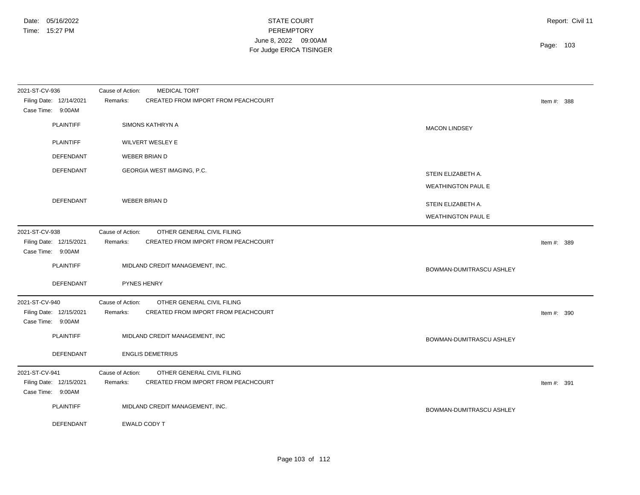| 2021-ST-CV-936                                                 | <b>MEDICAL TORT</b><br>Cause of Action:                                                           |                           |
|----------------------------------------------------------------|---------------------------------------------------------------------------------------------------|---------------------------|
| Filing Date: 12/14/2021<br>Case Time: 9:00AM                   | CREATED FROM IMPORT FROM PEACHCOURT<br>Remarks:                                                   | Item $#: 388$             |
| <b>PLAINTIFF</b>                                               | SIMONS KATHRYN A                                                                                  | <b>MACON LINDSEY</b>      |
| <b>PLAINTIFF</b>                                               | <b>WILVERT WESLEY E</b>                                                                           |                           |
| DEFENDANT                                                      | <b>WEBER BRIAN D</b>                                                                              |                           |
| DEFENDANT                                                      | GEORGIA WEST IMAGING, P.C.                                                                        | STEIN ELIZABETH A.        |
|                                                                |                                                                                                   | <b>WEATHINGTON PAUL E</b> |
| <b>DEFENDANT</b>                                               | <b>WEBER BRIAN D</b>                                                                              | STEIN ELIZABETH A.        |
|                                                                |                                                                                                   | <b>WEATHINGTON PAUL E</b> |
| 2021-ST-CV-938<br>Filing Date: 12/15/2021<br>Case Time: 9:00AM | OTHER GENERAL CIVIL FILING<br>Cause of Action:<br>CREATED FROM IMPORT FROM PEACHCOURT<br>Remarks: | Item #: 389               |
| <b>PLAINTIFF</b>                                               | MIDLAND CREDIT MANAGEMENT, INC.                                                                   | BOWMAN-DUMITRASCU ASHLEY  |
| DEFENDANT                                                      | PYNES HENRY                                                                                       |                           |
| 2021-ST-CV-940                                                 | OTHER GENERAL CIVIL FILING<br>Cause of Action:                                                    |                           |
| Filing Date: 12/15/2021<br>Case Time: 9:00AM                   | CREATED FROM IMPORT FROM PEACHCOURT<br>Remarks:                                                   | Item #: $390$             |
| PLAINTIFF                                                      | MIDLAND CREDIT MANAGEMENT, INC                                                                    | BOWMAN-DUMITRASCU ASHLEY  |
| <b>DEFENDANT</b>                                               | <b>ENGLIS DEMETRIUS</b>                                                                           |                           |
| 2021-ST-CV-941                                                 | OTHER GENERAL CIVIL FILING<br>Cause of Action:                                                    |                           |
| Filing Date: 12/15/2021<br>Case Time: 9:00AM                   | Remarks:<br>CREATED FROM IMPORT FROM PEACHCOURT                                                   | Item #: 391               |
| <b>PLAINTIFF</b>                                               | MIDLAND CREDIT MANAGEMENT, INC.                                                                   | BOWMAN-DUMITRASCU ASHLEY  |
| DEFENDANT                                                      | <b>EWALD CODY T</b>                                                                               |                           |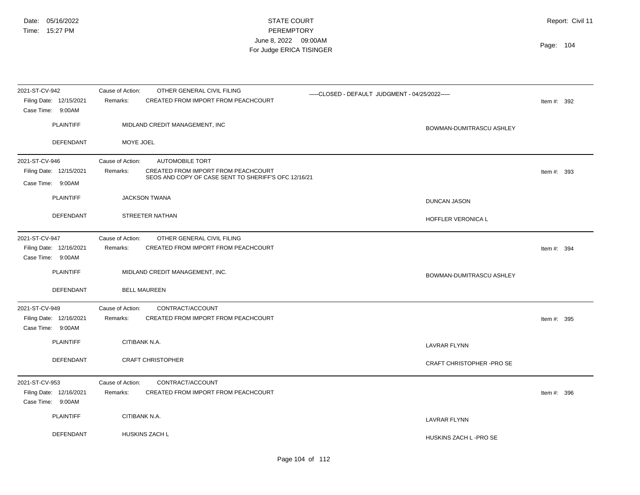| 2021-ST-CV-942<br>Filing Date: 12/15/2021<br>Case Time: 9:00AM | Cause of Action:<br>OTHER GENERAL CIVIL FILING<br>Remarks:<br>CREATED FROM IMPORT FROM PEACHCOURT                                                     | -----CLOSED - DEFAULT JUDGMENT - 04/25/2022-----<br>Item #: $392$ |
|----------------------------------------------------------------|-------------------------------------------------------------------------------------------------------------------------------------------------------|-------------------------------------------------------------------|
| <b>PLAINTIFF</b>                                               | MIDLAND CREDIT MANAGEMENT, INC                                                                                                                        | BOWMAN-DUMITRASCU ASHLEY                                          |
| DEFENDANT                                                      | MOYE JOEL                                                                                                                                             |                                                                   |
| 2021-ST-CV-946<br>Filing Date: 12/15/2021<br>Case Time: 9:00AM | <b>AUTOMOBILE TORT</b><br>Cause of Action:<br>CREATED FROM IMPORT FROM PEACHCOURT<br>Remarks:<br>SEOS AND COPY OF CASE SENT TO SHERIFF'S OFC 12/16/21 | Item #: $393$                                                     |
| <b>PLAINTIFF</b>                                               | <b>JACKSON TWANA</b>                                                                                                                                  | <b>DUNCAN JASON</b>                                               |
| DEFENDANT                                                      | STREETER NATHAN                                                                                                                                       | HOFFLER VERONICA L                                                |
| 2021-ST-CV-947<br>Filing Date: 12/16/2021<br>Case Time: 9:00AM | Cause of Action:<br>OTHER GENERAL CIVIL FILING<br>CREATED FROM IMPORT FROM PEACHCOURT<br>Remarks:                                                     | Item #: $394$                                                     |
| <b>PLAINTIFF</b><br>DEFENDANT                                  | MIDLAND CREDIT MANAGEMENT, INC.<br><b>BELL MAUREEN</b>                                                                                                | BOWMAN-DUMITRASCU ASHLEY                                          |
| 2021-ST-CV-949<br>Filing Date: 12/16/2021<br>Case Time: 9:00AM | CONTRACT/ACCOUNT<br>Cause of Action:<br>Remarks:<br>CREATED FROM IMPORT FROM PEACHCOURT                                                               | Item #: 395                                                       |
| <b>PLAINTIFF</b>                                               | CITIBANK N.A.                                                                                                                                         | <b>LAVRAR FLYNN</b>                                               |
| <b>DEFENDANT</b>                                               | <b>CRAFT CHRISTOPHER</b>                                                                                                                              | CRAFT CHRISTOPHER -PRO SE                                         |
| 2021-ST-CV-953<br>Filing Date: 12/16/2021<br>Case Time: 9:00AM | CONTRACT/ACCOUNT<br>Cause of Action:<br>CREATED FROM IMPORT FROM PEACHCOURT<br>Remarks:                                                               | Item #: 396                                                       |
| <b>PLAINTIFF</b>                                               | CITIBANK N.A.                                                                                                                                         | <b>LAVRAR FLYNN</b>                                               |
| <b>DEFENDANT</b>                                               | HUSKINS ZACH L                                                                                                                                        | HUSKINS ZACH L-PRO SE                                             |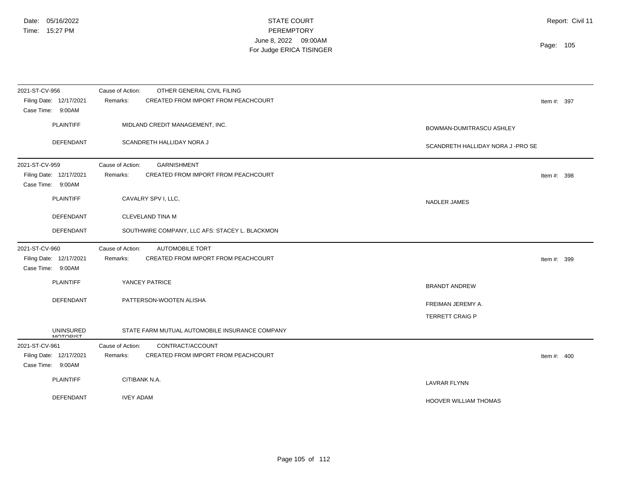| 2021-ST-CV-956                      | Cause of Action:<br>OTHER GENERAL CIVIL FILING  |                                  |
|-------------------------------------|-------------------------------------------------|----------------------------------|
| Filing Date: 12/17/2021             | CREATED FROM IMPORT FROM PEACHCOURT<br>Remarks: | Item #: 397                      |
| Case Time: 9:00AM                   |                                                 |                                  |
| <b>PLAINTIFF</b>                    | MIDLAND CREDIT MANAGEMENT, INC.                 | BOWMAN-DUMITRASCU ASHLEY         |
| DEFENDANT                           | SCANDRETH HALLIDAY NORA J                       | SCANDRETH HALLIDAY NORA J-PRO SE |
| 2021-ST-CV-959                      | Cause of Action:<br><b>GARNISHMENT</b>          |                                  |
| Filing Date: 12/17/2021             | Remarks:<br>CREATED FROM IMPORT FROM PEACHCOURT | Item #: $398$                    |
| Case Time: 9:00AM                   |                                                 |                                  |
| <b>PLAINTIFF</b>                    | CAVALRY SPV I, LLC,                             |                                  |
|                                     |                                                 | NADLER JAMES                     |
| DEFENDANT                           | CLEVELAND TINA M                                |                                  |
| DEFENDANT                           | SOUTHWIRE COMPANY, LLC AFS: STACEY L. BLACKMON  |                                  |
| 2021-ST-CV-960                      | Cause of Action:<br><b>AUTOMOBILE TORT</b>      |                                  |
| Filing Date: 12/17/2021             | CREATED FROM IMPORT FROM PEACHCOURT<br>Remarks: | Item #: $399$                    |
| Case Time: 9:00AM                   |                                                 |                                  |
| <b>PLAINTIFF</b>                    | YANCEY PATRICE                                  |                                  |
|                                     |                                                 | <b>BRANDT ANDREW</b>             |
| <b>DEFENDANT</b>                    | PATTERSON-WOOTEN ALISHA                         | FREIMAN JEREMY A.                |
|                                     |                                                 | <b>TERRETT CRAIG P</b>           |
|                                     |                                                 |                                  |
| <b>UNINSURED</b><br><b>MOTODICT</b> | STATE FARM MUTUAL AUTOMOBILE INSURANCE COMPANY  |                                  |
| 2021-ST-CV-961                      | CONTRACT/ACCOUNT<br>Cause of Action:            |                                  |
| Filing Date: 12/17/2021             | CREATED FROM IMPORT FROM PEACHCOURT<br>Remarks: | Item #: $400$                    |
| Case Time: 9:00AM                   |                                                 |                                  |
| <b>PLAINTIFF</b>                    | CITIBANK N.A.                                   |                                  |
|                                     |                                                 | <b>LAVRAR FLYNN</b>              |
| <b>DEFENDANT</b>                    | <b>IVEY ADAM</b>                                | HOOVER WILLIAM THOMAS            |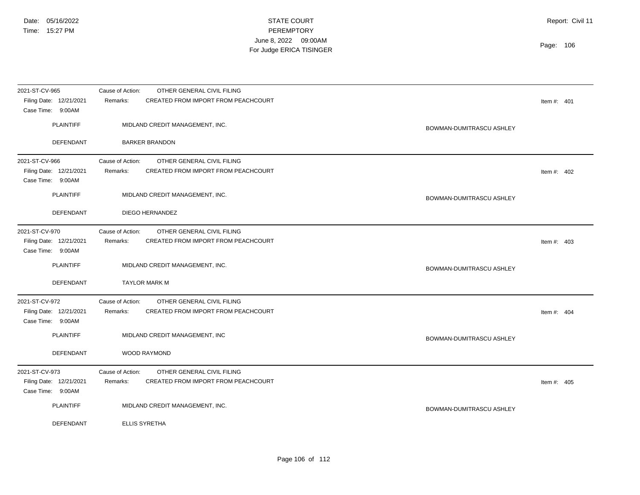| 2021-ST-CV-965<br>Filing Date: 12/21/2021    | OTHER GENERAL CIVIL FILING<br>Cause of Action:<br>CREATED FROM IMPORT FROM PEACHCOURT<br>Remarks: |                          | Item #: $401$ |  |
|----------------------------------------------|---------------------------------------------------------------------------------------------------|--------------------------|---------------|--|
| Case Time: 9:00AM                            |                                                                                                   |                          |               |  |
| <b>PLAINTIFF</b>                             | MIDLAND CREDIT MANAGEMENT, INC.                                                                   | BOWMAN-DUMITRASCU ASHLEY |               |  |
| <b>DEFENDANT</b>                             | <b>BARKER BRANDON</b>                                                                             |                          |               |  |
| 2021-ST-CV-966                               | Cause of Action:<br>OTHER GENERAL CIVIL FILING                                                    |                          |               |  |
| Filing Date: 12/21/2021<br>Case Time: 9:00AM | CREATED FROM IMPORT FROM PEACHCOURT<br>Remarks:                                                   |                          | Item #: $402$ |  |
| <b>PLAINTIFF</b>                             | MIDLAND CREDIT MANAGEMENT, INC.                                                                   | BOWMAN-DUMITRASCU ASHLEY |               |  |
| DEFENDANT                                    | DIEGO HERNANDEZ                                                                                   |                          |               |  |
| 2021-ST-CV-970                               | Cause of Action:<br>OTHER GENERAL CIVIL FILING                                                    |                          |               |  |
| Filing Date: 12/21/2021<br>Case Time: 9:00AM | CREATED FROM IMPORT FROM PEACHCOURT<br>Remarks:                                                   |                          | Item #: $403$ |  |
| <b>PLAINTIFF</b>                             | MIDLAND CREDIT MANAGEMENT, INC.                                                                   | BOWMAN-DUMITRASCU ASHLEY |               |  |
| <b>DEFENDANT</b>                             | <b>TAYLOR MARK M</b>                                                                              |                          |               |  |
| 2021-ST-CV-972                               | OTHER GENERAL CIVIL FILING<br>Cause of Action:                                                    |                          |               |  |
| Filing Date: 12/21/2021<br>Case Time: 9:00AM | CREATED FROM IMPORT FROM PEACHCOURT<br>Remarks:                                                   |                          | Item #: $404$ |  |
| <b>PLAINTIFF</b>                             | MIDLAND CREDIT MANAGEMENT, INC                                                                    | BOWMAN-DUMITRASCU ASHLEY |               |  |
| <b>DEFENDANT</b>                             | <b>WOOD RAYMOND</b>                                                                               |                          |               |  |
| 2021-ST-CV-973                               | OTHER GENERAL CIVIL FILING<br>Cause of Action:                                                    |                          |               |  |
| Filing Date: 12/21/2021<br>Case Time: 9:00AM | CREATED FROM IMPORT FROM PEACHCOURT<br>Remarks:                                                   |                          | Item #: $405$ |  |
| <b>PLAINTIFF</b>                             | MIDLAND CREDIT MANAGEMENT, INC.                                                                   | BOWMAN-DUMITRASCU ASHLEY |               |  |
| <b>DEFENDANT</b>                             | <b>ELLIS SYRETHA</b>                                                                              |                          |               |  |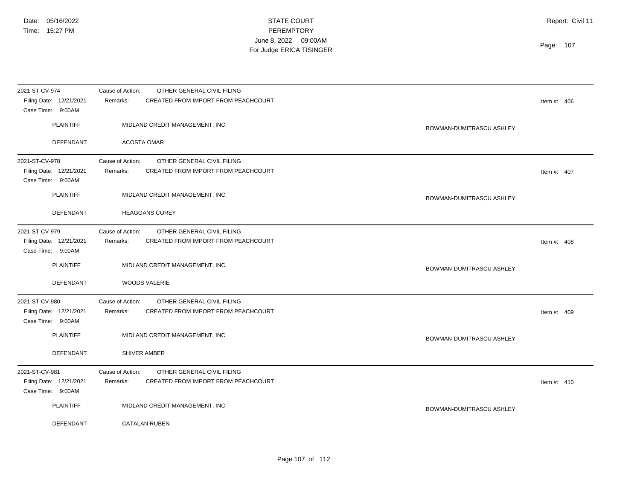| 2021-ST-CV-974<br>Filing Date: 12/21/2021<br>Case Time: 9:00AM | Cause of Action:<br>OTHER GENERAL CIVIL FILING<br>CREATED FROM IMPORT FROM PEACHCOURT<br>Remarks: | Item #: $406$            |
|----------------------------------------------------------------|---------------------------------------------------------------------------------------------------|--------------------------|
| <b>PLAINTIFF</b>                                               | MIDLAND CREDIT MANAGEMENT, INC.                                                                   | BOWMAN-DUMITRASCU ASHLEY |
| DEFENDANT                                                      | <b>ACOSTA OMAR</b>                                                                                |                          |
| 2021-ST-CV-978<br>Filing Date: 12/21/2021<br>Case Time: 9:00AM | OTHER GENERAL CIVIL FILING<br>Cause of Action:<br>CREATED FROM IMPORT FROM PEACHCOURT<br>Remarks: | Item #: $407$            |
| <b>PLAINTIFF</b>                                               | MIDLAND CREDIT MANAGEMENT, INC.                                                                   | BOWMAN-DUMITRASCU ASHLEY |
| DEFENDANT                                                      | <b>HEAGGANS COREY</b>                                                                             |                          |
| 2021-ST-CV-979<br>Filing Date: 12/21/2021<br>Case Time: 9:00AM | OTHER GENERAL CIVIL FILING<br>Cause of Action:<br>CREATED FROM IMPORT FROM PEACHCOURT<br>Remarks: | Item #: $408$            |
| <b>PLAINTIFF</b>                                               | MIDLAND CREDIT MANAGEMENT, INC.                                                                   | BOWMAN-DUMITRASCU ASHLEY |
| DEFENDANT                                                      | <b>WOODS VALERIE</b>                                                                              |                          |
| 2021-ST-CV-980<br>Filing Date: 12/21/2021<br>Case Time: 9:00AM | OTHER GENERAL CIVIL FILING<br>Cause of Action:<br>Remarks:<br>CREATED FROM IMPORT FROM PEACHCOURT | Item #: $409$            |
| <b>PLAINTIFF</b>                                               | MIDLAND CREDIT MANAGEMENT, INC                                                                    | BOWMAN-DUMITRASCU ASHLEY |
| DEFENDANT                                                      | SHIVER AMBER                                                                                      |                          |
| 2021-ST-CV-981<br>Filing Date: 12/21/2021<br>Case Time: 9:00AM | OTHER GENERAL CIVIL FILING<br>Cause of Action:<br>Remarks:<br>CREATED FROM IMPORT FROM PEACHCOURT | Item #: $410$            |
| <b>PLAINTIFF</b>                                               | MIDLAND CREDIT MANAGEMENT, INC.                                                                   | BOWMAN-DUMITRASCU ASHLEY |
| <b>DEFENDANT</b>                                               | <b>CATALAN RUBEN</b>                                                                              |                          |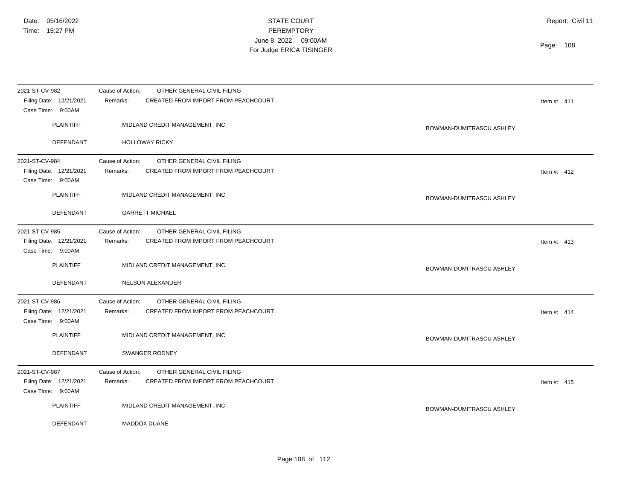| 2021-ST-CV-982                                                 | OTHER GENERAL CIVIL FILING<br>Cause of Action:                                                    |                          |
|----------------------------------------------------------------|---------------------------------------------------------------------------------------------------|--------------------------|
| Filing Date: 12/21/2021<br>Case Time: 9:00AM                   | CREATED FROM IMPORT FROM PEACHCOURT<br>Remarks:                                                   | Item #: $411$            |
| <b>PLAINTIFF</b>                                               | MIDLAND CREDIT MANAGEMENT, INC.                                                                   | BOWMAN-DUMITRASCU ASHLEY |
| DEFENDANT                                                      | <b>HOLLOWAY RICKY</b>                                                                             |                          |
| 2021-ST-CV-984<br>Filing Date: 12/21/2021<br>Case Time: 9:00AM | OTHER GENERAL CIVIL FILING<br>Cause of Action:<br>CREATED FROM IMPORT FROM PEACHCOURT<br>Remarks: | Item #: $412$            |
| <b>PLAINTIFF</b>                                               | MIDLAND CREDIT MANAGEMENT, INC                                                                    | BOWMAN-DUMITRASCU ASHLEY |
| <b>DEFENDANT</b>                                               | <b>GARRETT MICHAEL</b>                                                                            |                          |
| 2021-ST-CV-985<br>Filing Date: 12/21/2021<br>Case Time: 9:00AM | OTHER GENERAL CIVIL FILING<br>Cause of Action:<br>CREATED FROM IMPORT FROM PEACHCOURT<br>Remarks: | Item #: $413$            |
| <b>PLAINTIFF</b>                                               | MIDLAND CREDIT MANAGEMENT, INC.                                                                   | BOWMAN-DUMITRASCU ASHLEY |
| DEFENDANT                                                      | NELSON ALEXANDER                                                                                  |                          |
| 2021-ST-CV-986                                                 | OTHER GENERAL CIVIL FILING<br>Cause of Action:                                                    |                          |
| Filing Date: 12/21/2021<br>Case Time: 9:00AM                   | CREATED FROM IMPORT FROM PEACHCOURT<br>Remarks:                                                   | Item #: $414$            |
| <b>PLAINTIFF</b>                                               | MIDLAND CREDIT MANAGEMENT, INC                                                                    | BOWMAN-DUMITRASCU ASHLEY |
| <b>DEFENDANT</b>                                               | SWANGER RODNEY                                                                                    |                          |
| 2021-ST-CV-987                                                 | OTHER GENERAL CIVIL FILING<br>Cause of Action:                                                    |                          |
| Filing Date: 12/21/2021<br>Case Time: 9:00AM                   | CREATED FROM IMPORT FROM PEACHCOURT<br>Remarks:                                                   | Item #: $415$            |
| <b>PLAINTIFF</b>                                               | MIDLAND CREDIT MANAGEMENT, INC                                                                    | BOWMAN-DUMITRASCU ASHLEY |
| <b>DEFENDANT</b>                                               | <b>MADDOX DUANE</b>                                                                               |                          |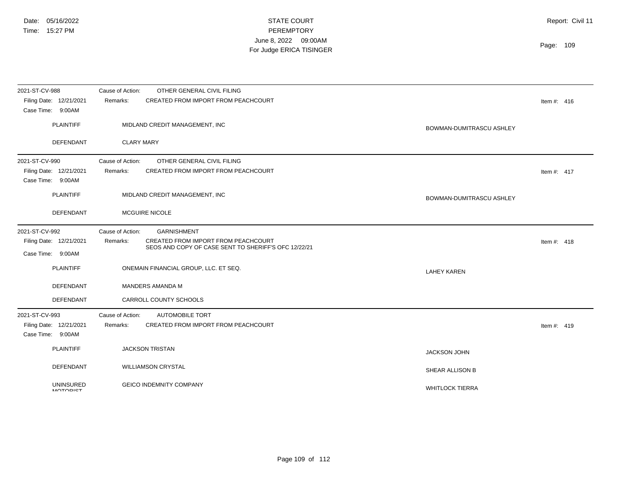| 2021-ST-CV-988                               | Cause of Action:  | OTHER GENERAL CIVIL FILING                                                                  |                          |               |  |
|----------------------------------------------|-------------------|---------------------------------------------------------------------------------------------|--------------------------|---------------|--|
| Filing Date: 12/21/2021<br>Case Time: 9:00AM | Remarks:          | CREATED FROM IMPORT FROM PEACHCOURT                                                         |                          | Item #: $416$ |  |
| <b>PLAINTIFF</b>                             |                   | MIDLAND CREDIT MANAGEMENT, INC                                                              | BOWMAN-DUMITRASCU ASHLEY |               |  |
| DEFENDANT                                    | <b>CLARY MARY</b> |                                                                                             |                          |               |  |
| 2021-ST-CV-990                               | Cause of Action:  | OTHER GENERAL CIVIL FILING                                                                  |                          |               |  |
| Filing Date: 12/21/2021<br>Case Time: 9:00AM | Remarks:          | CREATED FROM IMPORT FROM PEACHCOURT                                                         |                          | Item #: $417$ |  |
| PLAINTIFF                                    |                   | MIDLAND CREDIT MANAGEMENT, INC                                                              | BOWMAN-DUMITRASCU ASHLEY |               |  |
| DEFENDANT                                    |                   | MCGUIRE NICOLE                                                                              |                          |               |  |
| 2021-ST-CV-992                               | Cause of Action:  | <b>GARNISHMENT</b>                                                                          |                          |               |  |
| Filing Date: 12/21/2021                      | Remarks:          | CREATED FROM IMPORT FROM PEACHCOURT<br>SEOS AND COPY OF CASE SENT TO SHERIFF'S OFC 12/22/21 |                          | Item #: $418$ |  |
| Case Time: 9:00AM                            |                   |                                                                                             |                          |               |  |
| <b>PLAINTIFF</b>                             |                   | ONEMAIN FINANCIAL GROUP, LLC. ET SEQ.                                                       | <b>LAHEY KAREN</b>       |               |  |
| DEFENDANT                                    |                   | MANDERS AMANDA M                                                                            |                          |               |  |
| <b>DEFENDANT</b>                             |                   | CARROLL COUNTY SCHOOLS                                                                      |                          |               |  |
| 2021-ST-CV-993                               | Cause of Action:  | <b>AUTOMOBILE TORT</b>                                                                      |                          |               |  |
| Filing Date: 12/21/2021<br>Case Time: 9:00AM | Remarks:          | CREATED FROM IMPORT FROM PEACHCOURT                                                         |                          | Item #: $419$ |  |
| <b>PLAINTIFF</b>                             |                   | <b>JACKSON TRISTAN</b>                                                                      | JACKSON JOHN             |               |  |
| DEFENDANT                                    |                   | <b>WILLIAMSON CRYSTAL</b>                                                                   | SHEAR ALLISON B          |               |  |
| <b>UNINSURED</b><br><b>MOTODICT</b>          |                   | <b>GEICO INDEMNITY COMPANY</b>                                                              | <b>WHITLOCK TIERRA</b>   |               |  |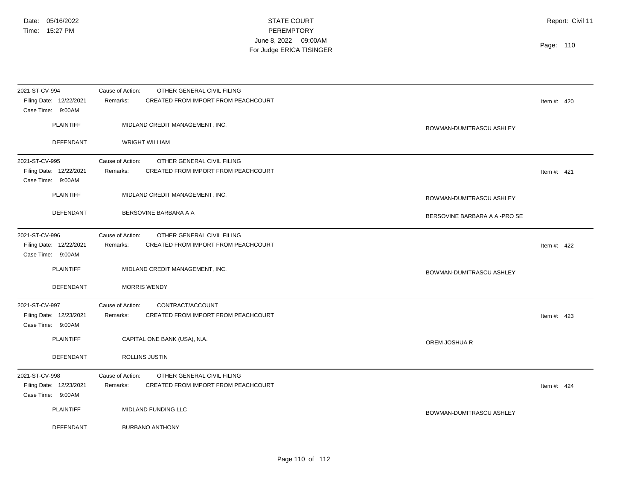| 2021-ST-CV-994<br>Filing Date: 12/22/2021                      | Cause of Action:<br>OTHER GENERAL CIVIL FILING<br>Remarks:<br>CREATED FROM IMPORT FROM PEACHCOURT | Item #: $420$                 |
|----------------------------------------------------------------|---------------------------------------------------------------------------------------------------|-------------------------------|
| Case Time: 9:00AM<br>PLAINTIFF                                 | MIDLAND CREDIT MANAGEMENT, INC.                                                                   | BOWMAN-DUMITRASCU ASHLEY      |
| DEFENDANT                                                      | <b>WRIGHT WILLIAM</b>                                                                             |                               |
| 2021-ST-CV-995<br>Filing Date: 12/22/2021<br>Case Time: 9:00AM | OTHER GENERAL CIVIL FILING<br>Cause of Action:<br>CREATED FROM IMPORT FROM PEACHCOURT<br>Remarks: | Item #: $421$                 |
| <b>PLAINTIFF</b>                                               | MIDLAND CREDIT MANAGEMENT, INC.                                                                   | BOWMAN-DUMITRASCU ASHLEY      |
| DEFENDANT                                                      | BERSOVINE BARBARA A A                                                                             | BERSOVINE BARBARA A A -PRO SE |
| 2021-ST-CV-996<br>Filing Date: 12/22/2021<br>Case Time: 9:00AM | OTHER GENERAL CIVIL FILING<br>Cause of Action:<br>CREATED FROM IMPORT FROM PEACHCOURT<br>Remarks: | Item #: $422$                 |
| PLAINTIFF                                                      | MIDLAND CREDIT MANAGEMENT, INC.                                                                   | BOWMAN-DUMITRASCU ASHLEY      |
| <b>DEFENDANT</b>                                               | <b>MORRIS WENDY</b>                                                                               |                               |
| 2021-ST-CV-997<br>Filing Date: 12/23/2021<br>Case Time: 9:00AM | CONTRACT/ACCOUNT<br>Cause of Action:<br>CREATED FROM IMPORT FROM PEACHCOURT<br>Remarks:           | Item #: $423$                 |
| <b>PLAINTIFF</b>                                               | CAPITAL ONE BANK (USA), N.A.                                                                      | OREM JOSHUA R                 |
| DEFENDANT                                                      | ROLLINS JUSTIN                                                                                    |                               |
| 2021-ST-CV-998<br>Filing Date: 12/23/2021<br>Case Time: 9:00AM | OTHER GENERAL CIVIL FILING<br>Cause of Action:<br>Remarks:<br>CREATED FROM IMPORT FROM PEACHCOURT | Item #: $424$                 |
| <b>PLAINTIFF</b>                                               | <b>MIDLAND FUNDING LLC</b>                                                                        | BOWMAN-DUMITRASCU ASHLEY      |
| <b>DEFENDANT</b>                                               | <b>BURBANO ANTHONY</b>                                                                            |                               |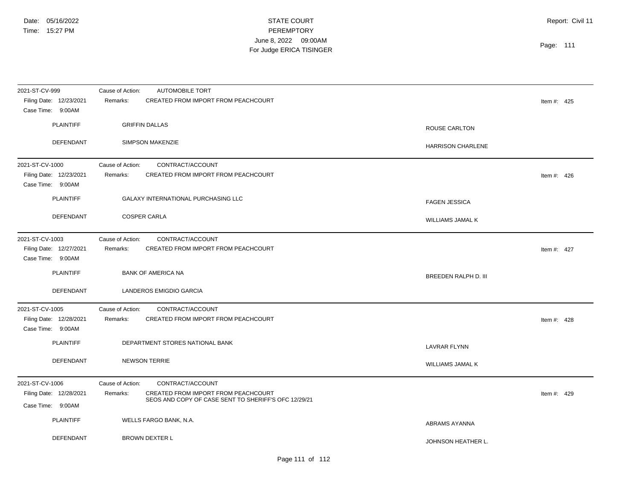| 2021-ST-CV-999                               | Cause of Action:<br><b>AUTOMOBILE TORT</b>           |                          |               |  |
|----------------------------------------------|------------------------------------------------------|--------------------------|---------------|--|
| Filing Date: 12/23/2021<br>Case Time: 9:00AM | CREATED FROM IMPORT FROM PEACHCOURT<br>Remarks:      |                          | Item #: $425$ |  |
| <b>PLAINTIFF</b>                             | <b>GRIFFIN DALLAS</b>                                | <b>ROUSE CARLTON</b>     |               |  |
| DEFENDANT                                    | SIMPSON MAKENZIE                                     | <b>HARRISON CHARLENE</b> |               |  |
| 2021-ST-CV-1000                              | CONTRACT/ACCOUNT<br>Cause of Action:                 |                          |               |  |
| Filing Date: 12/23/2021<br>Case Time: 9:00AM | CREATED FROM IMPORT FROM PEACHCOURT<br>Remarks:      |                          | Item #: $426$ |  |
| <b>PLAINTIFF</b>                             | GALAXY INTERNATIONAL PURCHASING LLC                  | <b>FAGEN JESSICA</b>     |               |  |
| <b>DEFENDANT</b>                             | <b>COSPER CARLA</b>                                  | WILLIAMS JAMAL K         |               |  |
| 2021-ST-CV-1003                              | CONTRACT/ACCOUNT<br>Cause of Action:                 |                          |               |  |
| Filing Date: 12/27/2021<br>Case Time: 9:00AM | CREATED FROM IMPORT FROM PEACHCOURT<br>Remarks:      |                          | Item #: $427$ |  |
| <b>PLAINTIFF</b>                             | <b>BANK OF AMERICA NA</b>                            | BREEDEN RALPH D. III     |               |  |
| DEFENDANT                                    | LANDEROS EMIGDIO GARCIA                              |                          |               |  |
| 2021-ST-CV-1005                              | CONTRACT/ACCOUNT<br>Cause of Action:                 |                          |               |  |
| Filing Date: 12/28/2021<br>Case Time: 9:00AM | Remarks:<br>CREATED FROM IMPORT FROM PEACHCOURT      |                          | Item #: $428$ |  |
| <b>PLAINTIFF</b>                             | DEPARTMENT STORES NATIONAL BANK                      | <b>LAVRAR FLYNN</b>      |               |  |
| <b>DEFENDANT</b>                             | <b>NEWSON TERRIE</b>                                 | WILLIAMS JAMAL K         |               |  |
| 2021-ST-CV-1006                              | Cause of Action:<br>CONTRACT/ACCOUNT                 |                          |               |  |
| Filing Date: 12/28/2021                      | CREATED FROM IMPORT FROM PEACHCOURT<br>Remarks:      |                          | Item #: $429$ |  |
| Case Time: 9:00AM                            | SEOS AND COPY OF CASE SENT TO SHERIFF'S OFC 12/29/21 |                          |               |  |
| <b>PLAINTIFF</b>                             | WELLS FARGO BANK, N.A.                               | ABRAMS AYANNA            |               |  |
| DEFENDANT                                    | <b>BROWN DEXTER L</b>                                | JOHNSON HEATHER L.       |               |  |